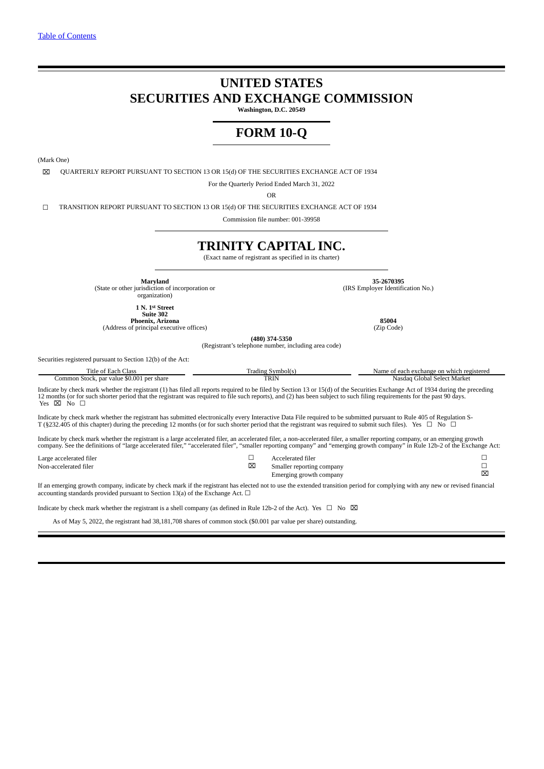# **UNITED STATES SECURITIES AND EXCHANGE COMMISSION**

**Washington, D.C. 20549**

# **FORM 10-Q**

(Mark One)

⌧ QUARTERLY REPORT PURSUANT TO SECTION 13 OR 15(d) OF THE SECURITIES EXCHANGE ACT OF 1934

For the Quarterly Period Ended March 31, 2022

OR

☐ TRANSITION REPORT PURSUANT TO SECTION 13 OR 15(d) OF THE SECURITIES EXCHANGE ACT OF 1934

Commission file number: 001-39958

# **TRINITY CAPITAL INC.**

(Exact name of registrant as specified in its charter)

**Maryland** 35-2670395<br>
(State or other jurisdiction of incorporation or<br>
organization) (IRS Employer Identific

(IRS Employer Identification No.)

**1 N. 1st Street**

**Suite 302 Phoenix, Arizona 85004** (Address of principal executive offices) (Zip Code)

**(480) 374-5350**

(Registrant's telephone number, including area code)

Securities registered pursuant to Section 12(b) of the Act:

| Title of Each Class<br>Common Stock, par value \$0.001 per share                                                                                                                                                                                                                                                                                                                         | Trading Symbol(s)<br>TRIN                                                      | Name of each exchange on which registered<br>Nasdag Global Select Market                                                                                                                                                                                                                                                                                      |  |  |  |  |  |  |
|------------------------------------------------------------------------------------------------------------------------------------------------------------------------------------------------------------------------------------------------------------------------------------------------------------------------------------------------------------------------------------------|--------------------------------------------------------------------------------|---------------------------------------------------------------------------------------------------------------------------------------------------------------------------------------------------------------------------------------------------------------------------------------------------------------------------------------------------------------|--|--|--|--|--|--|
| Indicate by check mark whether the registrant (1) has filed all reports required to be filed by Section 13 or 15(d) of the Securities Exchange Act of 1934 during the preceding<br>12 months (or for such shorter period that the registrant was required to file such reports), and (2) has been subject to such filing requirements for the past 90 days.<br>Yes $\boxtimes$ No $\Box$ |                                                                                |                                                                                                                                                                                                                                                                                                                                                               |  |  |  |  |  |  |
| Indicate by check mark whether the registrant has submitted electronically every Interactive Data File required to be submitted pursuant to Rule 405 of Regulation S-<br>T (§232.405 of this chapter) during the preceding 12 months (or for such shorter period that the registrant was required to submit such files). Yes $\Box$ No $\Box$                                            |                                                                                |                                                                                                                                                                                                                                                                                                                                                               |  |  |  |  |  |  |
|                                                                                                                                                                                                                                                                                                                                                                                          |                                                                                | Indicate by check mark whether the registrant is a large accelerated filer, an accelerated filer, a non-accelerated filer, a smaller reporting company, or an emerging growth<br>company. See the definitions of "large accelerated filer," "accelerated filer", "smaller reporting company" and "emerging growth company" in Rule 12b-2 of the Exchange Act: |  |  |  |  |  |  |
| Large accelerated filer<br>Non-accelerated filer                                                                                                                                                                                                                                                                                                                                         | Accelerated filer<br>⊠<br>Smaller reporting company<br>Emerging growth company | ⊠                                                                                                                                                                                                                                                                                                                                                             |  |  |  |  |  |  |

If an emerging growth company, indicate by check mark if the registrant has elected not to use the extended transition period for complying with any new or revised financial accounting standards provided pursuant to Section 13(a) of the Exchange Act.  $\Box$ 

Indicate by check mark whether the registrant is a shell company (as defined in Rule 12b-2 of the Act). Yes  $\Box$  No  $\boxtimes$ 

As of May 5, 2022, the registrant had 38,181,708 shares of common stock (\$0.001 par value per share) outstanding.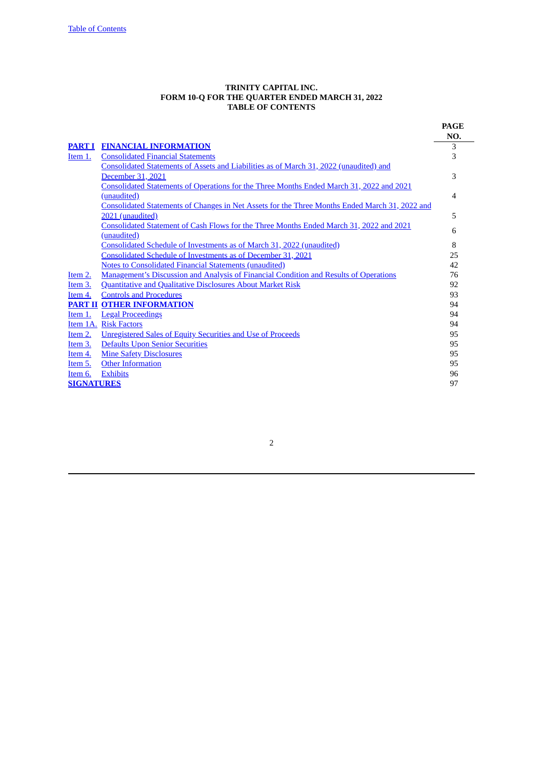#### **TRINITY CAPITAL INC. FORM 10-Q FOR THE QUARTER ENDED MARCH 31, 2022 TABLE OF CONTENTS**

<span id="page-1-0"></span>

|                   |                                                                                                       | <b>PAGE</b> |
|-------------------|-------------------------------------------------------------------------------------------------------|-------------|
|                   |                                                                                                       | NO.         |
|                   | PART I FINANCIAL INFORMATION                                                                          | 3           |
| Item 1.           | <b>Consolidated Financial Statements</b>                                                              | 3           |
|                   | Consolidated Statements of Assets and Liabilities as of March 31, 2022 (unaudited) and                |             |
|                   | December 31, 2021                                                                                     | 3           |
|                   | Consolidated Statements of Operations for the Three Months Ended March 31, 2022 and 2021              |             |
|                   | (unaudited)                                                                                           | 4           |
|                   | <b>Consolidated Statements of Changes in Net Assets for the Three Months Ended March 31, 2022 and</b> |             |
|                   | 2021 (unaudited)                                                                                      | 5           |
|                   | Consolidated Statement of Cash Flows for the Three Months Ended March 31, 2022 and 2021               | 6           |
|                   | (unaudited)                                                                                           |             |
|                   | Consolidated Schedule of Investments as of March 31, 2022 (unaudited)                                 | 8           |
|                   | Consolidated Schedule of Investments as of December 31, 2021                                          | 25          |
|                   | <b>Notes to Consolidated Financial Statements (unaudited)</b>                                         | 42          |
| Item 2.           | <b>Management's Discussion and Analysis of Financial Condition and Results of Operations</b>          | 76          |
| Item 3.           | <b>Quantitative and Qualitative Disclosures About Market Risk</b>                                     | 92          |
| Item 4.           | <b>Controls and Procedures</b>                                                                        | 93          |
|                   | <b>PART II OTHER INFORMATION</b>                                                                      | 94          |
| <u>Item 1.</u>    | <b>Legal Proceedings</b>                                                                              | 94          |
|                   | Item 1A. Risk Factors                                                                                 | 94          |
| Item 2.           | <b>Unregistered Sales of Equity Securities and Use of Proceeds</b>                                    | 95          |
| Item 3.           | <b>Defaults Upon Senior Securities</b>                                                                | 95          |
| <u>Item 4.</u>    | <b>Mine Safety Disclosures</b>                                                                        | 95          |
| Item 5.           | <b>Other Information</b>                                                                              | 95          |
| Item 6.           | <b>Exhibits</b>                                                                                       | 96          |
| <b>SIGNATURES</b> |                                                                                                       | 97          |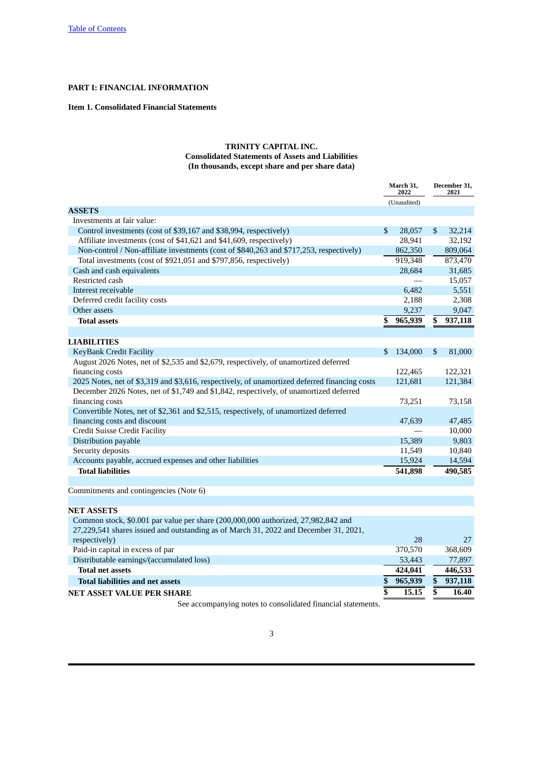# **PART I: FINANCIAL INFORMATION**

# **Item 1. Consolidated Financial Statements**

# <span id="page-2-2"></span><span id="page-2-1"></span><span id="page-2-0"></span>**TRINITY CAPITAL INC. Consolidated Statements of Assets and Liabilities (In thousands, except share and per share data)**

|                                                                                               | March 31.<br>2022 |              | December 31,<br>2021 |
|-----------------------------------------------------------------------------------------------|-------------------|--------------|----------------------|
|                                                                                               | (Unaudited)       |              |                      |
| <b>ASSETS</b>                                                                                 |                   |              |                      |
| Investments at fair value:                                                                    |                   |              |                      |
| Control investments (cost of \$39,167 and \$38,994, respectively)                             | \$<br>28,057      | $\mathbb{S}$ | 32,214               |
| Affiliate investments (cost of \$41,621 and \$41,609, respectively)                           | 28,941            |              | 32,192               |
| Non-control / Non-affiliate investments (cost of \$840,263 and \$717,253, respectively)       | 862,350           |              | 809,064              |
| Total investments (cost of \$921,051 and \$797,856, respectively)                             | 919,348           |              | 873,470              |
| Cash and cash equivalents                                                                     | 28,684            |              | 31,685               |
| Restricted cash                                                                               |                   |              | 15,057               |
| Interest receivable                                                                           | 6,482             |              | 5,551                |
| Deferred credit facility costs                                                                | 2,188             |              | 2,308                |
| Other assets                                                                                  | 9,237             |              | 9,047                |
| <b>Total assets</b>                                                                           | \$<br>965,939     | \$           | 937,118              |
|                                                                                               |                   |              |                      |
| <b>LIABILITIES</b>                                                                            |                   |              |                      |
| <b>KeyBank Credit Facility</b>                                                                | \$<br>134,000     | $\mathbb{S}$ | 81,000               |
| August 2026 Notes, net of \$2,535 and \$2,679, respectively, of unamortized deferred          |                   |              |                      |
| financing costs                                                                               | 122,465           |              | 122,321              |
| 2025 Notes, net of \$3,319 and \$3,616, respectively, of unamortized deferred financing costs | 121,681           |              | 121,384              |
| December 2026 Notes, net of \$1,749 and \$1,842, respectively, of unamortized deferred        |                   |              |                      |
| financing costs                                                                               | 73,251            |              | 73,158               |
| Convertible Notes, net of \$2,361 and \$2,515, respectively, of unamortized deferred          |                   |              |                      |
| financing costs and discount                                                                  | 47,639            |              | 47,485               |
| Credit Suisse Credit Facility                                                                 |                   |              | 10,000               |
| Distribution payable                                                                          | 15,389            |              | 9,803                |
| Security deposits                                                                             | 11,549            |              | 10,840               |
| Accounts payable, accrued expenses and other liabilities                                      | 15,924            |              | 14,594               |
| <b>Total liabilities</b>                                                                      | 541,898           |              | 490,585              |
|                                                                                               |                   |              |                      |
| $\sim$ $(NT_{\text{max}} C)$                                                                  |                   |              |                      |

Commitments and contingencies (Note 6)

#### **NET ASSETS**

| Common stock, \$0.001 par value per share (200,000,000 authorized, 27,982,842 and<br>27,229,541 shares issued and outstanding as of March 31, 2022 and December 31, 2021, |         |         |
|---------------------------------------------------------------------------------------------------------------------------------------------------------------------------|---------|---------|
| respectively)                                                                                                                                                             | 28      | 27      |
| Paid-in capital in excess of par                                                                                                                                          | 370,570 | 368,609 |
| Distributable earnings/(accumulated loss)                                                                                                                                 | 53,443  | 77,897  |
| <b>Total net assets</b>                                                                                                                                                   | 424,041 | 446,533 |
| <b>Total liabilities and net assets</b>                                                                                                                                   | 965,939 | 937,118 |
| <b>NET ASSET VALUE PER SHARE</b>                                                                                                                                          | 15.15   | 16.40   |
|                                                                                                                                                                           |         |         |

See accompanying notes to consolidated financial statements.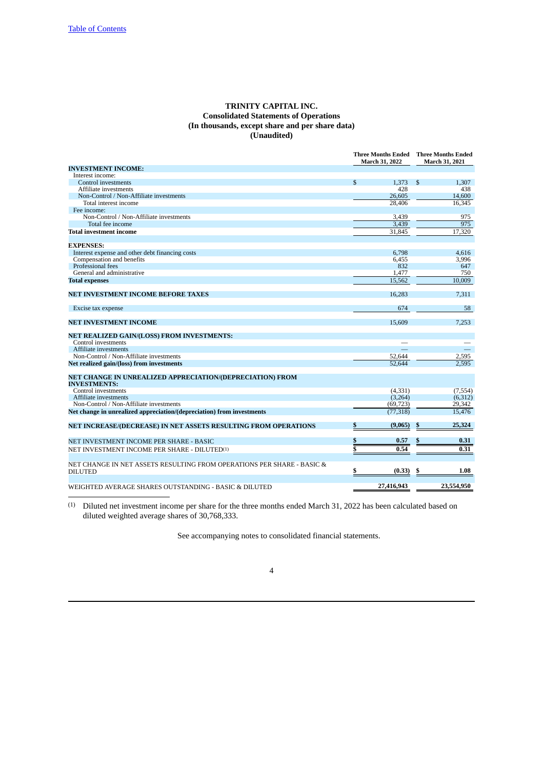# <span id="page-3-0"></span>**TRINITY CAPITAL INC. Consolidated Statements of Operations (In thousands, except share and per share data) (Unaudited)**

|                                                                                          |              | March 31, 2022 | <b>Three Months Ended</b> Three Months Ended<br><b>March 31, 2021</b> |            |  |
|------------------------------------------------------------------------------------------|--------------|----------------|-----------------------------------------------------------------------|------------|--|
| <b>INVESTMENT INCOME:</b>                                                                |              |                |                                                                       |            |  |
| Interest income:                                                                         |              |                |                                                                       |            |  |
| Control investments                                                                      | $\mathbb{S}$ | 1,373          | $\mathfrak{S}$                                                        | 1,307      |  |
| Affiliate investments                                                                    |              | 428            |                                                                       | 438        |  |
| Non-Control / Non-Affiliate investments                                                  |              | 26,605         |                                                                       | 14,600     |  |
| Total interest income                                                                    |              | 28,406         |                                                                       | 16,345     |  |
| Fee income:                                                                              |              |                |                                                                       |            |  |
| Non-Control / Non-Affiliate investments                                                  |              | 3,439          |                                                                       | 975        |  |
| Total fee income                                                                         |              | 3.439          |                                                                       | 975        |  |
| <b>Total investment income</b>                                                           |              | 31,845         |                                                                       | 17,320     |  |
| <b>EXPENSES:</b>                                                                         |              |                |                                                                       |            |  |
| Interest expense and other debt financing costs                                          |              | 6,798          |                                                                       | 4,616      |  |
| Compensation and benefits                                                                |              | 6,455          |                                                                       | 3,996      |  |
| Professional fees                                                                        |              | 832            |                                                                       | 647        |  |
| General and administrative                                                               |              | 1,477          |                                                                       | 750        |  |
| <b>Total expenses</b>                                                                    |              | 15,562         |                                                                       | 10.009     |  |
| NET INVESTMENT INCOME BEFORE TAXES                                                       |              | 16,283         |                                                                       | 7,311      |  |
| Excise tax expense                                                                       |              | 674            |                                                                       | 58         |  |
|                                                                                          |              |                |                                                                       |            |  |
| <b>NET INVESTMENT INCOME</b>                                                             |              | 15,609         |                                                                       | 7,253      |  |
| NET REALIZED GAIN/(LOSS) FROM INVESTMENTS:                                               |              |                |                                                                       |            |  |
| Control investments                                                                      |              |                |                                                                       |            |  |
| Affiliate investments                                                                    |              |                |                                                                       |            |  |
| Non-Control / Non-Affiliate investments                                                  |              | 52,644         |                                                                       | 2,595      |  |
| Net realized gain/(loss) from investments                                                |              | 52.644         |                                                                       | 2.595      |  |
| NET CHANGE IN UNREALIZED APPRECIATION/(DEPRECIATION) FROM<br><b>INVESTMENTS:</b>         |              |                |                                                                       |            |  |
| Control investments                                                                      |              | (4,331)        |                                                                       | (7, 554)   |  |
| Affiliate investments                                                                    |              | (3,264)        |                                                                       | (6,312)    |  |
| Non-Control / Non-Affiliate investments                                                  |              | (69, 723)      |                                                                       | 29,342     |  |
| Net change in unrealized appreciation/(depreciation) from investments                    |              | (77, 318)      |                                                                       | 15,476     |  |
| NET INCREASE/(DECREASE) IN NET ASSETS RESULTING FROM OPERATIONS                          |              | (9,065)        | S                                                                     | 25,324     |  |
| NET INVESTMENT INCOME PER SHARE - BASIC                                                  |              | 0.57           |                                                                       | 0.31       |  |
| NET INVESTMENT INCOME PER SHARE - DILUTED <sup>(1)</sup>                                 |              | 0.54           |                                                                       | 0.31       |  |
|                                                                                          |              |                |                                                                       |            |  |
| NET CHANGE IN NET ASSETS RESULTING FROM OPERATIONS PER SHARE - BASIC &<br><b>DILUTED</b> | \$           | (0.33)         | S                                                                     | 1.08       |  |
| WEIGHTED AVERAGE SHARES OUTSTANDING - BASIC & DILUTED                                    |              | 27,416,943     |                                                                       | 23,554,950 |  |

(1) Diluted net investment income per share for the three months ended March 31, 2022 has been calculated based on diluted weighted average shares of 30,768,333.

See accompanying notes to consolidated financial statements.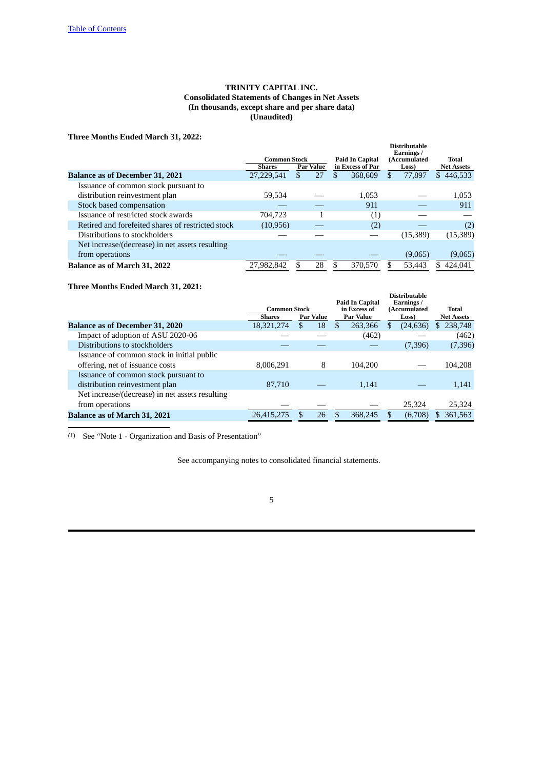# <span id="page-4-0"></span>**TRINITY CAPITAL INC. Consolidated Statements of Changes in Net Assets (In thousands, except share and per share data) (Unaudited)**

**Three Months Ended March 31, 2022:**

| Three months Ended march 91, 2022.                |              |                  |                        |    |                                                   |                   |
|---------------------------------------------------|--------------|------------------|------------------------|----|---------------------------------------------------|-------------------|
|                                                   | Common Stock |                  | <b>Paid In Capital</b> |    | <b>Distributable</b><br>Earnings/<br>(Accumulated | Total             |
|                                                   | Shares       | <b>Par Value</b> | in Excess of Par       |    | Loss)                                             | <b>Net Assets</b> |
| <b>Balance as of December 31, 2021</b>            | 27.229.541   | \$<br>27         | 368,609                | S. | 77,897                                            | \$446,533         |
| Issuance of common stock pursuant to              |              |                  |                        |    |                                                   |                   |
| distribution reinvestment plan                    | 59.534       |                  | 1,053                  |    |                                                   | 1,053             |
| Stock based compensation                          |              |                  | 911                    |    |                                                   | 911               |
| Issuance of restricted stock awards               | 704.723      | 1                | (1)                    |    |                                                   |                   |
| Retired and forefeited shares of restricted stock | (10, 956)    |                  | (2)                    |    |                                                   | (2)               |
| Distributions to stockholders                     |              |                  |                        |    | (15,389)                                          | (15, 389)         |
| Net increase/(decrease) in net assets resulting   |              |                  |                        |    |                                                   |                   |
| from operations                                   |              |                  |                        |    | (9,065)                                           | (9,065)           |
| Balance as of March 31, 2022                      | 27.982.842   | 28               | 370,570                |    | 53.443                                            | 424,041           |

# **Three Months Ended March 31, 2021:**

|                                                 | <b>Common Stock</b> |                  |   | <b>Paid In Capital</b><br>in Excess of |    | <b>Distributable</b><br>Earnings/<br>(Accumulated | Total             |
|-------------------------------------------------|---------------------|------------------|---|----------------------------------------|----|---------------------------------------------------|-------------------|
|                                                 | <b>Shares</b>       | <b>Par Value</b> |   | <b>Par Value</b>                       |    | Loss)                                             | <b>Net Assets</b> |
| <b>Balance as of December 31, 2020</b>          | 18,321,274          | \$<br>18         | S | 263,366                                | S. | (24, 636)                                         | 238,748           |
| Impact of adoption of ASU 2020-06               |                     |                  |   | (462)                                  |    |                                                   | (462)             |
| Distributions to stockholders                   |                     |                  |   |                                        |    | (7,396)                                           | (7,396)           |
| Issuance of common stock in initial public      |                     |                  |   |                                        |    |                                                   |                   |
| offering, net of issuance costs                 | 8,006,291           | 8                |   | 104.200                                |    |                                                   | 104.208           |
| Issuance of common stock pursuant to            |                     |                  |   |                                        |    |                                                   |                   |
| distribution reinvestment plan                  | 87,710              |                  |   | 1,141                                  |    |                                                   | 1,141             |
| Net increase/(decrease) in net assets resulting |                     |                  |   |                                        |    |                                                   |                   |
| from operations                                 |                     |                  |   |                                        |    | 25,324                                            | 25,324            |
| <b>Balance as of March 31, 2021</b>             | 26,415,275          | 26               |   | 368.245                                |    | (6,708)                                           | 361,563           |

(1) See "Note 1 - Organization and Basis of Presentation"

See accompanying notes to consolidated financial statements.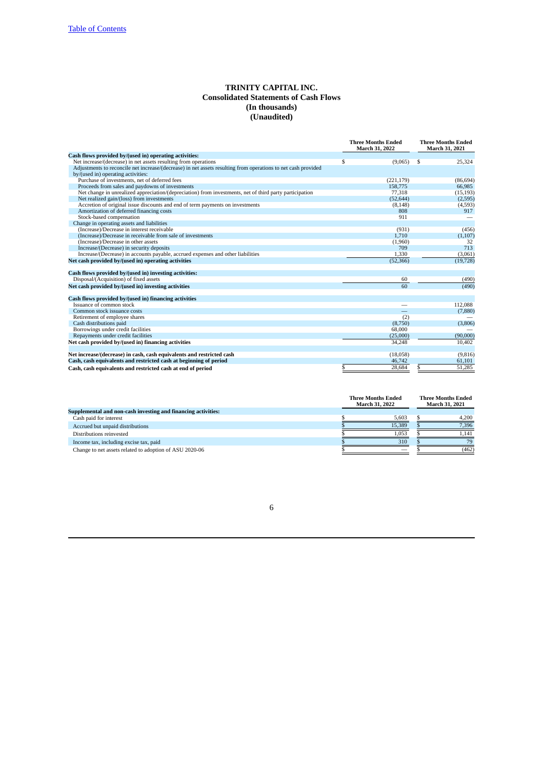# <span id="page-5-0"></span>**TRINITY CAPITAL INC. Consolidated Statements of Cash Flows (In thousands) (Unaudited)**

|                                                                                                               | <b>Three Months Ended</b><br>March 31, 2022 | <b>Three Months Ended</b><br>March 31, 2021 |           |  |
|---------------------------------------------------------------------------------------------------------------|---------------------------------------------|---------------------------------------------|-----------|--|
| Cash flows provided by/(used in) operating activities:                                                        |                                             |                                             |           |  |
| Net increase/(decrease) in net assets resulting from operations                                               | \$<br>(9,065)                               | \$                                          | 25,324    |  |
| Adjustments to reconcile net increase/(decrease) in net assets resulting from operations to net cash provided |                                             |                                             |           |  |
| by/(used in) operating activities:                                                                            |                                             |                                             |           |  |
| Purchase of investments, net of deferred fees                                                                 | (221, 179)                                  |                                             | (86, 694) |  |
| Proceeds from sales and paydowns of investments                                                               | 158,775                                     |                                             | 66,985    |  |
| Net change in unrealized appreciation/(depreciation) from investments, net of third party participation       | 77,318                                      |                                             | (15, 193) |  |
| Net realized gain/(loss) from investments                                                                     | (52, 644)                                   |                                             | (2,595)   |  |
| Accretion of original issue discounts and end of term payments on investments                                 | (8, 148)                                    |                                             | (4,593)   |  |
| Amortization of deferred financing costs                                                                      | 808                                         |                                             | 917       |  |
| Stock-based compensation                                                                                      | 911                                         |                                             |           |  |
| Change in operating assets and liabilities                                                                    |                                             |                                             |           |  |
| (Increase)/Decrease in interest receivable                                                                    | (931)                                       |                                             | (456)     |  |
| (Increase)/Decrease in receivable from sale of investments                                                    | 1,710                                       |                                             | (1,107)   |  |
| (Increase)/Decrease in other assets                                                                           | (1,960)                                     |                                             | 32        |  |
| Increase/(Decrease) in security deposits                                                                      | 709                                         |                                             | 713       |  |
| Increase/(Decrease) in accounts payable, accrued expenses and other liabilities                               | 1,330                                       |                                             | (3,061)   |  |
| Net cash provided by/(used in) operating activities                                                           | (52, 366)                                   |                                             | (19, 728) |  |
| Cash flows provided by/(used in) investing activities:                                                        |                                             |                                             |           |  |
| Disposal/(Acquisition) of fixed assets                                                                        | 60                                          |                                             | (490)     |  |
| Net cash provided by/(used in) investing activities                                                           | 60                                          |                                             | (490)     |  |
| Cash flows provided by/(used in) financing activities                                                         |                                             |                                             |           |  |
| Issuance of common stock                                                                                      |                                             |                                             | 112,088   |  |
| Common stock issuance costs                                                                                   |                                             |                                             | (7,880)   |  |
| Retirement of employee shares                                                                                 | (2)                                         |                                             |           |  |
| Cash distributions paid                                                                                       | (8,750)                                     |                                             | (3,806)   |  |
| Borrowings under credit facilities                                                                            | 68,000                                      |                                             |           |  |
| Repayments under credit facilities                                                                            | (25,000)                                    |                                             | (90,000)  |  |
| Net cash provided by/(used in) financing activities                                                           | 34.248                                      |                                             | 10,402    |  |
| Net increase/(decrease) in cash, cash equivalents and restricted cash                                         | (18,058)                                    |                                             | (9,816)   |  |
| Cash, cash equivalents and restricted cash at beginning of period                                             | 46,742                                      |                                             | 61,101    |  |
| Cash, cash equivalents and restricted cash at end of period                                                   | \$<br>28,684                                | \$                                          | 51,285    |  |

|                                                               | <b>Three Months Ended</b><br><b>March 31, 2022</b> |        |  | <b>Three Months Ended</b><br><b>March 31, 2021</b> |
|---------------------------------------------------------------|----------------------------------------------------|--------|--|----------------------------------------------------|
| Supplemental and non-cash investing and financing activities: |                                                    |        |  |                                                    |
| Cash paid for interest                                        |                                                    | 5.603  |  | 4.200                                              |
| Accrued but unpaid distributions                              |                                                    | 15.389 |  | 7.396                                              |
| Distributions reinvested                                      |                                                    | 1,053  |  | 1.141                                              |
| Income tax, including excise tax, paid                        |                                                    | 310    |  | 79                                                 |
| Change to net assets related to adoption of ASU 2020-06       |                                                    |        |  | (462)                                              |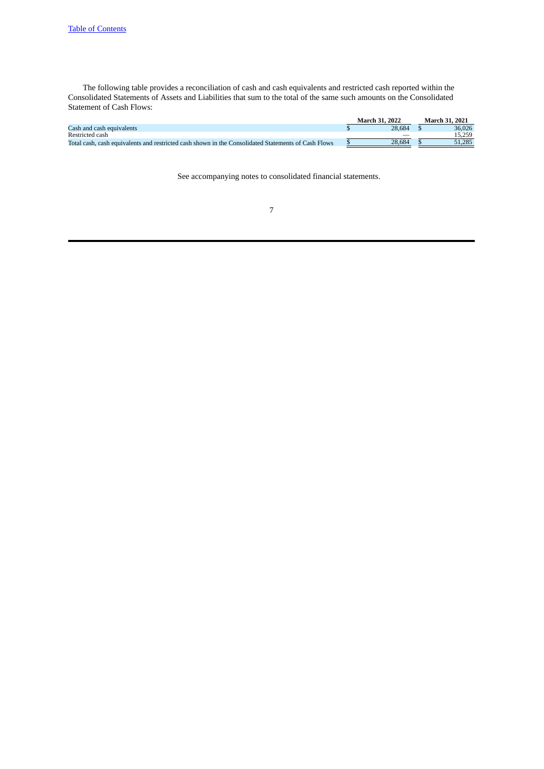The following table provides a reconciliation of cash and cash equivalents and restricted cash reported within the Consolidated Statements of Assets and Liabilities that sum to the total of the same such amounts on the Consolidated Statement of Cash Flows:

|                                                                                                     | <b>March 31, 2022</b> | March 31, 2021 |
|-----------------------------------------------------------------------------------------------------|-----------------------|----------------|
| Cash and cash equivalents                                                                           | 28.684                | 36,026         |
| Restricted cash                                                                                     |                       | 15.259         |
| Total cash, cash equivalents and restricted cash shown in the Consolidated Statements of Cash Flows | 28.684                | 51.285         |

See accompanying notes to consolidated financial statements.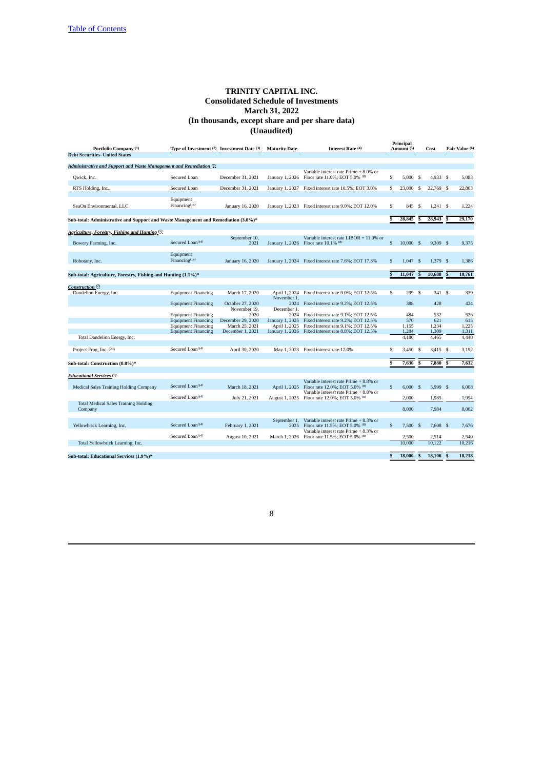<span id="page-7-0"></span>

| Portfolio Company <sup>(1)</sup>                                                   | Type of Investment <sup>(2)</sup> Investment Date <sup>(3)</sup> |                       | <b>Maturity Date</b>         | Interest Rate (4)                                                                        |    | Principal<br>Amount <sup>(5)</sup> |                         | Cost       |          | Fair Value (6) |
|------------------------------------------------------------------------------------|------------------------------------------------------------------|-----------------------|------------------------------|------------------------------------------------------------------------------------------|----|------------------------------------|-------------------------|------------|----------|----------------|
| <b>Debt Securities- United States</b>                                              |                                                                  |                       |                              |                                                                                          |    |                                    |                         |            |          |                |
|                                                                                    |                                                                  |                       |                              |                                                                                          |    |                                    |                         |            |          |                |
| Administrative and Support and Waste Management and Remediation (7)                |                                                                  |                       |                              |                                                                                          |    |                                    |                         |            |          |                |
| Qwick, Inc.                                                                        | Secured Loan                                                     | December 31, 2021     |                              | Variable interest rate Prime + 8.0% or<br>January 1, 2026 Floor rate 11.0%; EOT 5.0% (8) | \$ | 5,000S                             |                         | 4,933 \$   |          | 5,083          |
| RTS Holding, Inc.                                                                  | Secured Loan                                                     | December 31, 2021     |                              | January 1, 2027 Fixed interest rate 10.5%; EOT 3.0%                                      | S  | 23,000                             | <b>S</b>                | 22,769 \$  |          | 22,863         |
|                                                                                    |                                                                  |                       |                              |                                                                                          |    |                                    |                         |            |          |                |
| SeaOn Environmental, LLC                                                           | Equipment<br>Financing <sup>(14)</sup>                           | January 16, 2020      |                              | January 1, 2023 Fixed interest rate 9.0%; EOT 12.0%                                      | S  | 845                                | -S                      | 1.241 S    |          | 1,224          |
| Sub-total: Administrative and Support and Waste Management and Remediation (3.0%)* |                                                                  |                       |                              |                                                                                          |    | 28,845                             | $\overline{\mathbf{s}}$ | 28,943     | <b>S</b> | 29,170         |
|                                                                                    |                                                                  |                       |                              |                                                                                          |    |                                    |                         |            |          |                |
| Agriculture, Forestry, Fishing and Hunting (7)                                     |                                                                  |                       |                              |                                                                                          |    |                                    |                         |            |          |                |
| Bowery Farming, Inc.                                                               | Secured Loan <sup>(14)</sup>                                     | September 10,<br>2021 |                              | Variable interest rate LIBOR + 11.0% or<br>January 1, 2026 Floor rate 10.1% (8)          | S  | 10,000 S                           |                         | $9,309$ \$ |          | 9,375          |
|                                                                                    | Equipment                                                        |                       |                              |                                                                                          |    |                                    |                         |            |          |                |
| Robotany, Inc.                                                                     | Financing <sup>(14)</sup>                                        | January 16, 2020      |                              | January 1, 2024 Fixed interest rate 7.6%; EOT 17.3%                                      | S  | 1.047                              | <sup>S</sup>            | 1,379 \$   |          | 1.386          |
| Sub-total: Agriculture, Forestry, Fishing and Hunting (1.1%)*                      |                                                                  |                       |                              |                                                                                          |    | 11,047                             | S                       | 10,688     | \$       | 10,761         |
|                                                                                    |                                                                  |                       |                              |                                                                                          |    |                                    |                         |            |          |                |
| Construction (7)                                                                   |                                                                  |                       |                              |                                                                                          |    |                                    |                         |            |          |                |
| Dandelion Energy, Inc.                                                             | <b>Equipment Financing</b>                                       | March 17, 2020        | April 1, 2024<br>November 1, | Fixed interest rate 9.0%; EOT 12.5%                                                      | S  | 299 S                              |                         | 341 \$     |          | 339            |
|                                                                                    | <b>Equipment Financing</b>                                       | October 27, 2020      | 2024                         | Fixed interest rate 9.2%; EOT 12.5%                                                      |    | 388                                |                         | 428        |          | 424            |
|                                                                                    | <b>Equipment Financing</b>                                       | November 19,<br>2020  | December 1,<br>2024          | Fixed interest rate 9.1%; EOT 12.5%                                                      |    | 484                                |                         | 532        |          | 526            |
|                                                                                    | <b>Equipment Financing</b>                                       | December 29, 2020     | January 1, 2025              | Fixed interest rate 9.2%; EOT 12.5%                                                      |    | 570                                |                         | 621        |          | 615            |
|                                                                                    | <b>Equipment Financing</b>                                       | March 25, 2021        | April 1, 2025                | Fixed interest rate 9.1%; EOT 12.5%                                                      |    | 1,155                              |                         | 1,234      |          | 1,225          |
|                                                                                    | <b>Equipment Financing</b>                                       | December 1, 2021      |                              | January 1, 2026 Fixed interest rate 8.8%; EOT 12.5%                                      |    | 1,284                              |                         | 1,309      |          | 1,311          |
| Total Dandelion Energy, Inc.                                                       |                                                                  |                       |                              |                                                                                          |    | 4,180                              |                         | 4,465      |          | 4,440          |
|                                                                                    |                                                                  |                       |                              |                                                                                          |    |                                    |                         |            |          |                |
| Project Frog, Inc. (20)                                                            | Secured Loan <sup>(14)</sup>                                     | April 30, 2020        |                              | May 1, 2023 Fixed interest rate 12.0%                                                    | S  | 3,450                              | - S                     | 3,415 \$   |          | 3,192          |
| Sub-total: Construction (0.8%)*                                                    |                                                                  |                       |                              |                                                                                          |    | 7,630                              | s                       | 7,880      | S        | 7,632          |
|                                                                                    |                                                                  |                       |                              |                                                                                          |    |                                    |                         |            |          |                |
| <b>Educational Services</b> (7)                                                    |                                                                  |                       |                              |                                                                                          |    |                                    |                         |            |          |                |
|                                                                                    |                                                                  |                       |                              | Variable interest rate Prime + 8.8% or                                                   |    |                                    |                         |            |          |                |
| Medical Sales Training Holding Company                                             | Secured Loan <sup>(14)</sup>                                     | March 18, 2021        |                              | April 1, 2025 Floor rate 12.0%; EOT 5.0% (8)<br>Variable interest rate Prime + 8.8% or   | S  | 6,000 S                            |                         | 5.999 S    |          | 6.008          |
|                                                                                    | Secured Loan <sup>(14)</sup>                                     | July 21, 2021         |                              | August 1, 2025 Floor rate 12.0%; EOT 5.0% (8)                                            |    | 2,000                              |                         | 1,985      |          | 1,994          |
| <b>Total Medical Sales Training Holding</b><br>Company                             |                                                                  |                       |                              |                                                                                          |    | 8,000                              |                         | 7.984      |          | 8.002          |
|                                                                                    |                                                                  |                       | September 1,                 | Variable interest rate Prime + 8.3% or                                                   |    |                                    |                         |            |          |                |
| Yellowbrick Learning, Inc.                                                         | Secured Loan <sup>(14)</sup>                                     | February 1, 2021      |                              | 2025 Floor rate 11.5%; EOT 5.0% (8)                                                      | S  | 7,500S                             |                         | $7,608$ \$ |          | 7,676          |
|                                                                                    |                                                                  |                       |                              | Variable interest rate Prime + 8.3% or                                                   |    |                                    |                         |            |          |                |
|                                                                                    | Secured Loan <sup>(14)</sup>                                     | August 10, 2021       |                              | March 1, 2026 Floor rate 11.5%; EOT 5.0% (8)                                             |    | 2,500                              |                         | 2,514      |          | 2,540          |
| Total Yellowbrick Learning, Inc.                                                   |                                                                  |                       |                              |                                                                                          |    | 10,000                             |                         | 10,122     |          | 10.216         |
|                                                                                    |                                                                  |                       |                              |                                                                                          |    |                                    |                         |            |          |                |
| Sub-total: Educational Services (1.9%)*                                            |                                                                  |                       |                              |                                                                                          |    | 18,000                             | S                       | 18,106     |          | 18,218         |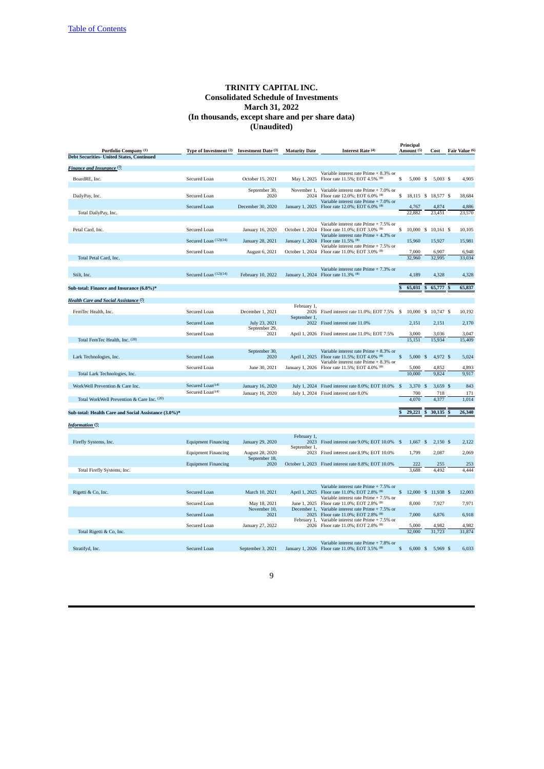| Portfolio Company (1)<br><b>Debt Securities- United States, Continued</b> | Type of Investment (2)       | <b>Investment Date (3)</b> | <b>Maturity Date</b>        | Interest Rate (4)                                                                        | Principal<br>Amount (5) | Cost                | Fair Value (6)  |
|---------------------------------------------------------------------------|------------------------------|----------------------------|-----------------------------|------------------------------------------------------------------------------------------|-------------------------|---------------------|-----------------|
|                                                                           |                              |                            |                             |                                                                                          |                         |                     |                 |
| Finance and Insurance (7)                                                 |                              |                            |                             |                                                                                          |                         |                     |                 |
| BoardRE, Inc.                                                             | Secured Loan                 | October 15, 2021           |                             | Variable interest rate Prime + 8.3% or<br>May 1, 2025 Floor rate 11.5%; EOT 4.5% (8)     | $5,000$ \$<br>s         | $5,003$ \$          | 4,905           |
|                                                                           |                              | September 30,              | November 1,                 | Variable interest rate Prime + 7.0% or                                                   |                         |                     |                 |
| DailyPay, Inc.                                                            | Secured Loan                 | 2020                       |                             | 2024 Floor rate 12.0%; EOT 6.0% (8)<br>Variable interest rate Prime + 7.0% or            | s                       | 18,115 \$ 18,577 \$ | 18,684          |
|                                                                           | Secured Loan                 | December 30, 2020          |                             | January 1, 2025 Floor rate 12.0%; EOT 6.0% (8)                                           | 4,767                   | 4,874               | 4,886           |
| Total DailyPay, Inc.                                                      |                              |                            |                             |                                                                                          | 22,882                  | 23,451              | 23,570          |
|                                                                           |                              |                            |                             | Variable interest rate Prime + 7.5% or                                                   |                         |                     |                 |
| Petal Card, Inc.                                                          | Secured Loan                 | January 16, 2020           | October 1, 2024             | Floor rate 11.0%; EOT 3.0% (8)<br>Variable interest rate Prime + 4.3% or                 | s                       | 10,000 \$ 10,161 \$ | 10,105          |
|                                                                           | Secured Loan (12)(14)        | January 28, 2021           | January 1, 2024             | Floor rate 11.5% (8)                                                                     | 15,960                  | 15,927              | 15,981          |
|                                                                           | Secured Loan                 | August 6, 2021             |                             | Variable interest rate Prime + 7.5% or<br>October 1, 2024 Floor rate 11.0%; EOT 3.0% (8) | 7,000                   | 6,907               | 6,948           |
| Total Petal Card, Inc.                                                    |                              |                            |                             |                                                                                          | 32,960                  | 32,995              | 33,034          |
|                                                                           |                              |                            |                             | Variable interest rate Prime + 7.3% or                                                   |                         |                     |                 |
| Stilt, Inc.                                                               | Secured Loan (12)(14)        | February 10, 2022          |                             | January 1, 2024 Floor rate 11.3% (8)                                                     | 4,189                   | 4,328               | 4,328           |
| Sub-total: Finance and Insurance (6.8%)*                                  |                              |                            |                             |                                                                                          | 65,031                  | 65,777<br>S         | 65,837          |
| Health Care and Social Assistance <sup>(7)</sup>                          |                              |                            |                             |                                                                                          |                         |                     |                 |
|                                                                           |                              |                            | February 1,                 |                                                                                          |                         |                     |                 |
| FemTec Health, Inc.                                                       | Secured Loan                 | December 1, 2021           | 2026                        | Fixed interest rate 11.0%; EOT 7.5% \$                                                   |                         | 10,000 \$ 10,747 \$ | 10,192          |
|                                                                           | <b>Secured Loan</b>          | July 23, 2021              | September 1,<br>2022        | Fixed interest rate 11.0%                                                                | 2,151                   | 2,151               | 2,170           |
|                                                                           | Secured Loan                 | September 29,<br>2021      |                             | April 1, 2026 Fixed interest rate 11.0%; EOT 7.5%                                        | 3,000                   | 3,036               | 3,047           |
| Total FemTec Health, Inc. (20)                                            |                              |                            |                             |                                                                                          | 15,151                  | 15,934              | 15,409          |
|                                                                           |                              | September 30,              |                             | Variable interest rate Prime + 8.3% or                                                   |                         |                     |                 |
| Lark Technologies, Inc.                                                   | Secured Loan                 | 2020                       | April 1, 2025               | Floor rate 11.5%; EOT 4.0% (8)<br>Variable interest rate Prime + 8.3% or                 | 5,000 S<br>\$           | 4,972 \$            | 5,024           |
|                                                                           | Secured Loan                 | June 30, 2021              |                             | January 1, 2026 Floor rate 11.5%; EOT 4.0% (8)                                           | 5,000<br>10,000         | 4,852<br>9,824      | 4,893<br>9,917  |
| Total Lark Technologies, Inc.                                             |                              |                            |                             |                                                                                          |                         |                     |                 |
| WorkWell Prevention & Care Inc.                                           | Secured Loan <sup>(14)</sup> | January 16, 2020           |                             | July 1, 2024 Fixed interest rate 8.0%; EOT 10.0% \$                                      | 3,370 \$                | $3,659$ \$          | 843             |
|                                                                           | Secured Loan <sup>(14)</sup> | January 16, 2020           |                             | July 1, 2024 Fixed interest rate 8.0%                                                    | 700                     | 718                 | 171             |
| Total WorkWell Prevention & Care Inc. (20)                                |                              |                            |                             |                                                                                          | 4.070                   | 4,377               | 1.014           |
| Sub-total: Health Care and Social Assistance (3.0%)*                      |                              |                            |                             |                                                                                          | 29,221                  | 30,135              | 26,340          |
| <b>Information</b> <sup>(7)</sup>                                         |                              |                            |                             |                                                                                          |                         |                     |                 |
|                                                                           |                              |                            |                             |                                                                                          |                         |                     |                 |
| Firefly Systems, Inc.                                                     | <b>Equipment Financing</b>   | January 29, 2020           | February 1,<br>September 1, | 2023 Fixed interest rate 9.0%; EOT 10.0% \$                                              | $1,667$ \$              | $2,150$ \$          | 2,122           |
|                                                                           | <b>Equipment Financing</b>   | August 28, 2020            |                             | 2023 Fixed interest rate 8.9%; EOT 10.0%                                                 | 1,799                   | 2,087               | 2,069           |
|                                                                           | <b>Equipment Financing</b>   | September 18,<br>2020      |                             | October 1, 2023 Fixed interest rate 8.8%; EOT 10.0%                                      | 222                     | 255                 | 253             |
| Total Firefly Systems, Inc.                                               |                              |                            |                             |                                                                                          | 3,688                   | 4,492               | 4,444           |
|                                                                           |                              |                            |                             |                                                                                          |                         |                     |                 |
|                                                                           |                              |                            |                             | Variable interest rate Prime + 7.5% or                                                   |                         |                     |                 |
| Rigetti & Co, Inc.                                                        | <b>Secured Loan</b>          | March 10, 2021             |                             | April 1, 2025 Floor rate 11.0%; EOT 2.8% (8)<br>Variable interest rate Prime + 7.5% or   | $\mathbb{S}$            | 12,000 \$ 11,938 \$ | 12,003          |
|                                                                           | Secured Loan                 | May 18, 2021               | June 1, 2025                | Floor rate 11.0%; EOT 2.8% (8)                                                           | 8.000                   | 7,927               | 7,971           |
|                                                                           | <b>Secured Loan</b>          | November 10,<br>2021       | December 1,                 | Variable interest rate Prime + 7.5% or<br>2025 Floor rate 11.0%; EOT 2.8% (8)            | 7.000                   | 6,876               | 6,918           |
|                                                                           |                              |                            |                             | February 1, Variable interest rate Prime + 7.5% or                                       |                         |                     |                 |
| Total Rigetti & Co, Inc.                                                  | Secured Loan                 | January 27, 2022           |                             | 2026 Floor rate 11.0%; EOT 2.8% (8)                                                      | 5,000<br>32,000         | 4,982<br>31,723     | 4,982<br>31,874 |
|                                                                           |                              |                            |                             |                                                                                          |                         |                     |                 |
| Stratifyd, Inc.                                                           | <b>Secured Loan</b>          | September 3, 2021          |                             | Variable interest rate Prime + 7.8% or<br>January 1, 2026 Floor rate 11.0%; EOT 3.5% (8) | S<br>6,000 S            | 5,969 \$            | 6.033           |
|                                                                           |                              |                            |                             |                                                                                          |                         |                     |                 |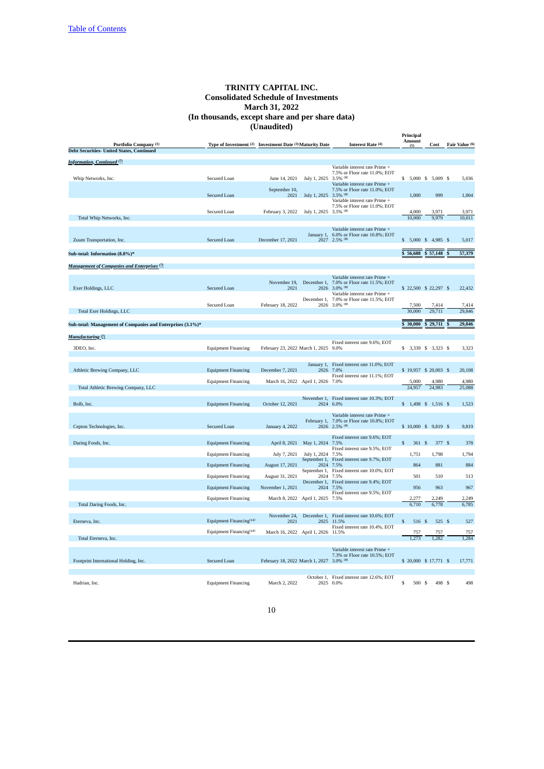|                                                            |                                                          |                                          |                       |                                                                                              | Principal              |                              |                 |
|------------------------------------------------------------|----------------------------------------------------------|------------------------------------------|-----------------------|----------------------------------------------------------------------------------------------|------------------------|------------------------------|-----------------|
| Portfolio Company (1)                                      | Type of Investment (2) Investment Date (3) Maturity Date |                                          |                       | Interest Rate (4)                                                                            | Amount<br>(5)          | Cost                         | Fair Value (6)  |
| <b>Debt Securities- United States, Continued</b>           |                                                          |                                          |                       |                                                                                              |                        |                              |                 |
| <b>Information, Continued</b> <sup>(7)</sup>               |                                                          |                                          |                       | Variable interest rate Prime +                                                               |                        |                              |                 |
| Whip Networks, Inc.                                        | Secured Loan                                             | June 14, 2021                            | July 1, 2025          | 7.5% or Floor rate 11.0%; EOT<br>$3.5\%$ (8)                                                 | s                      | 5,000 \$ 5,009 \$            | 5,036           |
|                                                            | Secured Loan                                             | September 10,<br>2021                    | July 1, 2025 3.5% (8) | Variable interest rate Prime +<br>7.5% or Floor rate 11.0%; EOT                              | 1,000                  | 999                          | 1,004           |
|                                                            | Secured Loan                                             | February 3, 2022                         | July 1, 2025 3.5% (8) | Variable interest rate Prime +<br>7.5% or Floor rate 11.0%; EOT                              | 4,000                  | 3,971                        | 3,971           |
| Total Whip Networks, Inc.                                  |                                                          |                                          |                       |                                                                                              | 10,000                 | 9,979                        | 10,011          |
|                                                            |                                                          |                                          | January 1,            | Variable interest rate Prime +<br>6.0% or Floor rate 10.8%; EOT                              |                        |                              |                 |
| Zuum Transportation, Inc.                                  | Secured Loan                                             | December 17, 2021                        | 2027                  | $2.5\%$ (8)                                                                                  | \$                     | 5,000 \$ 4,985 \$            | 5,017           |
| Sub-total: Information (8.8%)*                             |                                                          |                                          |                       |                                                                                              | \$<br>56,688           | \$57,148                     | 57,379          |
| Management of Companies and Enterprises (7)                |                                                          |                                          |                       |                                                                                              |                        |                              |                 |
|                                                            |                                                          |                                          |                       | Variable interest rate Prime +                                                               |                        |                              |                 |
| Exer Holdings, LLC                                         | Secured Loan                                             | November 19,<br>2021                     | December 1,<br>2026   | 7.0% or Floor rate 11.5%; EOT<br>$3.0\%$ (8)                                                 |                        | \$22,500 \$22,297 \$         | 22,432          |
|                                                            |                                                          |                                          | December 1,           | Variable interest rate Prime +<br>7.0% or Floor rate 11.5%; EOT                              |                        |                              |                 |
| <b>Total Exer Holdings, LLC</b>                            | Secured Loan                                             | February 18, 2022                        | 2026                  | $3.0\%$ (8)                                                                                  | 7,500<br>30,000        | 7,414<br>29,711              | 7,414<br>29,846 |
|                                                            |                                                          |                                          |                       |                                                                                              |                        |                              |                 |
| Sub-total: Management of Companies and Enterprises (3.1%)* |                                                          |                                          |                       |                                                                                              | 30,000<br>\$           | 29,711                       | 29,846          |
| <b>Manufacturing</b> (7)                                   |                                                          |                                          |                       | Fixed interest rate 9.6%; EOT                                                                |                        |                              |                 |
| 3DEO, Inc.                                                 | <b>Equipment Financing</b>                               | February 23, 2022 March 1, 2025 9.0%     |                       |                                                                                              |                        | \$ 3,339 \$ 3,323 \$         | 3,323           |
| Athletic Brewing Company, LLC                              | <b>Equipment Financing</b>                               | December 7, 2021                         | January 1,<br>2026    | Fixed interest rate 11.0%; EOT<br>7.0%                                                       |                        | \$19,957 \$20,003 \$         | 20,108          |
|                                                            | <b>Equipment Financing</b>                               | March 16, 2022 April 1, 2026             |                       | Fixed interest rate 11.1%; EOT<br>7.0%                                                       | 5,000                  | 4,980                        | 4,980           |
| Total Athletic Brewing Company, LLC                        |                                                          |                                          |                       |                                                                                              | 24,957                 | 24,983                       | 25,088          |
| Bolb, Inc.                                                 | <b>Equipment Financing</b>                               | October 12, 2021                         |                       | November 1, Fixed interest rate 10.3%; EOT<br>2024 6.0%                                      |                        | \$ 1,498 \$ 1,516 \$         | 1,523           |
| Cepton Technologies, Inc.                                  | Secured Loan                                             | January 4, 2022                          |                       | Variable interest rate Prime +<br>February 1, 7.0% or Floor rate 10.8%; EOT<br>2026 2.5% (8) |                        | \$10,000 \$9,819 \$          | 9,819           |
| Daring Foods, Inc.                                         | <b>Equipment Financing</b>                               | April 8, 2021                            | May 1, 2024           | Fixed interest rate 9.6%; EOT<br>7.5%                                                        | \$<br>361              | $\mathbf{\hat{s}}$<br>377 \$ | 378             |
|                                                            | <b>Equipment Financing</b>                               | July 7, 2021                             | July 1, 2024          | Fixed interest rate 9.5%; EOT<br>7.5%                                                        | 1,751                  | 1,798                        | 1,794           |
|                                                            | <b>Equipment Financing</b>                               | August 17, 2021                          | September 1,<br>2024  | Fixed interest rate 9.7%; EOT<br>7.5%                                                        | 864                    | 881                          | 884             |
|                                                            | <b>Equipment Financing</b>                               | August 31, 2021                          | September 1,<br>2024  | Fixed interest rate 10.0%; EOT<br>7.5%                                                       | 501                    | 510                          | 513             |
|                                                            | <b>Equipment Financing</b>                               | November 1, 2021                         | December 1,<br>2024   | Fixed interest rate 9.4%; EOT<br>7.5%                                                        | 956                    | 963                          | 967             |
|                                                            | <b>Equipment Financing</b>                               | March 8, 2022                            | April 1, 2025 7.5%    | Fixed interest rate 9.5%; EOT                                                                | 2.277                  | 2.249                        | 2,249           |
| Total Daring Foods, Inc.                                   |                                                          |                                          |                       |                                                                                              | 6,710                  | 6,778                        | 6,785           |
| Eterneva, Inc.                                             | Equipment Financing <sup>(14)</sup>                      | November 24,<br>2021                     |                       | December 1, Fixed interest rate 10.6%; EOT<br>2025 11.5%<br>Fixed interest rate 10.4%; EOT   | \$<br>516 \$           | 525S                         | 527             |
|                                                            | Equipment Financing <sup>(14)</sup>                      | March 16, 2022 April 1, 2026 11.5%       |                       |                                                                                              | 757                    | 757                          | 757             |
| Total Eterneva, Inc.                                       |                                                          |                                          |                       |                                                                                              | 1,273                  | 1,282                        | 1,284           |
| Footprint International Holding, Inc.                      | Secured Loan                                             | February 18, 2022 March 1, 2027 3.0% (8) |                       | Variable interest rate Prime +<br>7.3% or Floor rate 10.5%; EOT                              | \$ 20,000 \$ 17,771 \$ |                              | 17,771          |
| Hadrian, Inc.                                              | <b>Equipment Financing</b>                               | March 2, 2022                            | 2025                  | October 1, Fixed interest rate 12.6%; EOT<br>0.0%                                            | \$<br>500 \$           | 498 \$                       | 498             |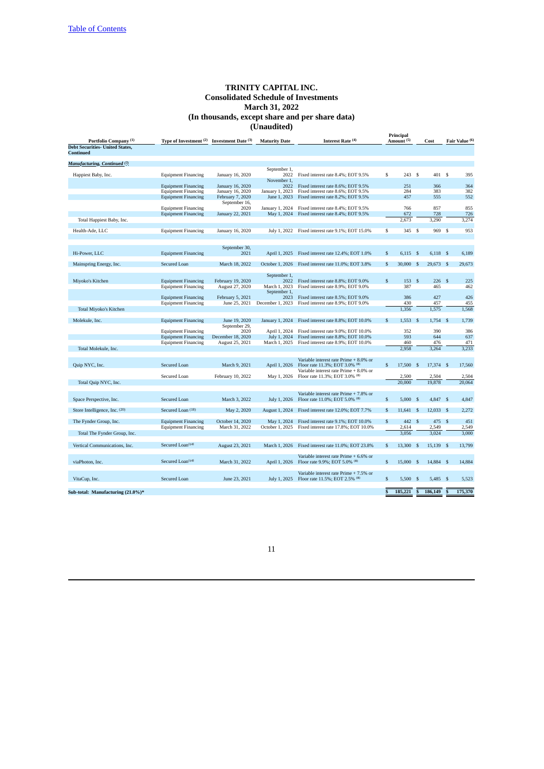|                                                            |                                   |                     |                      |                                        | Principal               |                       |                    |            |              |                |
|------------------------------------------------------------|-----------------------------------|---------------------|----------------------|----------------------------------------|-------------------------|-----------------------|--------------------|------------|--------------|----------------|
| Portfolio Company <sup>(1)</sup>                           | Type of Investment <sup>(2)</sup> | Investment Date (3) | <b>Maturity Date</b> | Interest Rate (4)                      |                         | Amount <sup>(5)</sup> |                    | Cost       |              | Fair Value (6) |
| <b>Debt Securities- United States,</b><br><b>Continued</b> |                                   |                     |                      |                                        |                         |                       |                    |            |              |                |
| <b>Manufacturing, Continued (7)</b>                        |                                   |                     |                      |                                        |                         |                       |                    |            |              |                |
|                                                            |                                   |                     | September 1,         |                                        |                         |                       |                    |            |              |                |
| Happiest Baby, Inc.                                        | <b>Equipment Financing</b>        | January 16, 2020    | 2022                 | Fixed interest rate 8.4%; EOT 9.5%     | \$                      | 243                   | -S                 | 401 S      |              | 395            |
|                                                            | <b>Equipment Financing</b>        | January 16, 2020    | November 1,<br>2022  | Fixed interest rate 8.6%; EOT 9.5%     |                         | 251                   |                    | 366        |              | 364            |
|                                                            | <b>Equipment Financing</b>        | January 16, 2020    | January 1, 2023      | Fixed interest rate 8.6%; EOT 9.5%     |                         | 284                   |                    | 383        |              | 382            |
|                                                            | <b>Equipment Financing</b>        | February 7, 2020    | June 1, 2023         | Fixed interest rate 8.2%; EOT 9.5%     |                         | 457                   |                    | 555        |              | 552            |
|                                                            |                                   | September 16,       |                      |                                        |                         |                       |                    |            |              |                |
|                                                            | <b>Equipment Financing</b>        | 2020                | January 1, 2024      | Fixed interest rate 8.4%; EOT 9.5%     |                         | 766                   |                    | 857        |              | 855            |
|                                                            | <b>Equipment Financing</b>        | January 22, 2021    | May 1, 2024          | Fixed interest rate 8.4%; EOT 9.5%     |                         | 672                   |                    | 728        |              | 726            |
| Total Happiest Baby, Inc.                                  |                                   |                     |                      |                                        |                         | 2,673                 |                    | 3,290      |              | 3,274          |
|                                                            |                                   |                     |                      |                                        |                         |                       |                    |            |              |                |
| Health-Ade, LLC                                            | <b>Equipment Financing</b>        | January 16, 2020    | July 1, 2022         | Fixed interest rate 9.1%; EOT 15.0%    | \$                      | 345 \$                |                    | 969 \$     |              | 953            |
|                                                            |                                   |                     |                      |                                        |                         |                       |                    |            |              |                |
|                                                            |                                   | September 30,       |                      |                                        |                         |                       |                    |            |              |                |
| Hi-Power, LLC                                              | <b>Equipment Financing</b>        | 2021                | April 1, 2025        | Fixed interest rate 12.4%; EOT 1.0%    | \$                      | $6,115$ \$            |                    | 6,118 \$   |              | 6,189          |
|                                                            |                                   |                     |                      |                                        |                         |                       |                    |            |              |                |
| Mainspring Energy, Inc.                                    | Secured Loan                      | March 18, 2022      | October 1, 2026      | Fixed interest rate 11.0%; EOT 3.8%    | \$                      | 30,000 \$             |                    | 29,673 \$  |              | 29,673         |
|                                                            |                                   |                     |                      |                                        |                         |                       |                    |            |              |                |
| Mivoko's Kitchen                                           | <b>Equipment Financing</b>        | February 19, 2020   | September 1,<br>2022 | Fixed interest rate 8.8%; EOT 9.0%     | $\mathbf{s}$            | 153                   | $\mathbf{s}$       | 226        | $\mathbf{s}$ | 225            |
|                                                            |                                   |                     | March 1, 2023        | Fixed interest rate 8.9%; EOT 9.0%     |                         | 387                   |                    | 465        |              | 462            |
|                                                            | <b>Equipment Financing</b>        | August 27, 2020     | September 1,         |                                        |                         |                       |                    |            |              |                |
|                                                            | <b>Equipment Financing</b>        | February 5, 2021    | 2023                 | Fixed interest rate 8.5%; EOT 9.0%     |                         | 386                   |                    | 427        |              | 426            |
|                                                            | <b>Equipment Financing</b>        | June 25, 2021       | December 1, 2023     | Fixed interest rate 8.9%; EOT 9.0%     |                         | 430                   |                    | 457        |              | 455            |
| <b>Total Miyoko's Kitchen</b>                              |                                   |                     |                      |                                        |                         | 1,356                 |                    | 1,575      |              | 1,568          |
|                                                            |                                   |                     |                      |                                        |                         |                       |                    |            |              |                |
| Molekule, Inc.                                             | <b>Equipment Financing</b>        | June 19, 2020       | January 1, 2024      | Fixed interest rate 8.8%; EOT 10.0%    | \$                      | $1,553$ \$            |                    | $1,754$ \$ |              | 1,739          |
|                                                            |                                   | September 29,       |                      |                                        |                         |                       |                    |            |              |                |
|                                                            | <b>Equipment Financing</b>        | 2020                | April 1, 2024        | Fixed interest rate 9.0%; EOT 10.0%    |                         | 352                   |                    | 390        |              | 386            |
|                                                            | <b>Equipment Financing</b>        | December 18, 2020   | July 1, 2024         | Fixed interest rate 8.8%; EOT 10.0%    |                         | 593                   |                    | 644        |              | 637            |
|                                                            | <b>Equipment Financing</b>        | August 25, 2021     | March 1, 2025        | Fixed interest rate 8.9%; EOT 10.0%    |                         | 460                   |                    | 476        |              | 471            |
| Total Molekule, Inc.                                       |                                   |                     |                      |                                        |                         | 2,958                 |                    | 3,264      |              | 3,233          |
|                                                            |                                   |                     |                      | Variable interest rate Prime + 8.0% or |                         |                       |                    |            |              |                |
| Quip NYC, Inc.                                             | Secured Loan                      | March 9, 2021       | April 1, 2026        | Floor rate 11.3%; EOT 3.0% (8)         | \$                      | 17,500                | -S                 | 17,374 \$  |              | 17,560         |
|                                                            |                                   |                     |                      | Variable interest rate Prime + 8.0% or |                         |                       |                    |            |              |                |
|                                                            | Secured Loan                      | February 10, 2022   | May 1, 2026          | Floor rate 11.3%; EOT 3.0% (8)         |                         | 2,500                 |                    | 2,504      |              | 2,504          |
| Total Quip NYC, Inc.                                       |                                   |                     |                      |                                        |                         | 20,000                |                    | 19,878     |              | 20,064         |
|                                                            |                                   |                     |                      |                                        |                         |                       |                    |            |              |                |
|                                                            |                                   |                     |                      | Variable interest rate Prime + 7.8% or |                         |                       |                    |            |              |                |
| Space Perspective, Inc.                                    | Secured Loan                      | March 3, 2022       | July 1, 2026         | Floor rate 11.0%; EOT 5.0% (8)         | \$                      | 5,000S                |                    | 4,847 \$   |              | 4,847          |
|                                                            |                                   |                     |                      |                                        |                         |                       |                    |            |              |                |
| Store Intelligence, Inc. (20)                              | Secured Loan (18)                 | May 2, 2020         | August 1, 2024       | Fixed interest rate 12.0%; EOT 7.7%    | \$                      | 11,641 \$             |                    | 12,033 \$  |              | 2,272          |
| The Fynder Group, Inc.                                     | <b>Equipment Financing</b>        | October 14, 2020    | May 1, 2024          | Fixed interest rate 9.1%; EOT 10.0%    | \$                      | 442                   | $\mathsf{\$}$      | 475        | $\mathbf{s}$ | 451            |
|                                                            | <b>Equipment Financing</b>        | March 31, 2022      | October 1, 2025      | Fixed interest rate 17.8%; EOT 10.0%   |                         | 2,614                 |                    | 2,549      |              | 2,549          |
| Total The Fynder Group, Inc.                               |                                   |                     |                      |                                        |                         | 3.056                 |                    | 3.024      |              | 3.000          |
|                                                            |                                   |                     |                      |                                        |                         |                       |                    |            |              |                |
| Vertical Communications, Inc.                              | Secured Loan <sup>(14)</sup>      | August 23, 2021     | March 1, 2026        | Fixed interest rate 11.0%; EOT 23.8%   | \$                      | 13,300                | $\mathbf{\hat{s}}$ | 15,139 \$  |              | 13,799         |
|                                                            |                                   |                     |                      |                                        |                         |                       |                    |            |              |                |
|                                                            |                                   |                     |                      | Variable interest rate Prime + 6.6% or |                         |                       |                    |            |              |                |
| viaPhoton, Inc.                                            | Secured Loan <sup>(14)</sup>      | March 31, 2022      | April 1, 2026        | Floor rate 9.9%; EOT 5.0% (8)          | \$                      | 15,000                | $\mathfrak{s}$     | 14,884 \$  |              | 14,884         |
|                                                            |                                   |                     |                      |                                        |                         |                       |                    |            |              |                |
|                                                            |                                   |                     |                      | Variable interest rate Prime + 7.5% or |                         |                       |                    |            |              |                |
| VitaCup, Inc.                                              | Secured Loan                      | June 23, 2021       | July 1, 2025         | Floor rate 11.5%; EOT 2.5% (8)         | \$                      | $5,500$ \$            |                    | 5,485 \$   |              | 5,523          |
|                                                            |                                   |                     |                      |                                        |                         |                       |                    |            |              |                |
| Sub-total: Manufacturing (21.0%)*                          |                                   |                     |                      |                                        | $\overline{\mathbf{s}}$ | 185,221               | $\mathbf{s}$       | 186,149    | S            | 175,370        |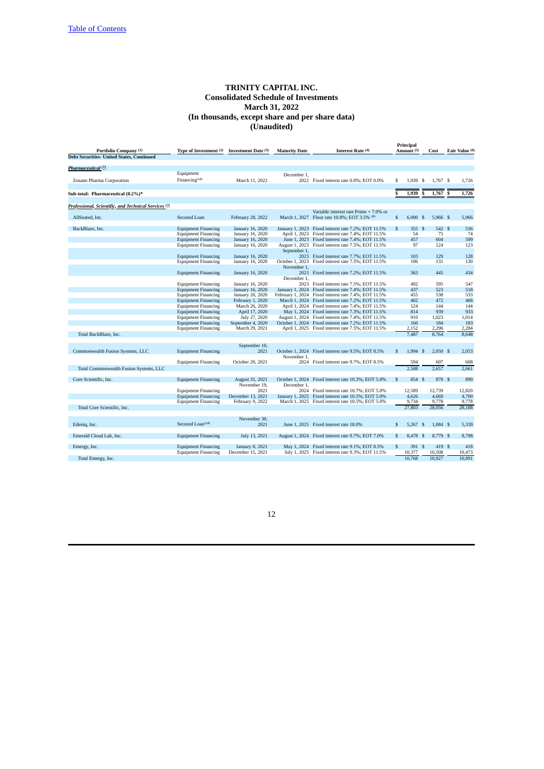|                                                                 |                              |                     |                      |                                                      |                | Principal             |     |            |   |                |
|-----------------------------------------------------------------|------------------------------|---------------------|----------------------|------------------------------------------------------|----------------|-----------------------|-----|------------|---|----------------|
| Portfolio Company (1)                                           | Type of Investment (2)       | Investment Date (3) | <b>Maturity Date</b> | Interest Rate (4)                                    |                | Amount <sup>(5)</sup> |     | Cost       |   | Fair Value (6) |
| <b>Debt Securities- United States, Continued</b>                |                              |                     |                      |                                                      |                |                       |     |            |   |                |
|                                                                 |                              |                     |                      |                                                      |                |                       |     |            |   |                |
| Pharmaceutical <sup>(7)</sup>                                   |                              |                     |                      |                                                      |                |                       |     |            |   |                |
|                                                                 | Equipment                    |                     | December 1.          |                                                      |                |                       |     |            |   |                |
| Zosano Pharma Corporation                                       | Financing <sup>(14)</sup>    | March 11, 2022      |                      | 2022 Fixed interest rate 0.0%; EOT 0.0%              | \$             | 1.939                 | -\$ | 1.767 \$   |   | 1,726          |
|                                                                 |                              |                     |                      |                                                      |                |                       |     |            |   |                |
| Sub-total: Pharmaceutical (0.2%)*                               |                              |                     |                      |                                                      | S              | 1,939                 | S   | 1,767      | S | 1,726          |
|                                                                 |                              |                     |                      |                                                      |                |                       |     |            |   |                |
| Professional, Scientific, and Technical Services <sup>(7)</sup> |                              |                     |                      |                                                      |                |                       |     |            |   |                |
|                                                                 |                              |                     |                      | Variable interest rate Prime + 7.0% or               |                |                       |     |            |   |                |
| AllSeated, Inc.                                                 | Secured Loan                 | February 28, 2022   |                      | March 1, 2027 Floor rate 10.8%; EOT 3.5% (8)         | $$\mathbb{S}$$ | $6,000$ \$            |     | 5,966 \$   |   | 5,966          |
|                                                                 |                              |                     |                      |                                                      |                |                       |     |            |   |                |
| BackBlaze, Inc.                                                 | <b>Equipment Financing</b>   | January 16, 2020    |                      | January 1, 2023 Fixed interest rate 7.2%; EOT 11.5%  | $\mathbb{S}$   | 355S                  |     | 542 \$     |   | 536            |
|                                                                 | <b>Equipment Financing</b>   | January 16, 2020    |                      | April 1, 2023 Fixed interest rate 7.4%; EOT 11.5%    |                | 54                    |     | 75         |   | 74             |
|                                                                 | <b>Equipment Financing</b>   | January 16, 2020    |                      | June 1, 2023 Fixed interest rate 7.4%; EOT 11.5%     |                | 457                   |     | 604        |   | 599            |
|                                                                 | <b>Equipment Financing</b>   | January 16, 2020    |                      | August 1, 2023 Fixed interest rate 7.5%; EOT 11.5%   |                | 97                    |     | 124        |   | 123            |
|                                                                 |                              |                     | September 1,         |                                                      |                |                       |     |            |   |                |
|                                                                 | <b>Equipment Financing</b>   | January 16, 2020    |                      | 2023 Fixed interest rate 7.7%; EOT 11.5%             |                | 103                   |     | 129        |   | 128            |
|                                                                 | <b>Equipment Financing</b>   | January 16, 2020    |                      | October 1, 2023 Fixed interest rate 7.5%; EOT 11.5%  |                | 106                   |     | 131        |   | 130            |
|                                                                 |                              |                     | November 1.          |                                                      |                |                       |     |            |   |                |
|                                                                 | <b>Equipment Financing</b>   | January 16, 2020    |                      | 2023 Fixed interest rate 7.2%; EOT 11.5%             |                | 363                   |     | 445        |   | 434            |
|                                                                 |                              |                     |                      |                                                      |                |                       |     |            |   |                |
|                                                                 |                              |                     | December 1,          | 2023 Fixed interest rate 7.5%; EOT 11.5%             |                | 492                   |     | 595        |   | 547            |
|                                                                 | <b>Equipment Financing</b>   | January 16, 2020    |                      |                                                      |                |                       |     |            |   |                |
|                                                                 | <b>Equipment Financing</b>   | January 16, 2020    |                      | January 1, 2024 Fixed interest rate 7.4%; EOT 11.5%  |                | 437                   |     | 523        |   | 518            |
|                                                                 | <b>Equipment Financing</b>   | January 20, 2020    |                      | February 1, 2024 Fixed interest rate 7.4%; EOT 11.5% |                | 455                   |     | 538        |   | 533            |
|                                                                 | <b>Equipment Financing</b>   | February 1, 2020    |                      | March 1, 2024 Fixed interest rate 7.2%; EOT 11.5%    |                | 402                   |     | 472        |   | 468            |
|                                                                 | <b>Equipment Financing</b>   | March 26, 2020      |                      | April 1, 2024 Fixed interest rate 7.4%; EOT 11.5%    |                | 124                   |     | 144        |   | 144            |
|                                                                 | <b>Equipment Financing</b>   | April 17, 2020      |                      | May 1, 2024 Fixed interest rate 7.3%; EOT 11.5%      |                | 814                   |     | 939        |   | 933            |
|                                                                 | <b>Equipment Financing</b>   | July 27, 2020       |                      | August 1, 2024 Fixed interest rate 7.4%; EOT 11.5%   |                | 910                   |     | 1,023      |   | 1,014          |
|                                                                 | <b>Equipment Financing</b>   | September 4, 2020   |                      | October 1, 2024 Fixed interest rate 7.2%; EOT 11.5%  |                | 166                   |     | 184        |   | 183            |
|                                                                 | <b>Equipment Financing</b>   | March 29, 2021      |                      | April 1, 2025 Fixed interest rate 7.5%; EOT 11.5%    |                | 2.152                 |     | 2,296      |   | 2,284          |
| Total BackBlaze, Inc.                                           |                              |                     |                      |                                                      |                | 7.487                 |     | 8.764      |   | 8.648          |
|                                                                 |                              |                     |                      |                                                      |                |                       |     |            |   |                |
|                                                                 |                              | September 10,       |                      |                                                      |                |                       |     |            |   |                |
| Commonwealth Fusion Systems, LLC                                | <b>Equipment Financing</b>   | 2021                |                      | October 1, 2024 Fixed interest rate 9.5%; EOT 8.5%   | $\mathbf{s}$   | 1.994S                |     | $2,050$ \$ |   | 2,053          |
|                                                                 |                              |                     | November 1.          |                                                      |                |                       |     |            |   |                |
|                                                                 | <b>Equipment Financing</b>   | October 20, 2021    |                      | 2024 Fixed interest rate 9.7%; EOT 8.5%              |                | 594                   |     | 607        |   | 608            |
| Total Commonwealth Fusion Systems, LLC                          |                              |                     |                      |                                                      |                | 2,588                 |     | 2,657      |   | 2,661          |
|                                                                 |                              |                     |                      |                                                      |                |                       |     |            |   |                |
| Core Scientific, Inc.                                           | <b>Equipment Financing</b>   | August 31, 2021     |                      | October 1, 2024 Fixed interest rate 10.3%; EOT 5.0%  | $$\mathbb{S}$$ | 854 \$                |     | 870 \$     |   | 890            |
|                                                                 |                              | November 19.        | December 1.          |                                                      |                |                       |     |            |   |                |
|                                                                 | <b>Equipment Financing</b>   | 2021                |                      | 2024 Fixed interest rate 10.7%; EOT 5.0%             |                | 12,589                |     | 12,739     |   | 12,820         |
|                                                                 | <b>Equipment Financing</b>   | December 13, 2021   |                      | January 1, 2025 Fixed interest rate 10.5%; EOT 5.0%  |                | 4,626                 |     | 4,669      |   | 4,700          |
|                                                                 | <b>Equipment Financing</b>   | February 9, 2022    |                      | March 1, 2025 Fixed interest rate 10.5%; EOT 5.0%    |                | 9,734                 |     | 9,778      |   | 9,778          |
| Total Core Scientific, Inc.                                     |                              |                     |                      |                                                      |                | 27,803                |     | 28,056     |   | 28.188         |
|                                                                 |                              |                     |                      |                                                      |                |                       |     |            |   |                |
|                                                                 |                              | November 30,        |                      |                                                      |                |                       |     |            |   |                |
|                                                                 | Secured Loan <sup>(14)</sup> | 2021                |                      |                                                      | $\mathbf{s}$   |                       |     |            |   |                |
| Edeniq, Inc.                                                    |                              |                     |                      | June 1, 2025 Fixed interest rate 18.0%               |                | $5,267$ \$            |     | $1,084$ \$ |   | 5,339          |
|                                                                 |                              |                     |                      |                                                      |                |                       |     |            |   | 8,798          |
| Emerald Cloud Lab, Inc.                                         | <b>Equipment Financing</b>   | July 13, 2021       |                      | August 1, 2024 Fixed interest rate 9.7%; EOT 7.0%    | \$             | 8,478 \$              |     | 8,779 \$   |   |                |
|                                                                 |                              |                     |                      |                                                      |                |                       |     |            |   |                |
| Emergy, Inc.                                                    | <b>Equipment Financing</b>   | January 8, 2021     |                      | May 1, 2024 Fixed interest rate 9.1%; EOT 8.5%       | $\mathbb{S}$   | 391S                  |     | 419 \$     |   | 418            |
|                                                                 | <b>Equipment Financing</b>   | December 15, 2021   |                      | July 1, 2025 Fixed interest rate 9.3%; EOT 11.5%     |                | 10,377                |     | 10,508     |   | 10,473         |
| Total Emergy, Inc.                                              |                              |                     |                      |                                                      |                | 10.768                |     | 10.927     |   | 10.891         |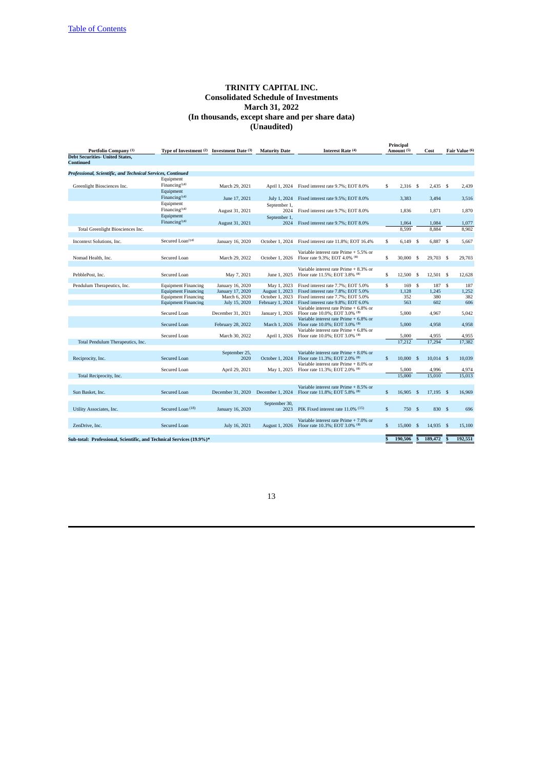| Portfolio Company (1)                                                | Type of Investment (2)       | Investment Date (3) | <b>Maturity Date</b>  | Interest Rate (4)                      | Principal<br>Amount (5) |            |                         | Cost        |                | Fair Value (6) |
|----------------------------------------------------------------------|------------------------------|---------------------|-----------------------|----------------------------------------|-------------------------|------------|-------------------------|-------------|----------------|----------------|
| <b>Debt Securities- United States,</b>                               |                              |                     |                       |                                        |                         |            |                         |             |                |                |
| <b>Continued</b>                                                     |                              |                     |                       |                                        |                         |            |                         |             |                |                |
|                                                                      |                              |                     |                       |                                        |                         |            |                         |             |                |                |
| Professional, Scientific, and Technical Services, Continued          |                              |                     |                       |                                        |                         |            |                         |             |                |                |
|                                                                      | Equipment                    |                     |                       |                                        |                         |            |                         |             |                |                |
|                                                                      | Financing <sup>(14)</sup>    |                     |                       |                                        |                         |            |                         |             |                |                |
| Greenlight Biosciences Inc.                                          |                              | March 29, 2021      | April 1, 2024         | Fixed interest rate 9.7%; EOT 8.0%     | \$                      | $2,316$ \$ |                         | 2.435 S     |                | 2.439          |
|                                                                      | Equipment                    |                     |                       |                                        |                         |            |                         |             |                |                |
|                                                                      | Financing $(14)$             | June 17, 2021       | July 1, 2024          | Fixed interest rate 9.5%; EOT 8.0%     |                         | 3,383      |                         | 3,494       |                | 3,516          |
|                                                                      | Equipment                    |                     | September 1,          |                                        |                         |            |                         |             |                |                |
|                                                                      | $Financial$ Financing $(14)$ | August 31, 2021     | 2024                  | Fixed interest rate 9.7%; EOT 8.0%     |                         | 1.836      |                         | 1.871       |                | 1.870          |
|                                                                      | Equipment                    |                     | September 1,          |                                        |                         |            |                         |             |                |                |
|                                                                      | Financing <sup>(14)</sup>    | August 31, 2021     | 2024                  | Fixed interest rate 9.7%; EOT 8.0%     |                         | 1.064      |                         | 1,084       |                | 1,077          |
|                                                                      |                              |                     |                       |                                        |                         |            |                         |             |                |                |
| Total Greenlight Biosciences Inc.                                    |                              |                     |                       |                                        |                         | 8.599      |                         | 8.884       |                | 8.902          |
|                                                                      |                              |                     |                       |                                        |                         |            |                         |             |                |                |
| Incontext Solutions, Inc.                                            | Secured Loan <sup>(14)</sup> | January 16, 2020    | October 1, 2024       | Fixed interest rate 11.8%; EOT 16.4%   | \$                      | 6,149 \$   |                         | 6,887 \$    |                | 5,667          |
|                                                                      |                              |                     |                       |                                        |                         |            |                         |             |                |                |
|                                                                      |                              |                     |                       | Variable interest rate Prime + 5.5% or |                         |            |                         |             |                |                |
| Nomad Health, Inc.                                                   | Secured Loan                 | March 29, 2022      | October 1, 2026       | Floor rate 9.3%; EOT 4.0% (8)          | \$                      | 30,000     | -S                      | 29,703 \$   |                | 29.703         |
|                                                                      |                              |                     |                       |                                        |                         |            |                         |             |                |                |
|                                                                      |                              |                     |                       | Variable interest rate Prime + 8.3% or |                         |            |                         |             |                |                |
| PebblePost, Inc.                                                     | Secured Loan                 | May 7, 2021         | June 1, 2025          | Floor rate 11.5%; EOT 3.8% (8)         | \$                      | 12,500     | \$                      | 12.501S     |                | 12,628         |
|                                                                      |                              |                     |                       |                                        |                         |            |                         |             |                |                |
| Pendulum Therapeutics, Inc.                                          | <b>Equipment Financing</b>   | January 16, 2020    | May 1, 2023           | Fixed interest rate 7.7%; EOT 5.0%     | \$                      | 169        | \$                      | 187 \$      |                | 187            |
|                                                                      | <b>Equipment Financing</b>   | January 17, 2020    | August 1, 2023        | Fixed interest rate 7.8%; EOT 5.0%     |                         | 1.128      |                         | 1,245       |                | 1,252          |
|                                                                      | <b>Equipment Financing</b>   | March 6, 2020       | October 1, 2023       | Fixed interest rate 7.7%; EOT 5.0%     |                         | 352        |                         | 380         |                | 382            |
|                                                                      |                              | July 15, 2020       | February 1, 2024      | Fixed interest rate 9.8%; EOT 6.0%     |                         | 563        |                         | 602         |                | 606            |
|                                                                      | <b>Equipment Financing</b>   |                     |                       |                                        |                         |            |                         |             |                |                |
|                                                                      |                              |                     |                       | Variable interest rate Prime + 6.8% or |                         |            |                         |             |                |                |
|                                                                      | Secured Loan                 | December 31, 2021   | January 1, 2026       | Floor rate 10.0%; EOT 3.0% (8)         |                         | 5,000      |                         | 4,967       |                | 5,042          |
|                                                                      |                              |                     |                       | Variable interest rate Prime + 6.8% or |                         |            |                         |             |                |                |
|                                                                      | Secured Loan                 | February 28, 2022   | March 1, 2026         | Floor rate 10.0%; EOT 3.0% (8)         |                         | 5.000      |                         | 4,958       |                | 4,958          |
|                                                                      |                              |                     |                       | Variable interest rate Prime + 6.8% or |                         |            |                         |             |                |                |
|                                                                      | Secured Loan                 | March 30, 2022      | April 1, 2026         | Floor rate 10.0%; EOT 3.0% (8)         |                         | 5,000      |                         | 4,955       |                | 4,955          |
| Total Pendulum Therapeutics, Inc.                                    |                              |                     |                       |                                        |                         | 17.212     |                         | 17,294      |                | 17.382         |
|                                                                      |                              |                     |                       |                                        |                         |            |                         |             |                |                |
|                                                                      |                              | September 25,       |                       | Variable interest rate Prime + 8.0% or |                         |            |                         |             |                |                |
| Reciprocity, Inc.                                                    | Secured Loan                 | 2020                | October 1, 2024       | Floor rate 11.3%; EOT 2.0% (8)         | \$                      | 10,000     | <sup>\$</sup>           | $10,014$ \$ |                | 10,039         |
|                                                                      |                              |                     |                       | Variable interest rate Prime + 8.0% or |                         |            |                         |             |                |                |
|                                                                      | Secured Loan                 | April 29, 2021      | May 1, 2025           | Floor rate 11.3%; EOT 2.0% (8)         |                         | 5,000      |                         | 4,996       |                | 4,974          |
| Total Reciprocity, Inc.                                              |                              |                     |                       |                                        |                         | 15,000     |                         | 15,010      |                | 15,013         |
|                                                                      |                              |                     |                       |                                        |                         |            |                         |             |                |                |
|                                                                      |                              |                     |                       | Variable interest rate Prime + 8.5% or |                         |            |                         |             |                |                |
| Sun Basket, Inc.                                                     | Secured Loan                 | December 31, 2020   | December 1, 2024      | Floor rate 11.8%; EOT 5.8% (8)         | $\mathbf{s}$            | 16,905     | $\mathbf{s}$            | 17,195 \$   |                | 16,969         |
|                                                                      |                              |                     |                       |                                        |                         |            |                         |             |                |                |
|                                                                      |                              |                     | September 30,         |                                        |                         |            |                         |             |                |                |
|                                                                      |                              |                     |                       |                                        | $\mathbb{S}$            |            |                         |             |                |                |
| Utility Associates, Inc.                                             | Secured Loan <sup>(18)</sup> | January 16, 2020    | 2023                  | PIK Fixed interest rate 11.0% (15)     |                         | 750 \$     |                         | 830 S       |                | 696            |
|                                                                      |                              |                     |                       |                                        |                         |            |                         |             |                |                |
|                                                                      |                              |                     |                       | Variable interest rate Prime + 7.0% or |                         |            |                         |             |                |                |
| ZenDrive, Inc.                                                       | <b>Secured Loan</b>          | July 16, 2021       | <b>August 1, 2026</b> | Floor rate 10.3%; EOT 3.0% (8)         | \$                      | 15,000     | <sup>\$</sup>           | 14,935      | - S            | 15,100         |
|                                                                      |                              |                     |                       |                                        |                         |            |                         |             |                |                |
| Sub-total: Professional, Scientific, and Technical Services (19.9%)* |                              |                     |                       |                                        | Ŝ                       | 190,506    | $\overline{\mathbf{s}}$ | 189,472     | $\overline{s}$ | 192.551        |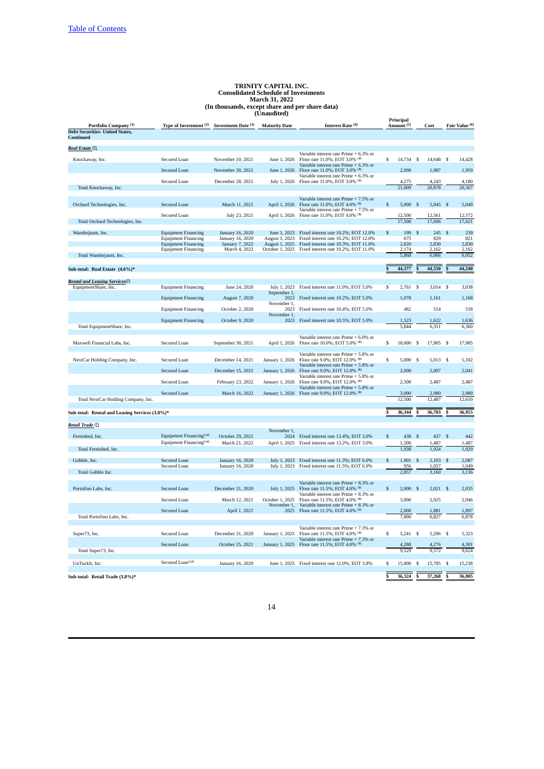|                                                |                                                                  |                                      | (Unaudited)           |                                                                                                      |               | Principal             |      |                 |    |                 |
|------------------------------------------------|------------------------------------------------------------------|--------------------------------------|-----------------------|------------------------------------------------------------------------------------------------------|---------------|-----------------------|------|-----------------|----|-----------------|
| Portfolio Company <sup>(1)</sup>               | Type of Investment <sup>(2)</sup> Investment Date <sup>(3)</sup> |                                      | <b>Maturity Date</b>  | Interest Rate (4)                                                                                    |               | Amount <sup>(5)</sup> |      | Cost            |    | Fair Value (6)  |
| <b>Debt Securities- United States,</b>         |                                                                  |                                      |                       |                                                                                                      |               |                       |      |                 |    |                 |
| <b>Continued</b>                               |                                                                  |                                      |                       |                                                                                                      |               |                       |      |                 |    |                 |
| Real Estate (7)                                |                                                                  |                                      |                       |                                                                                                      |               |                       |      |                 |    |                 |
|                                                |                                                                  |                                      |                       | Variable interest rate Prime + 6.3% or                                                               |               |                       |      |                 |    |                 |
| Knockaway, Inc.                                | Secured Loan                                                     | November 10, 2021                    | June 1, 2026          | Floor rate 11.0%; EOT 3.0% (8)<br>Variable interest rate Prime + 6.3% or                             | \$            | 14,734 \$             |      | 14,648 \$       |    | 14,428          |
|                                                | <b>Secured Loan</b>                                              | November 30, 2021                    | June 1, 2026          | Floor rate 11.0%; EOT 3.0% (8)                                                                       |               | 2,000                 |      | 1,987           |    | 1,959           |
|                                                |                                                                  |                                      |                       | Variable interest rate Prime + 6.3% or                                                               |               |                       |      |                 |    | 4,180           |
| Total Knockaway, Inc.                          | Secured Loan                                                     | December 28, 2021                    | July 1, 2026          | Floor rate 11.0%; EOT 3.0% (8)                                                                       |               | 4,275<br>21,009       |      | 4,243<br>20,878 |    | 20,567          |
|                                                |                                                                  |                                      |                       |                                                                                                      |               |                       |      |                 |    |                 |
|                                                |                                                                  |                                      |                       | Variable interest rate Prime + 7.5% or                                                               |               |                       |      |                 |    | 5,049           |
| Orchard Technologies, Inc.                     | Secured Loan                                                     | March 11, 2021                       | April 1, 2026         | Floor rate 11.0%; EOT 4.0% (8)<br>Variable interest rate Prime + 7.5% or                             | \$            | $5,000$ \$            |      | $5,045$ \$      |    |                 |
|                                                | Secured Loan                                                     | July 23, 2021                        | April 1, 2026         | Floor rate 11.0%; EOT 4.0% (8)                                                                       |               | 12,500                |      | 12,561          |    | 12,572          |
| Total Orchard Technologies, Inc.               |                                                                  |                                      |                       |                                                                                                      |               | 17,500                |      | 17,606          |    | 17,621          |
| Wanderjaunt, Inc.                              | <b>Equipment Financing</b>                                       | January 16, 2020                     |                       | June 1, 2023 Fixed interest rate 10.2%; EOT 12.0%                                                    | \$            | 199                   | S    | 245             |    | 239             |
|                                                | <b>Equipment Financing</b>                                       | January 16, 2020                     | August 1, 2023        | Fixed interest rate 10.2%; EOT 12.0%                                                                 |               | 675                   |      | 829             |    | 821             |
|                                                | <b>Equipment Financing</b>                                       | January 7, 2022                      | <b>August 1, 2025</b> | Fixed interest rate 10.3%; EOT 11.0%                                                                 |               | 2,820                 |      | 2,830           |    | 2,830           |
| Total Wanderjaunt, Inc.                        | <b>Equipment Financing</b>                                       | March 4, 2022                        |                       | October 1, 2025 Fixed interest rate 10.2%; EOT 11.0%                                                 |               | 2,174<br>5,868        |      | 2,162<br>6,066  |    | 2,162<br>6,052  |
|                                                |                                                                  |                                      |                       |                                                                                                      |               |                       |      |                 |    |                 |
| Sub-total: Real Estate (4.6%)*                 |                                                                  |                                      |                       |                                                                                                      |               | 44,377                |      | 44,550          |    | 44,240          |
|                                                |                                                                  |                                      |                       |                                                                                                      |               |                       |      |                 |    |                 |
| <b>Rental and Leasing Services(7)</b>          |                                                                  |                                      |                       |                                                                                                      |               |                       |      |                 |    |                 |
| EquipmentShare, Inc.                           | <b>Equipment Financing</b>                                       | June 24, 2020                        | September 1,          | July 1, 2023 Fixed interest rate 11.0%; EOT 5.0%                                                     | \$            | $2,761$ \$            |      | $3,014$ \$      |    | 3,038           |
|                                                | <b>Equipment Financing</b>                                       | August 7, 2020                       | 2023                  | Fixed interest rate 10.2%; EOT 5.0%                                                                  |               | 1,078                 |      | 1,161           |    | 1,168           |
|                                                |                                                                  |                                      | November 1,<br>2023   |                                                                                                      |               | 482                   |      | 514             |    | 518             |
|                                                | <b>Equipment Financing</b>                                       | October 2, 2020                      | November 1,           | Fixed interest rate 10.4%; EOT 5.0%                                                                  |               |                       |      |                 |    |                 |
|                                                | <b>Equipment Financing</b>                                       | October 9, 2020                      | 2023                  | Fixed interest rate 10.5%; EOT 5.0%                                                                  |               | 1,523                 |      | 1,622           |    | 1,636           |
| Total EquipmentShare, Inc.                     |                                                                  |                                      |                       |                                                                                                      |               | 5,844                 |      | 6,311           |    | 6,360           |
|                                                |                                                                  |                                      |                       | Variable interest rate Prime + 6.0% or                                                               |               |                       |      |                 |    |                 |
| Maxwell Financial Labs, Inc.                   | Secured Loan                                                     | September 30, 2021                   | April 1, 2026         | Floor rate 10.0%; EOT 5.0% (8)                                                                       | \$            | 18,000                | - \$ | 17,905 \$       |    | 17,985          |
|                                                |                                                                  |                                      |                       |                                                                                                      |               |                       |      |                 |    |                 |
| NextCar Holding Company, Inc.                  | Secured Loan                                                     | December 14, 2021                    | January 1, 2026       | Variable interest rate Prime + 5.8% or<br>Floor rate 9.0%; EOT 12.0% (8)                             | \$            | $5,000$ \$            |      | 5,013 \$        |    | 5,102           |
|                                                |                                                                  |                                      |                       | Variable interest rate Prime + 5.8% or                                                               |               |                       |      |                 |    |                 |
|                                                | <b>Secured Loan</b>                                              | December 15, 2021                    | January 1, 2026       | Floor rate 9.0%; EOT 12.0% (8)                                                                       |               | 2,000                 |      | 2,007           |    | 2,041           |
|                                                | Secured Loan                                                     | February 23, 2022                    | January 1, 2026       | Variable interest rate Prime + 5.8% or<br>Floor rate 9.0%; EOT 12.0% (8)                             |               | 2,500                 |      | 2,487           |    | 2,487           |
|                                                |                                                                  |                                      |                       | Variable interest rate Prime + 5.8% or                                                               |               |                       |      |                 |    |                 |
|                                                | Secured Loan                                                     | March 16, 2022                       | January 1, 2026       | Floor rate 9.0%; EOT 12.0% (8)                                                                       |               | 3,000                 |      | 2,980           |    | 2,980<br>12,610 |
| Total NextCar Holding Company, Inc.            |                                                                  |                                      |                       |                                                                                                      |               | 12,500                |      | 12,487          |    |                 |
| Sub-total: Rental and Leasing Services (3.8%)* |                                                                  |                                      |                       |                                                                                                      |               | 36,344                |      | 36,703          |    | 36,955          |
|                                                |                                                                  |                                      |                       |                                                                                                      |               |                       |      |                 |    |                 |
| Retail Trade <sup>(7)</sup>                    |                                                                  |                                      |                       |                                                                                                      |               |                       |      |                 |    |                 |
| Fernished, Inc.                                | Equipment Financing <sup>(14)</sup>                              | October 29, 2021                     | November 1.<br>2024   | Fixed interest rate 13.4%; EOT 3.0%                                                                  | \$            | 438                   | \$   | 437 \$          |    | 442             |
|                                                | Equipment Financing <sup>(14)</sup>                              | March 21, 2022                       |                       | April 1, 2025 Fixed interest rate 13.2%; EOT 3.0%                                                    |               | 1,500                 |      | 1,487           |    | 1,487           |
| Total Fernished, Inc.                          |                                                                  |                                      |                       |                                                                                                      |               | 1,938                 |      | 1,924           |    | 1,929           |
|                                                | Secured Loan                                                     |                                      |                       |                                                                                                      | $\mathcal{S}$ | 1.901                 | £.   |                 | \$ | 2,087           |
| Gobble, Inc.                                   | Secured Loan                                                     | January 16, 2020<br>January 16, 2020 |                       | July 1, 2023 Fixed interest rate 11.3%; EOT 6.0%<br>July 1, 2023 Fixed interest rate 11.5%; EOT 6.0% |               | 956                   |      | 2,103<br>1,057  |    | 1,049           |
| Total Gobble Inc.                              |                                                                  |                                      |                       |                                                                                                      |               | 2,857                 |      | 3,160           |    | 3,136           |
|                                                |                                                                  |                                      |                       |                                                                                                      |               |                       |      |                 |    |                 |
| Portofino Labs, Inc.                           | Secured Loan                                                     | December 31, 2020                    | July 1, 2025          | Variable interest rate Prime + 8.3% or<br>Floor rate 11.5%; EOT 4.0% (8)                             | \$            | $2,000$ \$            |      | $2,021$ \$      |    | 2,035           |
|                                                |                                                                  |                                      |                       | Variable interest rate Prime + 8.3% or                                                               |               |                       |      |                 |    |                 |
|                                                | Secured Loan                                                     | March 12, 2021                       | October 1, 2025       | Floor rate 11.5%; EOT 4.0% (8)                                                                       |               | 3,000                 |      | 2,925           |    | 2,946           |
|                                                | <b>Secured Loan</b>                                              | April 1, 2021                        | November 1,<br>2025   | Variable interest rate Prime + 8.3% or<br>Floor rate 11.5%; EOT 4.0% (8)                             |               | 2,000                 |      | 1,881           |    | 1,897           |
| Total Portofino Labs, Inc.                     |                                                                  |                                      |                       |                                                                                                      |               | 7,000                 |      | 6,827           |    | 6,878           |
|                                                |                                                                  |                                      |                       |                                                                                                      |               |                       |      |                 |    |                 |
| Super73, Inc.                                  | Secured Loan                                                     | December 31, 2020                    | January 1, 2025       | Variable interest rate Prime + 7.3% or<br>Floor rate 11.5%; EOT 4.0% (8)                             | \$            | $5,241$ \$            |      | 5,296 \$        |    | 5,323           |
|                                                |                                                                  |                                      |                       | Variable interest rate Prime + 7.3% or                                                               |               |                       |      |                 |    |                 |
|                                                | Secured Loan                                                     | October 25, 2021                     | January 1, 2025       | Floor rate 11.5%; EOT 4.0% (8)                                                                       |               | 4,288                 |      | 4,276           |    | 4,301           |
| Total Super73, Inc.                            |                                                                  |                                      |                       |                                                                                                      |               | 9,529                 |      | 9,572           |    | 9,624           |
| UnTuckIt, Inc.                                 | Secured Loan <sup>(14)</sup>                                     | January 16, 2020                     |                       | June 1, 2025 Fixed interest rate 12.0%; EOT 3.8%                                                     | \$            | 15,000                | \$   | 15,785 \$       |    | 15,238          |
|                                                |                                                                  |                                      |                       |                                                                                                      |               |                       |      |                 |    |                 |
| Sub-total: Retail Trade (3.8%)*                |                                                                  |                                      |                       |                                                                                                      |               | 36,324                | Ś    | 37,268          | Ś  | 36,805          |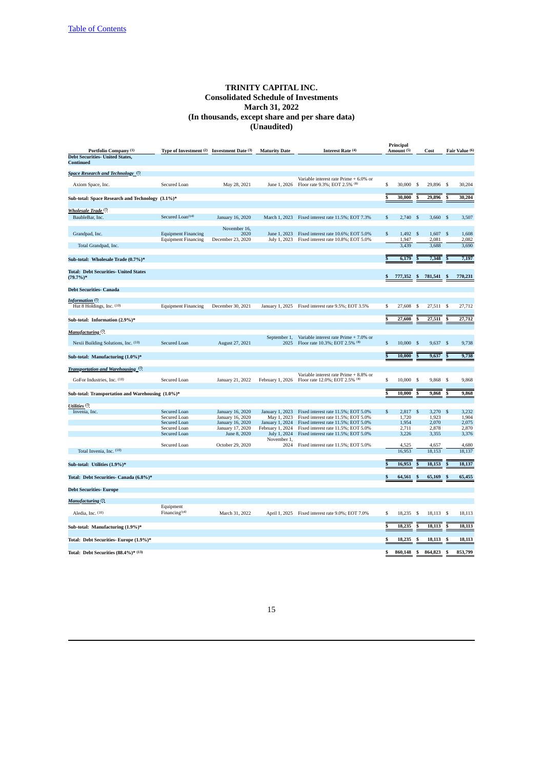|                                                                                     |                                                                              |                                                                                              |                                                                                                      |                                                                                                                                                                                                 |    | Principal                                 |                |                                           |                         |                                           |
|-------------------------------------------------------------------------------------|------------------------------------------------------------------------------|----------------------------------------------------------------------------------------------|------------------------------------------------------------------------------------------------------|-------------------------------------------------------------------------------------------------------------------------------------------------------------------------------------------------|----|-------------------------------------------|----------------|-------------------------------------------|-------------------------|-------------------------------------------|
| Portfolio Company (1)<br><b>Debt Securities- United States,</b><br><b>Continued</b> | Type of Investment (2) Investment Date (3)                                   |                                                                                              | <b>Maturity Date</b>                                                                                 | Interest Rate (4)                                                                                                                                                                               |    | Amount (5)                                |                | Cost                                      |                         | Fair Value (6)                            |
| Space Research and Technology (?)                                                   |                                                                              |                                                                                              |                                                                                                      |                                                                                                                                                                                                 |    |                                           |                |                                           |                         |                                           |
| Axiom Space, Inc.                                                                   | Secured Loan                                                                 | May 28, 2021                                                                                 | June 1, 2026                                                                                         | Variable interest rate Prime + 6.0% or<br>Floor rate 9.3%; EOT 2.5% (8)                                                                                                                         | \$ | 30,000                                    | $\mathfrak{s}$ | 29,896                                    | $\mathbf{s}$            | 30,204                                    |
| Sub-total: Space Research and Technology (3.1%)*                                    |                                                                              |                                                                                              |                                                                                                      |                                                                                                                                                                                                 | S  | 30,000                                    | S              | 29,896                                    |                         | 30.204                                    |
| ( <sup>7)</sup> Wholesale Trade                                                     |                                                                              |                                                                                              |                                                                                                      |                                                                                                                                                                                                 |    |                                           |                |                                           |                         |                                           |
| BaubleBar, Inc.                                                                     | Secured Loan <sup>(14)</sup>                                                 | January 16, 2020                                                                             |                                                                                                      | March 1, 2023 Fixed interest rate 11.5%; EOT 7.3%                                                                                                                                               | \$ | $2,740$ \$                                |                | $3,660$ \$                                |                         | 3,507                                     |
| Grandpad, Inc.                                                                      | <b>Equipment Financing</b>                                                   | November 16,<br>2020<br>December 23, 2020                                                    | June 1, 2023                                                                                         | Fixed interest rate 10.6%; EOT 5.0%<br>Fixed interest rate 10.8%; EOT 5.0%                                                                                                                      | \$ | 1,492<br>1,947                            | $\mathcal{S}$  | 1,607                                     | - \$                    | 1,608<br>2,082                            |
| Total Grandpad, Inc.                                                                | <b>Equipment Financing</b>                                                   |                                                                                              | July 1, 2023                                                                                         |                                                                                                                                                                                                 |    | 3.439                                     |                | 2,081<br>3,688                            |                         | 3,690                                     |
| Sub-total: Wholesale Trade (0.7%)*                                                  |                                                                              |                                                                                              |                                                                                                      |                                                                                                                                                                                                 | Ś  | 6,179                                     |                | 7,348                                     |                         | 7,197                                     |
| <b>Total: Debt Securities- United States</b><br>$(79.7%)$ *                         |                                                                              |                                                                                              |                                                                                                      |                                                                                                                                                                                                 |    | 777,352                                   | \$             | 781,541                                   |                         | 770,231                                   |
| <b>Debt Securities- Canada</b>                                                      |                                                                              |                                                                                              |                                                                                                      |                                                                                                                                                                                                 |    |                                           |                |                                           |                         |                                           |
| <b>Information</b> (?)<br>Hut 8 Holdings, Inc. (10)                                 | <b>Equipment Financing</b>                                                   | December 30, 2021                                                                            |                                                                                                      | January 1, 2025 Fixed interest rate 9.5%; EOT 3.5%                                                                                                                                              | \$ | 27,608                                    | \$             | 27,511 \$                                 |                         | 27,712                                    |
| Sub-total: Information (2.9%)*                                                      |                                                                              |                                                                                              |                                                                                                      |                                                                                                                                                                                                 | Ŝ  | 27,608                                    |                | 27,511                                    |                         | 27,712                                    |
| <b>Manufacturing</b> <sup>(7)</sup>                                                 |                                                                              |                                                                                              |                                                                                                      |                                                                                                                                                                                                 |    |                                           |                |                                           |                         |                                           |
| Nexii Building Solutions, Inc. (10)                                                 | Secured Loan                                                                 | August 27, 2021                                                                              | September 1,<br>2025                                                                                 | Variable interest rate Prime + 7.0% or<br>Floor rate 10.3%; EOT 2.5% (8)                                                                                                                        | \$ | 10,000                                    | $\mathbf{s}$   | 9,637                                     | - S                     | 9,738                                     |
| Sub-total: Manufacturing (1.0%)*                                                    |                                                                              |                                                                                              |                                                                                                      |                                                                                                                                                                                                 | Ŝ  | 10,000                                    | S              | 9,637                                     | S                       | 9,738                                     |
| Transportation and Warehousing <sup>(7)</sup>                                       |                                                                              |                                                                                              |                                                                                                      |                                                                                                                                                                                                 |    |                                           |                |                                           |                         |                                           |
| GoFor Industries, Inc. (10)                                                         | Secured Loan                                                                 | January 21, 2022                                                                             |                                                                                                      | Variable interest rate Prime + 8.8% or<br>February 1, 2026 Floor rate 12.0%; EOT 2.5% (8)                                                                                                       | \$ | 10,000                                    | \$             | 9,868                                     | - S                     | 9,868                                     |
| Sub-total: Transportation and Warehousing (1.0%)*                                   |                                                                              |                                                                                              |                                                                                                      |                                                                                                                                                                                                 | Ŝ  | 10,000                                    | s              | 9,868                                     |                         | 9,868                                     |
| Utilities (7)                                                                       |                                                                              |                                                                                              |                                                                                                      |                                                                                                                                                                                                 |    |                                           |                |                                           |                         |                                           |
| Invenia, Inc.                                                                       | Secured Loan<br>Secured Loan<br>Secured Loan<br>Secured Loan<br>Secured Loan | January 16, 2020<br>January 16, 2020<br>January 16, 2020<br>January 17, 2020<br>June 8, 2020 | January 1, 2023<br>May 1, 2023<br>January 1, 2024<br>February 1, 2024<br>July 1, 2024<br>November 1, | Fixed interest rate 11.5%; EOT 5.0%<br>Fixed interest rate 11.5%; EOT 5.0%<br>Fixed interest rate 11.5%; EOT 5.0%<br>Fixed interest rate 11.5%; EOT 5.0%<br>Fixed interest rate 11.5%; EOT 5.0% | \$ | 2,817<br>1,720<br>1,954<br>2,711<br>3,226 | \$             | 3,270<br>1,923<br>2,070<br>2,878<br>3,355 | S                       | 3,232<br>1,904<br>2,075<br>2,870<br>3,376 |
| Total Invenia, Inc. (10)                                                            | Secured Loan                                                                 | October 29, 2020                                                                             | 2024                                                                                                 | Fixed interest rate 11.5%; EOT 5.0%                                                                                                                                                             |    | 4,525<br>16,953                           |                | 4,657<br>18,153                           |                         | 4,680<br>18,137                           |
| Sub-total: Utilities (1.9%)*                                                        |                                                                              |                                                                                              |                                                                                                      |                                                                                                                                                                                                 | Ś  | 16,953                                    |                | 18,153                                    |                         | 18,137                                    |
| Total: Debt Securities- Canada (6.8%)*                                              |                                                                              |                                                                                              |                                                                                                      |                                                                                                                                                                                                 | \$ | 64,561                                    |                | 65,169                                    |                         | 65,455                                    |
| <b>Debt Securities-Europe</b>                                                       |                                                                              |                                                                                              |                                                                                                      |                                                                                                                                                                                                 |    |                                           |                |                                           |                         |                                           |
|                                                                                     |                                                                              |                                                                                              |                                                                                                      |                                                                                                                                                                                                 |    |                                           |                |                                           |                         |                                           |
| <b>Manufacturing</b> (7)<br>Aledia, Inc. (10)                                       | Equipment<br>Financing <sup>(14)</sup>                                       | March 31, 2022                                                                               |                                                                                                      | April 1, 2025 Fixed interest rate 9.0%; EOT 7.0%                                                                                                                                                | \$ | 18,235                                    | \$             | 18,113 \$                                 |                         | 18,113                                    |
|                                                                                     |                                                                              |                                                                                              |                                                                                                      |                                                                                                                                                                                                 |    |                                           |                |                                           |                         |                                           |
| Sub-total: Manufacturing (1.9%)*                                                    |                                                                              |                                                                                              |                                                                                                      |                                                                                                                                                                                                 |    | 18,235                                    | Ŝ              | 18,113                                    | $\overline{\mathbf{s}}$ | 18,113                                    |
| Total: Debt Securities-Europe (1.9%)*                                               |                                                                              |                                                                                              |                                                                                                      |                                                                                                                                                                                                 |    | 18,235                                    | ۶              | 18,113                                    | S                       | 18,113                                    |
| Total: Debt Securities (88.4%)* (13)                                                |                                                                              |                                                                                              |                                                                                                      |                                                                                                                                                                                                 | \$ | 860,148                                   | \$             | 864,823                                   | \$                      | 853,799                                   |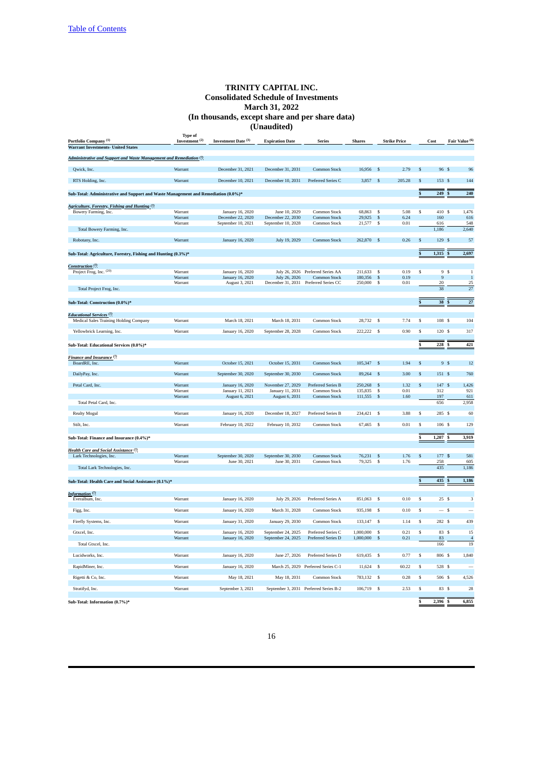| Portfolio Company <sup>(1)</sup>                                                   | <b>Type of</b><br>Investment <sup>(2)</sup> | Investment Date (3)                   | <b>Expiration Date</b>                | <b>Series</b>                          | <b>Shares</b>    |               | <b>Strike Price</b> |                         | Cost             | Fair Value (6)         |
|------------------------------------------------------------------------------------|---------------------------------------------|---------------------------------------|---------------------------------------|----------------------------------------|------------------|---------------|---------------------|-------------------------|------------------|------------------------|
| <b>Warrant Investments- United States</b>                                          |                                             |                                       |                                       |                                        |                  |               |                     |                         |                  |                        |
|                                                                                    |                                             |                                       |                                       |                                        |                  |               |                     |                         |                  |                        |
| Administrative and Support and Waste Management and Remediation <sup>(7)</sup>     |                                             |                                       |                                       |                                        |                  |               |                     |                         |                  |                        |
| Qwick, Inc.                                                                        | Warrant                                     | December 31, 2021                     | December 31, 2031                     | Common Stock                           | 16,956           | S             | 2.79                | .S                      | 96 \$            | 96                     |
|                                                                                    |                                             |                                       |                                       |                                        |                  |               |                     |                         |                  |                        |
| RTS Holding, Inc.                                                                  | Warrant                                     | December 10, 2021                     | December 10, 2031                     | Preferred Series C                     | 3,857            | \$            | 205.28              | \$                      | 153 \$           | 144                    |
|                                                                                    |                                             |                                       |                                       |                                        |                  |               |                     |                         |                  |                        |
| Sub-Total: Administrative and Support and Waste Management and Remediation (0.0%)* |                                             |                                       |                                       |                                        |                  |               |                     |                         | 249              | 240                    |
|                                                                                    |                                             |                                       |                                       |                                        |                  |               |                     |                         |                  |                        |
| Agriculture, Forestry, Fishing and Hunting (7)                                     |                                             |                                       |                                       |                                        |                  |               |                     |                         |                  |                        |
| Bowery Farming, Inc.                                                               | Warrant<br>Warrant                          | January 16, 2020<br>December 22, 2020 | June 10, 2029<br>December 22, 2030    | Common Stock<br>Common Stock           | 68,863<br>29,925 | \$<br>\$      | 5.08<br>6.24        | $\mathbb S$             | 410S<br>160      | 1,476<br>616           |
|                                                                                    | Warrant                                     | September 10, 2021                    | September 10, 2028                    | Common Stock                           | 21,577           | \$            | 0.01                |                         | 616              | 548                    |
| Total Bowery Farming, Inc.                                                         |                                             |                                       |                                       |                                        |                  |               |                     |                         | 1,186            | 2,640                  |
|                                                                                    |                                             |                                       |                                       |                                        |                  |               |                     |                         |                  |                        |
| Robotany, Inc.                                                                     | Warrant                                     | January 16, 2020                      | July 19, 2029                         | Common Stock                           | 262,870          | $\mathbb{S}$  | 0.26                | \$                      | 129 \$           | 57                     |
|                                                                                    |                                             |                                       |                                       |                                        |                  |               |                     |                         |                  |                        |
| Sub-Total: Agriculture, Forestry, Fishing and Hunting (0.3%)*                      |                                             |                                       |                                       |                                        |                  |               |                     |                         | 1,315            | 2,697                  |
|                                                                                    |                                             |                                       |                                       |                                        |                  |               |                     |                         |                  |                        |
| Construction <sup>(7)</sup>                                                        | Warrant                                     | January 16, 2020                      |                                       | July 26, 2026 Preferred Series AA      | 211,633          | \$            | 0.19                | \$                      | 9S               | $\mathbf{1}$           |
| Project Frog, Inc. (20)                                                            | Warrant                                     | January 16, 2020                      | July 26, 2026                         | Common Stock                           | 180,356          | \$            | 0.19                |                         | $\boldsymbol{9}$ | $\overline{1}$         |
|                                                                                    | Warrant                                     | August 3, 2021                        | December 31, 2031                     | Preferred Series CC                    | 250,000          | \$            | 0.01                |                         | 20               | 25                     |
| Total Project Frog, Inc.                                                           |                                             |                                       |                                       |                                        |                  |               |                     |                         | 38               | 27                     |
|                                                                                    |                                             |                                       |                                       |                                        |                  |               |                     |                         |                  |                        |
| Sub-Total: Construction (0.0%)*                                                    |                                             |                                       |                                       |                                        |                  |               |                     |                         | 38               | $\bf 27$               |
|                                                                                    |                                             |                                       |                                       |                                        |                  |               |                     |                         |                  |                        |
| Educational Services <sup>(7)</sup>                                                |                                             |                                       |                                       |                                        |                  |               |                     |                         |                  |                        |
| Medical Sales Training Holding Company                                             | Warrant                                     | March 18, 2021                        | March 18, 2031                        | Common Stock                           | 28,732           | - \$          | 7.74                | \$                      | 108 S            | 104                    |
| Yellowbrick Learning, Inc.                                                         | Warrant                                     | January 16, 2020                      | September 28, 2028                    | Common Stock                           | 222,222          | <sup>\$</sup> | 0.90                | $\overline{\mathbb{S}}$ | 120S             | 317                    |
|                                                                                    |                                             |                                       |                                       |                                        |                  |               |                     |                         |                  |                        |
| Sub-Total: Educational Services (0.0%)*                                            |                                             |                                       |                                       |                                        |                  |               |                     | \$                      | 228              | 421                    |
|                                                                                    |                                             |                                       |                                       |                                        |                  |               |                     |                         |                  |                        |
| Finance and Insurance <sup>(7)</sup>                                               |                                             |                                       |                                       |                                        |                  |               |                     |                         |                  |                        |
| BoardRE, Inc.                                                                      | Warrant                                     | October 15, 2021                      | October 15, 2031                      | Common Stock                           | 105,347          | \$            | 1.94                | \$                      | 9S               | 12                     |
|                                                                                    |                                             |                                       |                                       |                                        |                  |               |                     |                         |                  |                        |
| DailyPay, Inc.                                                                     | Warrant                                     | September 30, 2020                    | September 30, 2030                    | Common Stock                           | 89,264           | $\mathbb{S}$  | 3.00                | \$                      | 151 \$           | 760                    |
| Petal Card, Inc.                                                                   | Warrant                                     |                                       |                                       |                                        | 250,268          |               | 1.32                | \$                      | 147              | 1,426<br><sup>\$</sup> |
|                                                                                    | Warrant                                     | January 16, 2020<br>January 11, 2021  | November 27, 2029<br>January 11, 2031 | Preferred Series B<br>Common Stock     | 135,835          | \$<br>\$      | 0.01                |                         | 312              | 921                    |
|                                                                                    | Warrant                                     | August 6, 2021                        | August 6, 2031                        | Common Stock                           | 111,555          | \$            | 1.60                |                         | 197              | 611                    |
| Total Petal Card, Inc.                                                             |                                             |                                       |                                       |                                        |                  |               |                     |                         | 656              | 2,958                  |
|                                                                                    |                                             |                                       |                                       |                                        |                  |               |                     |                         |                  |                        |
| <b>Realty Mogul</b>                                                                | Warrant                                     | January 16, 2020                      | December 18, 2027                     | Preferred Series B                     | 234,421          | \$            | 3.88                | \$                      | 285 \$           | 60                     |
| Stilt, Inc.                                                                        | Warrant                                     | February 10, 2022                     | February 10, 2032                     | Common Stock                           | 67,465           | -S            | 0.01                | \$                      | 106S             | 129                    |
|                                                                                    |                                             |                                       |                                       |                                        |                  |               |                     |                         |                  |                        |
| Sub-Total: Finance and Insurance (0.4%)*                                           |                                             |                                       |                                       |                                        |                  |               |                     |                         | 1,207            | 3,919                  |
|                                                                                    |                                             |                                       |                                       |                                        |                  |               |                     |                         |                  |                        |
| Health Care and Social Assistance <sup>(7)</sup>                                   |                                             |                                       |                                       |                                        |                  |               |                     |                         |                  |                        |
| Lark Technologies, Inc.                                                            | Warrant                                     | September 30, 2020                    | September 30, 2030                    | Common Stock                           | 76.231           | \$            | 1.76                | S                       | 177 \$           | 581                    |
|                                                                                    | Warrant                                     | June 30, 2021                         | June 30, 2031                         | Common Stock                           | 79,325           | \$            | 1.76                |                         | 258              | 605                    |
| Total Lark Technologies, Inc.                                                      |                                             |                                       |                                       |                                        |                  |               |                     |                         | 435              | 1,186                  |
|                                                                                    |                                             |                                       |                                       |                                        |                  |               |                     |                         |                  |                        |
| Sub-Total: Health Care and Social Assistance (0.1%)*                               |                                             |                                       |                                       |                                        |                  |               |                     |                         | 435              | 1,186                  |
|                                                                                    |                                             |                                       |                                       |                                        |                  |               |                     |                         |                  |                        |
| Information <sup>(7)</sup><br>Everalbum, Inc.                                      | Warrant                                     | January 16, 2020                      | July 29, 2026                         | Preferred Series A                     | 851.063          | -S            | 0.10                | \$                      | 25S              | $\overline{3}$         |
|                                                                                    |                                             |                                       |                                       |                                        |                  |               |                     |                         |                  |                        |
| Figg, Inc.                                                                         | Warrant                                     | January 16, 2020                      | March 31, 2028                        | Common Stock                           | 935,198          | S             | 0.10                | $\overline{\mathbb{S}}$ | $-5$             |                        |
|                                                                                    |                                             |                                       |                                       |                                        |                  |               |                     |                         |                  |                        |
| Firefly Systems, Inc.                                                              | Warrant                                     | January 31, 2020                      | January 29, 2030                      | Common Stock                           | 133,147          | $\mathsf{s}$  | 1.14                | \$                      | 282 \$           | 439                    |
| Gtxcel, Inc.                                                                       | Warrant                                     | January 16, 2020                      | September 24, 2025                    | Preferred Series C                     | 1,000,000        | \$            | 0.21                | \$                      | 83 \$            | 15                     |
|                                                                                    | Warrant                                     | January 16, 2020                      | September 24, 2025                    | Preferred Series D                     | 1,000,000        | \$            | 0.21                |                         | 83               | $\overline{a}$         |
| Total Gtxcel, Inc.                                                                 |                                             |                                       |                                       |                                        |                  |               |                     |                         | 166              | 19                     |
|                                                                                    |                                             |                                       |                                       |                                        |                  |               |                     |                         |                  |                        |
| Lucidworks, Inc.                                                                   | Warrant                                     | January 16, 2020                      | June 27, 2026                         | Preferred Series D                     | 619,435          | \$            | 0.77                | \$                      | 806 \$           | 1,840                  |
| RapidMiner, Inc.                                                                   | Warrant                                     | January 16, 2020                      |                                       | March 25, 2029 Preferred Series C-1    | 11,624           | <sup>\$</sup> | 60.22               | S                       | 528 \$           |                        |
|                                                                                    |                                             |                                       |                                       |                                        |                  |               |                     |                         |                  |                        |
| Rigetti & Co, Inc.                                                                 | Warrant                                     | May 18, 2021                          | May 18, 2031                          | Common Stock                           | 783,132          | <sup>\$</sup> | 0.28                | \$                      | 506 S            | 4,526                  |
|                                                                                    |                                             |                                       |                                       |                                        |                  |               |                     |                         |                  |                        |
| Stratifyd, Inc.                                                                    | Warrant                                     | September 3, 2021                     |                                       | September 3, 2031 Preferred Series B-2 | 106,719          | - S           | 2.53                | $\overline{\mathbb{S}}$ | 83S              | 28                     |
|                                                                                    |                                             |                                       |                                       |                                        |                  |               |                     |                         |                  |                        |
| Sub-Total: Information (0.7%)*                                                     |                                             |                                       |                                       |                                        |                  |               |                     |                         | 2,396            | 6,855                  |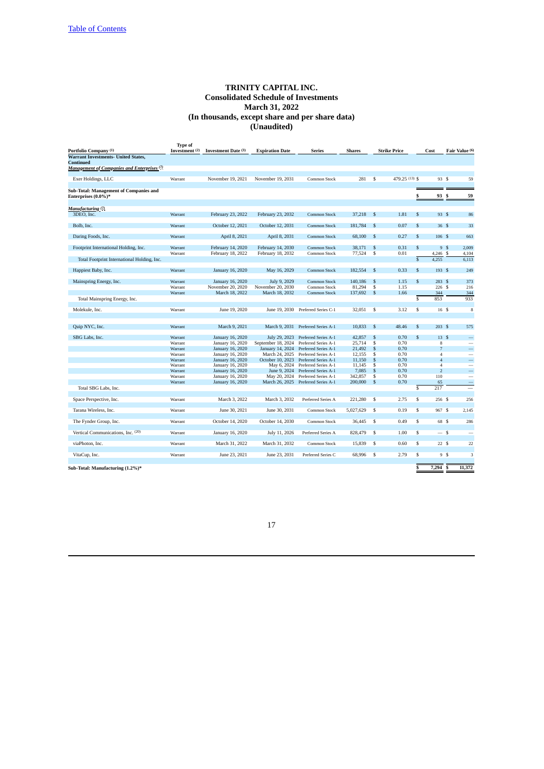| Portfolio Company (1)                              | <b>Type of</b><br>Investment <sup>(2)</sup> | Investment Date (3)                 | <b>Expiration Date</b>              | Series                       | <b>Shares</b>     |                         | Strike Price   | Cost                             |                          | Fair Value (6)           |
|----------------------------------------------------|---------------------------------------------|-------------------------------------|-------------------------------------|------------------------------|-------------------|-------------------------|----------------|----------------------------------|--------------------------|--------------------------|
| <b>Warrant Investments- United States,</b>         |                                             |                                     |                                     |                              |                   |                         |                |                                  |                          |                          |
| <b>Continued</b>                                   |                                             |                                     |                                     |                              |                   |                         |                |                                  |                          |                          |
| <b>Management of Companies and Enterprises (?)</b> |                                             |                                     |                                     |                              |                   |                         |                |                                  |                          |                          |
|                                                    |                                             |                                     |                                     |                              |                   |                         |                |                                  |                          |                          |
| Exer Holdings, LLC                                 | Warrant                                     | November 19, 2021                   | November 19, 2031                   | Common Stock                 | 281               | \$                      | 479.25 (13) \$ |                                  | 93 S                     | 59                       |
| <b>Sub-Total: Management of Companies and</b>      |                                             |                                     |                                     |                              |                   |                         |                |                                  |                          |                          |
| Enterprises (0.0%)*                                |                                             |                                     |                                     |                              |                   |                         |                | \$                               | 93S                      | 59                       |
|                                                    |                                             |                                     |                                     |                              |                   |                         |                |                                  |                          |                          |
| Manufacturing (7)                                  |                                             |                                     |                                     |                              |                   |                         |                |                                  |                          |                          |
| 3DEO, Inc.                                         | Warrant                                     | February 23, 2022                   | February 23, 2032                   | Common Stock                 | 37,218            | \$                      | 1.81           | \$                               | 93 S                     | 86                       |
|                                                    |                                             |                                     |                                     |                              |                   |                         |                |                                  |                          |                          |
| Bolb, Inc.                                         | Warrant                                     | October 12, 2021                    | October 12, 2031                    | Common Stock                 | 181,784           | \$                      | 0.07           | \$                               | 36S                      | 33                       |
|                                                    |                                             |                                     |                                     |                              |                   |                         |                |                                  |                          |                          |
| Daring Foods, Inc.                                 | Warrant                                     | April 8, 2021                       | April 8, 2031                       | <b>Common Stock</b>          | 68,100            | \$                      | 0.27           | \$                               | 106S                     | 663                      |
|                                                    |                                             |                                     |                                     |                              |                   |                         |                |                                  |                          |                          |
| Footprint International Holding, Inc.              | Warrant                                     | February 14, 2020                   | February 14, 2030                   | Common Stock                 | 38,171            | \$                      | 0.31           | \$                               | 9S                       | 2,009                    |
|                                                    | Warrant                                     | February 18, 2022                   | February 18, 2032                   | Common Stock                 | 77,524            | \$                      | 0.01           | 4,246 \$                         |                          | 4,104                    |
| Total Footprint International Holding, Inc.        |                                             |                                     |                                     |                              |                   |                         |                | $\overline{\mathbb{S}}$<br>4,255 |                          | 6,113                    |
|                                                    |                                             |                                     |                                     |                              |                   |                         |                |                                  |                          |                          |
| Happiest Baby, Inc.                                | Warrant                                     | January 16, 2020                    | May 16, 2029                        | Common Stock                 | 182,554           | \$                      | 0.33           | \$                               | 193S                     | 249                      |
|                                                    |                                             |                                     |                                     |                              |                   |                         |                |                                  |                          |                          |
| Mainspring Energy, Inc.                            | Warrant<br>Warrant                          | January 16, 2020                    | July 9, 2029                        | Common Stock                 | 140,186           | \$<br>\$                | 1.15<br>1.15   | \$                               | 283S<br>226S             | 373                      |
|                                                    | Warrant                                     | November 20, 2020<br>March 18, 2022 | November 20, 2030<br>March 18, 2032 | Common Stock<br>Common Stock | 81,294<br>137,692 | \$                      | 1.66           |                                  | 344                      | 216<br>344               |
|                                                    |                                             |                                     |                                     |                              |                   |                         |                | \$<br>853                        |                          | 933                      |
| Total Mainspring Energy, Inc.                      |                                             |                                     |                                     |                              |                   |                         |                |                                  |                          |                          |
| Molekule, Inc.                                     | Warrant                                     | June 19, 2020                       | June 19, 2030                       | Preferred Series C-1         | 32,051            | \$                      | 3.12           | $\overline{\mathbb{S}}$          | 16S                      | 8                        |
|                                                    |                                             |                                     |                                     |                              |                   |                         |                |                                  |                          |                          |
|                                                    |                                             |                                     |                                     |                              |                   |                         |                |                                  |                          |                          |
| Quip NYC, Inc.                                     | Warrant                                     | March 9, 2021                       | March 9, 2031                       | Preferred Series A-1         | 10,833            | \$                      | 48.46          | \$                               | 203S                     | 575                      |
|                                                    |                                             |                                     |                                     |                              |                   |                         |                |                                  |                          |                          |
| SBG Labs, Inc.                                     | Warrant                                     | <b>January 16, 2020</b>             | July 29, 2023                       | Preferred Series A-1         | 42,857            | \$                      | 0.70           | \$                               | 13S                      |                          |
|                                                    | Warrant                                     | January 16, 2020                    | September 18, 2024                  | Preferred Series A-1         | 25,714            | \$                      | 0.70           |                                  | 8                        |                          |
|                                                    | Warrant                                     | January 16, 2020                    | January 14, 2024                    | Preferred Series A-1         | 21,492            | \$                      | 0.70           |                                  | $\overline{7}$           |                          |
|                                                    | Warrant                                     | January 16, 2020                    | March 24, 2025                      | Preferred Series A-1         | 12.155            | \$                      | 0.70           |                                  | $\overline{4}$           | $\overline{\phantom{0}}$ |
|                                                    | Warrant                                     | January 16, 2020                    | October 10, 2023                    | Preferred Series A-1         | 11,150            | \$                      | 0.70           |                                  | $\overline{4}$           | $\overline{\phantom{0}}$ |
|                                                    | Warrant                                     | January 16, 2020                    | May 6, 2024                         | Preferred Series A-1         | 11,145            | \$                      | 0.70           |                                  | $\overline{4}$           | $\overline{\phantom{0}}$ |
|                                                    | Warrant                                     | January 16, 2020                    | June 9, 2024                        | Preferred Series A-1         | 7,085             | \$                      | 0.70           |                                  | $\overline{\mathcal{L}}$ | $\overline{\phantom{0}}$ |
|                                                    | Warrant                                     | January 16, 2020                    | May 20, 2024                        | Preferred Series A-1         | 342,857           | \$                      | 0.70           | 110                              |                          | $\overline{\phantom{a}}$ |
|                                                    | Warrant                                     | January 16, 2020                    | March 26, 2025                      | Preferred Series A-1         | 200,000           | \$                      | 0.70           |                                  | 65                       |                          |
| Total SBG Labs, Inc.                               |                                             |                                     |                                     |                              |                   |                         |                | \$<br>217                        |                          | $\overline{\phantom{0}}$ |
| Space Perspective, Inc.                            | Warrant                                     | March 3, 2022                       | March 3, 2032                       | Preferred Series A           | 221,280           | \$                      | 2.75           | \$                               | 256 \$                   | 256                      |
|                                                    |                                             |                                     |                                     |                              |                   |                         |                |                                  |                          |                          |
| Tarana Wireless, Inc.                              | Warrant                                     | June 30, 2021                       | June 30, 2031                       | Common Stock                 | 5,027,629         | \$                      | 0.19           | \$                               | 967 S                    | 2,145                    |
|                                                    |                                             |                                     |                                     |                              |                   |                         |                |                                  |                          |                          |
| The Fynder Group, Inc.                             | Warrant                                     | October 14, 2020                    | October 14, 2030                    | Common Stock                 | 36,445            | $\overline{\mathbf{s}}$ | 0.49           | $\overline{\mathbb{S}}$          | 68 \$                    | 286                      |
|                                                    |                                             |                                     |                                     |                              |                   |                         |                |                                  |                          |                          |
| Vertical Communications, Inc. (20)                 | Warrant                                     | January 16, 2020                    | July 11, 2026                       | Preferred Series A           | 828,479           | \$                      | 1.00           | \$                               | $-s$                     | -                        |
|                                                    |                                             |                                     |                                     |                              |                   |                         |                |                                  |                          |                          |
| viaPhoton, Inc.                                    | Warrant                                     | March 31, 2022                      | March 31, 2032                      | Common Stock                 | 15,839            | \$                      | 0.60           | $\overline{\mathbb{S}}$          | 22S                      | 22                       |
|                                                    |                                             |                                     |                                     |                              |                   |                         |                |                                  |                          |                          |
| VitaCup, Inc.                                      | Warrant                                     | June 23, 2021                       | June 23, 2031                       | Preferred Series C           | 68,996            | $\overline{\mathbb{S}}$ | 2.79           | $\overline{\mathbb{S}}$          | 9S                       | $\overline{3}$           |
|                                                    |                                             |                                     |                                     |                              |                   |                         |                |                                  |                          |                          |
| Sub-Total: Manufacturing (1.2%)*                   |                                             |                                     |                                     |                              |                   |                         |                | \$<br>7,294                      |                          | 11,372<br>S              |
|                                                    |                                             |                                     |                                     |                              |                   |                         |                |                                  |                          |                          |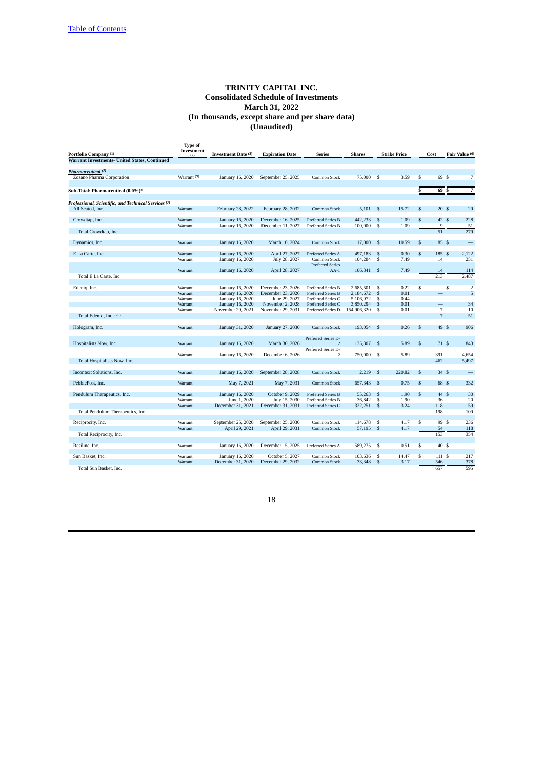| Portfolio Company (1)                                       | <b>Type of</b><br>Investment<br>(2) | Investment Date (3) | <b>Expiration Date</b> | <b>Series</b>                     | <b>Shares</b> |                         | <b>Strike Price</b> |              | Cost           | Fair Value (6) |                          |
|-------------------------------------------------------------|-------------------------------------|---------------------|------------------------|-----------------------------------|---------------|-------------------------|---------------------|--------------|----------------|----------------|--------------------------|
| <b>Warrant Investments- United States, Continued</b>        |                                     |                     |                        |                                   |               |                         |                     |              |                |                |                          |
| Pharmaceutical <sup>(7)</sup>                               |                                     |                     |                        |                                   |               |                         |                     |              |                |                |                          |
| Zosano Pharma Corporation                                   | Warrant <sup>(9)</sup>              | January 16, 2020    | September 25, 2025     | Common Stock                      | 75,000        | - S                     | 3.59                | \$           | 69 S           |                | 7                        |
| Sub-Total: Pharmaceutical (0.0%)*                           |                                     |                     |                        |                                   |               |                         |                     | S            | 69             | -S             | 7                        |
|                                                             |                                     |                     |                        |                                   |               |                         |                     |              |                |                |                          |
| <u>Professional, Scientific, and Technical Services (?)</u> |                                     |                     |                        |                                   |               |                         |                     |              |                |                |                          |
| All Seated, Inc.                                            | Warrant                             | February 28, 2022   | February 28, 2032      | Common Stock                      | 5.101         | -S                      | 15.72               | $\mathbf{s}$ | 20S            |                | 29                       |
| Crowdtap, Inc.                                              | Warrant                             | January 16, 2020    | December 16, 2025      | <b>Preferred Series B</b>         | 442.233       | S                       | 1.09                | $\mathbf{s}$ | 42S            |                | 228                      |
|                                                             | Warrant                             | January 16, 2020    | December 11, 2027      | <b>Preferred Series B</b>         | 100,000       | $\overline{\mathbf{s}}$ | 1.09                |              | 9              |                | 51                       |
| Total Crowdtap, Inc.                                        |                                     |                     |                        |                                   |               |                         |                     |              | 51             |                | 279                      |
| Dynamics, Inc.                                              | Warrant                             | January 16, 2020    | March 10, 2024         | <b>Common Stock</b>               | 17,000        | S                       | 10.59               | \$           | 85 \$          |                | $\overline{\phantom{0}}$ |
|                                                             |                                     |                     |                        |                                   |               |                         |                     |              |                |                |                          |
| E La Carte, Inc.                                            | Warrant                             | January 16, 2020    | April 27, 2027         | <b>Preferred Series A</b>         | 497,183       | $\mathbf{s}$            | 0.30                | $\mathbf{s}$ | 185 \$         |                | 2.122                    |
|                                                             | Warrant                             | January 16, 2020    | July 28, 2027          | Common Stock                      | 104.284       | S                       | 7.49                |              | 14             |                | 251                      |
|                                                             | Warrant                             | January 16, 2020    | April 28, 2027         | <b>Preferred Series</b><br>$AA-1$ | 106.841 \$    |                         | 7.49                |              | 14             |                | 114                      |
| Total E La Carte, Inc.                                      |                                     |                     |                        |                                   |               |                         |                     |              | 213            |                | 2,487                    |
|                                                             |                                     |                     |                        |                                   |               |                         |                     |              |                |                |                          |
| Edeniq, Inc.                                                | Warrant                             | January 16, 2020    | December 23, 2026      | Preferred Series B                | 2,685,501     | S                       | 0.22                | \$           | $-s$           |                | $\overline{2}$           |
|                                                             | Warrant                             | January 16, 2020    | December 23, 2026      | <b>Preferred Series B</b>         | 2,184,672     | S                       | 0.01                |              | -              |                | 5                        |
|                                                             | Warrant                             | January 16, 2020    | June 29, 2027          | Preferred Series C                | 5,106,972     | S                       | 0.44                |              |                |                |                          |
|                                                             | Warrant                             | January 16, 2020    | November 2, 2028       | <b>Preferred Series C</b>         | 3,850,294     | $\mathbb{S}$            | 0.01                |              | -              |                | 34                       |
|                                                             | Warrant                             | November 29, 2021   | November 29, 2031      | Preferred Series D                | 154,906,320   | S                       | 0.01                |              | 7              |                | 10                       |
| Total Edeniq, Inc. (20)                                     |                                     |                     |                        |                                   |               |                         |                     |              | $\overline{7}$ |                | 51                       |
|                                                             |                                     |                     |                        |                                   |               |                         |                     |              |                |                |                          |
| Hologram, Inc.                                              | Warrant                             | January 31, 2020    | January 27, 2030       | Common Stock                      | 193,054       | S                       | 0.26                | \$           | 49 \$          |                | 906                      |
|                                                             |                                     |                     |                        | Preferred Series D-               |               |                         |                     |              |                |                |                          |
| Hospitalists Now, Inc.                                      | Warrant                             | January 16, 2020    | March 30, 2026         | $\overline{\mathcal{L}}$          | 135,807       | <sup>S</sup>            | 5.89                | \$           | 71S            |                | 843                      |
|                                                             |                                     |                     |                        | Preferred Series D-               |               |                         |                     |              |                |                |                          |
|                                                             | Warrant                             | January 16, 2020    | December 6, 2026       | $\overline{2}$                    | 750,000       | -S                      | 5.89                |              | 391            |                | 4,654                    |
| Total Hospitalists Now, Inc.                                |                                     |                     |                        |                                   |               |                         |                     |              | 462            |                | 5.497                    |
|                                                             |                                     |                     |                        |                                   | 2.219         | S                       | 220.82              | \$           | 34S            |                |                          |
| Incontext Solutions, Inc.                                   | Warrant                             | January 16, 2020    | September 28, 2028     | Common Stock                      |               |                         |                     |              |                |                |                          |
| PebblePost, Inc.                                            | Warrant                             | May 7, 2021         | May 7, 2031            | Common Stock                      | 657,343       | S                       | 0.75                | \$           | 68 \$          |                | 332                      |
|                                                             |                                     |                     |                        |                                   |               |                         |                     |              |                |                |                          |
| Pendulum Therapeutics, Inc.                                 | Warrant                             | January 16, 2020    | October 9, 2029        | <b>Preferred Series B</b>         | 55,263        | S                       | 1.90                | $\mathbf{s}$ | 44 \$          |                | 30                       |
|                                                             | Warrant                             | June 1, 2020        | July 15, 2030          | <b>Preferred Series B</b>         | 36,842        | s                       | 1.90                |              | 36             |                | 20                       |
|                                                             | Warrant                             | December 31, 2021   | December 31, 2031      | <b>Preferred Series C</b>         | 322,251       | $\mathbf{s}$            | 3.24                |              | 118            |                | 59                       |
| Total Pendulum Therapeutics, Inc.                           |                                     |                     |                        |                                   |               |                         |                     |              | 198            |                | 109                      |
| Reciprocity, Inc.                                           | Warrant                             | September 25, 2020  | September 25, 2030     | Common Stock                      | 114,678       | S                       | 4.17                | \$           | 99 S           |                | 236                      |
|                                                             | Warrant                             | April 29, 2021      | April 29, 2031         | Common Stock                      | 57,195        | $\mathsf{s}$            | 4.17                |              | 54             |                | 118                      |
| Total Reciprocity, Inc.                                     |                                     |                     |                        |                                   |               |                         |                     |              | 153            |                | 354                      |
|                                                             |                                     |                     |                        |                                   |               |                         |                     |              |                |                |                          |
| Resilinc, Inc.                                              | Warrant                             | January 16, 2020    | December 15, 2025      | Preferred Series A                | 589,275       | S                       | 0.51                | \$           | 40 S           |                | $\overline{\phantom{a}}$ |
|                                                             |                                     |                     |                        |                                   |               |                         |                     |              |                |                |                          |
| Sun Basket, Inc.                                            | Warrant                             | January 16, 2020    | October 5, 2027        | Common Stock                      | 103,636       | S                       | 14.47               | S            | 111S           |                | 217                      |
|                                                             | Warrant                             | December 31, 2020   | December 29, 2032      | <b>Common Stock</b>               | 33,348        | S                       | 3.17                |              | 546            |                | 378                      |
| Total Sun Basket, Inc.                                      |                                     |                     |                        |                                   |               |                         |                     |              | 657            |                | 595                      |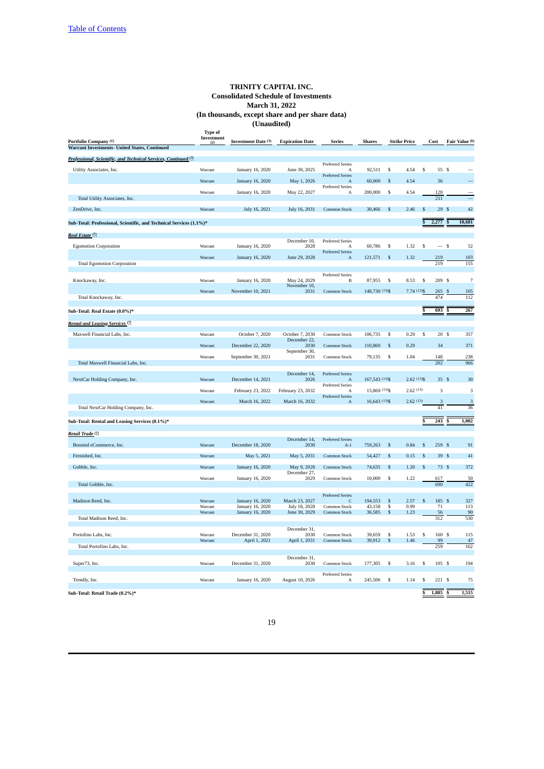| Professional, Scientific, and Technical Services, Continued (?)<br><b>Preferred Series</b><br>\$<br>\$<br>55 \$<br>Utility Associates, Inc.<br>January 16, 2020<br>June 30, 2025<br>92,511<br>4.54<br>Warrant<br>Α<br><b>Preferred Series</b><br>Warrant<br>January 16, 2020<br>May 1, 2026<br>60,000<br>\$<br>4.54<br>36<br>$\mathbf{A}$<br>Preferred Series<br>January 16, 2020<br>May 22, 2027<br>200,000<br>\$<br>4.54<br>120<br>Warrant<br>Α<br>Total Utility Associates, Inc.<br>211<br>2.46<br>29S<br>42<br>ZenDrive, Inc.<br>Warrant<br>July 16, 2021<br>July 16, 2031<br>Common Stock<br>30,466<br>\$<br>\$<br>$\overline{\mathbb{S}}$<br>2,277<br>10,681<br>Sub-Total: Professional, Scientific, and Technical Services (1.1%)*<br>Real Estate (7)<br>December 10,<br><b>Preferred Series</b><br>$-s$<br><b>Egomotion Corporation</b><br>Warrant<br>January 16, 2020<br>2028<br>60,786<br>\$<br>1.32<br>\$<br>52<br>A<br><b>Preferred Series</b><br>Warrant<br>January 16, 2020<br>June 29, 2028<br>121,571<br>\$<br>1.32<br>219<br>103<br>A<br><b>Total Egomotion Corporation</b><br>219<br>155<br><b>Preferred Series</b><br>209 \$<br>$\overline{7}$<br>January 16, 2020<br>May 24, 2029<br>87,955<br>-S<br>8.53<br>\$<br>Knockaway, Inc.<br>Warrant<br>B<br>November 10,<br>148,730 (13) \$<br>$7.74(13)$ \$<br>November 10, 2021<br>105<br>Warrant<br>2031<br>Common Stock<br>265<br>\$<br>474<br>112<br>Total Knockaway, Inc.<br>267<br>693<br>Sub-Total: Real Estate (0.0%)*<br>Rental and Leasing Services <sup>(7)</sup><br>Maxwell Financial Labs, Inc.<br>October 7, 2020<br>October 7, 2030<br>106,735<br>$\mathbb{S}$<br>0.29<br>$\mathbb{S}$<br>20S<br>357<br>Common Stock<br>Warrant<br>December 22,<br>December 22, 2020<br>\$<br>0.29<br>34<br>371<br>2030<br>Common Stock<br>110,860<br>Warrant<br>September 30,<br>238<br>September 30, 2021<br>79,135<br>\$<br>1.04<br>148<br>Warrant<br>2031<br>Common Stock<br>202<br>966<br>Total Maxwell Financial Labs, Inc.<br>December 14,<br><b>Preferred Series</b><br>NextCar Holding Company, Inc.<br>December 14, 2021<br>167,543 (13)\$<br>$2.62(13)$ \$<br>35S<br>30<br>Warrant<br>2026<br>$\mathbf{A}$<br><b>Preferred Series</b><br>13,869 (13) \$<br>2.62(13)<br>3<br>3<br>February 23, 2022<br>February 23, 2032<br>Warrant<br>$\mathsf{A}$<br><b>Preferred Series</b><br>2.62(13)<br>March 16, 2022<br>March 16, 2032<br>16,643 (13)\$<br>3<br>Warrant<br>3<br>A<br>41<br>36<br>Total NextCar Holding Company, Inc.<br>\$<br>243<br>1,002<br>Sub-Total: Rental and Leasing Services (0.1%)*<br>Retail Trade <sup>(7)</sup><br>December 14,<br><b>Preferred Series</b><br>December 18, 2020<br>2030<br>\$<br>0.84<br>\$<br>259S<br>91<br>Boosted eCommerce, Inc.<br>Warrant<br>$A-1$<br>759,263<br>39S<br>41<br>Fernished, Inc.<br>May 5, 2021<br>May 5, 2031<br>54,427<br>\$<br>0.15<br>$\mathbf{s}$<br>Warrant<br>Common Stock<br>January 16, 2020<br>May 9, 2028<br>1.20<br>73S<br>372<br>Gobble, Inc.<br>74,635<br>\$<br>Warrant<br>Common Stock<br>.S<br>December 27,<br>January 16, 2020<br>10,000<br>\$<br>50<br>Warrant<br>2029<br>Common Stock<br>1.22<br>617<br>422<br>690<br>Total Gobble, Inc.<br><b>Preferred Series</b><br>March 23, 2027<br>185 \$<br>327<br>Madison Reed, Inc.<br>Warrant<br>January 16, 2020<br>194,553<br>$\frac{5}{5}$<br>2.57<br>\$<br>C<br>0.99<br>113<br>Warrant<br>January 16, 2020<br>July 18, 2028<br>Common Stock<br>43,158<br>71<br>June 30, 2029<br>\$<br>90<br>Warrant<br>January 16, 2020<br>36,585<br>1.23<br>Common Stock<br>56<br>Total Madison Reed, Inc.<br>312<br>530<br>December 31,<br>Portofino Labs, Inc.<br>Warrant<br>December 31, 2020<br>2030<br>Common Stock<br>39,659<br>\$<br>1.53<br>\$<br>160<br>\$<br>115<br>47<br>April 1, 2021<br>39,912<br>\$<br>1.46<br>99<br>Warrant<br>April 1, 2031<br>Common Stock<br>Total Portofino Labs, Inc.<br>259<br>162<br>December 31,<br>105S<br>194<br>Super73, Inc.<br>Warrant<br>December 31, 2020<br>2030<br>Common Stock<br>177,305<br>\$<br>3.16<br>\$<br><b>Preferred Series</b><br>Trendly, Inc.<br>Warrant<br>January 16, 2020<br>August 10, 2026<br>245,506<br>\$<br>1.14<br>\$<br>221S<br>75<br>A<br>1,885<br>$\overline{\mathbf{s}}$<br>1,515<br>\$<br>Sub-Total: Retail Trade (0.2%)* | Portfolio Company (1)                         | <b>Type of</b><br>Investment<br>(2) | <b>Investment Date (3)</b> | <b>Expiration Date</b> | <b>Series</b> | <b>Shares</b> | <b>Strike Price</b> | Cost | Fair Value (6) |
|---------------------------------------------------------------------------------------------------------------------------------------------------------------------------------------------------------------------------------------------------------------------------------------------------------------------------------------------------------------------------------------------------------------------------------------------------------------------------------------------------------------------------------------------------------------------------------------------------------------------------------------------------------------------------------------------------------------------------------------------------------------------------------------------------------------------------------------------------------------------------------------------------------------------------------------------------------------------------------------------------------------------------------------------------------------------------------------------------------------------------------------------------------------------------------------------------------------------------------------------------------------------------------------------------------------------------------------------------------------------------------------------------------------------------------------------------------------------------------------------------------------------------------------------------------------------------------------------------------------------------------------------------------------------------------------------------------------------------------------------------------------------------------------------------------------------------------------------------------------------------------------------------------------------------------------------------------------------------------------------------------------------------------------------------------------------------------------------------------------------------------------------------------------------------------------------------------------------------------------------------------------------------------------------------------------------------------------------------------------------------------------------------------------------------------------------------------------------------------------------------------------------------------------------------------------------------------------------------------------------------------------------------------------------------------------------------------------------------------------------------------------------------------------------------------------------------------------------------------------------------------------------------------------------------------------------------------------------------------------------------------------------------------------------------------------------------------------------------------------------------------------------------------------------------------------------------------------------------------------------------------------------------------------------------------------------------------------------------------------------------------------------------------------------------------------------------------------------------------------------------------------------------------------------------------------------------------------------------------------------------------------------------------------------------------------------------------------------------------------------------------------------------------------------------------------------------------------------------------------------------------------------------------------------------------------------------------------------------------------------------------------------------------------------------------------------------------------------------------------------------------------------------------------------------------------------------------------------------------------------------------------------------------------|-----------------------------------------------|-------------------------------------|----------------------------|------------------------|---------------|---------------|---------------------|------|----------------|
|                                                                                                                                                                                                                                                                                                                                                                                                                                                                                                                                                                                                                                                                                                                                                                                                                                                                                                                                                                                                                                                                                                                                                                                                                                                                                                                                                                                                                                                                                                                                                                                                                                                                                                                                                                                                                                                                                                                                                                                                                                                                                                                                                                                                                                                                                                                                                                                                                                                                                                                                                                                                                                                                                                                                                                                                                                                                                                                                                                                                                                                                                                                                                                                                                                                                                                                                                                                                                                                                                                                                                                                                                                                                                                                                                                                                                                                                                                                                                                                                                                                                                                                                                                                                                                                                                       | Warrant Investments- United States, Continued |                                     |                            |                        |               |               |                     |      |                |
|                                                                                                                                                                                                                                                                                                                                                                                                                                                                                                                                                                                                                                                                                                                                                                                                                                                                                                                                                                                                                                                                                                                                                                                                                                                                                                                                                                                                                                                                                                                                                                                                                                                                                                                                                                                                                                                                                                                                                                                                                                                                                                                                                                                                                                                                                                                                                                                                                                                                                                                                                                                                                                                                                                                                                                                                                                                                                                                                                                                                                                                                                                                                                                                                                                                                                                                                                                                                                                                                                                                                                                                                                                                                                                                                                                                                                                                                                                                                                                                                                                                                                                                                                                                                                                                                                       |                                               |                                     |                            |                        |               |               |                     |      |                |
|                                                                                                                                                                                                                                                                                                                                                                                                                                                                                                                                                                                                                                                                                                                                                                                                                                                                                                                                                                                                                                                                                                                                                                                                                                                                                                                                                                                                                                                                                                                                                                                                                                                                                                                                                                                                                                                                                                                                                                                                                                                                                                                                                                                                                                                                                                                                                                                                                                                                                                                                                                                                                                                                                                                                                                                                                                                                                                                                                                                                                                                                                                                                                                                                                                                                                                                                                                                                                                                                                                                                                                                                                                                                                                                                                                                                                                                                                                                                                                                                                                                                                                                                                                                                                                                                                       |                                               |                                     |                            |                        |               |               |                     |      |                |
|                                                                                                                                                                                                                                                                                                                                                                                                                                                                                                                                                                                                                                                                                                                                                                                                                                                                                                                                                                                                                                                                                                                                                                                                                                                                                                                                                                                                                                                                                                                                                                                                                                                                                                                                                                                                                                                                                                                                                                                                                                                                                                                                                                                                                                                                                                                                                                                                                                                                                                                                                                                                                                                                                                                                                                                                                                                                                                                                                                                                                                                                                                                                                                                                                                                                                                                                                                                                                                                                                                                                                                                                                                                                                                                                                                                                                                                                                                                                                                                                                                                                                                                                                                                                                                                                                       |                                               |                                     |                            |                        |               |               |                     |      |                |
|                                                                                                                                                                                                                                                                                                                                                                                                                                                                                                                                                                                                                                                                                                                                                                                                                                                                                                                                                                                                                                                                                                                                                                                                                                                                                                                                                                                                                                                                                                                                                                                                                                                                                                                                                                                                                                                                                                                                                                                                                                                                                                                                                                                                                                                                                                                                                                                                                                                                                                                                                                                                                                                                                                                                                                                                                                                                                                                                                                                                                                                                                                                                                                                                                                                                                                                                                                                                                                                                                                                                                                                                                                                                                                                                                                                                                                                                                                                                                                                                                                                                                                                                                                                                                                                                                       |                                               |                                     |                            |                        |               |               |                     |      |                |
|                                                                                                                                                                                                                                                                                                                                                                                                                                                                                                                                                                                                                                                                                                                                                                                                                                                                                                                                                                                                                                                                                                                                                                                                                                                                                                                                                                                                                                                                                                                                                                                                                                                                                                                                                                                                                                                                                                                                                                                                                                                                                                                                                                                                                                                                                                                                                                                                                                                                                                                                                                                                                                                                                                                                                                                                                                                                                                                                                                                                                                                                                                                                                                                                                                                                                                                                                                                                                                                                                                                                                                                                                                                                                                                                                                                                                                                                                                                                                                                                                                                                                                                                                                                                                                                                                       |                                               |                                     |                            |                        |               |               |                     |      |                |
|                                                                                                                                                                                                                                                                                                                                                                                                                                                                                                                                                                                                                                                                                                                                                                                                                                                                                                                                                                                                                                                                                                                                                                                                                                                                                                                                                                                                                                                                                                                                                                                                                                                                                                                                                                                                                                                                                                                                                                                                                                                                                                                                                                                                                                                                                                                                                                                                                                                                                                                                                                                                                                                                                                                                                                                                                                                                                                                                                                                                                                                                                                                                                                                                                                                                                                                                                                                                                                                                                                                                                                                                                                                                                                                                                                                                                                                                                                                                                                                                                                                                                                                                                                                                                                                                                       |                                               |                                     |                            |                        |               |               |                     |      |                |
|                                                                                                                                                                                                                                                                                                                                                                                                                                                                                                                                                                                                                                                                                                                                                                                                                                                                                                                                                                                                                                                                                                                                                                                                                                                                                                                                                                                                                                                                                                                                                                                                                                                                                                                                                                                                                                                                                                                                                                                                                                                                                                                                                                                                                                                                                                                                                                                                                                                                                                                                                                                                                                                                                                                                                                                                                                                                                                                                                                                                                                                                                                                                                                                                                                                                                                                                                                                                                                                                                                                                                                                                                                                                                                                                                                                                                                                                                                                                                                                                                                                                                                                                                                                                                                                                                       |                                               |                                     |                            |                        |               |               |                     |      |                |
|                                                                                                                                                                                                                                                                                                                                                                                                                                                                                                                                                                                                                                                                                                                                                                                                                                                                                                                                                                                                                                                                                                                                                                                                                                                                                                                                                                                                                                                                                                                                                                                                                                                                                                                                                                                                                                                                                                                                                                                                                                                                                                                                                                                                                                                                                                                                                                                                                                                                                                                                                                                                                                                                                                                                                                                                                                                                                                                                                                                                                                                                                                                                                                                                                                                                                                                                                                                                                                                                                                                                                                                                                                                                                                                                                                                                                                                                                                                                                                                                                                                                                                                                                                                                                                                                                       |                                               |                                     |                            |                        |               |               |                     |      |                |
|                                                                                                                                                                                                                                                                                                                                                                                                                                                                                                                                                                                                                                                                                                                                                                                                                                                                                                                                                                                                                                                                                                                                                                                                                                                                                                                                                                                                                                                                                                                                                                                                                                                                                                                                                                                                                                                                                                                                                                                                                                                                                                                                                                                                                                                                                                                                                                                                                                                                                                                                                                                                                                                                                                                                                                                                                                                                                                                                                                                                                                                                                                                                                                                                                                                                                                                                                                                                                                                                                                                                                                                                                                                                                                                                                                                                                                                                                                                                                                                                                                                                                                                                                                                                                                                                                       |                                               |                                     |                            |                        |               |               |                     |      |                |
|                                                                                                                                                                                                                                                                                                                                                                                                                                                                                                                                                                                                                                                                                                                                                                                                                                                                                                                                                                                                                                                                                                                                                                                                                                                                                                                                                                                                                                                                                                                                                                                                                                                                                                                                                                                                                                                                                                                                                                                                                                                                                                                                                                                                                                                                                                                                                                                                                                                                                                                                                                                                                                                                                                                                                                                                                                                                                                                                                                                                                                                                                                                                                                                                                                                                                                                                                                                                                                                                                                                                                                                                                                                                                                                                                                                                                                                                                                                                                                                                                                                                                                                                                                                                                                                                                       |                                               |                                     |                            |                        |               |               |                     |      |                |
|                                                                                                                                                                                                                                                                                                                                                                                                                                                                                                                                                                                                                                                                                                                                                                                                                                                                                                                                                                                                                                                                                                                                                                                                                                                                                                                                                                                                                                                                                                                                                                                                                                                                                                                                                                                                                                                                                                                                                                                                                                                                                                                                                                                                                                                                                                                                                                                                                                                                                                                                                                                                                                                                                                                                                                                                                                                                                                                                                                                                                                                                                                                                                                                                                                                                                                                                                                                                                                                                                                                                                                                                                                                                                                                                                                                                                                                                                                                                                                                                                                                                                                                                                                                                                                                                                       |                                               |                                     |                            |                        |               |               |                     |      |                |
|                                                                                                                                                                                                                                                                                                                                                                                                                                                                                                                                                                                                                                                                                                                                                                                                                                                                                                                                                                                                                                                                                                                                                                                                                                                                                                                                                                                                                                                                                                                                                                                                                                                                                                                                                                                                                                                                                                                                                                                                                                                                                                                                                                                                                                                                                                                                                                                                                                                                                                                                                                                                                                                                                                                                                                                                                                                                                                                                                                                                                                                                                                                                                                                                                                                                                                                                                                                                                                                                                                                                                                                                                                                                                                                                                                                                                                                                                                                                                                                                                                                                                                                                                                                                                                                                                       |                                               |                                     |                            |                        |               |               |                     |      |                |
|                                                                                                                                                                                                                                                                                                                                                                                                                                                                                                                                                                                                                                                                                                                                                                                                                                                                                                                                                                                                                                                                                                                                                                                                                                                                                                                                                                                                                                                                                                                                                                                                                                                                                                                                                                                                                                                                                                                                                                                                                                                                                                                                                                                                                                                                                                                                                                                                                                                                                                                                                                                                                                                                                                                                                                                                                                                                                                                                                                                                                                                                                                                                                                                                                                                                                                                                                                                                                                                                                                                                                                                                                                                                                                                                                                                                                                                                                                                                                                                                                                                                                                                                                                                                                                                                                       |                                               |                                     |                            |                        |               |               |                     |      |                |
|                                                                                                                                                                                                                                                                                                                                                                                                                                                                                                                                                                                                                                                                                                                                                                                                                                                                                                                                                                                                                                                                                                                                                                                                                                                                                                                                                                                                                                                                                                                                                                                                                                                                                                                                                                                                                                                                                                                                                                                                                                                                                                                                                                                                                                                                                                                                                                                                                                                                                                                                                                                                                                                                                                                                                                                                                                                                                                                                                                                                                                                                                                                                                                                                                                                                                                                                                                                                                                                                                                                                                                                                                                                                                                                                                                                                                                                                                                                                                                                                                                                                                                                                                                                                                                                                                       |                                               |                                     |                            |                        |               |               |                     |      |                |
|                                                                                                                                                                                                                                                                                                                                                                                                                                                                                                                                                                                                                                                                                                                                                                                                                                                                                                                                                                                                                                                                                                                                                                                                                                                                                                                                                                                                                                                                                                                                                                                                                                                                                                                                                                                                                                                                                                                                                                                                                                                                                                                                                                                                                                                                                                                                                                                                                                                                                                                                                                                                                                                                                                                                                                                                                                                                                                                                                                                                                                                                                                                                                                                                                                                                                                                                                                                                                                                                                                                                                                                                                                                                                                                                                                                                                                                                                                                                                                                                                                                                                                                                                                                                                                                                                       |                                               |                                     |                            |                        |               |               |                     |      |                |
|                                                                                                                                                                                                                                                                                                                                                                                                                                                                                                                                                                                                                                                                                                                                                                                                                                                                                                                                                                                                                                                                                                                                                                                                                                                                                                                                                                                                                                                                                                                                                                                                                                                                                                                                                                                                                                                                                                                                                                                                                                                                                                                                                                                                                                                                                                                                                                                                                                                                                                                                                                                                                                                                                                                                                                                                                                                                                                                                                                                                                                                                                                                                                                                                                                                                                                                                                                                                                                                                                                                                                                                                                                                                                                                                                                                                                                                                                                                                                                                                                                                                                                                                                                                                                                                                                       |                                               |                                     |                            |                        |               |               |                     |      |                |
|                                                                                                                                                                                                                                                                                                                                                                                                                                                                                                                                                                                                                                                                                                                                                                                                                                                                                                                                                                                                                                                                                                                                                                                                                                                                                                                                                                                                                                                                                                                                                                                                                                                                                                                                                                                                                                                                                                                                                                                                                                                                                                                                                                                                                                                                                                                                                                                                                                                                                                                                                                                                                                                                                                                                                                                                                                                                                                                                                                                                                                                                                                                                                                                                                                                                                                                                                                                                                                                                                                                                                                                                                                                                                                                                                                                                                                                                                                                                                                                                                                                                                                                                                                                                                                                                                       |                                               |                                     |                            |                        |               |               |                     |      |                |
|                                                                                                                                                                                                                                                                                                                                                                                                                                                                                                                                                                                                                                                                                                                                                                                                                                                                                                                                                                                                                                                                                                                                                                                                                                                                                                                                                                                                                                                                                                                                                                                                                                                                                                                                                                                                                                                                                                                                                                                                                                                                                                                                                                                                                                                                                                                                                                                                                                                                                                                                                                                                                                                                                                                                                                                                                                                                                                                                                                                                                                                                                                                                                                                                                                                                                                                                                                                                                                                                                                                                                                                                                                                                                                                                                                                                                                                                                                                                                                                                                                                                                                                                                                                                                                                                                       |                                               |                                     |                            |                        |               |               |                     |      |                |
|                                                                                                                                                                                                                                                                                                                                                                                                                                                                                                                                                                                                                                                                                                                                                                                                                                                                                                                                                                                                                                                                                                                                                                                                                                                                                                                                                                                                                                                                                                                                                                                                                                                                                                                                                                                                                                                                                                                                                                                                                                                                                                                                                                                                                                                                                                                                                                                                                                                                                                                                                                                                                                                                                                                                                                                                                                                                                                                                                                                                                                                                                                                                                                                                                                                                                                                                                                                                                                                                                                                                                                                                                                                                                                                                                                                                                                                                                                                                                                                                                                                                                                                                                                                                                                                                                       |                                               |                                     |                            |                        |               |               |                     |      |                |
|                                                                                                                                                                                                                                                                                                                                                                                                                                                                                                                                                                                                                                                                                                                                                                                                                                                                                                                                                                                                                                                                                                                                                                                                                                                                                                                                                                                                                                                                                                                                                                                                                                                                                                                                                                                                                                                                                                                                                                                                                                                                                                                                                                                                                                                                                                                                                                                                                                                                                                                                                                                                                                                                                                                                                                                                                                                                                                                                                                                                                                                                                                                                                                                                                                                                                                                                                                                                                                                                                                                                                                                                                                                                                                                                                                                                                                                                                                                                                                                                                                                                                                                                                                                                                                                                                       |                                               |                                     |                            |                        |               |               |                     |      |                |
|                                                                                                                                                                                                                                                                                                                                                                                                                                                                                                                                                                                                                                                                                                                                                                                                                                                                                                                                                                                                                                                                                                                                                                                                                                                                                                                                                                                                                                                                                                                                                                                                                                                                                                                                                                                                                                                                                                                                                                                                                                                                                                                                                                                                                                                                                                                                                                                                                                                                                                                                                                                                                                                                                                                                                                                                                                                                                                                                                                                                                                                                                                                                                                                                                                                                                                                                                                                                                                                                                                                                                                                                                                                                                                                                                                                                                                                                                                                                                                                                                                                                                                                                                                                                                                                                                       |                                               |                                     |                            |                        |               |               |                     |      |                |
|                                                                                                                                                                                                                                                                                                                                                                                                                                                                                                                                                                                                                                                                                                                                                                                                                                                                                                                                                                                                                                                                                                                                                                                                                                                                                                                                                                                                                                                                                                                                                                                                                                                                                                                                                                                                                                                                                                                                                                                                                                                                                                                                                                                                                                                                                                                                                                                                                                                                                                                                                                                                                                                                                                                                                                                                                                                                                                                                                                                                                                                                                                                                                                                                                                                                                                                                                                                                                                                                                                                                                                                                                                                                                                                                                                                                                                                                                                                                                                                                                                                                                                                                                                                                                                                                                       |                                               |                                     |                            |                        |               |               |                     |      |                |
|                                                                                                                                                                                                                                                                                                                                                                                                                                                                                                                                                                                                                                                                                                                                                                                                                                                                                                                                                                                                                                                                                                                                                                                                                                                                                                                                                                                                                                                                                                                                                                                                                                                                                                                                                                                                                                                                                                                                                                                                                                                                                                                                                                                                                                                                                                                                                                                                                                                                                                                                                                                                                                                                                                                                                                                                                                                                                                                                                                                                                                                                                                                                                                                                                                                                                                                                                                                                                                                                                                                                                                                                                                                                                                                                                                                                                                                                                                                                                                                                                                                                                                                                                                                                                                                                                       |                                               |                                     |                            |                        |               |               |                     |      |                |
|                                                                                                                                                                                                                                                                                                                                                                                                                                                                                                                                                                                                                                                                                                                                                                                                                                                                                                                                                                                                                                                                                                                                                                                                                                                                                                                                                                                                                                                                                                                                                                                                                                                                                                                                                                                                                                                                                                                                                                                                                                                                                                                                                                                                                                                                                                                                                                                                                                                                                                                                                                                                                                                                                                                                                                                                                                                                                                                                                                                                                                                                                                                                                                                                                                                                                                                                                                                                                                                                                                                                                                                                                                                                                                                                                                                                                                                                                                                                                                                                                                                                                                                                                                                                                                                                                       |                                               |                                     |                            |                        |               |               |                     |      |                |
|                                                                                                                                                                                                                                                                                                                                                                                                                                                                                                                                                                                                                                                                                                                                                                                                                                                                                                                                                                                                                                                                                                                                                                                                                                                                                                                                                                                                                                                                                                                                                                                                                                                                                                                                                                                                                                                                                                                                                                                                                                                                                                                                                                                                                                                                                                                                                                                                                                                                                                                                                                                                                                                                                                                                                                                                                                                                                                                                                                                                                                                                                                                                                                                                                                                                                                                                                                                                                                                                                                                                                                                                                                                                                                                                                                                                                                                                                                                                                                                                                                                                                                                                                                                                                                                                                       |                                               |                                     |                            |                        |               |               |                     |      |                |
|                                                                                                                                                                                                                                                                                                                                                                                                                                                                                                                                                                                                                                                                                                                                                                                                                                                                                                                                                                                                                                                                                                                                                                                                                                                                                                                                                                                                                                                                                                                                                                                                                                                                                                                                                                                                                                                                                                                                                                                                                                                                                                                                                                                                                                                                                                                                                                                                                                                                                                                                                                                                                                                                                                                                                                                                                                                                                                                                                                                                                                                                                                                                                                                                                                                                                                                                                                                                                                                                                                                                                                                                                                                                                                                                                                                                                                                                                                                                                                                                                                                                                                                                                                                                                                                                                       |                                               |                                     |                            |                        |               |               |                     |      |                |
|                                                                                                                                                                                                                                                                                                                                                                                                                                                                                                                                                                                                                                                                                                                                                                                                                                                                                                                                                                                                                                                                                                                                                                                                                                                                                                                                                                                                                                                                                                                                                                                                                                                                                                                                                                                                                                                                                                                                                                                                                                                                                                                                                                                                                                                                                                                                                                                                                                                                                                                                                                                                                                                                                                                                                                                                                                                                                                                                                                                                                                                                                                                                                                                                                                                                                                                                                                                                                                                                                                                                                                                                                                                                                                                                                                                                                                                                                                                                                                                                                                                                                                                                                                                                                                                                                       |                                               |                                     |                            |                        |               |               |                     |      |                |
|                                                                                                                                                                                                                                                                                                                                                                                                                                                                                                                                                                                                                                                                                                                                                                                                                                                                                                                                                                                                                                                                                                                                                                                                                                                                                                                                                                                                                                                                                                                                                                                                                                                                                                                                                                                                                                                                                                                                                                                                                                                                                                                                                                                                                                                                                                                                                                                                                                                                                                                                                                                                                                                                                                                                                                                                                                                                                                                                                                                                                                                                                                                                                                                                                                                                                                                                                                                                                                                                                                                                                                                                                                                                                                                                                                                                                                                                                                                                                                                                                                                                                                                                                                                                                                                                                       |                                               |                                     |                            |                        |               |               |                     |      |                |
|                                                                                                                                                                                                                                                                                                                                                                                                                                                                                                                                                                                                                                                                                                                                                                                                                                                                                                                                                                                                                                                                                                                                                                                                                                                                                                                                                                                                                                                                                                                                                                                                                                                                                                                                                                                                                                                                                                                                                                                                                                                                                                                                                                                                                                                                                                                                                                                                                                                                                                                                                                                                                                                                                                                                                                                                                                                                                                                                                                                                                                                                                                                                                                                                                                                                                                                                                                                                                                                                                                                                                                                                                                                                                                                                                                                                                                                                                                                                                                                                                                                                                                                                                                                                                                                                                       |                                               |                                     |                            |                        |               |               |                     |      |                |
|                                                                                                                                                                                                                                                                                                                                                                                                                                                                                                                                                                                                                                                                                                                                                                                                                                                                                                                                                                                                                                                                                                                                                                                                                                                                                                                                                                                                                                                                                                                                                                                                                                                                                                                                                                                                                                                                                                                                                                                                                                                                                                                                                                                                                                                                                                                                                                                                                                                                                                                                                                                                                                                                                                                                                                                                                                                                                                                                                                                                                                                                                                                                                                                                                                                                                                                                                                                                                                                                                                                                                                                                                                                                                                                                                                                                                                                                                                                                                                                                                                                                                                                                                                                                                                                                                       |                                               |                                     |                            |                        |               |               |                     |      |                |
|                                                                                                                                                                                                                                                                                                                                                                                                                                                                                                                                                                                                                                                                                                                                                                                                                                                                                                                                                                                                                                                                                                                                                                                                                                                                                                                                                                                                                                                                                                                                                                                                                                                                                                                                                                                                                                                                                                                                                                                                                                                                                                                                                                                                                                                                                                                                                                                                                                                                                                                                                                                                                                                                                                                                                                                                                                                                                                                                                                                                                                                                                                                                                                                                                                                                                                                                                                                                                                                                                                                                                                                                                                                                                                                                                                                                                                                                                                                                                                                                                                                                                                                                                                                                                                                                                       |                                               |                                     |                            |                        |               |               |                     |      |                |
|                                                                                                                                                                                                                                                                                                                                                                                                                                                                                                                                                                                                                                                                                                                                                                                                                                                                                                                                                                                                                                                                                                                                                                                                                                                                                                                                                                                                                                                                                                                                                                                                                                                                                                                                                                                                                                                                                                                                                                                                                                                                                                                                                                                                                                                                                                                                                                                                                                                                                                                                                                                                                                                                                                                                                                                                                                                                                                                                                                                                                                                                                                                                                                                                                                                                                                                                                                                                                                                                                                                                                                                                                                                                                                                                                                                                                                                                                                                                                                                                                                                                                                                                                                                                                                                                                       |                                               |                                     |                            |                        |               |               |                     |      |                |
|                                                                                                                                                                                                                                                                                                                                                                                                                                                                                                                                                                                                                                                                                                                                                                                                                                                                                                                                                                                                                                                                                                                                                                                                                                                                                                                                                                                                                                                                                                                                                                                                                                                                                                                                                                                                                                                                                                                                                                                                                                                                                                                                                                                                                                                                                                                                                                                                                                                                                                                                                                                                                                                                                                                                                                                                                                                                                                                                                                                                                                                                                                                                                                                                                                                                                                                                                                                                                                                                                                                                                                                                                                                                                                                                                                                                                                                                                                                                                                                                                                                                                                                                                                                                                                                                                       |                                               |                                     |                            |                        |               |               |                     |      |                |
|                                                                                                                                                                                                                                                                                                                                                                                                                                                                                                                                                                                                                                                                                                                                                                                                                                                                                                                                                                                                                                                                                                                                                                                                                                                                                                                                                                                                                                                                                                                                                                                                                                                                                                                                                                                                                                                                                                                                                                                                                                                                                                                                                                                                                                                                                                                                                                                                                                                                                                                                                                                                                                                                                                                                                                                                                                                                                                                                                                                                                                                                                                                                                                                                                                                                                                                                                                                                                                                                                                                                                                                                                                                                                                                                                                                                                                                                                                                                                                                                                                                                                                                                                                                                                                                                                       |                                               |                                     |                            |                        |               |               |                     |      |                |
|                                                                                                                                                                                                                                                                                                                                                                                                                                                                                                                                                                                                                                                                                                                                                                                                                                                                                                                                                                                                                                                                                                                                                                                                                                                                                                                                                                                                                                                                                                                                                                                                                                                                                                                                                                                                                                                                                                                                                                                                                                                                                                                                                                                                                                                                                                                                                                                                                                                                                                                                                                                                                                                                                                                                                                                                                                                                                                                                                                                                                                                                                                                                                                                                                                                                                                                                                                                                                                                                                                                                                                                                                                                                                                                                                                                                                                                                                                                                                                                                                                                                                                                                                                                                                                                                                       |                                               |                                     |                            |                        |               |               |                     |      |                |
|                                                                                                                                                                                                                                                                                                                                                                                                                                                                                                                                                                                                                                                                                                                                                                                                                                                                                                                                                                                                                                                                                                                                                                                                                                                                                                                                                                                                                                                                                                                                                                                                                                                                                                                                                                                                                                                                                                                                                                                                                                                                                                                                                                                                                                                                                                                                                                                                                                                                                                                                                                                                                                                                                                                                                                                                                                                                                                                                                                                                                                                                                                                                                                                                                                                                                                                                                                                                                                                                                                                                                                                                                                                                                                                                                                                                                                                                                                                                                                                                                                                                                                                                                                                                                                                                                       |                                               |                                     |                            |                        |               |               |                     |      |                |
|                                                                                                                                                                                                                                                                                                                                                                                                                                                                                                                                                                                                                                                                                                                                                                                                                                                                                                                                                                                                                                                                                                                                                                                                                                                                                                                                                                                                                                                                                                                                                                                                                                                                                                                                                                                                                                                                                                                                                                                                                                                                                                                                                                                                                                                                                                                                                                                                                                                                                                                                                                                                                                                                                                                                                                                                                                                                                                                                                                                                                                                                                                                                                                                                                                                                                                                                                                                                                                                                                                                                                                                                                                                                                                                                                                                                                                                                                                                                                                                                                                                                                                                                                                                                                                                                                       |                                               |                                     |                            |                        |               |               |                     |      |                |
|                                                                                                                                                                                                                                                                                                                                                                                                                                                                                                                                                                                                                                                                                                                                                                                                                                                                                                                                                                                                                                                                                                                                                                                                                                                                                                                                                                                                                                                                                                                                                                                                                                                                                                                                                                                                                                                                                                                                                                                                                                                                                                                                                                                                                                                                                                                                                                                                                                                                                                                                                                                                                                                                                                                                                                                                                                                                                                                                                                                                                                                                                                                                                                                                                                                                                                                                                                                                                                                                                                                                                                                                                                                                                                                                                                                                                                                                                                                                                                                                                                                                                                                                                                                                                                                                                       |                                               |                                     |                            |                        |               |               |                     |      |                |
|                                                                                                                                                                                                                                                                                                                                                                                                                                                                                                                                                                                                                                                                                                                                                                                                                                                                                                                                                                                                                                                                                                                                                                                                                                                                                                                                                                                                                                                                                                                                                                                                                                                                                                                                                                                                                                                                                                                                                                                                                                                                                                                                                                                                                                                                                                                                                                                                                                                                                                                                                                                                                                                                                                                                                                                                                                                                                                                                                                                                                                                                                                                                                                                                                                                                                                                                                                                                                                                                                                                                                                                                                                                                                                                                                                                                                                                                                                                                                                                                                                                                                                                                                                                                                                                                                       |                                               |                                     |                            |                        |               |               |                     |      |                |
|                                                                                                                                                                                                                                                                                                                                                                                                                                                                                                                                                                                                                                                                                                                                                                                                                                                                                                                                                                                                                                                                                                                                                                                                                                                                                                                                                                                                                                                                                                                                                                                                                                                                                                                                                                                                                                                                                                                                                                                                                                                                                                                                                                                                                                                                                                                                                                                                                                                                                                                                                                                                                                                                                                                                                                                                                                                                                                                                                                                                                                                                                                                                                                                                                                                                                                                                                                                                                                                                                                                                                                                                                                                                                                                                                                                                                                                                                                                                                                                                                                                                                                                                                                                                                                                                                       |                                               |                                     |                            |                        |               |               |                     |      |                |
|                                                                                                                                                                                                                                                                                                                                                                                                                                                                                                                                                                                                                                                                                                                                                                                                                                                                                                                                                                                                                                                                                                                                                                                                                                                                                                                                                                                                                                                                                                                                                                                                                                                                                                                                                                                                                                                                                                                                                                                                                                                                                                                                                                                                                                                                                                                                                                                                                                                                                                                                                                                                                                                                                                                                                                                                                                                                                                                                                                                                                                                                                                                                                                                                                                                                                                                                                                                                                                                                                                                                                                                                                                                                                                                                                                                                                                                                                                                                                                                                                                                                                                                                                                                                                                                                                       |                                               |                                     |                            |                        |               |               |                     |      |                |
|                                                                                                                                                                                                                                                                                                                                                                                                                                                                                                                                                                                                                                                                                                                                                                                                                                                                                                                                                                                                                                                                                                                                                                                                                                                                                                                                                                                                                                                                                                                                                                                                                                                                                                                                                                                                                                                                                                                                                                                                                                                                                                                                                                                                                                                                                                                                                                                                                                                                                                                                                                                                                                                                                                                                                                                                                                                                                                                                                                                                                                                                                                                                                                                                                                                                                                                                                                                                                                                                                                                                                                                                                                                                                                                                                                                                                                                                                                                                                                                                                                                                                                                                                                                                                                                                                       |                                               |                                     |                            |                        |               |               |                     |      |                |
|                                                                                                                                                                                                                                                                                                                                                                                                                                                                                                                                                                                                                                                                                                                                                                                                                                                                                                                                                                                                                                                                                                                                                                                                                                                                                                                                                                                                                                                                                                                                                                                                                                                                                                                                                                                                                                                                                                                                                                                                                                                                                                                                                                                                                                                                                                                                                                                                                                                                                                                                                                                                                                                                                                                                                                                                                                                                                                                                                                                                                                                                                                                                                                                                                                                                                                                                                                                                                                                                                                                                                                                                                                                                                                                                                                                                                                                                                                                                                                                                                                                                                                                                                                                                                                                                                       |                                               |                                     |                            |                        |               |               |                     |      |                |
|                                                                                                                                                                                                                                                                                                                                                                                                                                                                                                                                                                                                                                                                                                                                                                                                                                                                                                                                                                                                                                                                                                                                                                                                                                                                                                                                                                                                                                                                                                                                                                                                                                                                                                                                                                                                                                                                                                                                                                                                                                                                                                                                                                                                                                                                                                                                                                                                                                                                                                                                                                                                                                                                                                                                                                                                                                                                                                                                                                                                                                                                                                                                                                                                                                                                                                                                                                                                                                                                                                                                                                                                                                                                                                                                                                                                                                                                                                                                                                                                                                                                                                                                                                                                                                                                                       |                                               |                                     |                            |                        |               |               |                     |      |                |
|                                                                                                                                                                                                                                                                                                                                                                                                                                                                                                                                                                                                                                                                                                                                                                                                                                                                                                                                                                                                                                                                                                                                                                                                                                                                                                                                                                                                                                                                                                                                                                                                                                                                                                                                                                                                                                                                                                                                                                                                                                                                                                                                                                                                                                                                                                                                                                                                                                                                                                                                                                                                                                                                                                                                                                                                                                                                                                                                                                                                                                                                                                                                                                                                                                                                                                                                                                                                                                                                                                                                                                                                                                                                                                                                                                                                                                                                                                                                                                                                                                                                                                                                                                                                                                                                                       |                                               |                                     |                            |                        |               |               |                     |      |                |
|                                                                                                                                                                                                                                                                                                                                                                                                                                                                                                                                                                                                                                                                                                                                                                                                                                                                                                                                                                                                                                                                                                                                                                                                                                                                                                                                                                                                                                                                                                                                                                                                                                                                                                                                                                                                                                                                                                                                                                                                                                                                                                                                                                                                                                                                                                                                                                                                                                                                                                                                                                                                                                                                                                                                                                                                                                                                                                                                                                                                                                                                                                                                                                                                                                                                                                                                                                                                                                                                                                                                                                                                                                                                                                                                                                                                                                                                                                                                                                                                                                                                                                                                                                                                                                                                                       |                                               |                                     |                            |                        |               |               |                     |      |                |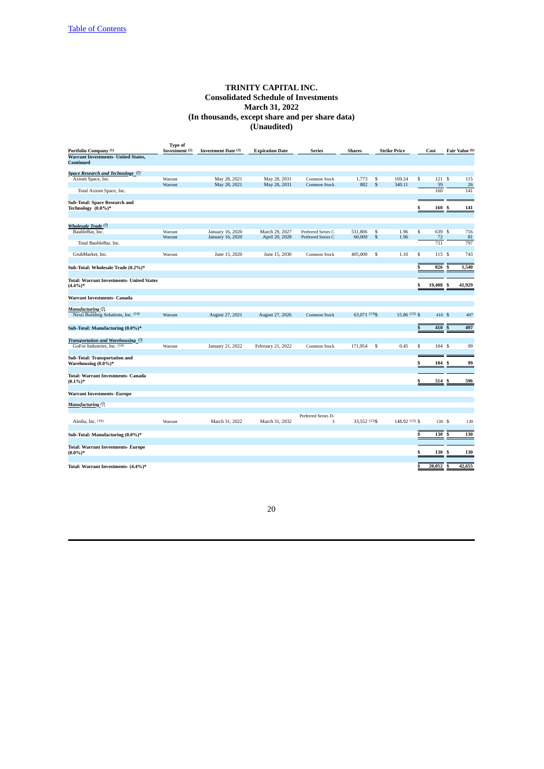| Portfolio Company (1)                                             | <b>Type of</b><br>Investment (2) | Investment Date (3) | <b>Expiration Date</b> | Series                   | <b>Shares</b>  |              | <b>Strike Price</b> | Cost                              |        | Fair Value (6) |
|-------------------------------------------------------------------|----------------------------------|---------------------|------------------------|--------------------------|----------------|--------------|---------------------|-----------------------------------|--------|----------------|
| <b>Warrant Investments- United States,</b>                        |                                  |                     |                        |                          |                |              |                     |                                   |        |                |
| <b>Continued</b>                                                  |                                  |                     |                        |                          |                |              |                     |                                   |        |                |
|                                                                   |                                  |                     |                        |                          |                |              |                     |                                   |        |                |
| Space Research and Technology <sup>(7)</sup><br>Axiom Space, Inc. | Warrant                          | May 28, 2021        | May 28, 2031           | Common Stock             | 1,773          | s            | 169.24              | $\overline{\mathbb{S}}$<br>121S   |        | 115            |
|                                                                   | Warrant                          | May 28, 2021        | May 28, 2031           | <b>Common Stock</b>      | 882            | S            | 340.11              | 39                                |        | 26             |
| Total Axiom Space, Inc.                                           |                                  |                     |                        |                          |                |              |                     | 160                               |        | 141            |
|                                                                   |                                  |                     |                        |                          |                |              |                     |                                   |        |                |
| Sub-Total: Space Research and                                     |                                  |                     |                        |                          |                |              |                     |                                   |        |                |
| Technology (0.0%)*                                                |                                  |                     |                        |                          |                |              |                     | \$<br>160                         | \$     | 141            |
|                                                                   |                                  |                     |                        |                          |                |              |                     |                                   |        |                |
|                                                                   |                                  |                     |                        |                          |                |              |                     |                                   |        |                |
| Wholesale Trade (7)                                               |                                  |                     |                        |                          |                |              |                     |                                   |        |                |
| BaubleBar, Inc.                                                   | Warrant                          | January 16, 2020    | March 29, 2027         | Preferred Series C       | 531,806        | s            | 1.96                | $\overline{\mathbb{S}}$<br>639 \$ |        | 716            |
|                                                                   | Warrant                          | January 16, 2020    | April 20, 2028         | Preferred Series C       | 60,000         | $\mathsf{s}$ | 1.96                | 72<br>711                         |        | 81<br>797      |
| Total BaubleBar, Inc.                                             |                                  |                     |                        |                          |                |              |                     |                                   |        |                |
| GrubMarket, Inc.                                                  | Warrant                          | June 15, 2020       | June 15, 2030          | Common Stock             | 405,000        | s            | 1.10                | \$<br>115S                        |        | 743            |
|                                                                   |                                  |                     |                        |                          |                |              |                     |                                   |        |                |
| Sub-Total: Wholesale Trade (0.2%)*                                |                                  |                     |                        |                          |                |              | S                   | 826                               | .S     | 1,540          |
|                                                                   |                                  |                     |                        |                          |                |              |                     |                                   |        |                |
| <b>Total: Warrant Investments- United States</b>                  |                                  |                     |                        |                          |                |              |                     |                                   |        |                |
| $(4.4\%)*$                                                        |                                  |                     |                        |                          |                |              |                     | \$<br>19,408                      |        | 41,929         |
|                                                                   |                                  |                     |                        |                          |                |              |                     |                                   |        |                |
| <b>Warrant Investments- Canada</b>                                |                                  |                     |                        |                          |                |              |                     |                                   |        |                |
|                                                                   |                                  |                     |                        |                          |                |              |                     |                                   |        |                |
| Manufacturing (7)                                                 |                                  |                     |                        |                          |                |              |                     |                                   |        |                |
| Nexii Building Solutions, Inc. (10)                               | Warrant                          | August 27, 2021     | August 27, 2026        | <b>Common Stock</b>      | 63,071 (13)\$  |              | 15.86 (13) \$       | 410S                              |        | 497            |
|                                                                   |                                  |                     |                        |                          |                |              |                     |                                   |        |                |
| Sub-Total: Manufacturing (0.0%)*                                  |                                  |                     |                        |                          |                |              |                     | $\overline{\mathbb{S}}$<br>410    | \$     | 497            |
|                                                                   |                                  |                     |                        |                          |                |              |                     |                                   |        |                |
| Transportation and Warehousing (7)                                |                                  |                     |                        |                          |                |              |                     |                                   |        |                |
| GoFor Industries, Inc. (10)                                       | Warrant                          | January 21, 2022    | February 21, 2022      | Common Stock             | 171,954        | s            | 0.45                | $\overline{\mathbb{S}}$<br>104S   |        | 99             |
|                                                                   |                                  |                     |                        |                          |                |              |                     |                                   |        |                |
| Sub-Total: Transportation and<br>Warehousing (0.0%)*              |                                  |                     |                        |                          |                |              | \$                  | 104                               | \$     | 99             |
|                                                                   |                                  |                     |                        |                          |                |              |                     |                                   |        |                |
| <b>Total: Warrant Investments- Canada</b>                         |                                  |                     |                        |                          |                |              |                     |                                   |        |                |
| $(0.1\%)*$                                                        |                                  |                     |                        |                          |                |              |                     | \$<br>514 \$                      |        | 596            |
|                                                                   |                                  |                     |                        |                          |                |              |                     |                                   |        |                |
| <b>Warrant Investments-Europe</b>                                 |                                  |                     |                        |                          |                |              |                     |                                   |        |                |
|                                                                   |                                  |                     |                        |                          |                |              |                     |                                   |        |                |
| <b>Manufacturing</b> (7)                                          |                                  |                     |                        |                          |                |              |                     |                                   |        |                |
|                                                                   |                                  |                     |                        |                          |                |              |                     |                                   |        |                |
| Aledia, Inc. (10)                                                 | Warrant                          | March 31, 2022      | March 31, 2032         | Preferred Series D-<br>3 | 33,552 (13) \$ |              | 148.92 (13) \$      |                                   | 130 \$ | 130            |
|                                                                   |                                  |                     |                        |                          |                |              |                     |                                   |        |                |
|                                                                   |                                  |                     |                        |                          |                |              |                     | S                                 |        |                |
| Sub-Total: Manufacturing (0.0%)*                                  |                                  |                     |                        |                          |                |              |                     | 130                               | \$     | 130            |
|                                                                   |                                  |                     |                        |                          |                |              |                     |                                   |        |                |
| <b>Total: Warrant Investments- Europe</b><br>$(0.0\%)*$           |                                  |                     |                        |                          |                |              | S                   | 130                               | s      | 130            |
|                                                                   |                                  |                     |                        |                          |                |              |                     |                                   |        |                |
| Total: Warrant Investments- (4.4%)*                               |                                  |                     |                        |                          |                |              |                     | \$<br>20,052                      | s      | 42,655         |
|                                                                   |                                  |                     |                        |                          |                |              |                     |                                   |        |                |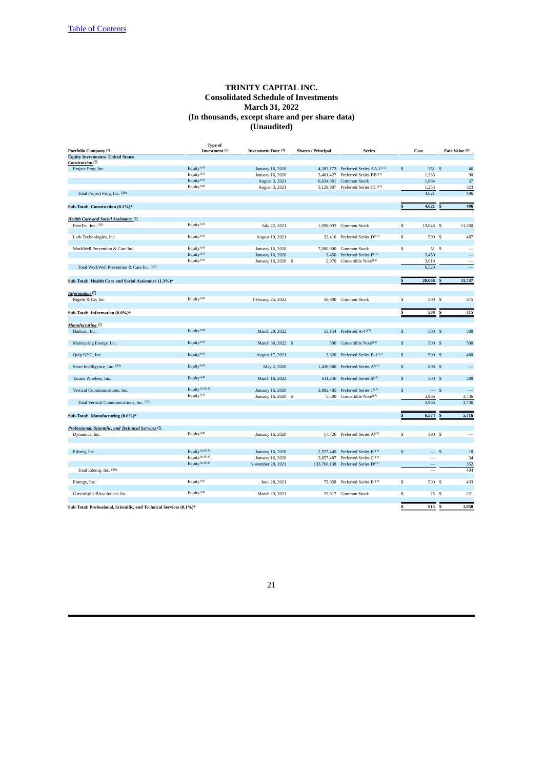| Portfolio Company <sup>(1)</sup>                                    | <b>Type of</b><br>Investment <sup>(2)</sup> | Investment Date (3) | <b>Shares / Principal</b> | <b>Series</b>                                  |              | Cost      | Fair Value (6)           |
|---------------------------------------------------------------------|---------------------------------------------|---------------------|---------------------------|------------------------------------------------|--------------|-----------|--------------------------|
| <b>Equity Investments- United States</b>                            |                                             |                     |                           |                                                |              |           |                          |
| Construction <sup>(7)</sup>                                         |                                             |                     |                           |                                                |              |           |                          |
| Project Frog, Inc.                                                  | Equity <sup>(14)</sup>                      | January 16, 2020    |                           | 4,383,173 Preferred Series AA-1(17)            | $\mathbb{S}$ | 351S      | 46                       |
|                                                                     | Equity <sup>(14)</sup>                      | January 16, 2020    | 3,401,427                 | Preferred Series BB(17)                        |              | 1,333     | 90                       |
|                                                                     | Equity <sup>(14)</sup>                      | August 3, 2021      | 6,634,061                 | Common Stock                                   |              | 1,684     | 37                       |
|                                                                     | Equity <sup>(14)</sup>                      |                     |                           |                                                |              |           |                          |
|                                                                     |                                             | August 3, 2021      |                           | 3,129,887 Preferred Series CC(17)              |              | 1,253     | 323                      |
| Total Project Frog, Inc. (20)                                       |                                             |                     |                           |                                                |              | 4.621     | 496                      |
| Sub-Total: Construction (0.1%)*                                     |                                             |                     |                           |                                                | $\mathbb S$  | 4,621     | 496<br>S                 |
| Health Care and Social Assistance (7)                               |                                             |                     |                           |                                                |              |           |                          |
| FemTec, Inc. (20)                                                   | Equity <sup>(14)</sup>                      | July 22, 2021       | 1,098,093                 | Common Stock                                   | s            | 13,046 \$ | 11,260                   |
|                                                                     |                                             |                     |                           |                                                |              |           |                          |
| Lark Technologies, Inc.                                             | Equity <sup>(14)</sup>                      | August 19, 2021     |                           | 32,416 Preferred Series D <sup>(17)</sup>      | s            | 500 \$    | 487                      |
| WorkWell Prevention & Care Inc.                                     | Equity <sup>(14)</sup>                      | January 16, 2020    | 7,000,000                 | Common Stock                                   | s            | 51 \$     |                          |
|                                                                     | Equity <sup>(14)</sup>                      | January 16, 2020    | 3,450                     | Preferred Series P(17)                         |              | 3,450     |                          |
|                                                                     | Equity <sup>(14)</sup>                      |                     |                           | 2,970 Convertible Note <sup>(16)</sup>         |              | 3,019     |                          |
| Total WorkWell Prevention & Care Inc. (20)                          |                                             | January 16, 2020 \$ |                           |                                                |              | 6,520     |                          |
|                                                                     |                                             |                     |                           |                                                |              |           |                          |
| Sub-Total: Health Care and Social Assistance (1.3%)*                |                                             |                     |                           |                                                | \$           | 20,066    | 11,747<br>S              |
| Information <sup>(7)</sup>                                          |                                             |                     |                           |                                                |              |           |                          |
| Rigetti & Co, Inc.                                                  | Equity <sup>(14)</sup>                      | February 25, 2022   |                           | 50,000 Common Stock                            | \$           | 500       | <b>S</b><br>315          |
|                                                                     |                                             |                     |                           |                                                |              |           |                          |
| Sub-Total: Information (0.0%)*                                      |                                             |                     |                           |                                                | \$           | 500       | 315<br>S                 |
|                                                                     |                                             |                     |                           |                                                |              |           |                          |
| Manufacturing <sup>(7)</sup>                                        |                                             |                     |                           |                                                |              |           |                          |
|                                                                     | Equity $(14)$                               |                     |                           | 53.154 Preferred A-4 <sup>(17)</sup>           | $\mathbf{s}$ | 500S      | 500                      |
| Hadrian, Inc.                                                       |                                             | March 29, 2022      |                           |                                                |              |           |                          |
| Mainspring Energy, Inc.                                             | Equity <sup>(14)</sup>                      | March 30, 2022 \$   | 500                       | Convertible Note <sup>(16)</sup>               | \$           | 500 S     | 500                      |
|                                                                     |                                             |                     |                           |                                                |              |           |                          |
| Quip NYC, Inc.                                                      | Equity <sup>(14)</sup>                      | August 17, 2021     | 3,320                     | Preferred Series B-1(17)                       | $\mathbb{S}$ | 500S      | 480                      |
|                                                                     |                                             |                     |                           |                                                |              |           |                          |
| Store Intelligence, Inc. (20)                                       | Equity <sup>(14)</sup>                      | May 2, 2020         | 1,430,000                 | Preferred Series A <sup>(17)</sup>             | $\mathbb{S}$ | 608 \$    |                          |
| Tarana Wireless, Inc.                                               | Equity <sup>(14)</sup>                      | March 16, 2022      |                           | 611,246 Preferred Series 6 <sup>(17)</sup>     | $\mathbf{s}$ | 500 S     | 500                      |
|                                                                     |                                             |                     |                           |                                                |              |           |                          |
| Vertical Communications, Inc.                                       | Equity $(11)(14)$                           | January 16, 2020    | 3,892,485                 | Preferred Series 1(17)                         | $\mathsf{s}$ | $-s$      | $\overline{\phantom{0}}$ |
|                                                                     | Equity <sup>(14)</sup>                      | January 16, 2020 \$ | 5,500                     | Convertible Note <sup>(16)</sup>               |              | 3,966     | 3,736                    |
| Total Vertical Communications, Inc. (20)                            |                                             |                     |                           |                                                |              | 3,966     | 3,736                    |
|                                                                     |                                             |                     |                           |                                                |              |           |                          |
| Sub-Total: Manufacturing (0.6%)*                                    |                                             |                     |                           |                                                | \$           | 6,574     | 5,716<br>S               |
| Professional, Scientific, and Technical Services <sup>(7)</sup>     |                                             |                     |                           |                                                |              |           |                          |
| Dynamics, Inc.                                                      | Equity <sup>(14)</sup>                      | January 16, 2020    |                           | 17,726 Preferred Series A <sup>(17)</sup>      | s            | 390 S     |                          |
|                                                                     |                                             |                     |                           |                                                |              |           |                          |
| Edeniq, Inc.                                                        | Equity $(11)(14)$                           | January 16, 2020    |                           | 2,527,449 Preferred Series B(17)               | $\mathbf{s}$ | $-$ s     | 18                       |
|                                                                     | Equity $(11)(14)$                           | January 16, 2020    |                           | 3,657,487 Preferred Series C <sup>(17)</sup>   |              |           | 34                       |
|                                                                     | Equity $(11)(14)$                           | November 29, 2021   |                           | 133,766,138 Preferred Series D <sup>(17)</sup> |              |           | 352                      |
| Total Edeniq, Inc. (20)                                             |                                             |                     |                           |                                                |              |           | 404                      |
|                                                                     |                                             |                     |                           |                                                |              |           |                          |
| Emergy, Inc.                                                        | Equity $(14)$                               | June 28, 2021       |                           | 75,958 Preferred Series B(17)                  | s            | 500 S     | 433                      |
|                                                                     |                                             |                     |                           |                                                |              |           |                          |
| Greenlight Biosciences Inc.                                         | Equity <sup>(14)</sup>                      | March 29, 2021      |                           | 23.017 Common Stock                            | \$           | 25S       | 221                      |
| Sub-Total: Professional, Scientific, and Technical Services (0.1%)* |                                             |                     |                           |                                                | \$           | $915$ \$  | 1,058                    |
|                                                                     |                                             |                     |                           |                                                |              |           |                          |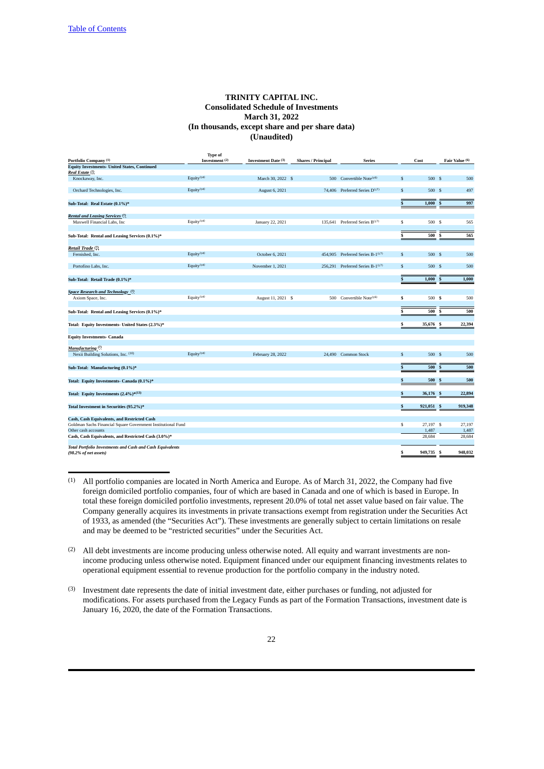|                                                                                     | <b>Type of</b>            |                     |                           |                                            |              |                 |                 |
|-------------------------------------------------------------------------------------|---------------------------|---------------------|---------------------------|--------------------------------------------|--------------|-----------------|-----------------|
| Portfolio Company (1)                                                               | Investment <sup>(2)</sup> | Investment Date (3) | <b>Shares / Principal</b> | <b>Series</b>                              |              | Cost            | Fair Value (6)  |
| <b>Equity Investments- United States, Continued</b>                                 |                           |                     |                           |                                            |              |                 |                 |
| Real Estate (7)                                                                     |                           |                     |                           |                                            |              |                 |                 |
| Knockaway, Inc.                                                                     | Equity $(14)$             | March 30, 2022 \$   | 500                       | Convertible Note <sup>(16)</sup>           | \$           | 500 S           | 500             |
| Orchard Technologies, Inc.                                                          | Equity <sup>(14)</sup>    | August 6, 2021      |                           | 74,406 Preferred Series D <sup>(17)</sup>  | $\mathbb{S}$ | 500S            | 497             |
| Sub-Total: Real Estate (0.1%)*                                                      |                           |                     |                           |                                            | \$           | 1,000           | 997<br>S        |
| Rental and Leasing Services (?).                                                    |                           |                     |                           |                                            |              |                 |                 |
| Maxwell Financial Labs, Inc.                                                        | Equity $(14)$             | January 22, 2021    |                           | 135.641 Preferred Series B <sup>(17)</sup> | \$           | 500 S           | 565             |
|                                                                                     |                           |                     |                           |                                            |              |                 |                 |
| Sub-Total: Rental and Leasing Services (0.1%)*                                      |                           |                     |                           |                                            | \$           | 500             | s<br>565        |
| Retail Trade <sup>(7)</sup>                                                         |                           |                     |                           |                                            |              |                 |                 |
| Fernished, Inc.                                                                     | Equity $(14)$             | October 6, 2021     |                           | 454,905 Preferred Series B-1(17)           | \$           | 500 S           | 500             |
| Portofino Labs, Inc.                                                                | Equity <sup>(14)</sup>    | November 1, 2021    |                           | 256,291 Preferred Series B-1(17)           | $\mathbb{S}$ | 500S            | 500             |
| Sub-Total: Retail Trade (0.1%)*                                                     |                           |                     |                           |                                            | \$           | 1,000           | 1,000<br>S      |
| Space Research and Technology (7)                                                   |                           |                     |                           |                                            |              |                 |                 |
| Axiom Space, Inc.                                                                   | Equity <sup>(14)</sup>    | August 11, 2021 \$  | 500                       | Convertible Note <sup>(16)</sup>           | \$           | 500 S           | 500             |
|                                                                                     |                           |                     |                           |                                            |              |                 |                 |
| Sub-Total: Rental and Leasing Services (0.1%)*                                      |                           |                     |                           |                                            |              | 500             | 500<br>s        |
| Total: Equity Investments- United States (2.3%)*                                    |                           |                     |                           |                                            | S            | 35,676 S        | 22,394          |
| <b>Equity Investments- Canada</b>                                                   |                           |                     |                           |                                            |              |                 |                 |
| Manufacturing <sup>(7)</sup>                                                        |                           |                     |                           |                                            |              |                 |                 |
| Nexii Building Solutions, Inc. (10)                                                 | Equity $(14)$             | February 28, 2022   |                           | 24,490 Common Stock                        | \$           | 500S            | 500             |
|                                                                                     |                           |                     |                           |                                            |              |                 |                 |
| Sub-Total: Manufacturing (0.1%)*                                                    |                           |                     |                           |                                            | \$           | 500             | 500<br>S        |
| Total: Equity Investments- Canada (0.1%)*                                           |                           |                     |                           |                                            | \$           | 500             | 500<br>s        |
| Total: Equity Investments (2.4%)*(13)                                               |                           |                     |                           |                                            | \$           | 36,176 S        | 22,894          |
| Total Investment in Securities (95.2%)*                                             |                           |                     |                           |                                            | S            | 921,051         | 919,348<br>S    |
|                                                                                     |                           |                     |                           |                                            |              |                 |                 |
| Cash, Cash Equivalents, and Restricted Cash                                         |                           |                     |                           |                                            | \$           |                 |                 |
| Goldman Sachs Financial Square Government Institutional Fund<br>Other cash accounts |                           |                     |                           |                                            |              | 27,197 \$       | 27,197          |
|                                                                                     |                           |                     |                           |                                            |              | 1,487<br>28,684 | 1,487<br>28,684 |
| Cash, Cash Equivalents, and Restricted Cash (3.0%)*                                 |                           |                     |                           |                                            |              |                 |                 |
| <b>Total Portfolio Investments and Cash and Cash Equivalents</b>                    |                           |                     |                           |                                            | S            | 949,735         | 948,032<br>s    |
| (98.2% of net assets)                                                               |                           |                     |                           |                                            |              |                 |                 |

<sup>(1)</sup> All portfolio companies are located in North America and Europe. As of March 31, 2022, the Company had five foreign domiciled portfolio companies, four of which are based in Canada and one of which is based in Europe. In total these foreign domiciled portfolio investments, represent 20.0% of total net asset value based on fair value. The Company generally acquires its investments in private transactions exempt from registration under the Securities Act of 1933, as amended (the "Securities Act"). These investments are generally subject to certain limitations on resale and may be deemed to be "restricted securities" under the Securities Act.

(2) All debt investments are income producing unless otherwise noted. All equity and warrant investments are nonincome producing unless otherwise noted. Equipment financed under our equipment financing investments relates to operational equipment essential to revenue production for the portfolio company in the industry noted.

(3) Investment date represents the date of initial investment date, either purchases or funding, not adjusted for modifications. For assets purchased from the Legacy Funds as part of the Formation Transactions, investment date is January 16, 2020, the date of the Formation Transactions.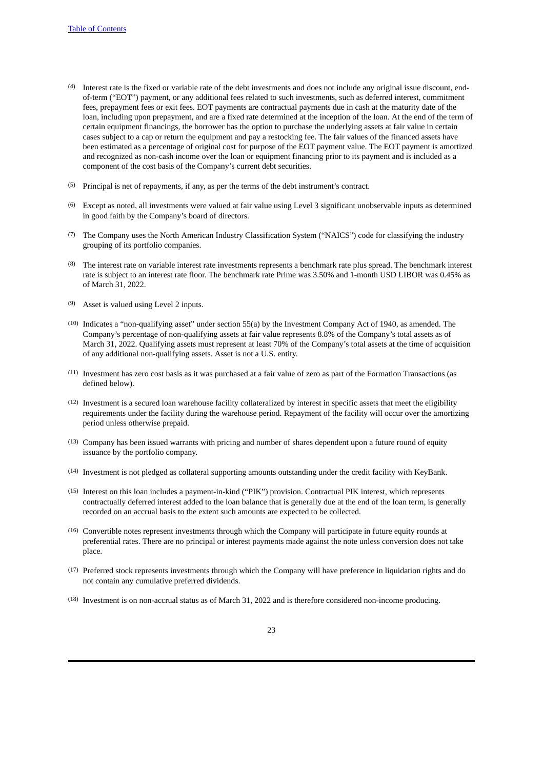- (4) Interest rate is the fixed or variable rate of the debt investments and does not include any original issue discount, endof-term ("EOT") payment, or any additional fees related to such investments, such as deferred interest, commitment fees, prepayment fees or exit fees. EOT payments are contractual payments due in cash at the maturity date of the loan, including upon prepayment, and are a fixed rate determined at the inception of the loan. At the end of the term of certain equipment financings, the borrower has the option to purchase the underlying assets at fair value in certain cases subject to a cap or return the equipment and pay a restocking fee. The fair values of the financed assets have been estimated as a percentage of original cost for purpose of the EOT payment value. The EOT payment is amortized and recognized as non-cash income over the loan or equipment financing prior to its payment and is included as a component of the cost basis of the Company's current debt securities.
- (5) Principal is net of repayments, if any, as per the terms of the debt instrument's contract.
- (6) Except as noted, all investments were valued at fair value using Level 3 significant unobservable inputs as determined in good faith by the Company's board of directors.
- (7) The Company uses the North American Industry Classification System ("NAICS") code for classifying the industry grouping of its portfolio companies.
- (8) The interest rate on variable interest rate investments represents a benchmark rate plus spread. The benchmark interest rate is subject to an interest rate floor. The benchmark rate Prime was 3.50% and 1-month USD LIBOR was 0.45% as of March 31, 2022.
- (9) Asset is valued using Level 2 inputs.
- (10) Indicates a "non-qualifying asset" under section 55(a) by the Investment Company Act of 1940, as amended. The Company's percentage of non-qualifying assets at fair value represents 8.8% of the Company's total assets as of March 31, 2022. Qualifying assets must represent at least 70% of the Company's total assets at the time of acquisition of any additional non-qualifying assets. Asset is not a U.S. entity.
- (11) Investment has zero cost basis as it was purchased at a fair value of zero as part of the Formation Transactions (as defined below).
- (12) Investment is a secured loan warehouse facility collateralized by interest in specific assets that meet the eligibility requirements under the facility during the warehouse period. Repayment of the facility will occur over the amortizing period unless otherwise prepaid.
- (13) Company has been issued warrants with pricing and number of shares dependent upon a future round of equity issuance by the portfolio company.
- (14) Investment is not pledged as collateral supporting amounts outstanding under the credit facility with KeyBank.
- (15) Interest on this loan includes a payment-in-kind ("PIK") provision. Contractual PIK interest, which represents contractually deferred interest added to the loan balance that is generally due at the end of the loan term, is generally recorded on an accrual basis to the extent such amounts are expected to be collected.
- (16) Convertible notes represent investments through which the Company will participate in future equity rounds at preferential rates. There are no principal or interest payments made against the note unless conversion does not take place.
- (17) Preferred stock represents investments through which the Company will have preference in liquidation rights and do not contain any cumulative preferred dividends.
- (18) Investment is on non-accrual status as of March 31, 2022 and is therefore considered non-income producing.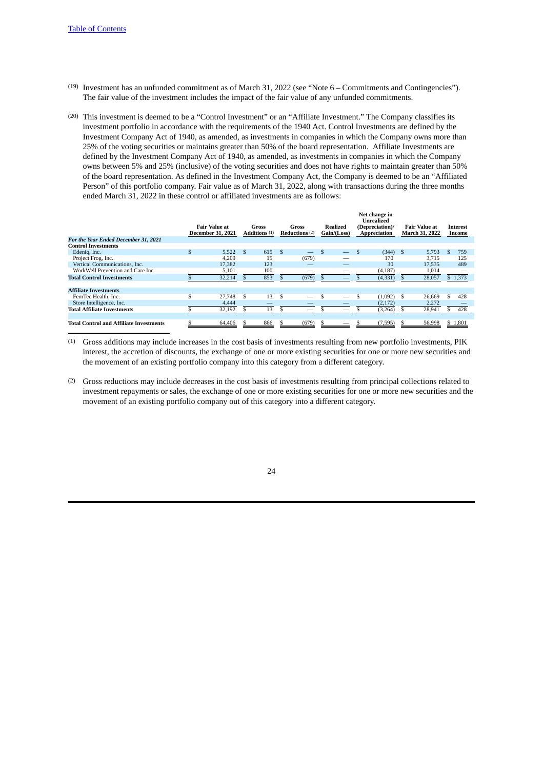- (19) Investment has an unfunded commitment as of March 31, 2022 (see "Note 6 Commitments and Contingencies"). The fair value of the investment includes the impact of the fair value of any unfunded commitments.
- (20) This investment is deemed to be a "Control Investment" or an "Affiliate Investment." The Company classifies its investment portfolio in accordance with the requirements of the 1940 Act. Control Investments are defined by the Investment Company Act of 1940, as amended, as investments in companies in which the Company owns more than 25% of the voting securities or maintains greater than 50% of the board representation. Affiliate Investments are defined by the Investment Company Act of 1940, as amended, as investments in companies in which the Company owns between 5% and 25% (inclusive) of the voting securities and does not have rights to maintain greater than 50% of the board representation. As defined in the Investment Company Act, the Company is deemed to be an "Affiliated Person" of this portfolio company. Fair value as of March 31, 2022, along with transactions during the three months ended March 31, 2022 in these control or affiliated investments are as follows:

| For the Year Ended December 31, 2021           | <b>December 31, 2021</b> | <b>Fair Value at</b> |    | Gross<br>Additions <sup>(1)</sup> |     | Gross<br>Reductions $(2)$ | Realized<br>Gain/(Loss) | Net change in<br>Unrealized<br>(Depreciation)/<br>Appreciation |   | Fair Value at<br><b>March 31, 2022</b> |    | Interest<br>Income |
|------------------------------------------------|--------------------------|----------------------|----|-----------------------------------|-----|---------------------------|-------------------------|----------------------------------------------------------------|---|----------------------------------------|----|--------------------|
| <b>Control Investments</b>                     |                          |                      |    |                                   |     |                           |                         |                                                                |   |                                        |    |                    |
| Edenig, Inc.                                   | \$.                      | 5,522                | -S | 615                               | -\$ |                           |                         | $(344)$ \$                                                     |   | 5.793                                  | .S | 759                |
| Project Frog, Inc.                             |                          | 4.209                |    | 15                                |     | (679)                     | _                       | 170                                                            |   | 3.715                                  |    | 125                |
| Vertical Communications, Inc.                  |                          | 17,382               |    | 123                               |     |                           | _                       | 30                                                             |   | 17.535                                 |    | 489                |
| WorkWell Prevention and Care Inc.              |                          | 5,101                |    | 100                               |     | $\overline{\phantom{a}}$  |                         | (4, 187)                                                       |   | 1,014                                  |    | -                  |
| <b>Total Control Investments</b>               |                          | 32,214               |    | 853                               |     | (679)                     | __                      | (4, 331)                                                       |   | 28,057                                 |    | \$1,373            |
|                                                |                          |                      |    |                                   |     |                           |                         |                                                                |   |                                        |    |                    |
| <b>Affiliate Investments</b>                   |                          |                      |    |                                   |     |                           |                         |                                                                |   |                                        |    |                    |
| FemTec Health, Inc.                            | \$                       | 27,748               | -S | 13                                | \$  |                           | -                       | (1,092)                                                        | S | 26,669                                 | \$ | 428                |
| Store Intelligence, Inc.                       |                          | 4.444                |    |                                   |     |                           |                         | (2,172)                                                        |   | 2,272                                  |    |                    |
| <b>Total Affiliate Investments</b>             |                          | 32,192               |    | 13                                |     | $\overline{\phantom{a}}$  | _                       | (3, 264)                                                       |   | 28,941                                 |    | 428                |
|                                                |                          |                      |    |                                   |     |                           |                         |                                                                |   |                                        |    |                    |
| <b>Total Control and Affiliate Investments</b> |                          | 64,406               |    | 866                               |     | (679)                     | --                      | (7, 595)                                                       |   | 56,998                                 |    | \$1,801            |

(1) Gross additions may include increases in the cost basis of investments resulting from new portfolio investments, PIK interest, the accretion of discounts, the exchange of one or more existing securities for one or more new securities and the movement of an existing portfolio company into this category from a different category.

(2) Gross reductions may include decreases in the cost basis of investments resulting from principal collections related to investment repayments or sales, the exchange of one or more existing securities for one or more new securities and the movement of an existing portfolio company out of this category into a different category.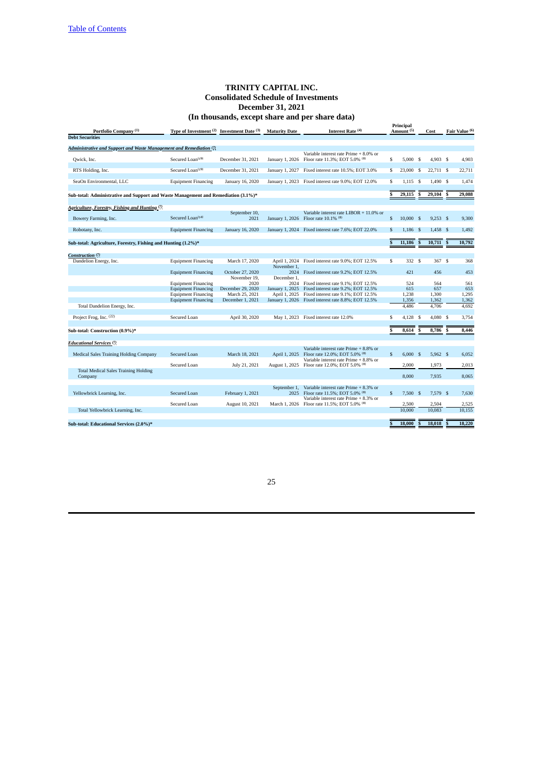<span id="page-24-0"></span>

|                                                                                    |                                            |                       |                      | anousanas, except share and per share auto)                                   |                         |                                    |                         |             |                         |                |
|------------------------------------------------------------------------------------|--------------------------------------------|-----------------------|----------------------|-------------------------------------------------------------------------------|-------------------------|------------------------------------|-------------------------|-------------|-------------------------|----------------|
| Portfolio Company <sup>(1)</sup>                                                   | Type of Investment (2) Investment Date (3) |                       | <b>Maturity Date</b> | Interest Rate (4)                                                             |                         | Principal<br>Amount <sup>(5)</sup> |                         | Cost        |                         | Fair Value (6) |
| <b>Debt Securities</b>                                                             |                                            |                       |                      |                                                                               |                         |                                    |                         |             |                         |                |
|                                                                                    |                                            |                       |                      |                                                                               |                         |                                    |                         |             |                         |                |
| Administrative and Support and Waste Management and Remediation (7)                |                                            |                       |                      | Variable interest rate Prime + 8.0% or                                        |                         |                                    |                         |             |                         |                |
| Qwick, Inc.                                                                        | Secured Loan <sup>(19)</sup>               | December 31, 2021     | January 1, 2026      | Floor rate 11.3%; EOT 5.0% (8)                                                | \$                      | 5,000                              | - S                     | 4.903S      |                         | 4,903          |
| RTS Holding, Inc.                                                                  | Secured Loan <sup>(19)</sup>               | December 31, 2021     | January 1, 2027      | Fixed interest rate 10.5%; EOT 3.0%                                           | s                       | 23,000                             | -S                      | $22,711$ \$ |                         | 22,711         |
| SeaOn Environmental, LLC                                                           | <b>Equipment Financing</b>                 | January 16, 2020      |                      | January 1, 2023 Fixed interest rate 9.0%; EOT 12.0%                           | S                       | $1,115$ \$                         |                         | 1,490 \$    |                         | 1,474          |
| Sub-total: Administrative and Support and Waste Management and Remediation (3.1%)* |                                            |                       |                      |                                                                               |                         | 29,115                             | $\overline{\mathbf{s}}$ | $29,104$ \$ |                         | 29,088         |
|                                                                                    |                                            |                       |                      |                                                                               |                         |                                    |                         |             |                         |                |
| Agriculture, Forestry, Fishing and Hunting (7)                                     |                                            |                       |                      |                                                                               |                         |                                    |                         |             |                         |                |
| Bowery Farming, Inc.                                                               | Secured Loan <sup>(14)</sup>               | September 10,<br>2021 | January 1, 2026      | Variable interest rate LIBOR + 11.0% or<br>Floor rate $10.1\%$ <sup>(8)</sup> | S                       | 10,000 S                           |                         | $9,253$ \$  |                         | 9,300          |
| Robotany, Inc.                                                                     | <b>Equipment Financing</b>                 | January 16, 2020      |                      | January 1, 2024 Fixed interest rate 7.6%; EOT 22.0%                           | \$                      | 1.186                              | - \$                    | 1,458 \$    |                         | 1,492          |
|                                                                                    |                                            |                       |                      |                                                                               |                         | 11,186                             | \$                      | 10,711      | $\mathbf{s}$            | 10,792         |
| Sub-total: Agriculture, Forestry, Fishing and Hunting (1.2%)*                      |                                            |                       |                      |                                                                               |                         |                                    |                         |             |                         |                |
|                                                                                    |                                            |                       |                      |                                                                               |                         |                                    |                         |             |                         |                |
| Construction <sup>(7)</sup><br>Dandelion Energy, Inc.                              | <b>Equipment Financing</b>                 | March 17, 2020        | April 1, 2024        | Fixed interest rate 9.0%; EOT 12.5%                                           | S                       | 332 \$                             |                         | 367 \$      |                         | 368            |
|                                                                                    |                                            |                       | November 1,          |                                                                               |                         |                                    |                         |             |                         |                |
|                                                                                    | <b>Equipment Financing</b>                 | October 27, 2020      |                      | 2024 Fixed interest rate 9.2%; EOT 12.5%                                      |                         | 421                                |                         | 456         |                         | 453            |
|                                                                                    |                                            | November 19.          | December 1.          |                                                                               |                         |                                    |                         |             |                         |                |
|                                                                                    | <b>Equipment Financing</b>                 | 2020                  | 2024                 | Fixed interest rate 9.1%; EOT 12.5%                                           |                         | 524                                |                         | 564         |                         | 561            |
|                                                                                    | <b>Equipment Financing</b>                 | December 29, 2020     | January 1, 2025      | Fixed interest rate 9.2%; EOT 12.5%                                           |                         | 615                                |                         | 657         |                         | 653            |
|                                                                                    | <b>Equipment Financing</b>                 | March 25, 2021        | April 1, 2025        | Fixed interest rate 9.1%; EOT 12.5%                                           |                         | 1,238                              |                         | 1.300       |                         | 1,295          |
|                                                                                    | <b>Equipment Financing</b>                 | December 1, 2021      |                      | January 1, 2026 Fixed interest rate 8.8%; EOT 12.5%                           |                         | 1,356                              |                         | 1,362       |                         | 1,362          |
| Total Dandelion Energy, Inc.                                                       |                                            |                       |                      |                                                                               |                         | 4.486                              |                         | 4.706       |                         | 4.692          |
|                                                                                    |                                            |                       |                      |                                                                               |                         |                                    |                         |             |                         |                |
| Project Frog, Inc. (22)                                                            | Secured Loan                               | April 30, 2020        |                      | May 1, 2023 Fixed interest rate 12.0%                                         | S                       | 4,128 \$                           |                         | 4,080 \$    |                         | 3,754          |
|                                                                                    |                                            |                       |                      |                                                                               |                         |                                    |                         |             |                         |                |
| Sub-total: Construction (0.9%)*                                                    |                                            |                       |                      |                                                                               | Ś                       | 8,614                              | <b>S</b>                | 8,786       | <b>S</b>                | 8,446          |
| <b>Educational Services (7)</b>                                                    |                                            |                       |                      |                                                                               |                         |                                    |                         |             |                         |                |
|                                                                                    |                                            |                       |                      | Variable interest rate Prime + 8.8% or                                        |                         |                                    |                         |             |                         |                |
| Medical Sales Training Holding Company                                             | Secured Loan                               | March 18, 2021        |                      | April 1, 2025 Floor rate 12.0%; EOT 5.0% (8)                                  | S                       | 6,000 S                            |                         | $5,962$ \$  |                         | 6,052          |
|                                                                                    |                                            |                       |                      | Variable interest rate Prime + 8.8% or                                        |                         |                                    |                         |             |                         |                |
|                                                                                    | Secured Loan                               | July 21, 2021         |                      | August 1, 2025 Floor rate 12.0%; EOT 5.0% (8)                                 |                         | 2.000                              |                         | 1,973       |                         | 2,013          |
| <b>Total Medical Sales Training Holding</b>                                        |                                            |                       |                      |                                                                               |                         |                                    |                         |             |                         |                |
| Company                                                                            |                                            |                       |                      |                                                                               |                         | 8.000                              |                         | 7.935       |                         | 8.065          |
|                                                                                    |                                            |                       |                      |                                                                               |                         |                                    |                         |             |                         |                |
|                                                                                    |                                            |                       |                      | September 1, Variable interest rate Prime + 8.3% or                           |                         |                                    |                         |             |                         |                |
| Yellowbrick Learning, Inc.                                                         | Secured Loan                               | February 1, 2021      |                      | 2025 Floor rate 11.5%; EOT 5.0% (8)                                           | \$                      | 7,500S                             |                         | 7,579 \$    |                         | 7,630          |
|                                                                                    |                                            |                       |                      | Variable interest rate Prime + 8.3% or                                        |                         |                                    |                         |             |                         |                |
|                                                                                    | Secured Loan                               | August 10, 2021       |                      | March 1, 2026 Floor rate 11.5%; EOT 5.0% (8)                                  |                         | 2,500                              |                         | 2,504       |                         | 2,525          |
| Total Yellowbrick Learning, Inc.                                                   |                                            |                       |                      |                                                                               |                         | 10,000                             |                         | 10.083      |                         | 10.155         |
|                                                                                    |                                            |                       |                      |                                                                               |                         |                                    |                         |             |                         |                |
| Sub-total: Educational Services (2.0%)*                                            |                                            |                       |                      |                                                                               | $\overline{\mathbf{s}}$ | 18,000                             | $\overline{s}$          | 18.018      | $\overline{\mathbf{s}}$ | 18,220         |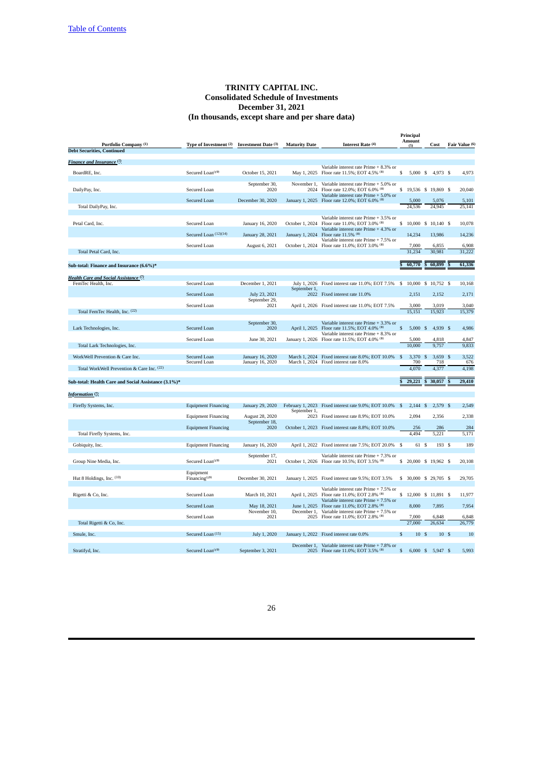|                                                      |                              |                                |                      |                                                                          | Principal     |             |                     |     |                |
|------------------------------------------------------|------------------------------|--------------------------------|----------------------|--------------------------------------------------------------------------|---------------|-------------|---------------------|-----|----------------|
| Portfolio Company (1)                                | Type of Investment (2)       | <b>Investment Date (3)</b>     | <b>Maturity Date</b> | Interest Rate (4)                                                        | Amount<br>(5) |             | Cost                |     | Fair Value (6) |
| <b>Debt Securities, Continued</b>                    |                              |                                |                      |                                                                          |               |             |                     |     |                |
| Finance and Insurance (7)                            |                              |                                |                      |                                                                          |               |             |                     |     |                |
|                                                      |                              |                                |                      | Variable interest rate Prime + 8.3% or                                   |               |             |                     |     |                |
| BoardRE, Inc.                                        | Secured Loan <sup>(19)</sup> | October 15, 2021               |                      | May 1, 2025 Floor rate 11.5%; EOT 4.5% (8)                               | s             | 5,000 S     | 4.973 \$            |     | 4.973          |
|                                                      |                              |                                |                      |                                                                          |               |             |                     |     |                |
|                                                      |                              | September 30,                  | November 1,          | Variable interest rate Prime + 5.0% or                                   |               |             |                     |     |                |
| DailyPay, Inc.                                       | Secured Loan                 | 2020                           | 2024                 | Floor rate 12.0%; EOT 6.0% (8)<br>Variable interest rate Prime + 5.0% or | s             |             | 19,536 \$ 19,869 \$ |     | 20,040         |
|                                                      | Secured Loan                 | December 30, 2020              |                      | January 1, 2025 Floor rate 12.0%; EOT 6.0% (8)                           | 5,000         |             | 5,076               |     | 5,101          |
| Total DailyPay, Inc.                                 |                              |                                |                      |                                                                          | 24,536        |             | 24,945              |     | 25,141         |
|                                                      |                              |                                |                      |                                                                          |               |             |                     |     |                |
| Petal Card, Inc.                                     | Secured Loan                 | January 16, 2020               | October 1, 2024      | Variable interest rate Prime + 3.5% or<br>Floor rate 11.0%; EOT 3.0% (8) | \$            |             | 10,000 \$ 10,140 \$ |     | 10,078         |
|                                                      |                              |                                |                      | Variable interest rate Prime + 4.3% or                                   |               |             |                     |     |                |
|                                                      | Secured Loan (12)(14)        | January 28, 2021               | January 1, 2024      | Floor rate 11.5% (8)                                                     | 14,234        |             | 13,986              |     | 14,236         |
|                                                      |                              |                                |                      | Variable interest rate Prime + 7.5% or                                   |               |             |                     |     |                |
|                                                      | Secured Loan                 | August 6, 2021                 |                      | October 1, 2024 Floor rate 11.0%; EOT 3.0% (8)                           | 7,000         |             | 6,855               |     | 6,908          |
| Total Petal Card, Inc.                               |                              |                                |                      |                                                                          | 31.234        |             | 30,981              |     | 31,222         |
|                                                      |                              |                                |                      |                                                                          | 60,770        | S           | 60,899              |     | 61,336         |
| Sub-total: Finance and Insurance (6.6%)*             |                              |                                |                      |                                                                          |               |             |                     |     |                |
| Health Care and Social Assistance (7)                |                              |                                |                      |                                                                          |               |             |                     |     |                |
| FemTec Health, Inc.                                  | Secured Loan                 | December 1, 2021               |                      | July 1, 2026 Fixed interest rate 11.0%; EOT 7.5% \$ 10,000 \$ 10,752 \$  |               |             |                     |     | 10,168         |
|                                                      |                              |                                | September 1.         |                                                                          |               |             |                     |     |                |
|                                                      | Secured Loan                 | July 23, 2021<br>September 29, |                      | 2022 Fixed interest rate 11.0%                                           | 2,151         |             | 2,152               |     | 2,171          |
|                                                      | Secured Loan                 | 2021                           |                      | April 1, 2026 Fixed interest rate 11.0%; EOT 7.5%                        | 3,000         |             | 3,019               |     | 3,040          |
| Total FemTec Health, Inc. (22)                       |                              |                                |                      |                                                                          | 15,151        |             | 15,923              |     | 15,379         |
|                                                      |                              |                                |                      |                                                                          |               |             |                     |     |                |
|                                                      |                              | September 30,                  |                      | Variable interest rate Prime + 3.3% or                                   |               |             |                     |     |                |
| Lark Technologies, Inc.                              | Secured Loan                 | 2020                           | April 1, 2025        | Floor rate 11.5%; EOT 4.0% (8)<br>Variable interest rate Prime + 8.3% or | \$            | 5,000 S     | 4,939 \$            |     | 4,986          |
|                                                      | Secured Loan                 | June 30, 2021                  | January 1, 2026      | Floor rate 11.5%; EOT 4.0% (8)                                           | 5,000         |             | 4,818               |     | 4,847          |
| Total Lark Technologies, Inc.                        |                              |                                |                      |                                                                          | 10,000        |             | 9,757               |     | 9,833          |
|                                                      |                              |                                |                      |                                                                          |               |             |                     |     |                |
| WorkWell Prevention & Care Inc.                      | Secured Loan                 | January 16, 2020               |                      | March 1, 2024 Fixed interest rate 8.0%; EOT 10.0%                        | $\mathbf{s}$  | 3,370<br>-S | 3,659               |     | 3,522          |
| Total WorkWell Prevention & Care Inc. (22)           | Secured Loan                 | January 16, 2020               |                      | March 1, 2024 Fixed interest rate 8.0%                                   | 4,070         | 700         | 718<br>4,377        |     | 676<br>4,198   |
|                                                      |                              |                                |                      |                                                                          |               |             |                     |     |                |
| Sub-total: Health Care and Social Assistance (3.1%)* |                              |                                |                      |                                                                          | 29,221        |             | 30,057              |     | 29,410         |
|                                                      |                              |                                |                      |                                                                          |               |             |                     |     |                |
| <b>Information</b> <sup>(7)</sup>                    |                              |                                |                      |                                                                          |               |             |                     |     |                |
|                                                      |                              |                                |                      |                                                                          |               |             |                     |     |                |
| Firefly Systems, Inc.                                | <b>Equipment Financing</b>   | January 29, 2020               |                      | February 1, 2023 Fixed interest rate 9.0%; EOT 10.0%                     | - \$          | $2,144$ \$  | 2,579 \$            |     | 2,549          |
|                                                      | <b>Equipment Financing</b>   | August 28, 2020                | September 1,         | 2023 Fixed interest rate 8.9%; EOT 10.0%                                 | 2.094         |             | 2,356               |     | 2,338          |
|                                                      |                              | September 18,                  |                      |                                                                          |               |             |                     |     |                |
|                                                      | <b>Equipment Financing</b>   | 2020                           |                      | October 1, 2023 Fixed interest rate 8.8%; EOT 10.0%                      |               | 256         | 286                 |     | 284            |
| Total Firefly Systems, Inc.                          |                              |                                |                      |                                                                          | 4,494         |             | 5,221               |     | 5,171          |
| Gobiquity, Inc.                                      | <b>Equipment Financing</b>   | January 16, 2020               |                      | April 1, 2022 Fixed interest rate 7.5%; EOT 20.0% \$                     |               | 61 S        | 193 \$              |     | 189            |
|                                                      |                              |                                |                      |                                                                          |               |             |                     |     |                |
|                                                      |                              | September 17,                  |                      | Variable interest rate Prime + 7.3% or                                   |               |             |                     |     |                |
| Group Nine Media, Inc.                               | Secured Loan <sup>(19)</sup> | 2021                           |                      | October 1, 2026 Floor rate 10.5%; EOT 3.5% (8)                           | s             |             | 20,000 \$ 19,962 \$ |     | 20,108         |
|                                                      | Equipment                    |                                |                      |                                                                          |               |             |                     |     |                |
| Hut 8 Holdings, Inc. $(10)$                          | Financing $(19)$             | December 30, 2021              |                      | January 1, 2025 Fixed interest rate 9.5%; EOT 3.5%                       | S.            |             | 30,000 \$ 29,705 \$ |     | 29,705         |
|                                                      |                              |                                |                      |                                                                          |               |             |                     |     |                |
|                                                      |                              |                                |                      | Variable interest rate Prime + 7.5% or                                   |               |             |                     |     |                |
| Rigetti & Co, Inc.                                   | Secured Loan                 | March 10, 2021                 | April 1, 2025        | Floor rate 11.0%; EOT 2.8% (8)<br>Variable interest rate Prime + 7.5% or | \$            |             | 12,000 \$ 11,891 \$ |     | 11,977         |
|                                                      | Secured Loan                 | May 18, 2021                   | June 1, 2025         | Floor rate 11.0%; EOT 2.8% (8)                                           | 8,000         |             | 7,895               |     | 7,954          |
|                                                      |                              | November 10,                   | December 1,          | Variable interest rate Prime + 7.5% or                                   |               |             |                     |     |                |
|                                                      | Secured Loan                 | 2021                           |                      | 2025 Floor rate 11.0%; EOT 2.8% (8)                                      | 7,000         |             | 6,848               |     | 6,848          |
| Total Rigetti & Co, Inc.                             |                              |                                |                      |                                                                          | 27,000        |             | 26.634              |     | 26,779         |
| Smule, Inc.                                          | Secured Loan (15)            | July 1, 2020                   |                      | January 1, 2022 Fixed interest rate 0.0%                                 | S             | 10S         |                     | 10S | 10             |
|                                                      |                              |                                |                      |                                                                          |               |             |                     |     |                |
|                                                      |                              |                                | December 1,          | Variable interest rate Prime + 7.8% or                                   |               |             |                     |     |                |
| Stratifyd, Inc.                                      | Secured Loan <sup>(19)</sup> | September 3, 2021              |                      | 2025 Floor rate 11.0%; EOT 3.5% (8)                                      | \$            | $6,000$ \$  | 5,947 \$            |     | 5,993          |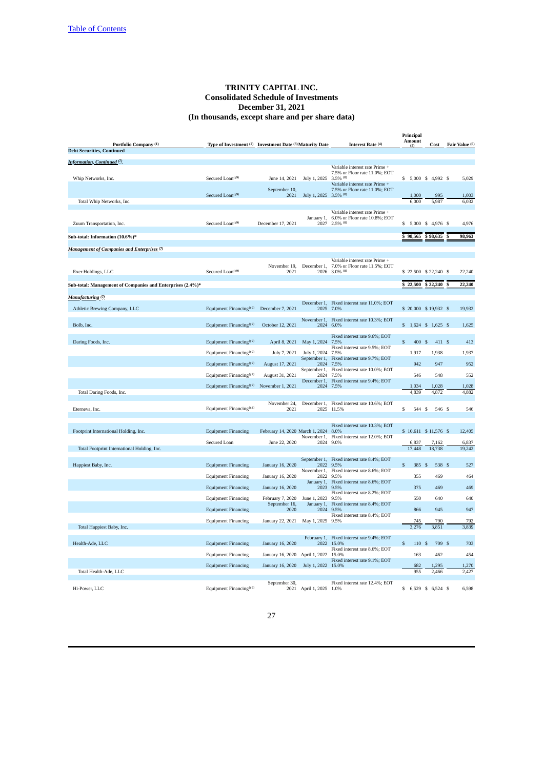| Portfolio Company (1)                                         | Type of Investment (2) Investment Date (3) Maturity Date |                                 |                       | Interest Rate (4)                                               | Principal<br>Amount<br>(5) | Cost                   | Fair Value (6) |
|---------------------------------------------------------------|----------------------------------------------------------|---------------------------------|-----------------------|-----------------------------------------------------------------|----------------------------|------------------------|----------------|
| <b>Debt Securities, Continued</b>                             |                                                          |                                 |                       |                                                                 |                            |                        |                |
| Information, Continued <sup>(7)</sup>                         |                                                          |                                 |                       |                                                                 |                            |                        |                |
|                                                               |                                                          |                                 |                       | Variable interest rate Prime +                                  |                            |                        |                |
| Whip Networks, Inc.                                           | Secured Loan <sup>(19)</sup>                             | June 14, 2021                   | July 1, 2025          | 7.5% or Floor rate 11.0%; EOT<br>$3.5\%$ <sup>(8)</sup>         | \$ 5,000 \$ 4,992 \$       |                        | 5,029          |
|                                                               |                                                          |                                 |                       | Variable interest rate Prime +                                  |                            |                        |                |
|                                                               | Secured Loan <sup>(19)</sup>                             | September 10,<br>2021           | July 1, 2025 3.5% (8) | 7.5% or Floor rate 11.0%; EOT                                   | 1,000                      | 995                    | 1,003          |
| Total Whip Networks, Inc.                                     |                                                          |                                 |                       |                                                                 | 6,000                      | 5,987                  | 6,032          |
|                                                               |                                                          |                                 |                       |                                                                 |                            |                        |                |
|                                                               |                                                          |                                 |                       | Variable interest rate Prime +<br>6.0% or Floor rate 10.8%; EOT |                            |                        |                |
| Zuum Transportation, Inc.                                     | Secured Loan <sup>(19)</sup>                             | December 17, 2021               | January 1,<br>2027    | $2.5\%$ (8)                                                     | \$                         | 5,000 \$ 4,976 \$      | 4,976          |
|                                                               |                                                          |                                 |                       |                                                                 |                            |                        |                |
| Sub-total: Information (10.6%)*                               |                                                          |                                 |                       |                                                                 | 98,565                     | \$98,635               | 98,963         |
|                                                               |                                                          |                                 |                       |                                                                 |                            |                        |                |
| <b>Management of Companies and Enterprises</b> <sup>(7)</sup> |                                                          |                                 |                       |                                                                 |                            |                        |                |
|                                                               |                                                          |                                 |                       | Variable interest rate Prime +                                  |                            |                        |                |
| Exer Holdings, LLC                                            | Secured Loan <sup>(19)</sup>                             | November 19,<br>2021            | December 1,<br>2026   | 7.0% or Floor rate 11.5%; EOT<br>$3.0\%$ <sup>(8)</sup>         | \$22,500 \$22,240 \$       |                        | 22,240         |
|                                                               |                                                          |                                 |                       |                                                                 |                            |                        |                |
| Sub-total: Management of Companies and Enterprises (2.4%)*    |                                                          |                                 |                       |                                                                 | \$22,500                   | \$22,240               | 22,240         |
|                                                               |                                                          |                                 |                       |                                                                 |                            |                        |                |
| Manufacturing <sup>(7)</sup>                                  |                                                          |                                 |                       | December 1, Fixed interest rate 11.0%; EOT                      |                            |                        |                |
| Athletic Brewing Company, LLC                                 | Equipment Financing <sup>(19)</sup> December 7, 2021     |                                 | 2025                  | 7.0%                                                            | \$ 20,000 \$ 19,932 \$     |                        | 19,932         |
|                                                               |                                                          |                                 |                       |                                                                 |                            |                        |                |
| Bolb, Inc.                                                    | Equipment Financing <sup>(19)</sup>                      | October 12, 2021                | November 1,<br>2024   | Fixed interest rate 10.3%; EOT<br>6.0%                          | $$1,624$ \$ 1,625 \$       |                        | 1,625          |
|                                                               |                                                          |                                 |                       |                                                                 |                            |                        |                |
|                                                               |                                                          |                                 |                       | Fixed interest rate 9.6%; EOT                                   |                            |                        |                |
| Daring Foods, Inc.                                            | Equipment Financing <sup>(19)</sup>                      | April 8, 2021                   | May 1, 2024           | 7.5%<br>Fixed interest rate 9.5%; EOT                           | 400<br>\$                  | 411 \$<br>$\mathbb{S}$ | 413            |
|                                                               | Equipment Financing <sup>(19)</sup>                      | July 7, 2021                    | July 1, 2024          | 7.5%                                                            | 1.917                      | 1,938                  | 1,937          |
|                                                               |                                                          |                                 | September 1,          | Fixed interest rate 9.7%; EOT                                   |                            |                        |                |
|                                                               | Equipment Financing <sup>(19)</sup>                      | August 17, 2021                 | 2024<br>September 1,  | 7.5%<br>Fixed interest rate 10.0%; EOT                          | 942                        | 947                    | 952            |
|                                                               | Equipment Financing <sup>(19)</sup>                      | August 31, 2021                 | 2024                  | 7.5%                                                            | 546                        | 548                    | 552            |
|                                                               |                                                          |                                 | December 1,           | Fixed interest rate 9.4%; EOT<br>2024 7.5%                      | 1,034                      | 1,028                  | 1,028          |
| Total Daring Foods, Inc.                                      | Equipment Financing <sup>(19)</sup>                      | November 1, 2021                |                       |                                                                 | 4,839                      | 4,872                  | 4,882          |
|                                                               |                                                          |                                 |                       |                                                                 |                            |                        |                |
| Eterneva, Inc.                                                | Equipment Financing <sup>(14)</sup>                      | November 24,<br>2021            |                       | December 1, Fixed interest rate 10.6%; EOT<br>2025 11.5%        | \$<br>544 \$               | 546 \$                 | 546            |
|                                                               |                                                          |                                 |                       |                                                                 |                            |                        |                |
|                                                               |                                                          |                                 |                       |                                                                 |                            |                        |                |
| Footprint International Holding, Inc.                         | <b>Equipment Financing</b>                               | February 14, 2020 March 1, 2024 |                       | Fixed interest rate 10.3%; EOT<br>8.0%                          | \$10,611 \$11,576 \$       |                        | 12,405         |
|                                                               |                                                          |                                 | November 1,           | Fixed interest rate 12.0%; EOT                                  |                            |                        |                |
|                                                               | Secured Loan                                             | June 22, 2020                   | 2024                  | 9.0%                                                            | 6.837                      | 7,162                  | 6,837          |
| Total Footprint International Holding, Inc.                   |                                                          |                                 |                       |                                                                 | 17,448                     | 18,738                 | 19,242         |
|                                                               |                                                          |                                 |                       | September 1, Fixed interest rate 8.4%; EOT                      |                            |                        |                |
| Happiest Baby, Inc.                                           | <b>Equipment Financing</b>                               | January 16, 2020                |                       | 2022 9.5%                                                       | \$<br>385 \$               | 538 \$                 | 527            |
|                                                               | <b>Equipment Financing</b>                               | January 16, 2020                | November 1,<br>2022   | Fixed interest rate 8.6%; EOT<br>9.5%                           | 355                        | 469                    | 464            |
|                                                               |                                                          |                                 | January 1,            | Fixed interest rate 8.6%; EOT                                   |                            |                        |                |
|                                                               | <b>Equipment Financing</b>                               | January 16, 2020                | 2023                  | 9.5%                                                            | 375                        | 469                    | 469            |
|                                                               | <b>Equipment Financing</b>                               | February 7, 2020                | June 1, 2023          | Fixed interest rate 8.2%; EOT<br>9.5%                           | 550                        | 640                    | 640            |
|                                                               |                                                          | September 16,                   | January 1,            | Fixed interest rate 8.4%; EOT                                   |                            |                        |                |
|                                                               | <b>Equipment Financing</b>                               | 2020                            | 2024                  | 9.5%                                                            | 866                        | 945                    | 947            |
|                                                               | <b>Equipment Financing</b>                               | January 22, 2021                | May 1, 2025 9.5%      | Fixed interest rate 8.4%; EOT                                   | 745                        | 790                    | 792            |
| Total Happiest Baby, Inc.                                     |                                                          |                                 |                       |                                                                 | 3,276                      | 3,851                  | 3,839          |
|                                                               |                                                          |                                 |                       |                                                                 |                            |                        |                |
| Health-Ade, LLC                                               | <b>Equipment Financing</b>                               | January 16, 2020                | February 1,<br>2022   | Fixed interest rate 9.4%; EOT<br>15.0%                          | \$<br>110 \$               | 709 \$                 | 703            |
|                                                               |                                                          |                                 |                       | Fixed interest rate 8.6%; EOT                                   |                            |                        |                |
|                                                               | <b>Equipment Financing</b>                               | January 16, 2020                | April 1, 2022         | 15.0%                                                           | 163                        | 462                    | 454            |
|                                                               | <b>Equipment Financing</b>                               | January 16, 2020                | July 1, 2022 15.0%    | Fixed interest rate 9.1%; EOT                                   | 682                        | 1,295                  | 1,270          |
| Total Health-Ade, LLC                                         |                                                          |                                 |                       |                                                                 | 955                        | 2,466                  | 2,427          |
|                                                               |                                                          | September 30,                   |                       | Fixed interest rate 12.4%; EOT                                  |                            |                        |                |
| Hi-Power, LLC                                                 | Equipment Financing <sup>(19)</sup>                      | 2021                            | April 1, 2025 1.0%    |                                                                 | \$                         | 6,529 \$ 6,524 \$      | 6,598          |
|                                                               |                                                          |                                 |                       |                                                                 |                            |                        |                |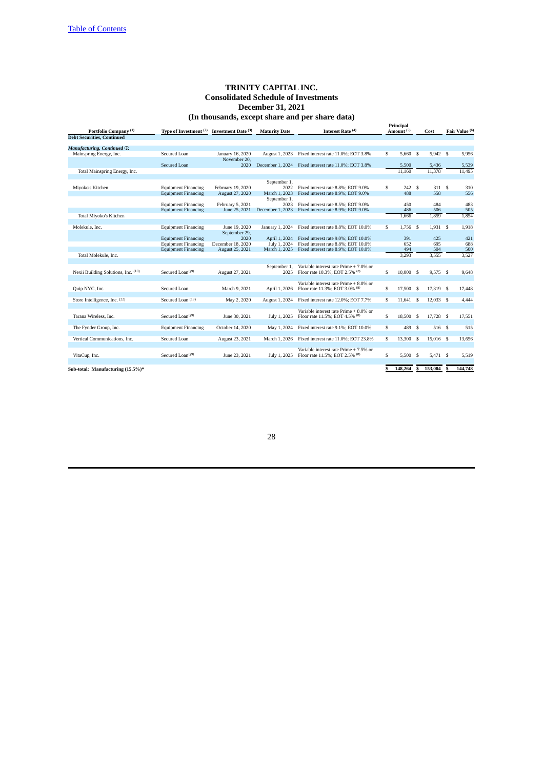| Portfolio Company <sup>(1)</sup>    | Type of Investment <sup>(2)</sup> Investment Date <sup>(3)</sup> |                   | <b>Maturity Date</b> | Interest Rate (4)                      |    | Principal<br>Amount <sup>(5)</sup> |      | Cost       |   | Fair Value (6) |
|-------------------------------------|------------------------------------------------------------------|-------------------|----------------------|----------------------------------------|----|------------------------------------|------|------------|---|----------------|
| <b>Debt Securities, Continued</b>   |                                                                  |                   |                      |                                        |    |                                    |      |            |   |                |
| Manufacturing, Continued (7)        |                                                                  |                   |                      |                                        |    |                                    |      |            |   |                |
| Mainspring Energy, Inc.             | <b>Secured Loan</b>                                              | January 16, 2020  | August 1, 2023       | Fixed interest rate 11.0%: EOT 3.8%    | \$ | 5.660                              | - S  | $5,942$ \$ |   | 5.956          |
|                                     |                                                                  | November 20.      |                      |                                        |    |                                    |      |            |   |                |
|                                     | <b>Secured Loan</b>                                              | 2020              | December 1, 2024     | Fixed interest rate 11.0%; EOT 3.8%    |    | 5,500                              |      | 5,436      |   | 5,539          |
| Total Mainspring Energy, Inc.       |                                                                  |                   |                      |                                        |    | 11.160                             |      | 11,378     |   | 11,495         |
|                                     |                                                                  |                   |                      |                                        |    |                                    |      |            |   |                |
|                                     |                                                                  |                   | September 1,         |                                        |    |                                    |      |            |   |                |
| Miyoko's Kitchen                    | <b>Equipment Financing</b>                                       | February 19, 2020 | 2022                 | Fixed interest rate 8.8%; EOT 9.0%     | \$ | 242 S                              |      | 311 S      |   | 310            |
|                                     | <b>Equipment Financing</b>                                       | August 27, 2020   | March 1, 2023        | Fixed interest rate 8.9%; EOT 9.0%     |    | 488                                |      | 558        |   | 556            |
|                                     |                                                                  |                   | September 1,         |                                        |    |                                    |      |            |   |                |
|                                     | <b>Equipment Financing</b>                                       | February 5, 2021  | 2023                 | Fixed interest rate 8.5%: EOT 9.0%     |    | 450                                |      | 484        |   | 483            |
|                                     | <b>Equipment Financing</b>                                       | June 25, 2021     | December 1, 2023     | Fixed interest rate 8.9%; EOT 9.0%     |    | 486                                |      | 506        |   | 505            |
| Total Miyoko's Kitchen              |                                                                  |                   |                      |                                        |    | 1,666                              |      | 1,859      |   | 1,854          |
|                                     |                                                                  |                   |                      |                                        |    |                                    |      |            |   |                |
| Molekule, Inc.                      | <b>Equipment Financing</b>                                       | June 19, 2020     | January 1, 2024      | Fixed interest rate 8.8%; EOT 10.0%    | \$ | 1,756                              | - \$ | $1,931$ \$ |   | 1,918          |
|                                     |                                                                  | September 29,     |                      |                                        |    |                                    |      |            |   |                |
|                                     | <b>Equipment Financing</b>                                       | 2020              | April 1, 2024        | Fixed interest rate 9.0%; EOT 10.0%    |    | 391                                |      | 425        |   | 421            |
|                                     | <b>Equipment Financing</b>                                       | December 18, 2020 | July 1, 2024         | Fixed interest rate 8.8%; EOT 10.0%    |    | 652                                |      | 695        |   | 688            |
|                                     | <b>Equipment Financing</b>                                       | August 25, 2021   | March 1, 2025        | Fixed interest rate 8.9%; EOT 10.0%    |    | 494                                |      | 504        |   | 500            |
| Total Molekule, Inc.                |                                                                  |                   |                      |                                        |    | 3,293                              |      | 3,555      |   | 3,527          |
|                                     |                                                                  |                   |                      |                                        |    |                                    |      |            |   |                |
|                                     |                                                                  |                   | September 1.         | Variable interest rate Prime + 7.0% or |    |                                    |      |            |   |                |
| Nexii Building Solutions, Inc. (10) | Secured Loan <sup>(19)</sup>                                     | August 27, 2021   | 2025                 | Floor rate 10.3%; EOT 2.5% (8)         | \$ | 10,000 S                           |      | 9.575 \$   |   | 9.648          |
|                                     |                                                                  |                   |                      | Variable interest rate Prime + 8.0% or |    |                                    |      |            |   |                |
| Quip NYC, Inc.                      | Secured Loan                                                     | March 9, 2021     | April 1, 2026        | Floor rate 11.3%; EOT 3.0% (8)         | \$ | 17,500                             | -\$  | 17,319 \$  |   | 17,448         |
|                                     |                                                                  |                   |                      |                                        |    |                                    |      |            |   |                |
| Store Intelligence, Inc. (22)       | Secured Loan (18)                                                | May 2, 2020       | August 1, 2024       | Fixed interest rate 12.0%; EOT 7.7%    | \$ | 11.641                             | \$   | 12.033S    |   | 4,444          |
|                                     |                                                                  |                   |                      |                                        |    |                                    |      |            |   |                |
|                                     |                                                                  |                   |                      | Variable interest rate Prime + 8.0% or |    |                                    |      |            |   |                |
| Tarana Wireless, Inc.               | Secured Loan <sup>(19)</sup>                                     | June 30, 2021     | July 1, 2025         | Floor rate 11.5%; EOT 4.5% (8)         | \$ | 18,500                             | -S   | 17,728 \$  |   | 17,551         |
|                                     |                                                                  |                   |                      |                                        |    |                                    |      |            |   |                |
| The Fynder Group, Inc.              | <b>Equipment Financing</b>                                       | October 14, 2020  | May 1, 2024          | Fixed interest rate 9.1%; EOT 10.0%    | \$ | 489                                | -S   | 516S       |   | 515            |
|                                     |                                                                  |                   |                      |                                        |    |                                    |      |            |   |                |
| Vertical Communications, Inc.       | Secured Loan                                                     | August 23, 2021   | March 1, 2026        | Fixed interest rate 11.0%; EOT 23.8%   | \$ | 13,300                             | -\$  | 15,016 \$  |   | 13,656         |
|                                     |                                                                  |                   |                      |                                        |    |                                    |      |            |   |                |
|                                     |                                                                  |                   |                      | Variable interest rate Prime + 7.5% or |    |                                    |      |            |   |                |
| VitaCup, Inc.                       | Secured Loan <sup>(19)</sup>                                     | June 23, 2021     | July 1, 2025         | Floor rate 11.5%; EOT 2.5% (8)         | \$ | 5,500                              | -\$  | 5,471 \$   |   | 5,519          |
|                                     |                                                                  |                   |                      |                                        |    |                                    |      |            |   |                |
| Sub-total: Manufacturing (15.5%)*   |                                                                  |                   |                      |                                        | s  | 148,264                            | S    | 153,004    | S | 144,748        |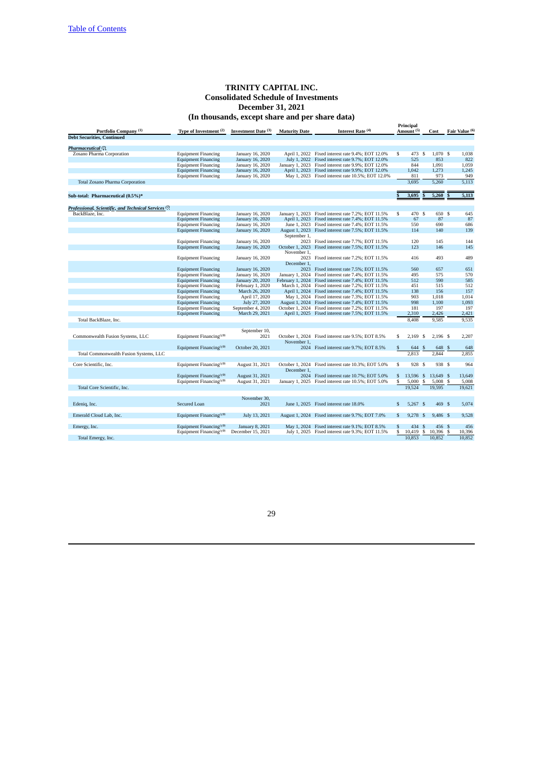| Portfolio Company <sup>(1)</sup>                                | Type of Investment <sup>(2)</sup>   | Investment Date (3) | <b>Maturity Date</b> | Interest Rate (4)                                    |                         | Principal<br>Amount <sup>(5)</sup> |    | Cost       |              | Fair Value (6) |
|-----------------------------------------------------------------|-------------------------------------|---------------------|----------------------|------------------------------------------------------|-------------------------|------------------------------------|----|------------|--------------|----------------|
| <b>Debt Securities, Continued</b>                               |                                     |                     |                      |                                                      |                         |                                    |    |            |              |                |
| Pharmaceutical <sup>(7)</sup>                                   |                                     |                     |                      |                                                      |                         |                                    |    |            |              |                |
| Zosano Pharma Corporation                                       | <b>Equipment Financing</b>          | January 16, 2020    |                      | April 1, 2022 Fixed interest rate 9.4%; EOT 12.0%    | S                       | 473 \$                             |    | 1,070 \$   |              | 1,038          |
|                                                                 | <b>Equipment Financing</b>          | January 16, 2020    |                      | July 1, 2022 Fixed interest rate 9.7%; EOT 12.0%     |                         | 525                                |    | 853        |              |                |
|                                                                 |                                     |                     |                      |                                                      |                         | 844                                |    |            |              | 822            |
|                                                                 | <b>Equipment Financing</b>          | January 16, 2020    |                      | January 1, 2023 Fixed interest rate 9.9%; EOT 12.0%  |                         |                                    |    | 1,091      |              | 1,059          |
|                                                                 | <b>Equipment Financing</b>          | January 16, 2020    |                      | April 1, 2023 Fixed interest rate 9.9%; EOT 12.0%    |                         | 1,042                              |    | 1,273      |              | 1,245          |
|                                                                 | <b>Equipment Financing</b>          | January 16, 2020    |                      | May 1, 2023 Fixed interest rate 10.5%; EOT 12.0%     |                         | 811                                |    | 973        |              | 949            |
| <b>Total Zosano Pharma Corporation</b>                          |                                     |                     |                      |                                                      |                         | 3.695                              |    | 5,260      |              | 5,113          |
| Sub-total: Pharmaceutical (0.5%)*                               |                                     |                     |                      |                                                      | $\overline{\mathbf{s}}$ | 3,695                              |    | 5,260      | $\mathbf{s}$ | 5,113          |
|                                                                 |                                     |                     |                      |                                                      |                         |                                    |    |            |              |                |
| Professional, Scientific, and Technical Services <sup>(7)</sup> |                                     |                     |                      |                                                      |                         |                                    |    |            |              |                |
| BackBlaze, Inc.                                                 | <b>Equipment Financing</b>          | January 16, 2020    |                      | January 1, 2023 Fixed interest rate 7.2%; EOT 11.5%  | \$                      | 470 \$                             |    | 650 \$     |              | 645            |
|                                                                 | <b>Equipment Financing</b>          | January 16, 2020    |                      | April 1, 2023 Fixed interest rate 7.4%; EOT 11.5%    |                         | 67                                 |    | 87         |              | 87             |
|                                                                 | <b>Equipment Financing</b>          | January 16, 2020    |                      | June 1, 2023 Fixed interest rate 7.4%; EOT 11.5%     |                         | 550                                |    | 690        |              | 686            |
|                                                                 | <b>Equipment Financing</b>          | January 16, 2020    | September 1,         | August 1, 2023 Fixed interest rate 7.5%; EOT 11.5%   |                         | 114                                |    | 140        |              | 139            |
|                                                                 | <b>Equipment Financing</b>          | January 16, 2020    |                      | 2023 Fixed interest rate 7.7%; EOT 11.5%             |                         | 120                                |    | 145        |              | 144            |
|                                                                 | <b>Equipment Financing</b>          | January 16, 2020    |                      | October 1, 2023 Fixed interest rate 7.5%; EOT 11.5%  |                         | 123                                |    | 146        |              | 145            |
|                                                                 |                                     |                     | November 1,          |                                                      |                         |                                    |    |            |              |                |
|                                                                 | <b>Equipment Financing</b>          | January 16, 2020    |                      | 2023 Fixed interest rate 7.2%; EOT 11.5%             |                         | 416                                |    | 493        |              | 489            |
|                                                                 |                                     |                     | December 1,          |                                                      |                         |                                    |    |            |              |                |
|                                                                 | <b>Equipment Financing</b>          | January 16, 2020    |                      | 2023 Fixed interest rate 7.5%; EOT 11.5%             |                         | 560                                |    | 657        |              | 651            |
|                                                                 | <b>Equipment Financing</b>          | January 16, 2020    |                      | January 1, 2024 Fixed interest rate 7.4%; EOT 11.5%  |                         | 495                                |    | 575        |              | 570            |
|                                                                 | <b>Equipment Financing</b>          | January 20, 2020    |                      | February 1, 2024 Fixed interest rate 7.4%; EOT 11.5% |                         | 512                                |    | 590        |              | 585            |
|                                                                 | <b>Equipment Financing</b>          | February 1, 2020    |                      | March 1, 2024 Fixed interest rate 7.2%; EOT 11.5%    |                         | 451                                |    | 515        |              | 512            |
|                                                                 | <b>Equipment Financing</b>          | March 26, 2020      |                      | April 1, 2024 Fixed interest rate 7.4%; EOT 11.5%    |                         | 138                                |    | 156        |              | 157            |
|                                                                 | <b>Equipment Financing</b>          | April 17, 2020      |                      | May 1, 2024 Fixed interest rate 7.3%; EOT 11.5%      |                         | 903                                |    | 1,018      |              | 1,014          |
|                                                                 |                                     |                     |                      |                                                      |                         | 998                                |    | 1,100      |              | 1,093          |
|                                                                 | <b>Equipment Financing</b>          | July 27, 2020       |                      | August 1, 2024 Fixed interest rate 7.4%; EOT 11.5%   |                         |                                    |    |            |              |                |
|                                                                 | <b>Equipment Financing</b>          | September 4, 2020   |                      | October 1, 2024 Fixed interest rate 7.2%; EOT 11.5%  |                         | 181                                |    | 197        |              | 197            |
|                                                                 | <b>Equipment Financing</b>          | March 29, 2021      |                      | April 1, 2025 Fixed interest rate 7.5%; EOT 11.5%    |                         | 2,310                              |    | 2,426      |              | 2,421          |
| Total BackBlaze, Inc.                                           |                                     |                     |                      |                                                      |                         | 8,408                              |    | 9,585      |              | 9,535          |
|                                                                 |                                     | September 10,       |                      |                                                      |                         |                                    |    |            |              |                |
| Commonwealth Fusion Systems, LLC                                | Equipment Financing <sup>(19)</sup> | 2021                |                      | October 1, 2024 Fixed interest rate 9.5%; EOT 8.5%   | S                       | 2.169S                             |    | 2.196S     |              | 2,207          |
|                                                                 |                                     |                     | November 1,          |                                                      |                         |                                    |    |            |              |                |
|                                                                 | Equipment Financing <sup>(19)</sup> | October 20, 2021    |                      | 2024 Fixed interest rate 9.7%; EOT 8.5%              | \$                      | 644                                |    | 648 \$     |              | 648            |
| Total Commonwealth Fusion Systems, LLC                          |                                     |                     |                      |                                                      |                         | 2.813                              |    | 2.844      |              | 2.855          |
|                                                                 |                                     |                     |                      |                                                      |                         |                                    |    |            |              |                |
| Core Scientific, Inc.                                           | Equipment Financing <sup>(19)</sup> | August 31, 2021     |                      | October 1, 2024 Fixed interest rate 10.3%; EOT 5.0%  | \$                      | 928S                               |    | 938 \$     |              | 964            |
|                                                                 |                                     |                     | December 1.          |                                                      |                         |                                    |    |            |              |                |
|                                                                 | Equipment Financing <sup>(19)</sup> | August 31, 2021     |                      | 2024 Fixed interest rate 10.7%; EOT 5.0%             | \$                      | 13,596 \$                          |    | 13,649 \$  |              | 13,649         |
|                                                                 | Equipment Financing <sup>(19)</sup> | August 31, 2021     |                      | January 1, 2025 Fixed interest rate 10.5%; EOT 5.0%  | $\overline{\mathbb{S}}$ | $5,000$ \$                         |    | $5,008$ \$ |              | 5,008          |
| Total Core Scientific, Inc.                                     |                                     |                     |                      |                                                      |                         | 19,524                             |    | 19,595     |              | 19,621         |
|                                                                 |                                     | November 30,        |                      |                                                      |                         |                                    |    |            |              |                |
|                                                                 | <b>Secured Loan</b>                 | 2021                |                      |                                                      | S                       |                                    |    |            |              |                |
| Edeniq, Inc.                                                    |                                     |                     |                      | June 1, 2025 Fixed interest rate 18.0%               |                         | $5,267$ \$                         |    | 469 \$     |              | 5,074          |
|                                                                 | Equipment Financing <sup>(19)</sup> | July 13, 2021       |                      | August 1, 2024 Fixed interest rate 9.7%; EOT 7.0%    |                         | $9,278$ \$                         |    | 9,486 \$   |              | 9,528          |
| Emerald Cloud Lab, Inc.                                         |                                     |                     |                      |                                                      | \$                      |                                    |    |            |              |                |
| Emergy, Inc.                                                    | Equipment Financing <sup>(19)</sup> | January 8, 2021     |                      | May 1, 2024 Fixed interest rate 9.1%; EOT 8.5%       | \$                      | 434 \$                             |    | 456 \$     |              | 456            |
|                                                                 | Equipment Financing <sup>(19)</sup> |                     |                      |                                                      |                         | 10,419                             |    |            | \$           | 10,396         |
|                                                                 |                                     | December 15, 2021   |                      | July 1, 2025 Fixed interest rate 9.3%; EOT 11.5%     | \$                      |                                    | -S | 10,396     |              |                |
| Total Emergy, Inc.                                              |                                     |                     |                      |                                                      |                         | 10.853                             |    | 10.852     |              | 10.852         |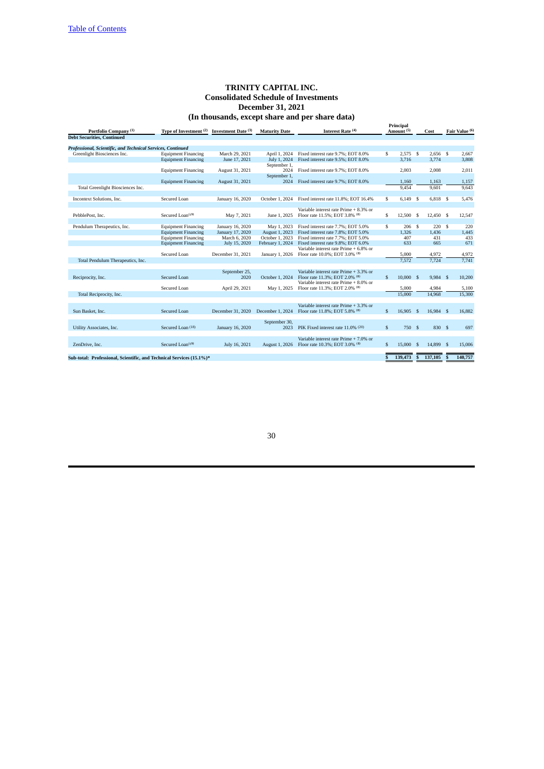| Portfolio Company <sup>(1)</sup>                                     | Interest Rate (4)<br>Type of Investment (2) Investment Date (3)<br><b>Maturity Date</b> |                   | Principal<br>Amount <sup>(5)</sup> |                                                 | Cost |            |              | Fair Value (6) |     |         |
|----------------------------------------------------------------------|-----------------------------------------------------------------------------------------|-------------------|------------------------------------|-------------------------------------------------|------|------------|--------------|----------------|-----|---------|
| <b>Debt Securities, Continued</b>                                    |                                                                                         |                   |                                    |                                                 |      |            |              |                |     |         |
|                                                                      |                                                                                         |                   |                                    |                                                 |      |            |              |                |     |         |
| Professional, Scientific, and Technical Services, Continued          |                                                                                         |                   |                                    |                                                 |      |            |              |                |     |         |
| Greenlight Biosciences Inc.                                          | <b>Equipment Financing</b>                                                              | March 29, 2021    | April 1, 2024                      | Fixed interest rate 9.7%: EOT 8.0%              | \$   | 2.575S     |              | 2.656S         |     | 2,667   |
|                                                                      | <b>Equipment Financing</b>                                                              | June 17, 2021     | July 1, 2024                       | Fixed interest rate 9.5%; EOT 8.0%              |      | 3.716      |              | 3,774          |     | 3,808   |
|                                                                      |                                                                                         |                   | September 1,                       |                                                 |      |            |              |                |     |         |
|                                                                      | <b>Equipment Financing</b>                                                              | August 31, 2021   | 2024                               | Fixed interest rate 9.7%; EOT 8.0%              |      | 2,003      |              | 2,008          |     | 2,011   |
|                                                                      |                                                                                         |                   | September 1,                       |                                                 |      |            |              |                |     |         |
|                                                                      | <b>Equipment Financing</b>                                                              | August 31, 2021   | 2024                               | Fixed interest rate 9.7%; EOT 8.0%              |      | 1,160      |              | 1,163          |     | 1,157   |
| Total Greenlight Biosciences Inc.                                    |                                                                                         |                   |                                    |                                                 |      | 9.454      |              | 9.601          |     | 9.643   |
|                                                                      |                                                                                         |                   |                                    |                                                 |      |            |              |                |     |         |
| Incontext Solutions, Inc.                                            | <b>Secured Loan</b>                                                                     | January 16, 2020  | October 1, 2024                    | Fixed interest rate 11.8%; EOT 16.4%            | \$   | $6,149$ \$ |              | $6,818$ \$     |     | 5,476   |
|                                                                      |                                                                                         |                   |                                    |                                                 |      |            |              |                |     |         |
|                                                                      |                                                                                         |                   |                                    | Variable interest rate Prime + 8.3% or          |      |            |              |                |     |         |
| PebblePost, Inc.                                                     | Secured Loan <sup>(19)</sup>                                                            | May 7, 2021       | June 1, 2025                       | Floor rate 11.5%; EOT 3.8% (8)                  | \$   | 12,500     | Ŝ.           | 12.450 \$      |     | 12,547  |
|                                                                      |                                                                                         |                   |                                    |                                                 |      |            |              |                |     |         |
| Pendulum Therapeutics, Inc.                                          | <b>Equipment Financing</b>                                                              | January 16, 2020  | May 1, 2023                        | Fixed interest rate 7.7%; EOT 5.0%              | \$   | 206        | -S           | 220S           |     | 220     |
|                                                                      | <b>Equipment Financing</b>                                                              | January 17, 2020  | August 1, 2023                     | Fixed interest rate 7.8%; EOT 5.0%              |      | 1.326      |              | 1,436          |     | 1,445   |
|                                                                      | <b>Equipment Financing</b>                                                              | March 6, 2020     | October 1, 2023                    | Fixed interest rate 7.7%; EOT 5.0%              |      | 407        |              | 431            |     | 433     |
|                                                                      | <b>Equipment Financing</b>                                                              | July 15, 2020     | February 1, 2024                   | Fixed interest rate 9.8%: EOT 6.0%              |      | 633        |              | 665            |     | 671     |
|                                                                      |                                                                                         |                   |                                    | Variable interest rate Prime + 6.8% or          |      |            |              |                |     |         |
|                                                                      |                                                                                         |                   |                                    |                                                 |      |            |              |                |     |         |
|                                                                      | Secured Loan                                                                            | December 31, 2021 | January 1, 2026                    | Floor rate 10.0%; EOT 3.0% (8)                  |      | 5.000      |              | 4,972          |     | 4,972   |
| Total Pendulum Therapeutics, Inc.                                    |                                                                                         |                   |                                    |                                                 |      | 7.572      |              | 7.724          |     | 7.741   |
|                                                                      |                                                                                         |                   |                                    |                                                 |      |            |              |                |     |         |
|                                                                      |                                                                                         | September 25,     |                                    | Variable interest rate Prime + 3.3% or          |      |            |              |                |     |         |
| Reciprocity, Inc.                                                    | Secured Loan                                                                            | 2020              | October 1, 2024                    | Floor rate 11.3%; EOT 2.0% (8)                  | \$   | 10,000 S   |              | 9.984 S        |     | 10,200  |
|                                                                      |                                                                                         |                   |                                    | Variable interest rate Prime + 8.0% or          |      |            |              |                |     |         |
|                                                                      | Secured Loan                                                                            | April 29, 2021    | May 1, 2025                        | Floor rate 11.3%; EOT 2.0% (8)                  |      | 5.000      |              | 4.984          |     | 5,100   |
| Total Reciprocity, Inc.                                              |                                                                                         |                   |                                    |                                                 |      | 15,000     |              | 14,968         |     | 15,300  |
|                                                                      |                                                                                         |                   |                                    |                                                 |      |            |              |                |     |         |
|                                                                      |                                                                                         |                   |                                    | Variable interest rate Prime + 3.3% or          |      |            |              |                |     |         |
| Sun Basket, Inc.                                                     | Secured Loan                                                                            | December 31, 2020 |                                    | December 1, 2024 Floor rate 11.8%; EOT 5.8% (8) | \$   | 16.905     | -S           | 16.984 \$      |     | 16.882  |
|                                                                      |                                                                                         |                   |                                    |                                                 |      |            |              |                |     |         |
|                                                                      |                                                                                         |                   | September 30,                      |                                                 |      |            |              |                |     |         |
| Utility Associates, Inc.                                             | Secured Loan (18)                                                                       | January 16, 2020  | 2023                               | PIK Fixed interest rate 11.0% (20)              | \$   | 750 \$     |              | 830 S          |     | 697     |
|                                                                      |                                                                                         |                   |                                    |                                                 |      |            |              |                |     |         |
|                                                                      |                                                                                         |                   |                                    | Variable interest rate Prime + 7.0% or          |      |            |              |                |     |         |
| ZenDrive, Inc.                                                       | Secured Loan <sup>(19)</sup>                                                            | July 16, 2021     | <b>August 1, 2026</b>              | Floor rate 10.3%; EOT 3.0% (8)                  | \$   | 15,000     | -S           | 14.899         | - S | 15,006  |
|                                                                      |                                                                                         |                   |                                    |                                                 |      |            |              |                |     |         |
|                                                                      |                                                                                         |                   |                                    |                                                 |      |            |              |                |     |         |
| Sub-total: Professional, Scientific, and Technical Services (15.1%)* |                                                                                         |                   |                                    |                                                 | \$   | 139,473    | $\mathbf{s}$ | 137,105        | S   | 140,757 |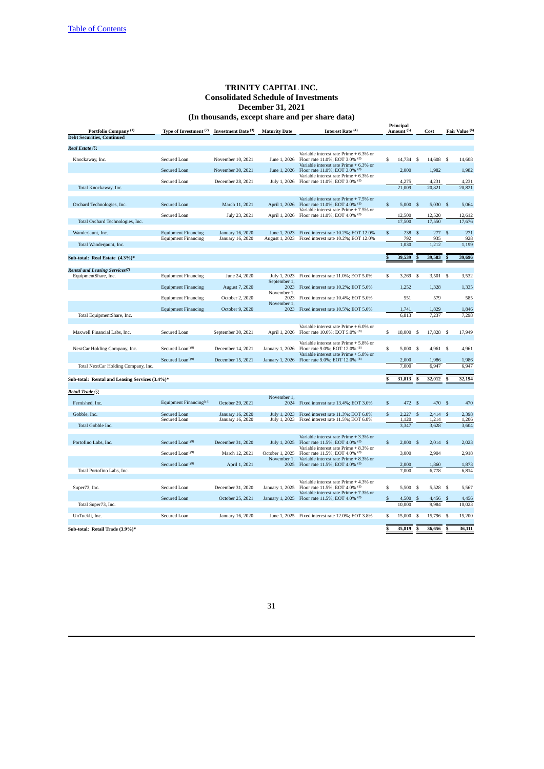|                                                |                                                          |                                      |                      |                                                                                                                    |              | Principal             |                    |                     |                         |                |
|------------------------------------------------|----------------------------------------------------------|--------------------------------------|----------------------|--------------------------------------------------------------------------------------------------------------------|--------------|-----------------------|--------------------|---------------------|-------------------------|----------------|
| Portfolio Company <sup>(1)</sup>               | Type of Investment <sup>(2)</sup>                        | Investment Date (3)                  | <b>Maturity Date</b> | Interest Rate (4)                                                                                                  |              | Amount <sup>(5)</sup> |                    | Cost                |                         | Fair Value (6) |
| <b>Debt Securities, Continued</b>              |                                                          |                                      |                      |                                                                                                                    |              |                       |                    |                     |                         |                |
| Real Estate (7)                                |                                                          |                                      |                      |                                                                                                                    |              |                       |                    |                     |                         |                |
| Knockaway, Inc.                                | Secured Loan                                             | November 10, 2021                    | June 1, 2026         | Variable interest rate Prime + 6.3% or<br>Floor rate 11.0%; EOT 3.0% (8)<br>Variable interest rate Prime + 6.3% or | \$           | 14,734                | $\mathbf s$        | 14,608 \$           |                         | 14,608         |
|                                                | Secured Loan                                             | November 30, 2021                    | June 1, 2026         | Floor rate 11.0%; EOT 3.0% (8)                                                                                     |              | 2,000                 |                    | 1,982               |                         | 1,982          |
|                                                | Secured Loan                                             | December 28, 2021                    |                      | Variable interest rate Prime + 6.3% or<br>July 1, 2026 Floor rate 11.0%; EOT 3.0% (8)                              |              | 4,275                 |                    | 4,231               |                         | 4,231          |
| Total Knockaway, Inc.                          |                                                          |                                      |                      |                                                                                                                    |              | 21,009                |                    | 20,821              |                         | 20,821         |
|                                                |                                                          |                                      |                      |                                                                                                                    |              |                       |                    |                     |                         |                |
| Orchard Technologies, Inc.                     | Secured Loan                                             | March 11, 2021                       | April 1, 2026        | Variable interest rate Prime + 7.5% or<br>Floor rate 11.0%; EOT 4.0% (8)<br>Variable interest rate Prime + 7.5% or | \$           | $5,000$ \$            |                    | $5,030$ \$          |                         | 5,064          |
|                                                | Secured Loan                                             | July 23, 2021                        | April 1, 2026        | Floor rate 11.0%; EOT 4.0% (8)                                                                                     |              | 12,500                |                    | 12,520              |                         | 12,612         |
| Total Orchard Technologies, Inc.               |                                                          |                                      |                      |                                                                                                                    |              | 17,500                |                    | 17,550              |                         | 17,676         |
| Wanderjaunt, Inc.                              | <b>Equipment Financing</b><br><b>Equipment Financing</b> | January 16, 2020<br>January 16, 2020 | June 1, 2023         | Fixed interest rate 10.2%; EOT 12.0%<br>August 1, 2023 Fixed interest rate 10.2%; EOT 12.0%                        | \$           | 238<br>792            | \$                 | 277<br>935          | -S                      | 271<br>928     |
| Total Wanderjaunt, Inc.                        |                                                          |                                      |                      |                                                                                                                    |              | 1,030                 |                    | 1,212               |                         | 1,199          |
|                                                |                                                          |                                      |                      |                                                                                                                    |              |                       |                    |                     |                         |                |
| Sub-total: Real Estate (4.3%)*                 |                                                          |                                      |                      |                                                                                                                    |              | 39,539                |                    | 39,583              |                         | 39,696         |
| Rental and Leasing Services <sup>(7)</sup>     |                                                          |                                      |                      |                                                                                                                    |              |                       |                    |                     |                         |                |
| EquipmentShare, Inc.                           | <b>Equipment Financing</b>                               | June 24, 2020                        | July 1, 2023         | Fixed interest rate 11.0%; EOT 5.0%                                                                                | \$           | 3,269                 | \$                 | $3,501$ \$          |                         | 3,532          |
|                                                | <b>Equipment Financing</b>                               | August 7, 2020                       | September 1,<br>2023 | Fixed interest rate 10.2%; EOT 5.0%                                                                                |              | 1,252                 |                    | 1,328               |                         | 1,335          |
|                                                |                                                          |                                      | November 1,          |                                                                                                                    |              |                       |                    |                     |                         |                |
|                                                | <b>Equipment Financing</b>                               | October 2, 2020                      | 2023<br>November 1,  | Fixed interest rate 10.4%; EOT 5.0%                                                                                |              | 551                   |                    | 579                 |                         | 585            |
|                                                | <b>Equipment Financing</b>                               | October 9, 2020                      | 2023                 | Fixed interest rate 10.5%; EOT 5.0%                                                                                |              | 1,741                 |                    | 1,829               |                         | 1,846          |
| Total EquipmentShare, Inc.                     |                                                          |                                      |                      |                                                                                                                    |              | 6,813                 |                    | 7,237               |                         | 7,298          |
| Maxwell Financial Labs, Inc.                   | Secured Loan                                             | September 30, 2021                   | April 1, 2026        | Variable interest rate Prime + 6.0% or<br>Floor rate 10.0%; EOT 5.0% (8)                                           | \$           | 18,000                | \$                 | 17,828 \$           |                         | 17,949         |
| NextCar Holding Company, Inc.                  | Secured Loan <sup>(19)</sup>                             | December 14, 2021                    | January 1, 2026      | Variable interest rate Prime + 5.8% or<br>Floor rate 9.0%; EOT 12.0% (8)<br>Variable interest rate Prime + 5.8% or | \$           | 5,000                 | -S                 | 4,961 \$            |                         | 4,961          |
|                                                | Secured Loan <sup>(19)</sup>                             | December 15, 2021                    | January 1, 2026      | Floor rate 9.0%; EOT 12.0% (8)                                                                                     |              | 2,000                 |                    | 1,986               |                         | 1,986          |
| Total NextCar Holding Company, Inc.            |                                                          |                                      |                      |                                                                                                                    |              | 7.000                 |                    | 6,947               |                         | 6,947          |
| Sub-total: Rental and Leasing Services (3.4%)* |                                                          |                                      |                      |                                                                                                                    |              | 31,813                |                    | 32,012              |                         | 32,194         |
|                                                |                                                          |                                      |                      |                                                                                                                    |              |                       |                    |                     |                         |                |
| Retail Trade <sup>(7)</sup>                    |                                                          |                                      |                      |                                                                                                                    |              |                       |                    |                     |                         |                |
| Fernished, Inc.                                | Equipment Financing <sup>(14)</sup>                      | October 29, 2021                     | November 1.<br>2024  | Fixed interest rate 13.4%; EOT 3.0%                                                                                | $\mathbb{S}$ | 472 \$                |                    | 470 \$              |                         | 470            |
|                                                |                                                          |                                      |                      |                                                                                                                    |              |                       |                    |                     |                         |                |
| Gobble, Inc.                                   | Secured Loan<br>Secured Loan                             | January 16, 2020<br>January 16, 2020 | July 1, 2023         | Fixed interest rate 11.3%; EOT 6.0%<br>July 1, 2023 Fixed interest rate 11.5%; EOT 6.0%                            | \$           | 2,227<br>1,120        | $\mathbf{\hat{s}}$ | $2,414$ \$<br>1,214 |                         | 2,398<br>1,206 |
| Total Gobble Inc.                              |                                                          |                                      |                      |                                                                                                                    |              | 3,347                 |                    | 3,628               |                         | 3,604          |
|                                                |                                                          |                                      |                      | Variable interest rate Prime + 3.3% or                                                                             |              |                       |                    |                     |                         |                |
| Portofino Labs, Inc.                           | Secured Loan <sup>(19)</sup>                             | December 31, 2020                    | July 1, 2025         | Floor rate 11.5%; EOT 4.0% (8)                                                                                     | \$           | $2,000$ \$            |                    | $2,014$ \$          |                         | 2,023          |
|                                                | Secured Loan <sup>(19)</sup>                             | March 12, 2021                       | October 1, 2025      | Variable interest rate Prime + 8.3% or<br>Floor rate 11.5%; EOT 4.0% (8)                                           |              | 3,000                 |                    | 2,904               |                         | 2,918          |
|                                                |                                                          |                                      | November 1,          | Variable interest rate Prime + 8.3% or                                                                             |              |                       |                    |                     |                         |                |
|                                                | Secured Loan <sup>(19)</sup>                             | April 1, 2021                        | 2025                 | Floor rate 11.5%; EOT 4.0% (8)                                                                                     |              | 2,000                 |                    | 1,860               |                         | 1,873          |
| Total Portofino Labs, Inc.                     |                                                          |                                      |                      |                                                                                                                    |              | 7,000                 |                    | 6,778               |                         | 6,814          |
|                                                |                                                          |                                      |                      | Variable interest rate Prime + 4.3% or                                                                             |              |                       |                    |                     |                         |                |
| Super73, Inc.                                  | Secured Loan                                             | December 31, 2020                    | January 1, 2025      | Floor rate 11.5%; EOT 4.0% (8)<br>Variable interest rate Prime + 7.3% or                                           | \$           | 5,500                 | \$                 | 5,528               | $\mathbf{s}$            | 5,567          |
|                                                | Secured Loan                                             | October 25, 2021                     | January 1, 2025      | Floor rate 11.5%; EOT 4.0% (8)                                                                                     | \$           | 4,500                 | S                  | 4,456               | S                       | 4,456          |
| Total Super73, Inc.                            |                                                          |                                      |                      |                                                                                                                    |              | 10,000                |                    | 9,984               |                         | 10,023         |
| UnTuckIt, Inc.                                 | Secured Loan                                             | January 16, 2020                     |                      | June 1, 2025 Fixed interest rate 12.0%; EOT 3.8%                                                                   | \$           | 15,000                | \$                 | 15,796              | $\overline{\mathbf{s}}$ | 15,200         |
|                                                |                                                          |                                      |                      |                                                                                                                    |              |                       |                    |                     |                         |                |
| Sub-total: Retail Trade (3.9%)*                |                                                          |                                      |                      |                                                                                                                    | \$.          | 35.819                | \$                 | 36.656              | š                       | 36,111         |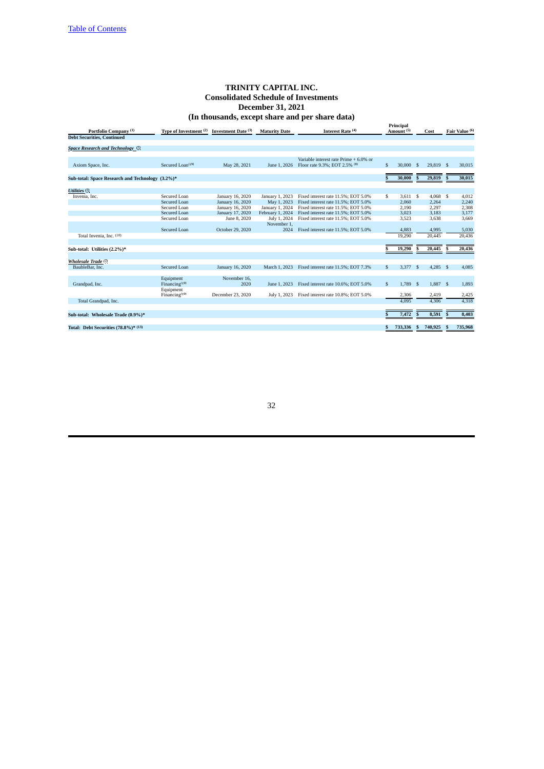|                                                                       |                                              |                                                          |                                                   | (in monagings) cacept share and per share data)                                                                   |                                    |              |                            |                         |
|-----------------------------------------------------------------------|----------------------------------------------|----------------------------------------------------------|---------------------------------------------------|-------------------------------------------------------------------------------------------------------------------|------------------------------------|--------------|----------------------------|-------------------------|
| Portfolio Company <sup>(1)</sup><br><b>Debt Securities, Continued</b> | Type of Investment <sup>(2)</sup>            | Investment Date (3)                                      | <b>Maturity Date</b>                              | Interest Rate (4)                                                                                                 | Principal<br>Amount <sup>(5)</sup> |              | Cost                       | Fair Value (6)          |
|                                                                       |                                              |                                                          |                                                   |                                                                                                                   |                                    |              |                            |                         |
| Space Research and Technology (7)                                     |                                              |                                                          |                                                   |                                                                                                                   |                                    |              |                            |                         |
| Axiom Space, Inc.                                                     | Secured Loan <sup>(19)</sup>                 | May 28, 2021                                             | June 1, 2026                                      | Variable interest rate Prime + 6.0% or<br>Floor rate 9.3%; EOT 2.5% (8)                                           | \$<br>30,000                       | $\mathbf{s}$ | 29,819 \$                  | 30.015                  |
| Sub-total: Space Research and Technology (3.2%)*                      |                                              |                                                          |                                                   |                                                                                                                   | 30,000                             |              | 29,819                     | 30,015                  |
| <b>Utilities</b> (7)                                                  |                                              |                                                          |                                                   |                                                                                                                   |                                    |              |                            |                         |
| Invenia, Inc.                                                         | Secured Loan<br>Secured Loan<br>Secured Loan | January 16, 2020<br>January 16, 2020<br>January 16, 2020 | January 1, 2023<br>May 1, 2023<br>January 1, 2024 | Fixed interest rate 11.5%; EOT 5.0%<br>Fixed interest rate 11.5%: EOT 5.0%<br>Fixed interest rate 11.5%; EOT 5.0% | \$<br>$3,611$ \$<br>2,060<br>2,190 |              | 4,068 \$<br>2,264<br>2,297 | 4,012<br>2,240<br>2,308 |
|                                                                       | Secured Loan<br>Secured Loan                 | January 17, 2020<br>June 8, 2020                         | February 1, 2024<br>July 1, 2024<br>November 1,   | Fixed interest rate 11.5%; EOT 5.0%<br>Fixed interest rate 11.5%: EOT 5.0%                                        | 3,023<br>3,523                     |              | 3,183<br>3,638             | 3,177<br>3,669          |
| Total Invenia, Inc. (10)                                              | Secured Loan                                 | October 29, 2020                                         | 2024                                              | Fixed interest rate 11.5%; EOT 5.0%                                                                               | 4,883<br>19.290                    |              | 4,995<br>20.445            | 5,030<br>20,436         |
| Sub-total: Utilities (2.2%)*                                          |                                              |                                                          |                                                   |                                                                                                                   | 19,290                             |              | 20,445                     | 20,436                  |
| Wholesale Trade <sup>(7)</sup><br>BaubleBar, Inc.                     | <b>Secured Loan</b>                          | January 16, 2020                                         | March 1, 2023                                     | Fixed interest rate 11.5%; EOT 7.3%                                                                               | \$<br>$3,377$ \$                   |              | $4,285$ \$                 | 4,085                   |
|                                                                       |                                              |                                                          |                                                   |                                                                                                                   |                                    |              |                            |                         |
| Grandpad, Inc.                                                        | Equipment<br>Financing $(19)$                | November 16,<br>2020                                     | June 1, 2023                                      | Fixed interest rate 10.6%; EOT 5.0%                                                                               | \$<br>1.789                        | $\mathbf{s}$ | 1.887 \$                   | 1.893                   |
|                                                                       | Equipment<br>Financing $(19)$                | December 23, 2020                                        | July 1, 2023                                      | Fixed interest rate 10.8%; EOT 5.0%                                                                               | 2,306                              |              | 2,419                      | 2,425                   |
| Total Grandpad, Inc.                                                  |                                              |                                                          |                                                   |                                                                                                                   | 4.095                              |              | 4.306                      | 4.318                   |
| Sub-total: Wholesale Trade (0.9%)*                                    |                                              |                                                          |                                                   |                                                                                                                   | 7,472                              | $\mathbf{s}$ | 8,591                      | 8,403                   |
| Total: Debt Securities (78.8%)* (13)                                  |                                              |                                                          |                                                   |                                                                                                                   | 733,336                            | s            | 740,925                    | 735,968                 |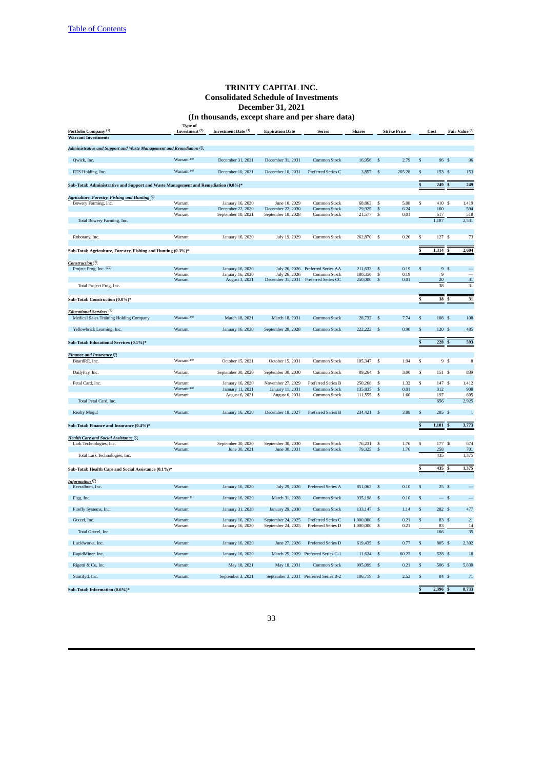# **TRINITY CAPITAL INC. Consolidated Schedule of Investments December 31, 2021**

|                                                                                    |                                             | (In thousands, except share and per share data) |                                          |                                          |                        |              |                     |                |                  |                          |
|------------------------------------------------------------------------------------|---------------------------------------------|-------------------------------------------------|------------------------------------------|------------------------------------------|------------------------|--------------|---------------------|----------------|------------------|--------------------------|
| Portfolio Company <sup>(1)</sup>                                                   | <b>Type of</b><br>Investment <sup>(2)</sup> | Investment Date (3)                             | <b>Expiration Date</b>                   | <b>Series</b>                            | <b>Shares</b>          |              | <b>Strike Price</b> |                | Cost             | Fair Value (6)           |
| <b>Warrant Investments</b>                                                         |                                             |                                                 |                                          |                                          |                        |              |                     |                |                  |                          |
| Administrative and Support and Waste Management and Remediation (7)                |                                             |                                                 |                                          |                                          |                        |              |                     |                |                  |                          |
| Qwick, Inc.                                                                        | Warrant <sup>(14)</sup>                     | December 31, 2021                               | December 31, 2031                        | Common Stock                             | 16,956                 | \$           | 2.79                | $\mathbb{S}$   | 96 \$            | 96                       |
| RTS Holding, Inc.                                                                  | Warrant <sup>(14)</sup>                     | December 10, 2021                               | December 10, 2031                        | Preferred Series C                       | 3,857                  | \$           | 205.28              | \$             | 153 \$           | 153                      |
|                                                                                    |                                             |                                                 |                                          |                                          |                        |              |                     | \$             | 249              |                          |
| Sub-Total: Administrative and Support and Waste Management and Remediation (0.0%)* |                                             |                                                 |                                          |                                          |                        |              |                     |                |                  | 249                      |
| Agriculture, Forestry, Fishing and Hunting (7)                                     |                                             |                                                 |                                          |                                          |                        |              |                     |                |                  |                          |
| Bowery Farming, Inc.                                                               | Warrant                                     | January 16, 2020                                | June 10, 2029                            | Common Stock                             | 68,863                 | \$<br>\$     | 5.08                | \$             | 410 \$           | 1,419                    |
|                                                                                    | Warrant<br>Warrant                          | December 22, 2020<br>September 10, 2021         | December 22, 2030<br>September 10, 2028  | Common Stock<br>Common Stock             | 29,925<br>21,577       | \$           | 6.24<br>0.01        |                | 160<br>617       | 594<br>518               |
| Total Bowery Farming, Inc.                                                         |                                             |                                                 |                                          |                                          |                        |              |                     |                | 1,187            | 2,531                    |
|                                                                                    |                                             |                                                 |                                          |                                          |                        |              |                     |                |                  |                          |
| Robotany, Inc.                                                                     | Warrant                                     | January 16, 2020                                | July 19, 2029                            | Common Stock                             | 262,870 \$             |              | 0.26                | \$             | 127 \$           | 73                       |
| Sub-Total: Agriculture, Forestry, Fishing and Hunting (0.3%)*                      |                                             |                                                 |                                          |                                          |                        |              |                     | S              | 1,314            | 2,604                    |
| Construction <sup>(7)</sup>                                                        |                                             |                                                 |                                          |                                          |                        |              |                     |                |                  |                          |
| Project Frog, Inc. (22)                                                            | Warrant                                     | January 16, 2020                                |                                          | July 26, 2026 Preferred Series AA        | 211,633                | \$           | 0.19                | S.             | 9 <sup>5</sup>   | $\overline{\phantom{0}}$ |
|                                                                                    | Warrant                                     | January 16, 2020                                | July 26, 2026                            | Common Stock                             | 180,356                | \$           | 0.19                |                | $\boldsymbol{9}$ |                          |
| Total Project Frog, Inc.                                                           | Warrant                                     | August 3, 2021                                  | December 31, 2031                        | Preferred Series CC                      | 250,000                | \$           | 0.01                |                | 20<br>38         | 31<br>31                 |
|                                                                                    |                                             |                                                 |                                          |                                          |                        |              |                     |                |                  |                          |
| Sub-Total: Construction (0.0%)*                                                    |                                             |                                                 |                                          |                                          |                        |              |                     |                | 38               | 31                       |
| Educational Services <sup>(7)</sup>                                                |                                             |                                                 |                                          |                                          |                        |              |                     |                |                  |                          |
| Medical Sales Training Holding Company                                             | Warrant <sup>(14)</sup>                     | March 18, 2021                                  | March 18, 2031                           | Common Stock                             | 28,732                 | -S           | 7.74                | \$             | 108 \$           | 108                      |
| Yellowbrick Learning, Inc.                                                         | Warrant                                     | January 16, 2020                                | September 28, 2028                       | Common Stock                             | 222,222 \$             |              | 0.90                | \$             | 120S             | 485                      |
| Sub-Total: Educational Services (0.1%)*                                            |                                             |                                                 |                                          |                                          |                        |              |                     | \$             | 228              | 593                      |
|                                                                                    |                                             |                                                 |                                          |                                          |                        |              |                     |                |                  |                          |
| Finance and Insurance (7)                                                          |                                             |                                                 |                                          |                                          |                        |              |                     |                |                  |                          |
| BoardRE, Inc.                                                                      | Warrant <sup>(14)</sup>                     | October 15, 2021                                | October 15, 2031                         | Common Stock                             | 105,347                | \$           | 1.94                | \$             | 9 <sup>5</sup>   | 8                        |
| DailyPay, Inc.                                                                     | Warrant                                     | September 30, 2020                              | September 30, 2030                       | Common Stock                             | 89,264                 | \$           | 3.00                | \$             | 151 \$           | 839                      |
| Petal Card, Inc.                                                                   | Warrant                                     | January 16, 2020                                | November 27, 2029                        | Preferred Series B                       | 250,268                | \$           | 1.32                | s              | 147 \$           | 1,412                    |
|                                                                                    | Warrant <sup>(14)</sup>                     | January 11, 2021                                | January 11, 2031                         | Common Stock                             | 135,835                | \$           | 0.01                |                | 312              | 908                      |
|                                                                                    | Warrant                                     | August 6, 2021                                  | August 6, 2031                           | Common Stock                             | 111,555                | \$           | 1.60                |                | 197              | 605                      |
| Total Petal Card, Inc.                                                             |                                             |                                                 |                                          |                                          |                        |              |                     |                | 656              | 2,925                    |
| <b>Realty Mogul</b>                                                                | Warrant                                     | January 16, 2020                                | December 18, 2027                        | <b>Preferred Series B</b>                | 234,421 \$             |              | 3.88                | $\mathfrak{s}$ | 285 \$           | $\overline{1}$           |
| Sub-Total: Finance and Insurance (0.4%)*                                           |                                             |                                                 |                                          |                                          |                        |              |                     |                | 1,101            | 3,773                    |
|                                                                                    |                                             |                                                 |                                          |                                          |                        |              |                     |                |                  |                          |
| Health Care and Social Assistance <sup>(7)</sup>                                   |                                             |                                                 |                                          |                                          |                        |              | 1.76                |                | 177 \$           | 674                      |
| Lark Technologies, Inc.                                                            | Warrant<br>Warrant                          | September 30, 2020<br>June 30, 2021             | September 30, 2030<br>June 30, 2031      | Common Stock<br>Common Stock             | 76,231<br>79,325       | \$<br>\$     | 1.76                | \$             | 258              | 701                      |
| Total Lark Technologies, Inc.                                                      |                                             |                                                 |                                          |                                          |                        |              |                     |                | 435              | 1,375                    |
| Sub-Total: Health Care and Social Assistance (0.1%)*                               |                                             |                                                 |                                          |                                          |                        |              |                     |                | 435              | 1,375                    |
|                                                                                    |                                             |                                                 |                                          |                                          |                        |              |                     |                |                  |                          |
| Information <sup>(7)</sup><br>Everalbum, Inc.                                      | Warrant                                     | January 16, 2020                                | July 29, 2026                            | Preferred Series A                       | 851,063                | S            | 0.10                | S              | 25S              |                          |
| Figg, Inc.                                                                         | Warrant <sup>(11)</sup>                     | January 16, 2020                                | March 31, 2028                           | Common Stock                             | 935,198                | S            | 0.10                | \$             | — s              |                          |
|                                                                                    |                                             |                                                 |                                          |                                          |                        |              |                     |                |                  |                          |
| Firefly Systems, Inc.                                                              | Warrant                                     | January 31, 2020                                | January 29, 2030                         | Common Stock                             | 133,147                | \$           | 1.14                | \$             | 282 \$           | 477                      |
| Gtxcel, Inc.                                                                       | Warrant<br>Warrant                          | January 16, 2020<br>January 16, 2020            | September 24, 2025<br>September 24, 2025 | Preferred Series C<br>Preferred Series D | 1,000,000<br>1,000,000 | \$<br>\$     | 0.21<br>0.21        | $\mathsf{\$}$  | 83 \$<br>83      | 21<br>14                 |
| Total Gtxcel, Inc.                                                                 |                                             |                                                 |                                          |                                          |                        |              |                     |                | 166              | 35                       |
| Lucidworks, Inc.                                                                   | Warrant                                     | January 16, 2020                                | June 27, 2026                            | Preferred Series D                       | 619,435 \$             |              | 0.77                | \$             | 805 \$           | 2,302                    |
| RapidMiner, Inc.                                                                   | Warrant                                     | January 16, 2020                                |                                          | March 25, 2029 Preferred Series C-1      | $11,624$ \$            |              | 60.22               | \$             | 528 \$           | $18\,$                   |
| Rigetti & Co, Inc.                                                                 | Warrant                                     | May 18, 2021                                    | May 18, 2031                             | Common Stock                             | 995,099                | $\mathbf{s}$ | 0.21                | $\mathbb{S}$   | 506 \$           | 5,830                    |
| Stratifyd, Inc.                                                                    | Warrant                                     | September 3, 2021                               |                                          | September 3, 2031 Preferred Series B-2   | 106,719 \$             |              | 2.53                | $\mathbb{S}$   | 84 \$            | $71\,$                   |
|                                                                                    |                                             |                                                 |                                          |                                          |                        |              |                     |                |                  |                          |
| Sub-Total: Information (0.6%)*                                                     |                                             |                                                 |                                          |                                          |                        |              |                     | \$             | 2,396            | 8,733                    |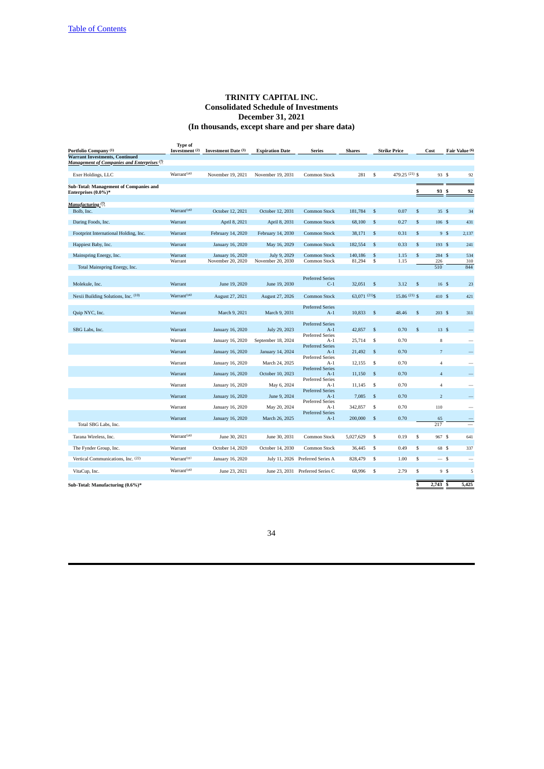| Portfolio Company <sup>(1)</sup>                              | <b>Type of</b><br>Investment (2) | Investment Date (3) | <b>Expiration Date</b> | <b>Series</b>                    | <b>Shares</b> |                | <b>Strike Price</b> | Cost                    |                         | Fair Value (6)           |
|---------------------------------------------------------------|----------------------------------|---------------------|------------------------|----------------------------------|---------------|----------------|---------------------|-------------------------|-------------------------|--------------------------|
| <b>Warrant Investments, Continued</b>                         |                                  |                     |                        |                                  |               |                |                     |                         |                         |                          |
| <b>Management of Companies and Enterprises</b> (7)            |                                  |                     |                        |                                  |               |                |                     |                         |                         |                          |
| Exer Holdings, LLC                                            | Warrant <sup>(14)</sup>          | November 19, 2021   | November 19, 2031      | Common Stock                     | 281           | \$             | 479.25 (21) \$      |                         | 93 S                    | 92                       |
| Sub-Total: Management of Companies and<br>Enterprises (0.0%)* |                                  |                     |                        |                                  |               |                |                     | \$                      | 93 S                    | 92                       |
|                                                               |                                  |                     |                        |                                  |               |                |                     |                         |                         |                          |
| Manufacturing (7)<br>Bolb, Inc.                               | Warrant <sup>(14)</sup>          | October 12, 2021    | October 12, 2031       | <b>Common Stock</b>              | 181,784       | \$             | 0.07                | $\mathbb{S}$            | 35S                     | 34                       |
|                                                               |                                  |                     |                        |                                  |               |                |                     |                         |                         |                          |
| Daring Foods, Inc.                                            | Warrant                          | April 8, 2021       | April 8, 2031          | <b>Common Stock</b>              | 68,100        | \$             | 0.27                | \$                      | 106S                    | 431                      |
| Footprint International Holding, Inc.                         | Warrant                          | February 14, 2020   | February 14, 2030      | <b>Common Stock</b>              | 38,171        | \$             | 0.31                | $\mathbb{S}$            | 9S                      | 2,137                    |
| Happiest Baby, Inc.                                           | Warrant                          | January 16, 2020    | May 16, 2029           | <b>Common Stock</b>              | 182,554       | \$             | 0.33                | $\mathbb{S}$            | 193 \$                  | 241                      |
| Mainspring Energy, Inc.                                       | Warrant                          | January 16, 2020    | July 9, 2029           | <b>Common Stock</b>              | 140,186       | \$             | 1.15                | $\mathbb{S}$            | 284 \$                  | 534                      |
|                                                               | Warrant                          | November 20, 2020   | November 20, 2030      | Common Stock                     | 81,294        | $\mathbb{S}$   | 1.15                | 226                     |                         | 310                      |
| Total Mainspring Energy, Inc.                                 |                                  |                     |                        |                                  |               |                |                     | 510                     |                         | 844                      |
|                                                               |                                  |                     |                        | <b>Preferred Series</b>          |               |                |                     |                         |                         |                          |
| Molekule, Inc.                                                | Warrant                          | June 19, 2020       | June 19, 2030          | $C-1$                            | 32,051 \$     |                | 3.12                | \$                      | 16S                     | 23                       |
| Nexii Building Solutions, Inc. (10)                           | Warrant <sup>(14)</sup>          | August 27, 2021     | August 27, 2026        | <b>Common Stock</b>              | 63,071 (21)\$ |                | 15.86 (21) \$       |                         | 410S                    | 421                      |
|                                                               |                                  |                     |                        |                                  |               |                |                     |                         |                         |                          |
| Quip NYC, Inc.                                                | Warrant                          | March 9, 2021       | March 9, 2031          | <b>Preferred Series</b><br>$A-1$ | 10,833        | \$             | 48.46               | \$                      | 203S                    | 311                      |
|                                                               |                                  |                     |                        |                                  |               |                |                     |                         |                         |                          |
|                                                               |                                  |                     |                        | <b>Preferred Series</b>          |               |                |                     |                         |                         |                          |
| SBG Labs, Inc.                                                | Warrant                          | January 16, 2020    | July 29, 2023          | $A-1$<br><b>Preferred Series</b> | 42,857        | $\mathfrak{s}$ | 0.70                | \$                      | 13S                     |                          |
|                                                               | Warrant                          | January 16, 2020    | September 18, 2024     | $A-1$                            | 25,714        | \$             | 0.70                |                         | 8                       | -                        |
|                                                               | Warrant                          | January 16, 2020    | January 14, 2024       | <b>Preferred Series</b><br>$A-1$ | 21,492        | \$             | 0.70                |                         | $\overline{7}$          |                          |
|                                                               |                                  |                     |                        | <b>Preferred Series</b>          |               |                |                     |                         |                         |                          |
|                                                               | Warrant                          | January 16, 2020    | March 24, 2025         | $A-1$                            | 12,155        | \$             | 0.70                |                         | $\overline{4}$          | -                        |
|                                                               | Warrant                          | January 16, 2020    | October 10, 2023       | <b>Preferred Series</b><br>$A-1$ | 11,150        | $\mathfrak{s}$ | 0.70                |                         | $\overline{\mathbf{4}}$ |                          |
|                                                               |                                  |                     |                        | <b>Preferred Series</b>          |               |                |                     |                         |                         |                          |
|                                                               | Warrant                          | January 16, 2020    | May 6, 2024            | $A-1$<br><b>Preferred Series</b> | 11,145        | \$             | 0.70                |                         | $\sqrt{4}$              |                          |
|                                                               | Warrant                          | January 16, 2020    | June 9, 2024           | $A-1$                            | 7,085         | \$             | 0.70                |                         | $\overline{2}$          |                          |
|                                                               |                                  |                     |                        | <b>Preferred Series</b>          |               | \$             |                     |                         |                         | $\overline{\phantom{a}}$ |
|                                                               | Warrant                          | January 16, 2020    | May 20, 2024           | $A-1$<br><b>Preferred Series</b> | 342,857       |                | 0.70                | 110                     |                         |                          |
|                                                               | Warrant                          | January 16, 2020    | March 26, 2025         | $A-1$                            | 200,000       | $\mathfrak{s}$ | 0.70                | 65                      |                         |                          |
| Total SBG Labs, Inc.                                          |                                  |                     |                        |                                  |               |                |                     | 217                     |                         |                          |
| Tarana Wireless, Inc.                                         | Warrant <sup>(14)</sup>          | June 30, 2021       | June 30, 2031          | Common Stock                     | 5,027,629     | \$             | 0.19                | \$                      | 967 S                   | 641                      |
|                                                               |                                  |                     |                        |                                  |               |                |                     |                         |                         |                          |
| The Fynder Group, Inc.                                        | Warrant                          | October 14, 2020    | October 14, 2030       | Common Stock                     | 36,445        | \$             | 0.49                | $\overline{\mathbf{s}}$ | 68 S                    | 337                      |
| Vertical Communications, Inc. (22)                            | Warrant <sup>(11)</sup>          | January 16, 2020    |                        | July 11, 2026 Preferred Series A | 828,479       | $\sqrt{3}$     | 1.00                | $\overline{\mathbb{S}}$ | $-$ \$                  | $\overline{\phantom{a}}$ |
|                                                               | Warrant <sup>(14)</sup>          |                     |                        |                                  |               |                |                     |                         |                         |                          |
| VitaCup, Inc.                                                 |                                  | June 23, 2021       |                        | June 23, 2031 Preferred Series C | 68,996        | \$             | 2.79                | \$                      | 9S                      | 5                        |
| Sub-Total: Manufacturing (0.6%)*                              |                                  |                     |                        |                                  |               |                |                     | \$<br>2,743             | s                       | 5,425                    |
|                                                               |                                  |                     |                        |                                  |               |                |                     |                         |                         |                          |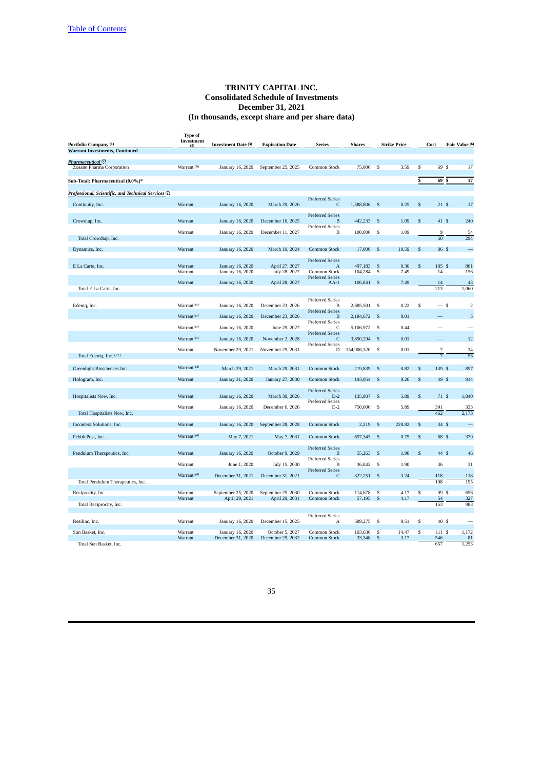|                                                                 | <b>Type of</b>          |                                       |                                      |                                         |                   |                         |                     |                         |                |                |
|-----------------------------------------------------------------|-------------------------|---------------------------------------|--------------------------------------|-----------------------------------------|-------------------|-------------------------|---------------------|-------------------------|----------------|----------------|
| Portfolio Company (1)                                           | Investment<br>(2)       | <b>Investment Date (3)</b>            | <b>Expiration Date</b>               | <b>Series</b>                           | <b>Shares</b>     |                         | <b>Strike Price</b> |                         | Cost           | Fair Value (6) |
| <b>Warrant Investments, Continued</b>                           |                         |                                       |                                      |                                         |                   |                         |                     |                         |                |                |
| Pharmaceutical (?)                                              |                         |                                       |                                      |                                         |                   |                         |                     |                         |                |                |
| Zosano Pharma Corporation                                       | Warrant <sup>(9)</sup>  | January 16, 2020                      | September 25, 2025                   | Common Stock                            | 75,000            | \$                      | 3.59                | s                       | 69 S           | 17             |
|                                                                 |                         |                                       |                                      |                                         |                   |                         |                     |                         |                |                |
| Sub-Total: Pharmaceutical (0.0%)*                               |                         |                                       |                                      |                                         |                   |                         |                     | S                       | 69             | 17<br>S        |
| Professional, Scientific, and Technical Services <sup>(7)</sup> |                         |                                       |                                      |                                         |                   |                         |                     |                         |                |                |
|                                                                 |                         |                                       |                                      | <b>Preferred Series</b>                 |                   |                         |                     |                         |                |                |
| Continuity, Inc.                                                | Warrant                 | January 16, 2020                      | March 29, 2026                       | C                                       | 1,588,806 \$      |                         | 0.25                | $\mathsf{s}$            | 21S            | 17             |
|                                                                 |                         |                                       |                                      | <b>Preferred Series</b>                 |                   |                         |                     |                         |                |                |
| Crowdtap, Inc.                                                  | Warrant                 | January 16, 2020                      | December 16, 2025                    | B<br><b>Preferred Series</b>            | 442,233           | $\mathbf{s}$            | 1.09                | $\mathsf{s}$            | 41 \$          | 240            |
|                                                                 | Warrant                 | January 16, 2020                      | December 11, 2027                    | B                                       | 100,000           | \$                      | 1.09                |                         | 9              | 54             |
| Total Crowdtap, Inc.                                            |                         |                                       |                                      |                                         |                   |                         |                     |                         | 50             | 294            |
| Dynamics, Inc.                                                  | Warrant                 | January 16, 2020                      | March 10, 2024                       | <b>Common Stock</b>                     | 17,000            | \$                      | 10.59               | S                       | 86 S           |                |
|                                                                 |                         |                                       |                                      | <b>Preferred Series</b>                 |                   |                         |                     |                         |                |                |
| E La Carte, Inc.                                                | Warrant                 | January 16, 2020                      | April 27, 2027                       | $\overline{A}$                          | 497,183           | \$                      | 0.30                | \$                      | 185 S          | 861            |
|                                                                 | Warrant                 | January 16, 2020                      | July 28, 2027                        | Common Stock<br><b>Preferred Series</b> | 104,284           | $\overline{\mathbf{s}}$ | 7.49                |                         | 14             | 156            |
|                                                                 | Warrant                 | January 16, 2020                      | April 28, 2027                       | $AA-1$                                  | 106,841 \$        |                         | 7.49                |                         | 14             | 43             |
| Total E La Carte, Inc.                                          |                         |                                       |                                      |                                         |                   |                         |                     |                         | 213            | 1,060          |
|                                                                 |                         |                                       |                                      | <b>Preferred Series</b>                 |                   |                         |                     |                         |                |                |
| Edeniq, Inc.                                                    | Warrant <sup>(11)</sup> | January 16, 2020                      | December 23, 2026                    | B<br><b>Preferred Series</b>            | 2,685,501         | \$                      | 0.22                | \$                      | $-$ s          | $\overline{2}$ |
|                                                                 | Warrant <sup>(11)</sup> | January 16, 2020                      | December 23, 2026                    | B                                       | 2,184,672         | $\mathbf{s}$            | 0.01                |                         |                | 5              |
|                                                                 | Warrant <sup>(11)</sup> | January 16, 2020                      | June 29, 2027                        | <b>Preferred Series</b><br>C            | 5,106,972         | $\mathbf{s}$            | 0.44                |                         |                |                |
|                                                                 |                         |                                       |                                      | <b>Preferred Series</b>                 |                   |                         |                     |                         |                |                |
|                                                                 | Warrant <sup>(11)</sup> | January 16, 2020                      | November 2, 2028                     | C<br><b>Preferred Series</b>            | 3,850,294         | $\mathbb{S}$            | 0.01                |                         |                | 12             |
|                                                                 | Warrant                 | November 29, 2021                     | November 29, 2031                    | D                                       | 154,906,320       | \$                      | 0.01                |                         | 7              | 34             |
| Total Edeniq, Inc. (22)                                         |                         |                                       |                                      |                                         |                   |                         |                     |                         | $\overline{7}$ | 53             |
| Greenlight Biosciences Inc.                                     | Warrant <sup>(14)</sup> | March 29, 2021                        | March 29, 2031                       | <b>Common Stock</b>                     | 219,839           | $\mathfrak{s}$          | 0.82                | S                       | 139 \$         | 857            |
|                                                                 |                         |                                       |                                      |                                         |                   |                         |                     |                         |                |                |
| Hologram, Inc.                                                  | Warrant                 | January 31, 2020                      | January 27, 2030                     | <b>Common Stock</b>                     | 193,054           | \$                      | 0.26                | \$                      | 49 S           | 914            |
|                                                                 |                         |                                       |                                      | <b>Preferred Series</b>                 |                   |                         |                     |                         |                |                |
| Hospitalists Now, Inc.                                          | Warrant                 | January 16, 2020                      | March 30, 2026                       | $D-2$<br><b>Preferred Series</b>        | 135,807           | $\mathbf{s}$            | 5.89                | S                       | 71S            | 1,840          |
|                                                                 | Warrant                 | January 16, 2020                      | December 6, 2026                     | $D-2$                                   | 750,000           | \$                      | 5.89                |                         | 391            | 333            |
| Total Hospitalists Now, Inc.                                    |                         |                                       |                                      |                                         |                   |                         |                     |                         | 462            | 2,173          |
| Incontext Solutions, Inc.                                       | Warrant                 | January 16, 2020                      | September 28, 2028                   | <b>Common Stock</b>                     | 2,219             | \$                      | 220.82              | S                       | 34S            | $\equiv$       |
| PebblePost, Inc.                                                | Warrant <sup>(14)</sup> | May 7, 2021                           | May 7, 2031                          | <b>Common Stock</b>                     | 657,343           | $\mathbf{s}$            | 0.75                | S                       | 68 S           | 379            |
|                                                                 |                         |                                       |                                      |                                         |                   |                         |                     |                         |                |                |
| Pendulum Therapeutics, Inc.                                     | Warrant                 | January 16, 2020                      | October 9, 2029                      | <b>Preferred Series</b><br>B            | 55,263            | $\mathbf{s}$            | 1.90                | \$.                     | 44 S           | 46             |
|                                                                 |                         |                                       |                                      | <b>Preferred Series</b>                 |                   |                         |                     |                         |                |                |
|                                                                 | Warrant                 | June 1, 2020                          | July 15, 2030                        | B<br><b>Preferred Series</b>            | 36,842            | $\mathbf{s}$            | 1.90                |                         | 36             | 31             |
|                                                                 | Warrant <sup>(14)</sup> | December 31, 2021                     | December 31, 2021                    | C                                       | 322,251           | $\mathbf{\hat{s}}$      | 3.24                |                         | 118            | 118            |
| Total Pendulum Therapeutics, Inc.                               |                         |                                       |                                      |                                         |                   |                         |                     |                         | 198            | 195            |
| Reciprocity, Inc.                                               | Warrant                 | September 25, 2020                    | September 25, 2030                   | Common Stock                            | 114,678           | \$                      | 4.17                | $\overline{\mathbf{s}}$ | 99 \$          | 656            |
|                                                                 | Warrant                 | April 29, 2021                        | April 29, 2031                       | <b>Common Stock</b>                     | 57,195            | -\$                     | 4.17                |                         | 54<br>153      | 327<br>983     |
| Total Reciprocity, Inc.                                         |                         |                                       |                                      |                                         |                   |                         |                     |                         |                |                |
| Resilinc, Inc.                                                  | Warrant                 | January 16, 2020                      |                                      | <b>Preferred Series</b><br>A            | 589,275           | \$                      | 0.51                | \$                      | 40 \$          |                |
|                                                                 |                         |                                       | December 15, 2025                    |                                         |                   |                         |                     |                         |                |                |
| Sun Basket, Inc.                                                | Warrant<br>Warrant      | January 16, 2020<br>December 31, 2020 | October 5, 2027<br>December 29, 2032 | Common Stock<br><b>Common Stock</b>     | 103,636<br>33,348 | \$<br>\$                | 14.47<br>3.17       | s                       | 111 \$<br>546  | 1,172<br>81    |
| Total Sun Basket, Inc.                                          |                         |                                       |                                      |                                         |                   |                         |                     |                         | 657            | 1,253          |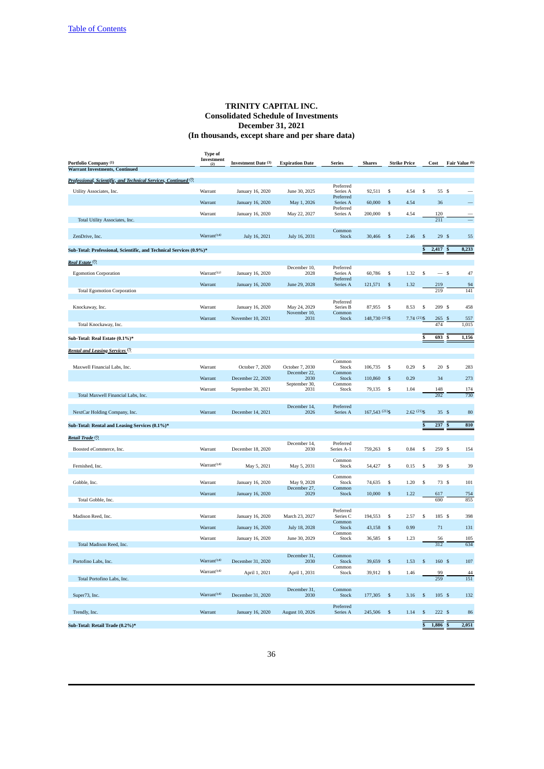| Portfolio Company (1)                                               | <b>Type of</b><br>Investment<br>(2) | <b>Investment Date (3)</b> | <b>Expiration Date</b> | <b>Series</b>                 | <b>Shares</b>  |                    | <b>Strike Price</b> |                         | Cost       | Fair Value (6) |
|---------------------------------------------------------------------|-------------------------------------|----------------------------|------------------------|-------------------------------|----------------|--------------------|---------------------|-------------------------|------------|----------------|
| <b>Warrant Investments, Continued</b>                               |                                     |                            |                        |                               |                |                    |                     |                         |            |                |
| Professional, Scientific, and Technical Services, Continued (?)     |                                     |                            |                        |                               |                |                    |                     |                         |            |                |
| Utility Associates, Inc.                                            | Warrant                             | January 16, 2020           | June 30, 2025          | Preferred<br>Series A         | 92,511         | \$                 | 4.54                | \$                      | 55 \$      |                |
|                                                                     | Warrant                             | January 16, 2020           | May 1, 2026            | Preferred<br>Series A         | 60,000         | \$                 | 4.54                |                         | 36         |                |
|                                                                     | Warrant                             | January 16, 2020           | May 22, 2027           | Preferred<br>Series A         | 200,000        | \$                 | 4.54                |                         | 120        |                |
| Total Utility Associates, Inc.                                      |                                     |                            |                        |                               |                |                    |                     |                         | 211        |                |
| ZenDrive, Inc.                                                      | Warrant <sup>(14)</sup>             | July 16, 2021              | July 16, 2031          | Common<br>Stock               | 30,466         | $\mathbb{S}$       | 2.46                | \$                      | 29S        | 55             |
| Sub-Total: Professional, Scientific, and Technical Services (0.9%)* |                                     |                            |                        |                               |                |                    |                     | S                       | 2,417      | 8,233          |
| Real Estate (7)                                                     |                                     |                            |                        |                               |                |                    |                     |                         |            |                |
|                                                                     | Warrant <sup>(11)</sup>             |                            | December 10,           | Preferred                     |                |                    |                     |                         | $-$ \$     | 47             |
| <b>Egomotion Corporation</b>                                        |                                     | January 16, 2020           | 2028                   | Series A<br>Preferred         | 60,786         | \$                 | 1.32                | \$                      |            |                |
| <b>Total Egomotion Corporation</b>                                  | Warrant                             | January 16, 2020           | June 29, 2028          | Series A                      | 121,571        | \$                 | 1.32                |                         | 219<br>219 | 94<br>141      |
|                                                                     |                                     |                            |                        | Preferred                     |                |                    |                     |                         |            |                |
| Knockaway, Inc.                                                     | Warrant                             | January 16, 2020           | May 24, 2029           | Series B                      | 87,955         | \$                 | 8.53                | \$                      | 209 \$     | 458            |
|                                                                     | Warrant                             | November 10, 2021          | November 10,<br>2031   | Common<br>Stock               | 148,730 (21)\$ |                    | 7.74 (21) \$        |                         | 265        | 557            |
| Total Knockaway, Inc.                                               |                                     |                            |                        |                               |                |                    |                     |                         | 474        | 1,015          |
| Sub-Total: Real Estate (0.1%)*                                      |                                     |                            |                        |                               |                |                    |                     | \$                      | 693        | 1,156          |
| Rental and Leasing Services <sup>(7)</sup>                          |                                     |                            |                        |                               |                |                    |                     |                         |            |                |
|                                                                     |                                     |                            |                        |                               |                |                    |                     |                         |            |                |
| Maxwell Financial Labs, Inc.                                        | Warrant                             | October 7, 2020            | October 7, 2030        | Common<br>Stock               | 106,735        | \$                 | 0.29                | \$                      | 20S        | 283            |
|                                                                     | Warrant                             | December 22, 2020          | December 22,<br>2030   | Common<br>Stock               | 110,860        | \$                 | 0.29                |                         | 34         | 273            |
|                                                                     | Warrant                             |                            | September 30,          | Common                        |                |                    |                     |                         |            |                |
| Total Maxwell Financial Labs, Inc.                                  |                                     | September 30, 2021         | 2031                   | Stock                         | 79,135         | \$                 | 1.04                |                         | 148<br>202 | 174<br>730     |
|                                                                     |                                     |                            | December 14,           | Preferred                     |                |                    |                     |                         |            |                |
| NextCar Holding Company, Inc.                                       | Warrant                             | December 14, 2021          | 2026                   | Series A                      | 167,543 (21)\$ |                    | $2.62(21)$ \$       |                         | 35S        | 80             |
| Sub-Total: Rental and Leasing Services (0.1%)*                      |                                     |                            |                        |                               |                |                    |                     |                         | 237        | 810            |
|                                                                     |                                     |                            |                        |                               |                |                    |                     |                         |            |                |
| Retail Trade <sup>(7)</sup>                                         |                                     |                            | December 14,           | Preferred                     |                |                    |                     |                         |            |                |
| Boosted eCommerce, Inc.                                             | Warrant                             | December 18, 2020          | 2030                   | Series A-1                    | 759,263        | \$                 | 0.84                | \$                      | 259S       | 154            |
| Fernished, Inc.                                                     | Warrant <sup>(14)</sup>             | May 5, 2021                | May 5, 2031            | Common<br>Stock               | 54,427         | \$                 | 0.15                | \$                      | 39S        | 39             |
|                                                                     |                                     |                            |                        |                               |                |                    |                     |                         |            |                |
| Gobble, Inc.                                                        | Warrant                             | January 16, 2020           | May 9, 2028            | Common<br>Stock               | 74,635         | \$                 | 1.20                | \$                      | 73 \$      | 101            |
|                                                                     | Warrant                             | January 16, 2020           | December 27,<br>2029   | Common<br>Stock               | 10,000         | $\mathbb{S}$       | 1.22                |                         | 617        | 754            |
| Total Gobble, Inc.                                                  |                                     |                            |                        |                               |                |                    |                     |                         | 690        | 855            |
|                                                                     |                                     |                            |                        | Preferred                     |                |                    |                     |                         |            |                |
| Madison Reed, Inc.                                                  | Warrant                             | January 16, 2020           | March 23, 2027         | Series <sub>C</sub><br>Common | 194,553        | \$                 | 2.57                | \$                      | 185 \$     | 398            |
|                                                                     | Warrant                             | January 16, 2020           | July 18, 2028          | Stock<br>Common               | 43,158         | $\$$               | 0.99                |                         | 71         | 131            |
|                                                                     | Warrant                             | January 16, 2020           | June 30, 2029          | Stock                         | 36,585         | \$                 | 1.23                |                         | 56         | 105            |
| Total Madison Reed, Inc.                                            |                                     |                            |                        |                               |                |                    |                     |                         | 312        | 634            |
| Portofino Labs, Inc.                                                | Warrant <sup>(14)</sup>             | December 31, 2020          | December 31<br>2030    | Common<br>Stock               | 39,659         | \$                 | 1.53                | \$                      | 160 \$     | 107            |
|                                                                     | Warrant <sup>(14)</sup>             |                            |                        | Common                        |                |                    |                     |                         |            |                |
| Total Portofino Labs, Inc.                                          |                                     | April 1, 2021              | April 1, 2031          | Stock                         | 39,912         | \$                 | 1.46                |                         | 99<br>259  | 44<br>151      |
|                                                                     |                                     |                            | December 31,           | Common                        |                |                    |                     |                         |            |                |
| Super73, Inc.                                                       | Warrant <sup>(14)</sup>             | December 31, 2020          | 2030                   | Stock                         | 177,305        | $\mathfrak s$      | 3.16                | \$                      | 105 \$     | 132            |
|                                                                     |                                     |                            |                        | Preferred                     |                |                    |                     |                         |            |                |
| Trendly, Inc.                                                       | Warrant                             | January 16, 2020           | August 10, 2026        | Series A                      | 245,506        | $\mathbf{\hat{s}}$ | 1.14                | \$                      | 222S       | 86             |
| Sub-Total: Retail Trade (0.2%)*                                     |                                     |                            |                        |                               |                |                    |                     | $\overline{\mathbb{S}}$ | $1,886$ \$ | 2,051          |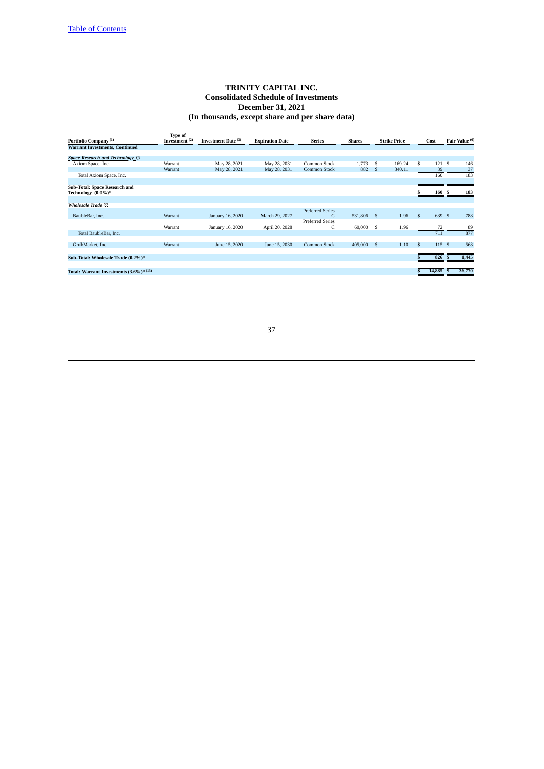# **TRINITY CAPITAL INC. Consolidated Schedule of Investments December 31, 2021 (In thousands, except share and per share data)**

| <b>Type of</b><br>Investment $(2)$<br>Portfolio Company <sup>(1)</sup><br>Investment Date (3)<br><b>Expiration Date</b><br><b>Series</b><br><b>Shares</b> |              | <b>Strike Price</b> |              | Cost   | Fair Value (6) |
|-----------------------------------------------------------------------------------------------------------------------------------------------------------|--------------|---------------------|--------------|--------|----------------|
| <b>Warrant Investments, Continued</b>                                                                                                                     |              |                     |              |        |                |
| Space Research and Technology <sup>(7)</sup>                                                                                                              |              |                     |              |        |                |
| May 28, 2031<br>1,773<br>Axiom Space, Inc.<br>Warrant<br>May 28, 2021<br>Common Stock                                                                     | S            | 169.24              | \$           | 121 \$ | 146            |
| 882<br>May 28, 2031<br><b>Common Stock</b><br>May 28, 2021<br>Warrant                                                                                     | <sup>S</sup> | 340.11              |              | 39     | 37             |
| Total Axiom Space, Inc.                                                                                                                                   |              |                     |              | 160    | 183            |
| Sub-Total: Space Research and                                                                                                                             |              |                     |              |        |                |
| Technology (0.0%)*                                                                                                                                        |              |                     | ×            | 160 \$ | 183            |
| Wholesale Trade <sup>(7)</sup>                                                                                                                            |              |                     |              |        |                |
| <b>Preferred Series</b>                                                                                                                                   |              |                     |              |        |                |
| C<br>531,806 \$<br>BaubleBar, Inc.<br>Warrant<br>March 29, 2027<br>January 16, 2020                                                                       |              | 1.96                | $\mathbf{s}$ | 639 \$ | 788            |
| <b>Preferred Series</b>                                                                                                                                   |              |                     |              |        |                |
| C<br>60,000<br>Warrant<br>April 20, 2028<br>January 16, 2020                                                                                              | -S           | 1.96                |              | 72     | 89             |
| Total BaubleBar, Inc.                                                                                                                                     |              |                     |              | 711    | 877            |
| 405,000<br>GrubMarket, Inc.<br>Warrant<br>June 15, 2020<br>June 15, 2030<br><b>Common Stock</b>                                                           | - S          | 1.10                | -S           | 115S   | 568            |
|                                                                                                                                                           |              |                     |              |        |                |
| Sub-Total: Wholesale Trade (0.2%)*                                                                                                                        |              |                     |              | 826    | 1,445          |
|                                                                                                                                                           |              |                     |              |        |                |
| Total: Warrant Investments $(3.6\%)*(13)$                                                                                                                 |              |                     | S            | 14,885 | 36,770         |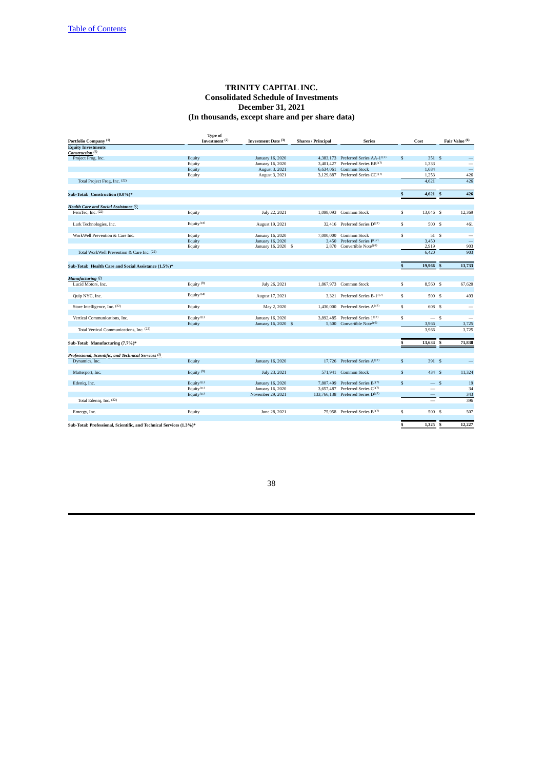# **TRINITY CAPITAL INC. Consolidated Schedule of Investments December 31, 2021 (In thousands, except share and per share data)**

|                                                                     | <b>Type of</b>         |                     |                           |                                                 |                         |                   |                          |
|---------------------------------------------------------------------|------------------------|---------------------|---------------------------|-------------------------------------------------|-------------------------|-------------------|--------------------------|
| Portfolio Company <sup>(1)</sup>                                    | Investment $(2)$       | Investment Date (3) | <b>Shares / Principal</b> | <b>Series</b>                                   |                         | Cost              | Fair Value (6)           |
| <b>Equity Investments</b>                                           |                        |                     |                           |                                                 |                         |                   |                          |
| Construction <sup>(7)</sup>                                         |                        |                     |                           |                                                 |                         |                   |                          |
| Project Frog, Inc.                                                  | Equity                 | January 16, 2020    |                           | 4,383,173 Preferred Series AA-1 <sup>(17)</sup> | $\mathfrak{s}$          | 351S              | —                        |
|                                                                     | Equity                 | January 16, 2020    | 3.401.427                 | Preferred Series BB(17)                         |                         | 1,333             |                          |
|                                                                     | Equity                 | August 3, 2021      | 6,634,061                 | <b>Common Stock</b>                             |                         | 1,684             | $\overline{\phantom{0}}$ |
|                                                                     | Equity                 | August 3, 2021      |                           | 3,129,887 Preferred Series CC <sup>(17)</sup>   |                         | 1,253             | 426                      |
| Total Project Frog, Inc. (22)                                       |                        |                     |                           |                                                 |                         | 4.621             | 426                      |
| Sub-Total: Construction (0.0%)*                                     |                        |                     |                           |                                                 | $\mathbf{s}$            | 4,621             | 426<br>s                 |
| Health Care and Social Assistance (7)                               |                        |                     |                           |                                                 |                         |                   |                          |
| FemTec, Inc. $(22)$                                                 | Equity                 | July 22, 2021       |                           | 1,098,093 Common Stock                          | S                       | 13,046 \$         | 12,369                   |
|                                                                     |                        |                     |                           |                                                 |                         |                   |                          |
| Lark Technologies, Inc.                                             | Equity $(14)$          | August 19, 2021     |                           | 32,416 Preferred Series D <sup>(17)</sup>       | \$                      | 500 \$            | 461                      |
|                                                                     |                        |                     |                           |                                                 |                         |                   |                          |
| WorkWell Prevention & Care Inc.                                     | Equity                 | January 16, 2020    | 7,000,000                 | Common Stock                                    | s                       | 51 \$             | $\overline{\phantom{a}}$ |
|                                                                     | Equity                 | January 16, 2020    | 3,450                     | Preferred Series P(17)                          |                         | 3,450             |                          |
|                                                                     | Equity                 | January 16, 2020 \$ |                           | 2,870 Convertible Note(16)                      |                         | 2,919             | 903                      |
| Total WorkWell Prevention & Care Inc. (22)                          |                        |                     |                           |                                                 |                         | 6,420             | 903                      |
| Sub-Total: Health Care and Social Assistance (1.5%)*                |                        |                     |                           |                                                 | $\overline{\mathbb{S}}$ | 19,966            | 13,733<br>$\mathbf{s}$   |
|                                                                     |                        |                     |                           |                                                 |                         |                   |                          |
| Manufacturing <sup>(7)</sup>                                        |                        |                     |                           |                                                 |                         |                   |                          |
| Lucid Motors, Inc.                                                  | Equity $(9)$           | July 26, 2021       |                           | 1,867,973 Common Stock                          | s                       | 8,560 \$          | 67,620                   |
| Quip NYC, Inc.                                                      | Equity <sup>(14)</sup> | August 17, 2021     |                           | 3,321 Preferred Series B-1 <sup>(17)</sup>      | \$                      | 500 \$            | 493                      |
| Store Intelligence, Inc. (22)                                       | Equity                 | May 2, 2020         |                           | 1,430,000 Preferred Series $A^{(17)}$           | s                       | 608 \$            | $\overline{\phantom{a}}$ |
|                                                                     |                        |                     |                           |                                                 |                         |                   |                          |
| Vertical Communications, Inc.                                       | Equity <sup>(11)</sup> | January 16, 2020    | 3.892.485                 | Preferred Series 1(17)                          | \$                      | $-s$              | $\overline{\phantom{a}}$ |
|                                                                     | Equity                 | January 16, 2020 \$ |                           | 5.500 Convertible Note <sup>(16)</sup>          |                         | 3,966             | 3,725                    |
| Total Vertical Communications, Inc. (22)                            |                        |                     |                           |                                                 |                         | 3.966             | 3,725                    |
|                                                                     |                        |                     |                           |                                                 |                         |                   |                          |
| Sub-Total: Manufacturing (7.7%)*                                    |                        |                     |                           |                                                 | s                       | 13,634            | s<br>71,838              |
|                                                                     |                        |                     |                           |                                                 |                         |                   |                          |
| Professional, Scientific, and Technical Services <sup>(7)</sup>     |                        |                     |                           |                                                 |                         |                   |                          |
| Dynamics, Inc.                                                      | Equity                 | January 16, 2020    |                           | 17,726 Preferred Series A <sup>(17)</sup>       | $\mathbf{s}$            | 391S              |                          |
| Matterport, Inc.                                                    | Equity $(9)$           | July 23, 2021       | 571,941                   | <b>Common Stock</b>                             | $\mathbb{S}$            | 434S              | 11,324                   |
| Edeniq, Inc.                                                        | Equity $(11)$          | January 16, 2020    | 7,807,499                 | Preferred Series B(17)                          | $\mathbf{s}$            | $-$ s             | 19                       |
|                                                                     | Equity <sup>(11)</sup> | January 16, 2020    | 3.657.487                 | Preferred Series C <sup>(17)</sup>              |                         | -                 | 34                       |
|                                                                     | Equity $(11)$          | November 29, 2021   |                           | 133,766,138 Preferred Series D <sup>(17)</sup>  |                         | $\qquad \qquad -$ | 343                      |
| Total Edeniq, Inc. (22)                                             |                        |                     |                           |                                                 |                         |                   | 396                      |
|                                                                     |                        |                     |                           |                                                 |                         |                   |                          |
| Emergy, Inc.                                                        | Equity                 | June 28, 2021       |                           | 75,958 Preferred Series B(17)                   | \$                      | 500 \$            | 507                      |
| Sub-Total: Professional, Scientific, and Technical Services (1.3%)* |                        |                     |                           |                                                 | \$                      | $1,325$ \$        | 12,227                   |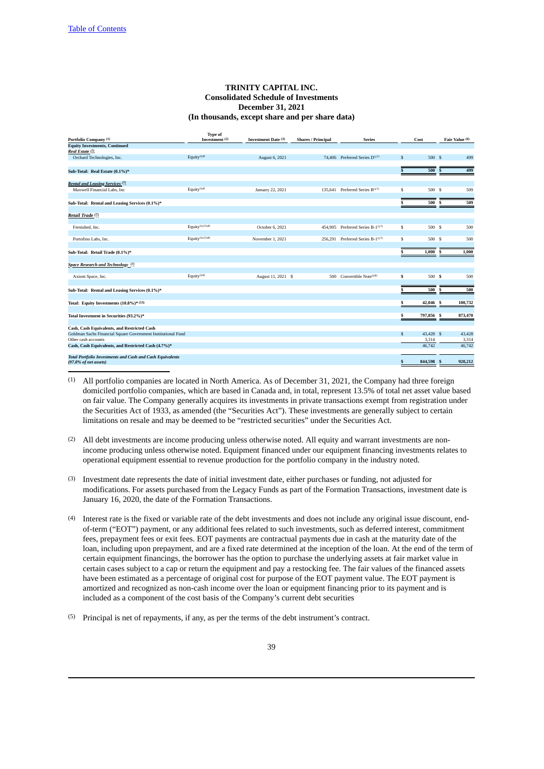# **TRINITY CAPITAL INC. Consolidated Schedule of Investments December 31, 2021 (In thousands, except share and per share data)**

| Portfolio Company <sup>(1)</sup>                                                          | <b>Type of</b><br>Investment <sup>(2)</sup> | Investment Date (3) | <b>Shares / Principal</b> | <b>Series</b>                              |              | Cost       | Fair Value (6) |
|-------------------------------------------------------------------------------------------|---------------------------------------------|---------------------|---------------------------|--------------------------------------------|--------------|------------|----------------|
| <b>Equity Investments, Continued</b>                                                      |                                             |                     |                           |                                            |              |            |                |
| Real Estate (7)                                                                           |                                             |                     |                           |                                            |              |            |                |
| Orchard Technologies, Inc.                                                                | Equity <sup>(14)</sup>                      | August 6, 2021      |                           | 74.406 Preferred Series D <sup>(17)</sup>  | $\mathbb{S}$ | 500 \$     | 499            |
| Sub-Total: Real Estate (0.1%)*                                                            |                                             |                     |                           |                                            |              | 500        | 499            |
| Rental and Leasing Services <sup>(7)</sup>                                                |                                             |                     |                           |                                            |              |            |                |
| Maxwell Financial Labs, Inc.                                                              | Equity $(14)$                               | January 22, 2021    |                           | 135.641 Preferred Series B <sup>(17)</sup> | S            | 500 S      | 509            |
| Sub-Total: Rental and Leasing Services (0.1%)*                                            |                                             |                     |                           |                                            |              | 500        | 509<br>S       |
| Retail Trade <sup>(7)</sup>                                                               |                                             |                     |                           |                                            |              |            |                |
| Fernished, Inc.                                                                           | Equity $(11)(14)$                           | October 6, 2021     |                           | 454,905 Preferred Series B-1(17)           | \$           | 500 S      | 500            |
|                                                                                           |                                             |                     |                           |                                            |              |            |                |
| Portofino Labs, Inc.                                                                      | Equity $(11)(14)$                           | November 1, 2021    |                           | 256,291 Preferred Series B-1(17)           | S            | 500 \$     | 500            |
| Sub-Total: Retail Trade (0.1%)*                                                           |                                             |                     |                           |                                            |              | 1,000      | S<br>1,000     |
| Space Research and Technology <sup>(7)</sup>                                              |                                             |                     |                           |                                            |              |            |                |
| Axiom Space, Inc.                                                                         | Equity $(14)$                               | August 11, 2021 \$  |                           | 500 Convertible Note <sup>(16)</sup>       | S            | 500 \$     | 500            |
| Sub-Total: Rental and Leasing Services (0.1%)*                                            |                                             |                     |                           |                                            |              | 500        | 500<br>s       |
| Total: Equity Investments (10.8%)* (13)                                                   |                                             |                     |                           |                                            |              | 42,046 \$  | 100,732        |
| Total Investment in Securities (93.2%)*                                                   |                                             |                     |                           |                                            |              | 797,856 \$ | 873,470        |
| Cash, Cash Equivalents, and Restricted Cash                                               |                                             |                     |                           |                                            |              |            |                |
| Goldman Sachs Financial Square Government Institutional Fund                              |                                             |                     |                           |                                            | $\mathbb{S}$ | 43,428 \$  | 43,428         |
| Other cash accounts                                                                       |                                             |                     |                           |                                            |              | 3,314      | 3,314          |
| Cash, Cash Equivalents, and Restricted Cash (4.7%)*                                       |                                             |                     |                           |                                            |              | 46,742     | 46,742         |
| <b>Total Portfolio Investments and Cash and Cash Equivalents</b><br>(97.8% of net assets) |                                             |                     |                           |                                            | S            | 844,598 \$ | 920.212        |

- (1) All portfolio companies are located in North America. As of December 31, 2021, the Company had three foreign domiciled portfolio companies, which are based in Canada and, in total, represent 13.5% of total net asset value based on fair value. The Company generally acquires its investments in private transactions exempt from registration under the Securities Act of 1933, as amended (the "Securities Act"). These investments are generally subject to certain limitations on resale and may be deemed to be "restricted securities" under the Securities Act.
- (2) All debt investments are income producing unless otherwise noted. All equity and warrant investments are nonincome producing unless otherwise noted. Equipment financed under our equipment financing investments relates to operational equipment essential to revenue production for the portfolio company in the industry noted.
- (3) Investment date represents the date of initial investment date, either purchases or funding, not adjusted for modifications. For assets purchased from the Legacy Funds as part of the Formation Transactions, investment date is January 16, 2020, the date of the Formation Transactions.
- (4) Interest rate is the fixed or variable rate of the debt investments and does not include any original issue discount, endof-term ("EOT") payment, or any additional fees related to such investments, such as deferred interest, commitment fees, prepayment fees or exit fees. EOT payments are contractual payments due in cash at the maturity date of the loan, including upon prepayment, and are a fixed rate determined at the inception of the loan. At the end of the term of certain equipment financings, the borrower has the option to purchase the underlying assets at fair market value in certain cases subject to a cap or return the equipment and pay a restocking fee. The fair values of the financed assets have been estimated as a percentage of original cost for purpose of the EOT payment value. The EOT payment is amortized and recognized as non-cash income over the loan or equipment financing prior to its payment and is included as a component of the cost basis of the Company's current debt securities
- (5) Principal is net of repayments, if any, as per the terms of the debt instrument's contract.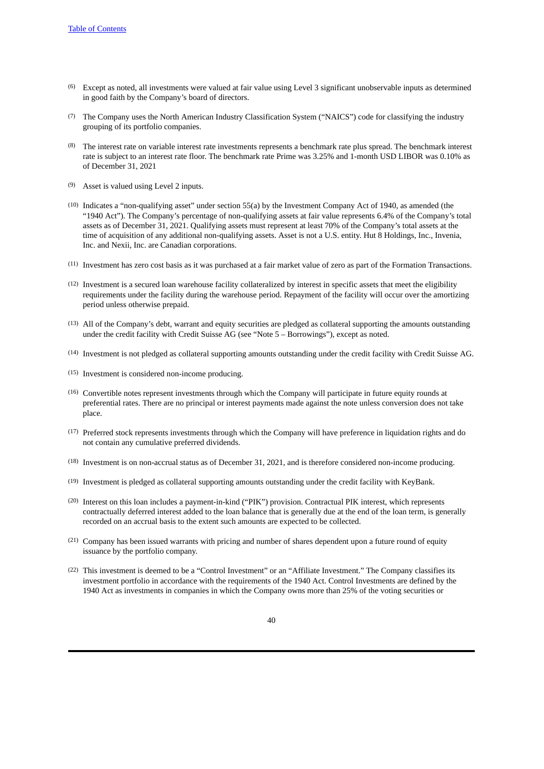- (6) Except as noted, all investments were valued at fair value using Level 3 significant unobservable inputs as determined in good faith by the Company's board of directors.
- (7) The Company uses the North American Industry Classification System ("NAICS") code for classifying the industry grouping of its portfolio companies.
- (8) The interest rate on variable interest rate investments represents a benchmark rate plus spread. The benchmark interest rate is subject to an interest rate floor. The benchmark rate Prime was 3.25% and 1-month USD LIBOR was 0.10% as of December 31, 2021
- (9) Asset is valued using Level 2 inputs.
- (10) Indicates a "non-qualifying asset" under section 55(a) by the Investment Company Act of 1940, as amended (the "1940 Act"). The Company's percentage of non-qualifying assets at fair value represents 6.4% of the Company's total assets as of December 31, 2021. Qualifying assets must represent at least 70% of the Company's total assets at the time of acquisition of any additional non-qualifying assets. Asset is not a U.S. entity. Hut 8 Holdings, Inc., Invenia, Inc. and Nexii, Inc. are Canadian corporations.
- (11) Investment has zero cost basis as it was purchased at a fair market value of zero as part of the Formation Transactions.
- (12) Investment is a secured loan warehouse facility collateralized by interest in specific assets that meet the eligibility requirements under the facility during the warehouse period. Repayment of the facility will occur over the amortizing period unless otherwise prepaid.
- (13) All of the Company's debt, warrant and equity securities are pledged as collateral supporting the amounts outstanding under the credit facility with Credit Suisse AG (see "Note 5 – Borrowings"), except as noted.
- (14) Investment is not pledged as collateral supporting amounts outstanding under the credit facility with Credit Suisse AG.
- (15) Investment is considered non-income producing.
- (16) Convertible notes represent investments through which the Company will participate in future equity rounds at preferential rates. There are no principal or interest payments made against the note unless conversion does not take place.
- (17) Preferred stock represents investments through which the Company will have preference in liquidation rights and do not contain any cumulative preferred dividends.
- (18) Investment is on non-accrual status as of December 31, 2021, and is therefore considered non-income producing.
- (19) Investment is pledged as collateral supporting amounts outstanding under the credit facility with KeyBank.
- (20) Interest on this loan includes a payment-in-kind ("PIK") provision. Contractual PIK interest, which represents contractually deferred interest added to the loan balance that is generally due at the end of the loan term, is generally recorded on an accrual basis to the extent such amounts are expected to be collected.
- (21) Company has been issued warrants with pricing and number of shares dependent upon a future round of equity issuance by the portfolio company.
- (22) This investment is deemed to be a "Control Investment" or an "Affiliate Investment." The Company classifies its investment portfolio in accordance with the requirements of the 1940 Act. Control Investments are defined by the 1940 Act as investments in companies in which the Company owns more than 25% of the voting securities or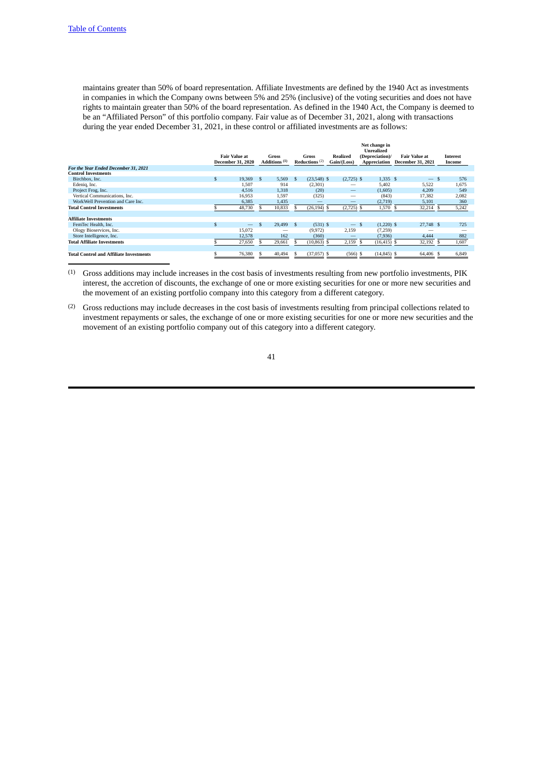maintains greater than 50% of board representation. Affiliate Investments are defined by the 1940 Act as investments in companies in which the Company owns between 5% and 25% (inclusive) of the voting securities and does not have rights to maintain greater than 50% of the board representation. As defined in the 1940 Act, the Company is deemed to be an "Affiliated Person" of this portfolio company. Fair value as of December 31, 2021, along with transactions during the year ended December 31, 2021, in these control or affiliated investments are as follows:

|                                                |                      |                          |              |                                   |              |                           |                         | Net change in<br>Unrealized     |                                                  |                           |
|------------------------------------------------|----------------------|--------------------------|--------------|-----------------------------------|--------------|---------------------------|-------------------------|---------------------------------|--------------------------------------------------|---------------------------|
|                                                | <b>Fair Value at</b> | <b>December 31, 2020</b> |              | Gross<br>Additions <sup>(1)</sup> |              | Gross<br>Reductions $(2)$ | Realized<br>Gain/(Loss) | (Depreciation)/<br>Appreciation | <b>Fair Value at</b><br><b>December 31, 2021</b> | <b>Interest</b><br>Income |
| For the Year Ended December 31, 2021           |                      |                          |              |                                   |              |                           |                         |                                 |                                                  |                           |
| <b>Control Investments</b>                     |                      |                          |              |                                   |              |                           |                         |                                 |                                                  |                           |
| Birchbox, Inc.                                 | S                    | 19,369                   | - \$         | 5,569                             | -S           | $(23,548)$ \$             | $(2,725)$ \$            | $1,335$ \$                      | $-$ \$                                           | 576                       |
| Edenig, Inc.                                   |                      | 1,507                    |              | 914                               |              | (2,301)                   |                         | 5,402                           | 5,522                                            | 1,675                     |
| Project Frog, Inc.                             |                      | 4,516                    |              | 1.318                             |              | (20)                      |                         | (1,605)                         | 4,209                                            | 549                       |
| Vertical Communications, Inc.                  |                      | 16,953                   |              | 1.597                             |              | (325)                     |                         | (843)                           | 17.382                                           | 2.082                     |
| WorkWell Prevention and Care Inc.              |                      | 6,385                    |              | 1,435                             |              |                           |                         | (2,719)                         | 5,101                                            | 360                       |
| <b>Total Control Investments</b>               |                      | 48,730                   |              | 10,833                            |              | $(26, 194)$ \$            | $(2,725)$ \$            | 1,570 \$                        | 32,214 \$                                        | 5,242                     |
|                                                |                      |                          |              |                                   |              |                           |                         |                                 |                                                  |                           |
| <b>Affiliate Investments</b>                   |                      |                          |              |                                   |              |                           |                         |                                 |                                                  |                           |
| FemTec Health, Inc.                            | S                    |                          | $\mathbf{s}$ | 29,499                            | $\mathbf{s}$ | $(531)$ \$                | $-$ \$                  | $(1,220)$ \$                    | 27,748 \$                                        | 725                       |
| Ology Bioservices, Inc.                        |                      | 15.072                   |              |                                   |              | (9,972)                   | 2,159                   | (7,259)                         |                                                  |                           |
| Store Intelligence, Inc.                       |                      | 12.578                   |              | 162                               |              | (360)                     |                         | (7,936)                         | 4.444                                            | 882                       |
| <b>Total Affiliate Investments</b>             |                      | 27,650                   |              | 29,661                            |              | (10, 863)<br>-8           | 2,159                   | $(16, 415)$ \$<br>-S            | 32,192 \$                                        | 1,607                     |
|                                                |                      |                          |              |                                   |              |                           |                         |                                 |                                                  |                           |
| <b>Total Control and Affiliate Investments</b> |                      | 76,380                   |              | 40,494                            | S.           | $(37,057)$ \$             | $(566)$ \$              | $(14, 845)$ \$                  | 64,406 \$                                        | 6,849                     |

(1) Gross additions may include increases in the cost basis of investments resulting from new portfolio investments, PIK interest, the accretion of discounts, the exchange of one or more existing securities for one or more new securities and the movement of an existing portfolio company into this category from a different category.

(2) Gross reductions may include decreases in the cost basis of investments resulting from principal collections related to investment repayments or sales, the exchange of one or more existing securities for one or more new securities and the movement of an existing portfolio company out of this category into a different category.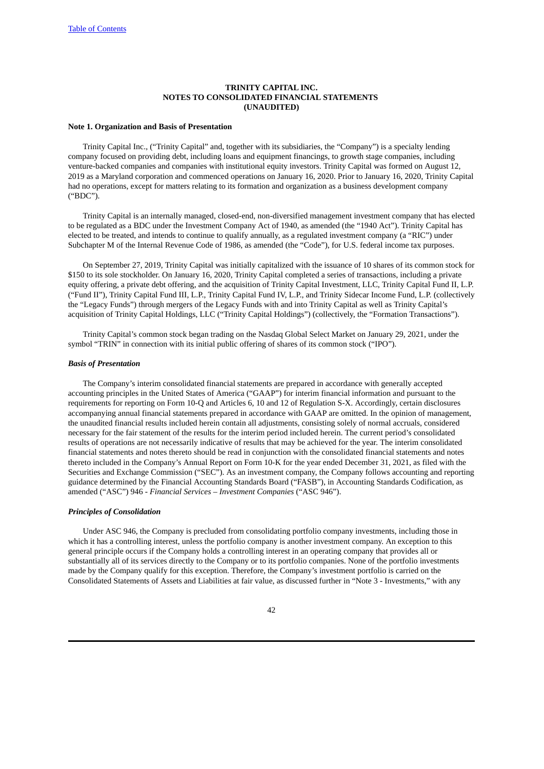# **TRINITY CAPITAL INC. NOTES TO CONSOLIDATED FINANCIAL STATEMENTS (UNAUDITED)**

### **Note 1. Organization and Basis of Presentation**

Trinity Capital Inc., ("Trinity Capital" and, together with its subsidiaries, the "Company") is a specialty lending company focused on providing debt, including loans and equipment financings, to growth stage companies, including venture-backed companies and companies with institutional equity investors. Trinity Capital was formed on August 12, 2019 as a Maryland corporation and commenced operations on January 16, 2020. Prior to January 16, 2020, Trinity Capital had no operations, except for matters relating to its formation and organization as a business development company ("BDC").

Trinity Capital is an internally managed, closed-end, non-diversified management investment company that has elected to be regulated as a BDC under the Investment Company Act of 1940, as amended (the "1940 Act"). Trinity Capital has elected to be treated, and intends to continue to qualify annually, as a regulated investment company (a "RIC") under Subchapter M of the Internal Revenue Code of 1986, as amended (the "Code"), for U.S. federal income tax purposes.

On September 27, 2019, Trinity Capital was initially capitalized with the issuance of 10 shares of its common stock for \$150 to its sole stockholder. On January 16, 2020, Trinity Capital completed a series of transactions, including a private equity offering, a private debt offering, and the acquisition of Trinity Capital Investment, LLC, Trinity Capital Fund II, L.P. ("Fund II"), Trinity Capital Fund III, L.P., Trinity Capital Fund IV, L.P., and Trinity Sidecar Income Fund, L.P. (collectively the "Legacy Funds") through mergers of the Legacy Funds with and into Trinity Capital as well as Trinity Capital's acquisition of Trinity Capital Holdings, LLC ("Trinity Capital Holdings") (collectively, the "Formation Transactions").

Trinity Capital's common stock began trading on the Nasdaq Global Select Market on January 29, 2021, under the symbol "TRIN" in connection with its initial public offering of shares of its common stock ("IPO").

### *Basis of Presentation*

The Company's interim consolidated financial statements are prepared in accordance with generally accepted accounting principles in the United States of America ("GAAP") for interim financial information and pursuant to the requirements for reporting on Form 10-Q and Articles 6, 10 and 12 of Regulation S-X. Accordingly, certain disclosures accompanying annual financial statements prepared in accordance with GAAP are omitted. In the opinion of management, the unaudited financial results included herein contain all adjustments, consisting solely of normal accruals, considered necessary for the fair statement of the results for the interim period included herein. The current period's consolidated results of operations are not necessarily indicative of results that may be achieved for the year. The interim consolidated financial statements and notes thereto should be read in conjunction with the consolidated financial statements and notes thereto included in the Company's Annual Report on Form 10-K for the year ended December 31, 2021, as filed with the Securities and Exchange Commission ("SEC"). As an investment company, the Company follows accounting and reporting guidance determined by the Financial Accounting Standards Board ("FASB"), in Accounting Standards Codification, as amended ("ASC") 946 - *Financial Services – Investment Companies* ("ASC 946").

#### *Principles of Consolidation*

Under ASC 946, the Company is precluded from consolidating portfolio company investments, including those in which it has a controlling interest, unless the portfolio company is another investment company. An exception to this general principle occurs if the Company holds a controlling interest in an operating company that provides all or substantially all of its services directly to the Company or to its portfolio companies. None of the portfolio investments made by the Company qualify for this exception. Therefore, the Company's investment portfolio is carried on the Consolidated Statements of Assets and Liabilities at fair value, as discussed further in "Note 3 - Investments," with any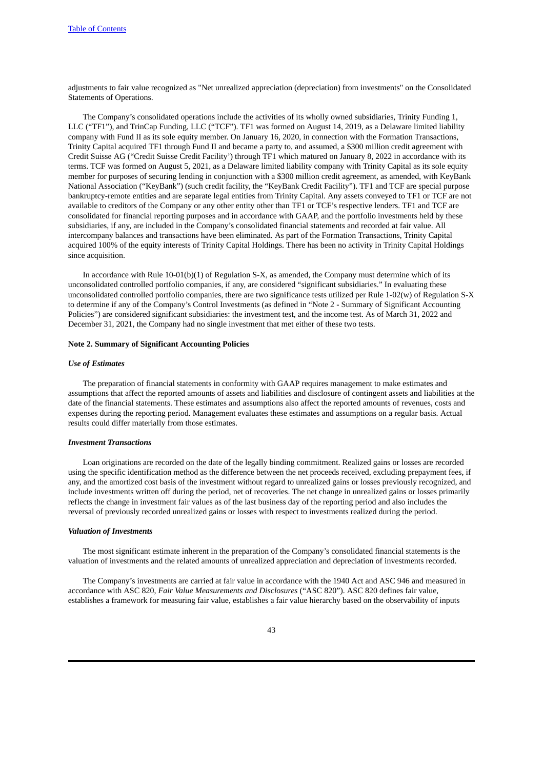adjustments to fair value recognized as "Net unrealized appreciation (depreciation) from investments" on the Consolidated Statements of Operations.

The Company's consolidated operations include the activities of its wholly owned subsidiaries, Trinity Funding 1, LLC ("TF1"), and TrinCap Funding, LLC ("TCF"). TF1 was formed on August 14, 2019, as a Delaware limited liability company with Fund II as its sole equity member. On January 16, 2020, in connection with the Formation Transactions, Trinity Capital acquired TF1 through Fund II and became a party to, and assumed, a \$300 million credit agreement with Credit Suisse AG ("Credit Suisse Credit Facility') through TF1 which matured on January 8, 2022 in accordance with its terms. TCF was formed on August 5, 2021, as a Delaware limited liability company with Trinity Capital as its sole equity member for purposes of securing lending in conjunction with a \$300 million credit agreement, as amended, with KeyBank National Association ("KeyBank") (such credit facility, the "KeyBank Credit Facility"). TF1 and TCF are special purpose bankruptcy-remote entities and are separate legal entities from Trinity Capital. Any assets conveyed to TF1 or TCF are not available to creditors of the Company or any other entity other than TF1 or TCF's respective lenders. TF1 and TCF are consolidated for financial reporting purposes and in accordance with GAAP, and the portfolio investments held by these subsidiaries, if any, are included in the Company's consolidated financial statements and recorded at fair value. All intercompany balances and transactions have been eliminated. As part of the Formation Transactions, Trinity Capital acquired 100% of the equity interests of Trinity Capital Holdings. There has been no activity in Trinity Capital Holdings since acquisition.

In accordance with Rule 10-01(b)(1) of Regulation S-X, as amended, the Company must determine which of its unconsolidated controlled portfolio companies, if any, are considered "significant subsidiaries." In evaluating these unconsolidated controlled portfolio companies, there are two significance tests utilized per Rule 1-02(w) of Regulation S-X to determine if any of the Company's Control Investments (as defined in "Note 2 - Summary of Significant Accounting Policies") are considered significant subsidiaries: the investment test, and the income test. As of March 31, 2022 and December 31, 2021, the Company had no single investment that met either of these two tests.

### **Note 2. Summary of Significant Accounting Policies**

#### *Use of Estimates*

The preparation of financial statements in conformity with GAAP requires management to make estimates and assumptions that affect the reported amounts of assets and liabilities and disclosure of contingent assets and liabilities at the date of the financial statements. These estimates and assumptions also affect the reported amounts of revenues, costs and expenses during the reporting period. Management evaluates these estimates and assumptions on a regular basis. Actual results could differ materially from those estimates.

#### *Investment Transactions*

Loan originations are recorded on the date of the legally binding commitment. Realized gains or losses are recorded using the specific identification method as the difference between the net proceeds received, excluding prepayment fees, if any, and the amortized cost basis of the investment without regard to unrealized gains or losses previously recognized, and include investments written off during the period, net of recoveries. The net change in unrealized gains or losses primarily reflects the change in investment fair values as of the last business day of the reporting period and also includes the reversal of previously recorded unrealized gains or losses with respect to investments realized during the period.

#### *Valuation of Investments*

The most significant estimate inherent in the preparation of the Company's consolidated financial statements is the valuation of investments and the related amounts of unrealized appreciation and depreciation of investments recorded.

The Company's investments are carried at fair value in accordance with the 1940 Act and ASC 946 and measured in accordance with ASC 820, *Fair Value Measurements and Disclosures* ("ASC 820"). ASC 820 defines fair value, establishes a framework for measuring fair value, establishes a fair value hierarchy based on the observability of inputs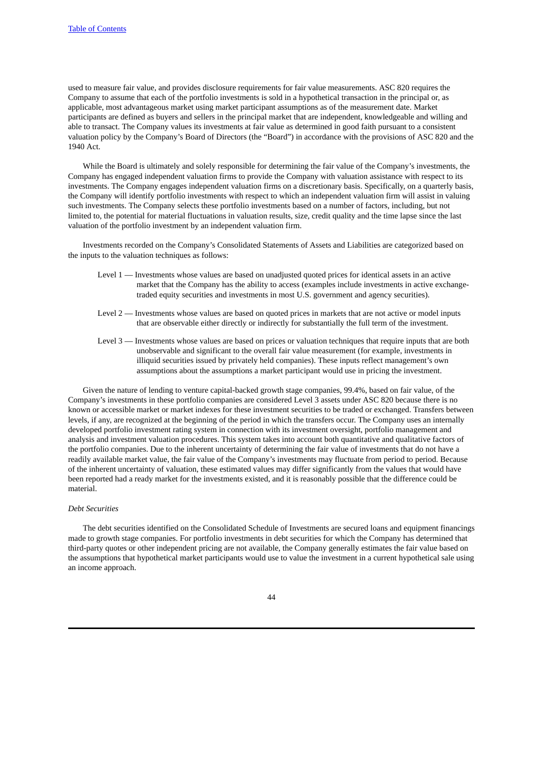used to measure fair value, and provides disclosure requirements for fair value measurements. ASC 820 requires the Company to assume that each of the portfolio investments is sold in a hypothetical transaction in the principal or, as applicable, most advantageous market using market participant assumptions as of the measurement date. Market participants are defined as buyers and sellers in the principal market that are independent, knowledgeable and willing and able to transact. The Company values its investments at fair value as determined in good faith pursuant to a consistent valuation policy by the Company's Board of Directors (the "Board") in accordance with the provisions of ASC 820 and the 1940 Act.

While the Board is ultimately and solely responsible for determining the fair value of the Company's investments, the Company has engaged independent valuation firms to provide the Company with valuation assistance with respect to its investments. The Company engages independent valuation firms on a discretionary basis. Specifically, on a quarterly basis, the Company will identify portfolio investments with respect to which an independent valuation firm will assist in valuing such investments. The Company selects these portfolio investments based on a number of factors, including, but not limited to, the potential for material fluctuations in valuation results, size, credit quality and the time lapse since the last valuation of the portfolio investment by an independent valuation firm.

Investments recorded on the Company's Consolidated Statements of Assets and Liabilities are categorized based on the inputs to the valuation techniques as follows:

- Level 1 Investments whose values are based on unadjusted quoted prices for identical assets in an active market that the Company has the ability to access (examples include investments in active exchangetraded equity securities and investments in most U.S. government and agency securities).
- Level 2 Investments whose values are based on quoted prices in markets that are not active or model inputs that are observable either directly or indirectly for substantially the full term of the investment.
- Level 3 Investments whose values are based on prices or valuation techniques that require inputs that are both unobservable and significant to the overall fair value measurement (for example, investments in illiquid securities issued by privately held companies). These inputs reflect management's own assumptions about the assumptions a market participant would use in pricing the investment.

Given the nature of lending to venture capital-backed growth stage companies, 99.4%, based on fair value, of the Company's investments in these portfolio companies are considered Level 3 assets under ASC 820 because there is no known or accessible market or market indexes for these investment securities to be traded or exchanged. Transfers between levels, if any, are recognized at the beginning of the period in which the transfers occur. The Company uses an internally developed portfolio investment rating system in connection with its investment oversight, portfolio management and analysis and investment valuation procedures. This system takes into account both quantitative and qualitative factors of the portfolio companies. Due to the inherent uncertainty of determining the fair value of investments that do not have a readily available market value, the fair value of the Company's investments may fluctuate from period to period. Because of the inherent uncertainty of valuation, these estimated values may differ significantly from the values that would have been reported had a ready market for the investments existed, and it is reasonably possible that the difference could be material.

# *Debt Securities*

The debt securities identified on the Consolidated Schedule of Investments are secured loans and equipment financings made to growth stage companies. For portfolio investments in debt securities for which the Company has determined that third-party quotes or other independent pricing are not available, the Company generally estimates the fair value based on the assumptions that hypothetical market participants would use to value the investment in a current hypothetical sale using an income approach.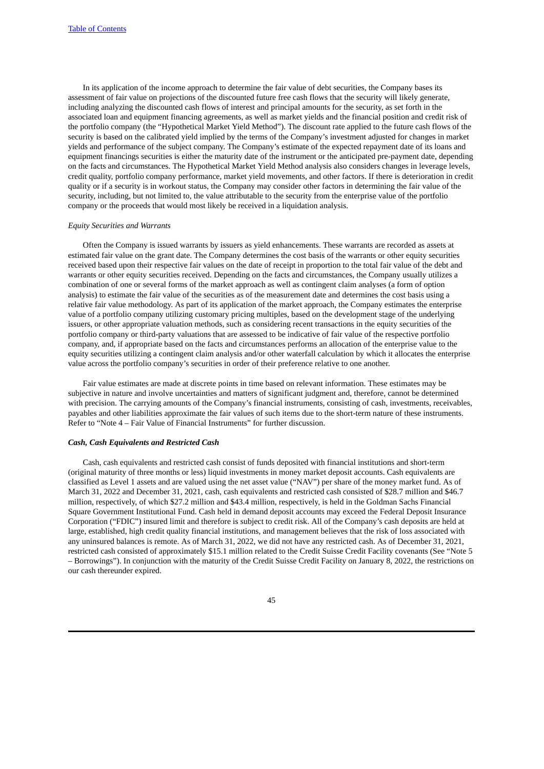In its application of the income approach to determine the fair value of debt securities, the Company bases its assessment of fair value on projections of the discounted future free cash flows that the security will likely generate, including analyzing the discounted cash flows of interest and principal amounts for the security, as set forth in the associated loan and equipment financing agreements, as well as market yields and the financial position and credit risk of the portfolio company (the "Hypothetical Market Yield Method"). The discount rate applied to the future cash flows of the security is based on the calibrated yield implied by the terms of the Company's investment adjusted for changes in market yields and performance of the subject company. The Company's estimate of the expected repayment date of its loans and equipment financings securities is either the maturity date of the instrument or the anticipated pre-payment date, depending on the facts and circumstances. The Hypothetical Market Yield Method analysis also considers changes in leverage levels, credit quality, portfolio company performance, market yield movements, and other factors. If there is deterioration in credit quality or if a security is in workout status, the Company may consider other factors in determining the fair value of the security, including, but not limited to, the value attributable to the security from the enterprise value of the portfolio company or the proceeds that would most likely be received in a liquidation analysis.

### *Equity Securities and Warrants*

Often the Company is issued warrants by issuers as yield enhancements. These warrants are recorded as assets at estimated fair value on the grant date. The Company determines the cost basis of the warrants or other equity securities received based upon their respective fair values on the date of receipt in proportion to the total fair value of the debt and warrants or other equity securities received. Depending on the facts and circumstances, the Company usually utilizes a combination of one or several forms of the market approach as well as contingent claim analyses (a form of option analysis) to estimate the fair value of the securities as of the measurement date and determines the cost basis using a relative fair value methodology. As part of its application of the market approach, the Company estimates the enterprise value of a portfolio company utilizing customary pricing multiples, based on the development stage of the underlying issuers, or other appropriate valuation methods, such as considering recent transactions in the equity securities of the portfolio company or third-party valuations that are assessed to be indicative of fair value of the respective portfolio company, and, if appropriate based on the facts and circumstances performs an allocation of the enterprise value to the equity securities utilizing a contingent claim analysis and/or other waterfall calculation by which it allocates the enterprise value across the portfolio company's securities in order of their preference relative to one another.

Fair value estimates are made at discrete points in time based on relevant information. These estimates may be subjective in nature and involve uncertainties and matters of significant judgment and, therefore, cannot be determined with precision. The carrying amounts of the Company's financial instruments, consisting of cash, investments, receivables, payables and other liabilities approximate the fair values of such items due to the short-term nature of these instruments. Refer to "Note 4 – Fair Value of Financial Instruments" for further discussion.

#### *Cash, Cash Equivalents and Restricted Cash*

Cash, cash equivalents and restricted cash consist of funds deposited with financial institutions and short-term (original maturity of three months or less) liquid investments in money market deposit accounts. Cash equivalents are classified as Level 1 assets and are valued using the net asset value ("NAV") per share of the money market fund. As of March 31, 2022 and December 31, 2021, cash, cash equivalents and restricted cash consisted of \$28.7 million and \$46.7 million, respectively, of which \$27.2 million and \$43.4 million, respectively, is held in the Goldman Sachs Financial Square Government Institutional Fund. Cash held in demand deposit accounts may exceed the Federal Deposit Insurance Corporation ("FDIC") insured limit and therefore is subject to credit risk. All of the Company's cash deposits are held at large, established, high credit quality financial institutions, and management believes that the risk of loss associated with any uninsured balances is remote. As of March 31, 2022, we did not have any restricted cash. As of December 31, 2021, restricted cash consisted of approximately \$15.1 million related to the Credit Suisse Credit Facility covenants (See "Note 5 – Borrowings"). In conjunction with the maturity of the Credit Suisse Credit Facility on January 8, 2022, the restrictions on our cash thereunder expired.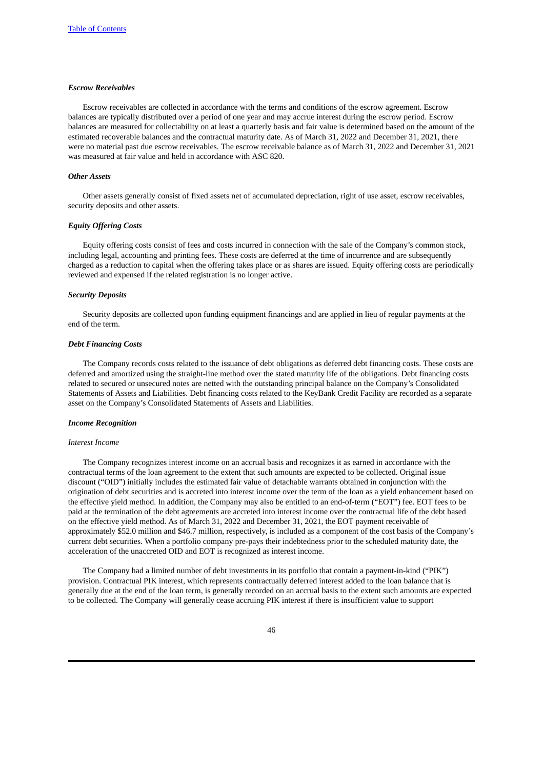### *Escrow Receivables*

Escrow receivables are collected in accordance with the terms and conditions of the escrow agreement. Escrow balances are typically distributed over a period of one year and may accrue interest during the escrow period. Escrow balances are measured for collectability on at least a quarterly basis and fair value is determined based on the amount of the estimated recoverable balances and the contractual maturity date. As of March 31, 2022 and December 31, 2021, there were no material past due escrow receivables. The escrow receivable balance as of March 31, 2022 and December 31, 2021 was measured at fair value and held in accordance with ASC 820.

### *Other Assets*

Other assets generally consist of fixed assets net of accumulated depreciation, right of use asset, escrow receivables, security deposits and other assets.

## *Equity Offering Costs*

Equity offering costs consist of fees and costs incurred in connection with the sale of the Company's common stock, including legal, accounting and printing fees. These costs are deferred at the time of incurrence and are subsequently charged as a reduction to capital when the offering takes place or as shares are issued. Equity offering costs are periodically reviewed and expensed if the related registration is no longer active.

# *Security Deposits*

Security deposits are collected upon funding equipment financings and are applied in lieu of regular payments at the end of the term.

### *Debt Financing Costs*

The Company records costs related to the issuance of debt obligations as deferred debt financing costs. These costs are deferred and amortized using the straight-line method over the stated maturity life of the obligations. Debt financing costs related to secured or unsecured notes are netted with the outstanding principal balance on the Company's Consolidated Statements of Assets and Liabilities. Debt financing costs related to the KeyBank Credit Facility are recorded as a separate asset on the Company's Consolidated Statements of Assets and Liabilities.

# *Income Recognition*

#### *Interest Income*

The Company recognizes interest income on an accrual basis and recognizes it as earned in accordance with the contractual terms of the loan agreement to the extent that such amounts are expected to be collected. Original issue discount ("OID") initially includes the estimated fair value of detachable warrants obtained in conjunction with the origination of debt securities and is accreted into interest income over the term of the loan as a yield enhancement based on the effective yield method. In addition, the Company may also be entitled to an end-of-term ("EOT") fee. EOT fees to be paid at the termination of the debt agreements are accreted into interest income over the contractual life of the debt based on the effective yield method. As of March 31, 2022 and December 31, 2021, the EOT payment receivable of approximately \$52.0 million and \$46.7 million, respectively, is included as a component of the cost basis of the Company's current debt securities. When a portfolio company pre-pays their indebtedness prior to the scheduled maturity date, the acceleration of the unaccreted OID and EOT is recognized as interest income.

The Company had a limited number of debt investments in its portfolio that contain a payment-in-kind ("PIK") provision. Contractual PIK interest, which represents contractually deferred interest added to the loan balance that is generally due at the end of the loan term, is generally recorded on an accrual basis to the extent such amounts are expected to be collected. The Company will generally cease accruing PIK interest if there is insufficient value to support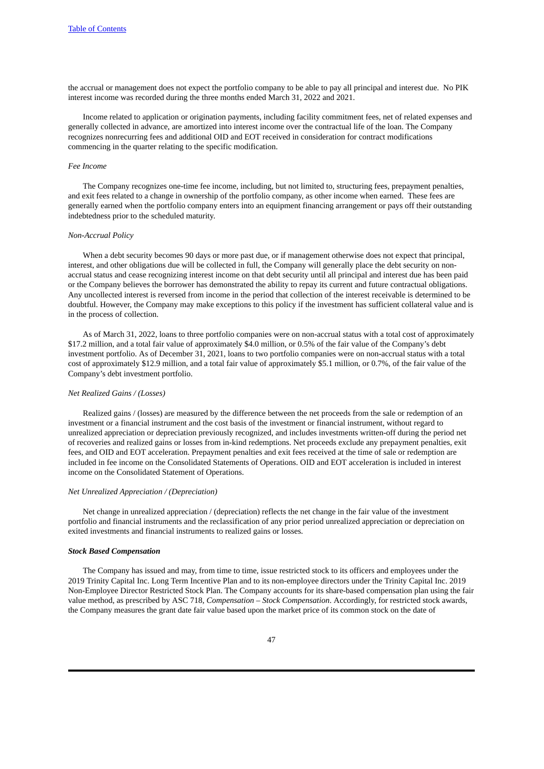the accrual or management does not expect the portfolio company to be able to pay all principal and interest due. No PIK interest income was recorded during the three months ended March 31, 2022 and 2021.

Income related to application or origination payments, including facility commitment fees, net of related expenses and generally collected in advance, are amortized into interest income over the contractual life of the loan. The Company recognizes nonrecurring fees and additional OID and EOT received in consideration for contract modifications commencing in the quarter relating to the specific modification.

### *Fee Income*

The Company recognizes one-time fee income, including, but not limited to, structuring fees, prepayment penalties, and exit fees related to a change in ownership of the portfolio company, as other income when earned. These fees are generally earned when the portfolio company enters into an equipment financing arrangement or pays off their outstanding indebtedness prior to the scheduled maturity.

## *Non-Accrual Policy*

When a debt security becomes 90 days or more past due, or if management otherwise does not expect that principal, interest, and other obligations due will be collected in full, the Company will generally place the debt security on nonaccrual status and cease recognizing interest income on that debt security until all principal and interest due has been paid or the Company believes the borrower has demonstrated the ability to repay its current and future contractual obligations. Any uncollected interest is reversed from income in the period that collection of the interest receivable is determined to be doubtful. However, the Company may make exceptions to this policy if the investment has sufficient collateral value and is in the process of collection.

As of March 31, 2022, loans to three portfolio companies were on non-accrual status with a total cost of approximately \$17.2 million, and a total fair value of approximately \$4.0 million, or 0.5% of the fair value of the Company's debt investment portfolio. As of December 31, 2021, loans to two portfolio companies were on non-accrual status with a total cost of approximately \$12.9 million, and a total fair value of approximately \$5.1 million, or 0.7%, of the fair value of the Company's debt investment portfolio.

#### *Net Realized Gains / (Losses)*

Realized gains / (losses) are measured by the difference between the net proceeds from the sale or redemption of an investment or a financial instrument and the cost basis of the investment or financial instrument, without regard to unrealized appreciation or depreciation previously recognized, and includes investments written-off during the period net of recoveries and realized gains or losses from in-kind redemptions. Net proceeds exclude any prepayment penalties, exit fees, and OID and EOT acceleration. Prepayment penalties and exit fees received at the time of sale or redemption are included in fee income on the Consolidated Statements of Operations. OID and EOT acceleration is included in interest income on the Consolidated Statement of Operations.

#### *Net Unrealized Appreciation / (Depreciation)*

Net change in unrealized appreciation / (depreciation) reflects the net change in the fair value of the investment portfolio and financial instruments and the reclassification of any prior period unrealized appreciation or depreciation on exited investments and financial instruments to realized gains or losses.

#### *Stock Based Compensation*

The Company has issued and may, from time to time, issue restricted stock to its officers and employees under the 2019 Trinity Capital Inc. Long Term Incentive Plan and to its non-employee directors under the Trinity Capital Inc. 2019 Non-Employee Director Restricted Stock Plan. The Company accounts for its share-based compensation plan using the fair value method, as prescribed by ASC 718, *Compensation – Stock Compensation*. Accordingly, for restricted stock awards, the Company measures the grant date fair value based upon the market price of its common stock on the date of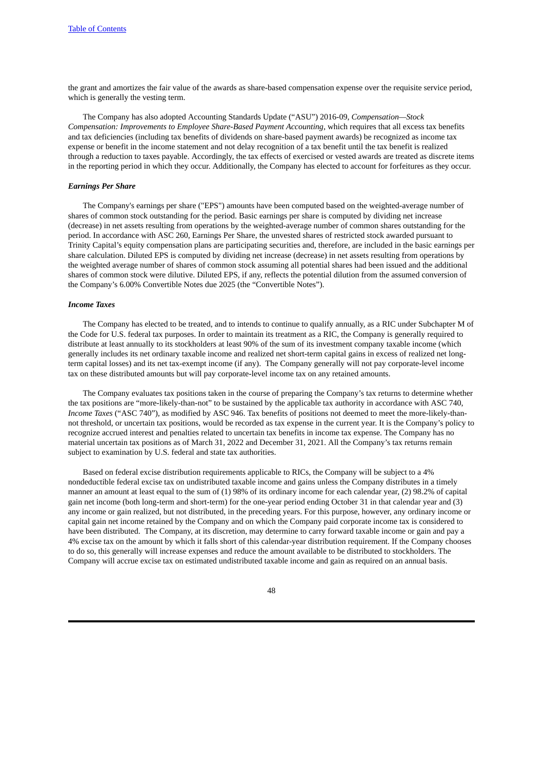the grant and amortizes the fair value of the awards as share-based compensation expense over the requisite service period, which is generally the vesting term.

The Company has also adopted Accounting Standards Update ("ASU") 2016-09, *Compensation—Stock Compensation: Improvements to Employee Share-Based Payment Accounting*, which requires that all excess tax benefits and tax deficiencies (including tax benefits of dividends on share-based payment awards) be recognized as income tax expense or benefit in the income statement and not delay recognition of a tax benefit until the tax benefit is realized through a reduction to taxes payable. Accordingly, the tax effects of exercised or vested awards are treated as discrete items in the reporting period in which they occur. Additionally, the Company has elected to account for forfeitures as they occur.

#### *Earnings Per Share*

The Company's earnings per share ("EPS") amounts have been computed based on the weighted-average number of shares of common stock outstanding for the period. Basic earnings per share is computed by dividing net increase (decrease) in net assets resulting from operations by the weighted-average number of common shares outstanding for the period. In accordance with ASC 260, Earnings Per Share, the unvested shares of restricted stock awarded pursuant to Trinity Capital's equity compensation plans are participating securities and, therefore, are included in the basic earnings per share calculation. Diluted EPS is computed by dividing net increase (decrease) in net assets resulting from operations by the weighted average number of shares of common stock assuming all potential shares had been issued and the additional shares of common stock were dilutive. Diluted EPS, if any, reflects the potential dilution from the assumed conversion of the Company's 6.00% Convertible Notes due 2025 (the "Convertible Notes").

## *Income Taxes*

The Company has elected to be treated, and to intends to continue to qualify annually, as a RIC under Subchapter M of the Code for U.S. federal tax purposes. In order to maintain its treatment as a RIC, the Company is generally required to distribute at least annually to its stockholders at least 90% of the sum of its investment company taxable income (which generally includes its net ordinary taxable income and realized net short-term capital gains in excess of realized net longterm capital losses) and its net tax-exempt income (if any). The Company generally will not pay corporate-level income tax on these distributed amounts but will pay corporate-level income tax on any retained amounts.

The Company evaluates tax positions taken in the course of preparing the Company's tax returns to determine whether the tax positions are "more-likely-than-not" to be sustained by the applicable tax authority in accordance with ASC 740, *Income Taxes* ("ASC 740")*,* as modified by ASC 946. Tax benefits of positions not deemed to meet the more-likely-thannot threshold, or uncertain tax positions, would be recorded as tax expense in the current year. It is the Company's policy to recognize accrued interest and penalties related to uncertain tax benefits in income tax expense. The Company has no material uncertain tax positions as of March 31, 2022 and December 31, 2021. All the Company's tax returns remain subject to examination by U.S. federal and state tax authorities.

Based on federal excise distribution requirements applicable to RICs, the Company will be subject to a 4% nondeductible federal excise tax on undistributed taxable income and gains unless the Company distributes in a timely manner an amount at least equal to the sum of (1) 98% of its ordinary income for each calendar year, (2) 98.2% of capital gain net income (both long-term and short-term) for the one-year period ending October 31 in that calendar year and (3) any income or gain realized, but not distributed, in the preceding years. For this purpose, however, any ordinary income or capital gain net income retained by the Company and on which the Company paid corporate income tax is considered to have been distributed. The Company, at its discretion, may determine to carry forward taxable income or gain and pay a 4% excise tax on the amount by which it falls short of this calendar-year distribution requirement. If the Company chooses to do so, this generally will increase expenses and reduce the amount available to be distributed to stockholders. The Company will accrue excise tax on estimated undistributed taxable income and gain as required on an annual basis.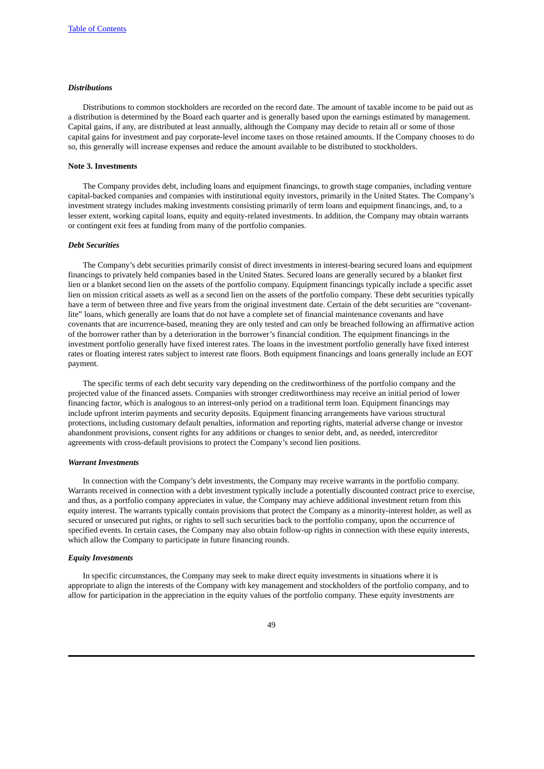### *Distributions*

Distributions to common stockholders are recorded on the record date. The amount of taxable income to be paid out as a distribution is determined by the Board each quarter and is generally based upon the earnings estimated by management. Capital gains, if any, are distributed at least annually, although the Company may decide to retain all or some of those capital gains for investment and pay corporate-level income taxes on those retained amounts. If the Company chooses to do so, this generally will increase expenses and reduce the amount available to be distributed to stockholders.

### **Note 3. Investments**

The Company provides debt, including loans and equipment financings, to growth stage companies, including venture capital-backed companies and companies with institutional equity investors, primarily in the United States. The Company's investment strategy includes making investments consisting primarily of term loans and equipment financings, and, to a lesser extent, working capital loans, equity and equity-related investments. In addition, the Company may obtain warrants or contingent exit fees at funding from many of the portfolio companies.

### *Debt Securities*

The Company's debt securities primarily consist of direct investments in interest-bearing secured loans and equipment financings to privately held companies based in the United States. Secured loans are generally secured by a blanket first lien or a blanket second lien on the assets of the portfolio company. Equipment financings typically include a specific asset lien on mission critical assets as well as a second lien on the assets of the portfolio company. These debt securities typically have a term of between three and five years from the original investment date. Certain of the debt securities are "covenantlite" loans, which generally are loans that do not have a complete set of financial maintenance covenants and have covenants that are incurrence-based, meaning they are only tested and can only be breached following an affirmative action of the borrower rather than by a deterioration in the borrower's financial condition. The equipment financings in the investment portfolio generally have fixed interest rates. The loans in the investment portfolio generally have fixed interest rates or floating interest rates subject to interest rate floors. Both equipment financings and loans generally include an EOT payment.

The specific terms of each debt security vary depending on the creditworthiness of the portfolio company and the projected value of the financed assets. Companies with stronger creditworthiness may receive an initial period of lower financing factor, which is analogous to an interest-only period on a traditional term loan. Equipment financings may include upfront interim payments and security deposits. Equipment financing arrangements have various structural protections, including customary default penalties, information and reporting rights, material adverse change or investor abandonment provisions, consent rights for any additions or changes to senior debt, and, as needed, intercreditor agreements with cross-default provisions to protect the Company's second lien positions.

#### *Warrant Investments*

In connection with the Company's debt investments, the Company may receive warrants in the portfolio company. Warrants received in connection with a debt investment typically include a potentially discounted contract price to exercise, and thus, as a portfolio company appreciates in value, the Company may achieve additional investment return from this equity interest. The warrants typically contain provisions that protect the Company as a minority-interest holder, as well as secured or unsecured put rights, or rights to sell such securities back to the portfolio company, upon the occurrence of specified events. In certain cases, the Company may also obtain follow-up rights in connection with these equity interests, which allow the Company to participate in future financing rounds.

#### *Equity Investments*

In specific circumstances, the Company may seek to make direct equity investments in situations where it is appropriate to align the interests of the Company with key management and stockholders of the portfolio company, and to allow for participation in the appreciation in the equity values of the portfolio company. These equity investments are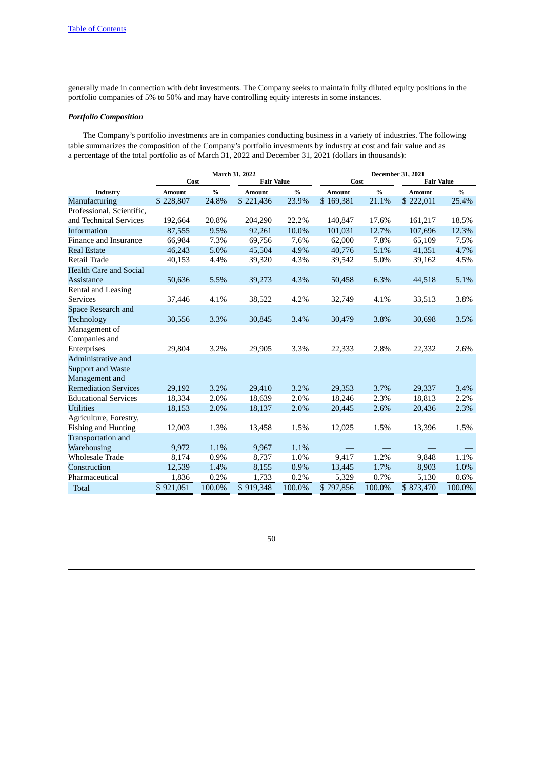generally made in connection with debt investments. The Company seeks to maintain fully diluted equity positions in the portfolio companies of 5% to 50% and may have controlling equity interests in some instances.

# *Portfolio Composition*

The Company's portfolio investments are in companies conducting business in a variety of industries. The following table summarizes the composition of the Company's portfolio investments by industry at cost and fair value and as a percentage of the total portfolio as of March 31, 2022 and December 31, 2021 (dollars in thousands):

|                               | March 31, 2022 |        |                   |        | December 31, 2021 |        |                   |        |  |  |
|-------------------------------|----------------|--------|-------------------|--------|-------------------|--------|-------------------|--------|--|--|
|                               | Cost           |        | <b>Fair Value</b> |        | Cost              |        | <b>Fair Value</b> |        |  |  |
| Industry                      | <b>Amount</b>  | $\%$   | <b>Amount</b>     | $\%$   | <b>Amount</b>     | $\%$   | <b>Amount</b>     | $\%$   |  |  |
| Manufacturing                 | \$228,807      | 24.8%  | \$221,436         | 23.9%  | \$169,381         | 21.1%  | \$222,011         | 25.4%  |  |  |
| Professional, Scientific,     |                |        |                   |        |                   |        |                   |        |  |  |
| and Technical Services        | 192,664        | 20.8%  | 204,290           | 22.2%  | 140.847           | 17.6%  | 161,217           | 18.5%  |  |  |
| Information                   | 87,555         | 9.5%   | 92,261            | 10.0%  | 101,031           | 12.7%  | 107,696           | 12.3%  |  |  |
| Finance and Insurance         | 66.984         | 7.3%   | 69,756            | 7.6%   | 62,000            | 7.8%   | 65,109            | 7.5%   |  |  |
| <b>Real Estate</b>            | 46,243         | 5.0%   | 45,504            | 4.9%   | 40,776            | 5.1%   | 41,351            | 4.7%   |  |  |
| Retail Trade                  | 40,153         | 4.4%   | 39,320            | 4.3%   | 39,542            | 5.0%   | 39,162            | 4.5%   |  |  |
| <b>Health Care and Social</b> |                |        |                   |        |                   |        |                   |        |  |  |
| Assistance                    | 50,636         | 5.5%   | 39,273            | 4.3%   | 50,458            | 6.3%   | 44,518            | 5.1%   |  |  |
| Rental and Leasing            |                |        |                   |        |                   |        |                   |        |  |  |
| <b>Services</b>               | 37,446         | 4.1%   | 38,522            | 4.2%   | 32,749            | 4.1%   | 33,513            | 3.8%   |  |  |
| Space Research and            |                |        |                   |        |                   |        |                   |        |  |  |
| Technology                    | 30,556         | 3.3%   | 30,845            | 3.4%   | 30,479            | 3.8%   | 30,698            | 3.5%   |  |  |
| Management of                 |                |        |                   |        |                   |        |                   |        |  |  |
| Companies and                 |                |        |                   |        |                   |        |                   |        |  |  |
| Enterprises                   | 29,804         | 3.2%   | 29,905            | 3.3%   | 22,333            | 2.8%   | 22,332            | 2.6%   |  |  |
| Administrative and            |                |        |                   |        |                   |        |                   |        |  |  |
| <b>Support and Waste</b>      |                |        |                   |        |                   |        |                   |        |  |  |
| Management and                |                |        |                   |        |                   |        |                   |        |  |  |
| <b>Remediation Services</b>   | 29,192         | 3.2%   | 29,410            | 3.2%   | 29,353            | 3.7%   | 29,337            | 3.4%   |  |  |
| <b>Educational Services</b>   | 18,334         | 2.0%   | 18,639            | 2.0%   | 18,246            | 2.3%   | 18,813            | 2.2%   |  |  |
| <b>Utilities</b>              | 18,153         | 2.0%   | 18,137            | 2.0%   | 20,445            | 2.6%   | 20,436            | 2.3%   |  |  |
| Agriculture, Forestry,        |                |        |                   |        |                   |        |                   |        |  |  |
| <b>Fishing and Hunting</b>    | 12,003         | 1.3%   | 13,458            | 1.5%   | 12,025            | 1.5%   | 13,396            | 1.5%   |  |  |
| Transportation and            |                |        |                   |        |                   |        |                   |        |  |  |
| Warehousing                   | 9,972          | 1.1%   | 9,967             | 1.1%   |                   |        |                   |        |  |  |
| <b>Wholesale Trade</b>        | 8,174          | 0.9%   | 8,737             | 1.0%   | 9,417             | 1.2%   | 9,848             | 1.1%   |  |  |
| Construction                  | 12,539         | 1.4%   | 8,155             | 0.9%   | 13,445            | 1.7%   | 8,903             | 1.0%   |  |  |
| Pharmaceutical                | 1,836          | 0.2%   | 1,733             | 0.2%   | 5,329             | 0.7%   | 5,130             | 0.6%   |  |  |
| <b>Total</b>                  | \$921,051      | 100.0% | \$919,348         | 100.0% | \$797,856         | 100.0% | \$873,470         | 100.0% |  |  |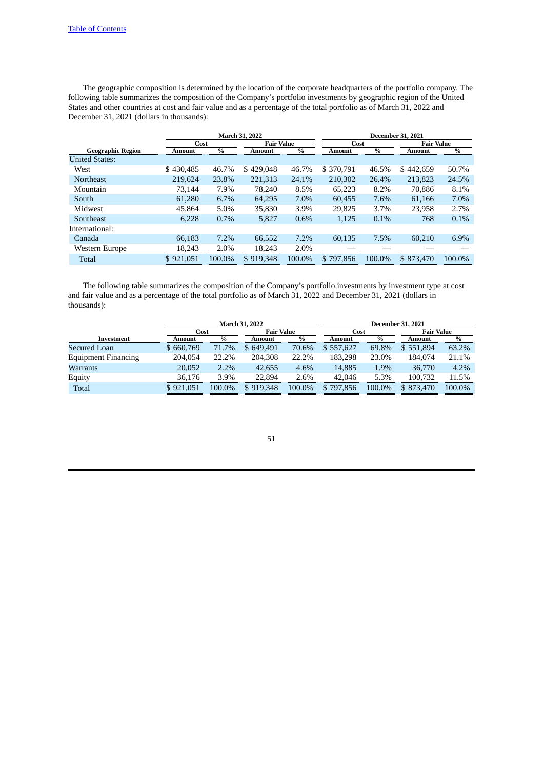The geographic composition is determined by the location of the corporate headquarters of the portfolio company. The following table summarizes the composition of the Company's portfolio investments by geographic region of the United States and other countries at cost and fair value and as a percentage of the total portfolio as of March 31, 2022 and December 31, 2021 (dollars in thousands):

|                          |           | <b>March 31, 2022</b>             | <b>December 31, 2021</b> |        |                   |        |           |        |
|--------------------------|-----------|-----------------------------------|--------------------------|--------|-------------------|--------|-----------|--------|
|                          |           | <b>Fair Value</b><br>Cost<br>Cost |                          |        | <b>Fair Value</b> |        |           |        |
| <b>Geographic Region</b> | Amount    | $\frac{0}{0}$                     | <b>Amount</b>            | $\%$   | Amount            | $\%$   | Amount    | $\%$   |
| <b>United States:</b>    |           |                                   |                          |        |                   |        |           |        |
| West                     | \$430,485 | 46.7%                             | \$429,048                | 46.7%  | \$370.791         | 46.5%  | \$442,659 | 50.7%  |
| <b>Northeast</b>         | 219,624   | 23.8%                             | 221,313                  | 24.1%  | 210,302           | 26.4%  | 213,823   | 24.5%  |
| Mountain                 | 73.144    | 7.9%                              | 78.240                   | 8.5%   | 65.223            | 8.2%   | 70.886    | 8.1%   |
| South                    | 61,280    | 6.7%                              | 64.295                   | 7.0%   | 60.455            | 7.6%   | 61.166    | 7.0%   |
| Midwest                  | 45.864    | $5.0\%$                           | 35,830                   | 3.9%   | 29,825            | 3.7%   | 23,958    | 2.7%   |
| Southeast                | 6.228     | 0.7%                              | 5.827                    | 0.6%   | 1.125             | 0.1%   | 768       | 0.1%   |
| International:           |           |                                   |                          |        |                   |        |           |        |
| Canada                   | 66.183    | 7.2%                              | 66.552                   | 7.2%   | 60.135            | 7.5%   | 60.210    | 6.9%   |
| Western Europe           | 18,243    | 2.0%                              | 18.243                   | 2.0%   |                   |        |           |        |
| <b>Total</b>             | \$921,051 | 100.0%                            | \$919,348                | 100.0% | \$797.856         | 100.0% | \$873,470 | 100.0% |

The following table summarizes the composition of the Company's portfolio investments by investment type at cost and fair value and as a percentage of the total portfolio as of March 31, 2022 and December 31, 2021 (dollars in thousands):

|                     | <b>March 31, 2022</b> |        |                   |        |           |        |                   |        |  |
|---------------------|-----------------------|--------|-------------------|--------|-----------|--------|-------------------|--------|--|
|                     | Cost                  |        | <b>Fair Value</b> |        | Cost      |        | <b>Fair Value</b> |        |  |
| Investment          | Amount                | $\%$   | Amount            | $\%$   | Amount    | $\%$   | Amount            | %      |  |
| Secured Loan        | \$660,769             | 71.7%  | \$649.491         | 70.6%  | \$557,627 | 69.8%  | \$551,894         | 63.2%  |  |
| Equipment Financing | 204.054               | 22.2%  | 204.308           | 22.2%  | 183.298   | 23.0%  | 184,074           | 21.1%  |  |
| Warrants            | 20,052                | 2.2%   | 42,655            | 4.6%   | 14,885    | 1.9%   | 36,770            | 4.2%   |  |
| Equity              | 36.176                | 3.9%   | 22,894            | 2.6%   | 42,046    | 5.3%   | 100.732           | 11.5%  |  |
| Total               | \$921,051             | 100.0% | \$919,348         | 100.0% | \$797,856 | 100.0% | \$873,470         | 100.0% |  |
|                     |                       |        |                   |        |           |        |                   |        |  |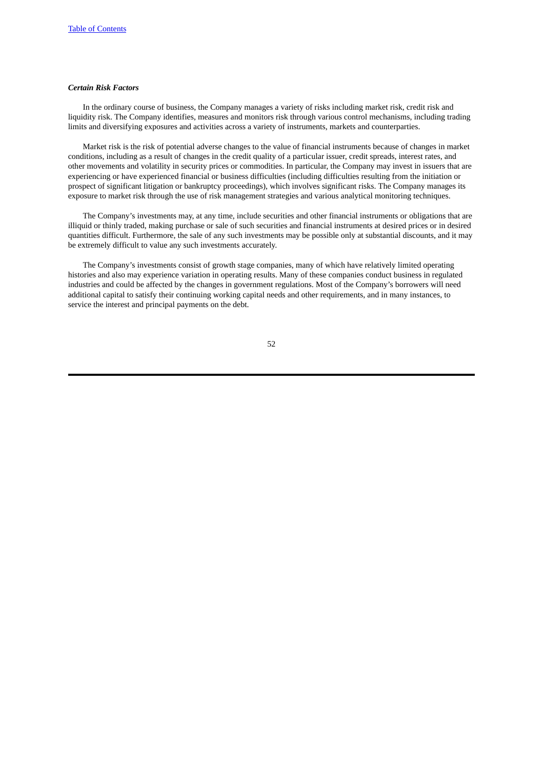### *Certain Risk Factors*

In the ordinary course of business, the Company manages a variety of risks including market risk, credit risk and liquidity risk. The Company identifies, measures and monitors risk through various control mechanisms, including trading limits and diversifying exposures and activities across a variety of instruments, markets and counterparties.

Market risk is the risk of potential adverse changes to the value of financial instruments because of changes in market conditions, including as a result of changes in the credit quality of a particular issuer, credit spreads, interest rates, and other movements and volatility in security prices or commodities. In particular, the Company may invest in issuers that are experiencing or have experienced financial or business difficulties (including difficulties resulting from the initiation or prospect of significant litigation or bankruptcy proceedings), which involves significant risks. The Company manages its exposure to market risk through the use of risk management strategies and various analytical monitoring techniques.

The Company's investments may, at any time, include securities and other financial instruments or obligations that are illiquid or thinly traded, making purchase or sale of such securities and financial instruments at desired prices or in desired quantities difficult. Furthermore, the sale of any such investments may be possible only at substantial discounts, and it may be extremely difficult to value any such investments accurately.

The Company's investments consist of growth stage companies, many of which have relatively limited operating histories and also may experience variation in operating results. Many of these companies conduct business in regulated industries and could be affected by the changes in government regulations. Most of the Company's borrowers will need additional capital to satisfy their continuing working capital needs and other requirements, and in many instances, to service the interest and principal payments on the debt.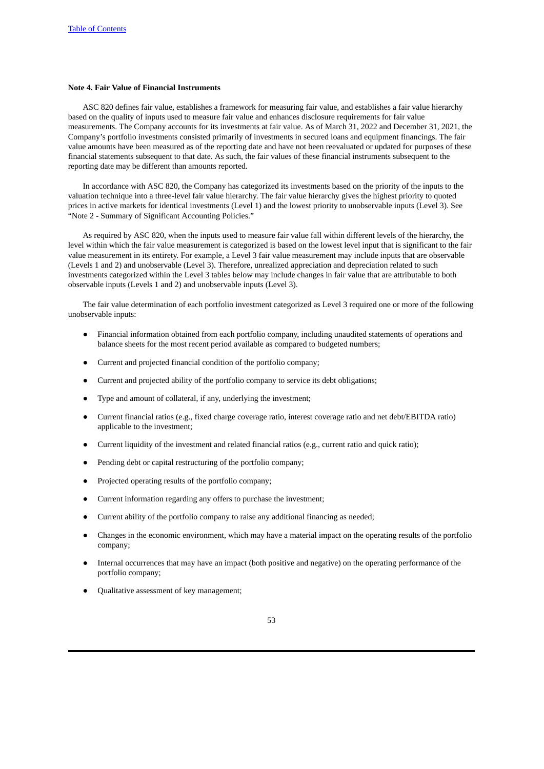### **Note 4. Fair Value of Financial Instruments**

ASC 820 defines fair value, establishes a framework for measuring fair value, and establishes a fair value hierarchy based on the quality of inputs used to measure fair value and enhances disclosure requirements for fair value measurements. The Company accounts for its investments at fair value. As of March 31, 2022 and December 31, 2021, the Company's portfolio investments consisted primarily of investments in secured loans and equipment financings. The fair value amounts have been measured as of the reporting date and have not been reevaluated or updated for purposes of these financial statements subsequent to that date. As such, the fair values of these financial instruments subsequent to the reporting date may be different than amounts reported.

In accordance with ASC 820, the Company has categorized its investments based on the priority of the inputs to the valuation technique into a three-level fair value hierarchy. The fair value hierarchy gives the highest priority to quoted prices in active markets for identical investments (Level 1) and the lowest priority to unobservable inputs (Level 3). See "Note 2 - Summary of Significant Accounting Policies."

As required by ASC 820, when the inputs used to measure fair value fall within different levels of the hierarchy, the level within which the fair value measurement is categorized is based on the lowest level input that is significant to the fair value measurement in its entirety. For example, a Level 3 fair value measurement may include inputs that are observable (Levels 1 and 2) and unobservable (Level 3). Therefore, unrealized appreciation and depreciation related to such investments categorized within the Level 3 tables below may include changes in fair value that are attributable to both observable inputs (Levels 1 and 2) and unobservable inputs (Level 3).

The fair value determination of each portfolio investment categorized as Level 3 required one or more of the following unobservable inputs:

- Financial information obtained from each portfolio company, including unaudited statements of operations and balance sheets for the most recent period available as compared to budgeted numbers;
- Current and projected financial condition of the portfolio company;
- Current and projected ability of the portfolio company to service its debt obligations;
- Type and amount of collateral, if any, underlying the investment;
- Current financial ratios (e.g., fixed charge coverage ratio, interest coverage ratio and net debt/EBITDA ratio) applicable to the investment;
- Current liquidity of the investment and related financial ratios (e.g., current ratio and quick ratio);
- Pending debt or capital restructuring of the portfolio company;
- Projected operating results of the portfolio company;
- Current information regarding any offers to purchase the investment;
- Current ability of the portfolio company to raise any additional financing as needed;
- Changes in the economic environment, which may have a material impact on the operating results of the portfolio company;
- Internal occurrences that may have an impact (both positive and negative) on the operating performance of the portfolio company;
- Qualitative assessment of key management;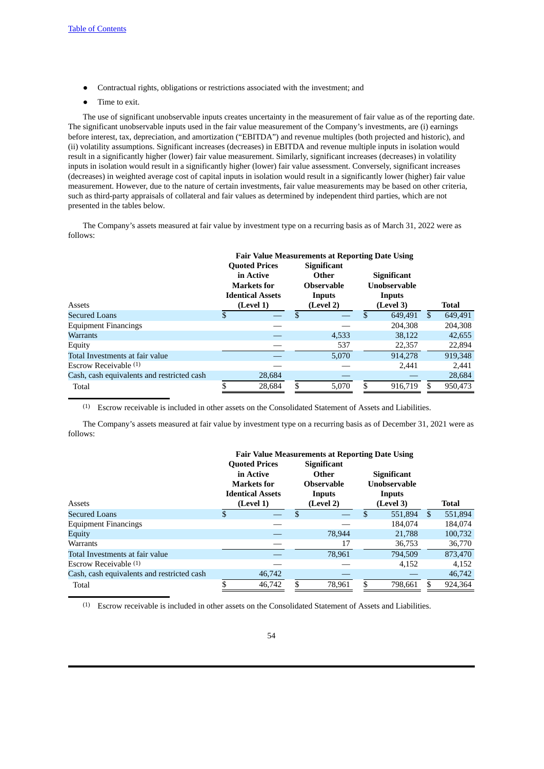- Contractual rights, obligations or restrictions associated with the investment; and
- Time to exit.

The use of significant unobservable inputs creates uncertainty in the measurement of fair value as of the reporting date. The significant unobservable inputs used in the fair value measurement of the Company's investments, are (i) earnings before interest, tax, depreciation, and amortization ("EBITDA") and revenue multiples (both projected and historic), and (ii) volatility assumptions. Significant increases (decreases) in EBITDA and revenue multiple inputs in isolation would result in a significantly higher (lower) fair value measurement. Similarly, significant increases (decreases) in volatility inputs in isolation would result in a significantly higher (lower) fair value assessment. Conversely, significant increases (decreases) in weighted average cost of capital inputs in isolation would result in a significantly lower (higher) fair value measurement. However, due to the nature of certain investments, fair value measurements may be based on other criteria, such as third-party appraisals of collateral and fair values as determined by independent third parties, which are not presented in the tables below.

The Company's assets measured at fair value by investment type on a recurring basis as of March 31, 2022 were as follows:

|                                            | <b>Fair Value Measurements at Reporting Date Using</b> |        |        |                    |    |                     |               |              |  |  |
|--------------------------------------------|--------------------------------------------------------|--------|--------|--------------------|----|---------------------|---------------|--------------|--|--|
|                                            | <b>Quoted Prices</b>                                   |        |        | <b>Significant</b> |    |                     |               |              |  |  |
|                                            | in Active                                              |        |        | Other              |    | <b>Significant</b>  |               |              |  |  |
|                                            | <b>Markets</b> for                                     |        |        | <b>Observable</b>  |    | <b>Unobservable</b> |               |              |  |  |
|                                            | <b>Identical Assets</b>                                |        | Inputs |                    |    | Inputs              |               |              |  |  |
| Assets                                     | (Level 1)                                              |        |        | (Level 2)          |    | (Level 3)           |               | <b>Total</b> |  |  |
| Secured Loans                              | $\mathfrak{F}$                                         |        | \$.    |                    | \$ | 649.491             | <sup>\$</sup> | 649,491      |  |  |
| <b>Equipment Financings</b>                |                                                        |        |        |                    |    | 204.308             |               | 204,308      |  |  |
| Warrants                                   |                                                        |        |        | 4,533              |    | 38.122              |               | 42,655       |  |  |
| Equity                                     |                                                        |        |        | 537                |    | 22,357              |               | 22,894       |  |  |
| Total Investments at fair value            |                                                        |        |        | 5.070              |    | 914.278             |               | 919,348      |  |  |
| Escrow Receivable $(1)$                    |                                                        |        |        |                    |    | 2.441               |               | 2,441        |  |  |
| Cash, cash equivalents and restricted cash |                                                        | 28,684 |        |                    |    |                     |               | 28,684       |  |  |
| Total                                      | ¢                                                      | 28,684 |        | 5,070              | ፍ  | 916.719             |               | 950,473      |  |  |

(1) Escrow receivable is included in other assets on the Consolidated Statement of Assets and Liabilities.

The Company's assets measured at fair value by investment type on a recurring basis as of December 31, 2021 were as follows:

|                                            | <b>Fair Value Measurements at Reporting Date Using</b>                      |           |     |                                                            |    |                                                     |    |              |  |
|--------------------------------------------|-----------------------------------------------------------------------------|-----------|-----|------------------------------------------------------------|----|-----------------------------------------------------|----|--------------|--|
|                                            | <b>Quoted Prices</b><br>in Active<br>Markets for<br><b>Identical Assets</b> |           |     | <b>Significant</b><br>Other<br><b>Observable</b><br>Inputs |    | <b>Significant</b><br><b>Unobservable</b><br>Inputs |    |              |  |
| Assets                                     |                                                                             | (Level 1) |     | (Level 2)                                                  |    | (Level 3)                                           |    | <b>Total</b> |  |
| Secured Loans                              | $\mathfrak{F}$                                                              |           | \$. |                                                            | \$ | 551,894                                             | -S | 551,894      |  |
| <b>Equipment Financings</b>                |                                                                             |           |     |                                                            |    | 184,074                                             |    | 184,074      |  |
| Equity                                     |                                                                             |           |     | 78,944                                                     |    | 21,788                                              |    | 100,732      |  |
| Warrants                                   |                                                                             |           |     | 17                                                         |    | 36,753                                              |    | 36,770       |  |
| Total Investments at fair value            |                                                                             |           |     | 78,961                                                     |    | 794.509                                             |    | 873,470      |  |
| Escrow Receivable $(1)$                    |                                                                             |           |     |                                                            |    | 4,152                                               |    | 4,152        |  |
| Cash, cash equivalents and restricted cash |                                                                             | 46,742    |     |                                                            |    |                                                     |    | 46,742       |  |
| Total                                      | ፍ                                                                           | 46,742    |     | 78,961                                                     | ፍ  | 798,661                                             |    | 924,364      |  |

(1) Escrow receivable is included in other assets on the Consolidated Statement of Assets and Liabilities.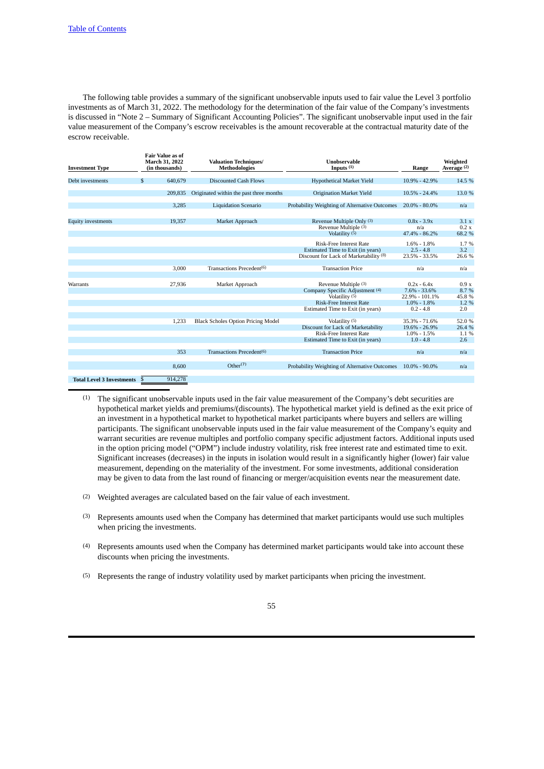The following table provides a summary of the significant unobservable inputs used to fair value the Level 3 portfolio investments as of March 31, 2022. The methodology for the determination of the fair value of the Company's investments is discussed in "Note 2 – Summary of Significant Accounting Policies". The significant unobservable input used in the fair value measurement of the Company's escrow receivables is the amount recoverable at the contractual maturity date of the escrow receivable.

| <b>Investment Type</b>           | <b>Fair Value as of</b><br><b>March 31, 2022</b><br>(in thousands) | <b>Valuation Techniques/</b><br><b>Methodologies</b> | Unobservable<br>Inputs $(1)$                                                                                                | Range                                                                  | Weighted<br>Average <sup>(2)</sup> |
|----------------------------------|--------------------------------------------------------------------|------------------------------------------------------|-----------------------------------------------------------------------------------------------------------------------------|------------------------------------------------------------------------|------------------------------------|
| Debt investments                 | $\mathfrak{F}$<br>640,679                                          | <b>Discounted Cash Flows</b>                         | <b>Hypothetical Market Yield</b>                                                                                            | 10.9% - 42.9%                                                          | 14.5 %                             |
|                                  | 209.835                                                            | Originated within the past three months              | <b>Origination Market Yield</b>                                                                                             | $10.5\% - 24.4\%$                                                      | 13.0 %                             |
|                                  | 3,285                                                              | <b>Liquidation Scenario</b>                          | Probability Weighting of Alternative Outcomes                                                                               | $20.0\% - 80.0\%$                                                      | n/a                                |
| <b>Equity investments</b>        | 19,357<br>Market Approach                                          |                                                      | Revenue Multiple Only (3)<br>Revenue Multiple (3)<br>Volatility $(5)$                                                       | $0.8x - 3.9x$<br>n/a<br>47.4% - 86.2%                                  | 3.1 x<br>0.2 x<br>68.2 %           |
|                                  |                                                                    |                                                      | <b>Risk-Free Interest Rate</b><br>Estimated Time to Exit (in years)<br>Discount for Lack of Marketability (8)               | $1.6\% - 1.8\%$<br>$2.5 - 4.8$<br>23.5% - 33.5%                        | 1.7%<br>3.2<br>26.6 %              |
|                                  | 3,000                                                              | Transactions Precedent(6)                            | <b>Transaction Price</b>                                                                                                    | n/a                                                                    | n/a                                |
| Warrants                         | 27,936                                                             | Market Approach                                      | Revenue Multiple (3)<br>Company Specific Adjustment (4)<br>Volatility (5)<br><b>Risk-Free Interest Rate</b>                 | $0.2x - 6.4x$<br>$7.6\% - 33.6\%$<br>22.9% - 101.1%<br>$1.0\% - 1.8\%$ | 0.9x<br>8.7 %<br>45.8 %<br>1.2 %   |
|                                  |                                                                    |                                                      | Estimated Time to Exit (in years)                                                                                           | $0.2 - 4.8$                                                            | 2.0                                |
|                                  | 1,233                                                              | <b>Black Scholes Option Pricing Model</b>            | Volatility (5)<br>Discount for Lack of Marketability<br><b>Risk-Free Interest Rate</b><br>Estimated Time to Exit (in years) | 35.3% - 71.6%<br>19.6% - 26.9%<br>$1.0\% - 1.5\%$<br>$1.0 - 4.8$       | 52.0%<br>26.4 %<br>1.1 %<br>2.6    |
|                                  | 353                                                                | Transactions Precedent <sup>(6)</sup>                | <b>Transaction Price</b>                                                                                                    | n/a                                                                    | n/a                                |
|                                  | 8.600                                                              | Other <sup>(7)</sup>                                 | Probability Weighting of Alternative Outcomes                                                                               | $10.0\% - 90.0\%$                                                      | n/a                                |
| <b>Total Level 3 Investments</b> | 914,278                                                            |                                                      |                                                                                                                             |                                                                        |                                    |

- (1) The significant unobservable inputs used in the fair value measurement of the Company's debt securities are hypothetical market yields and premiums/(discounts). The hypothetical market yield is defined as the exit price of an investment in a hypothetical market to hypothetical market participants where buyers and sellers are willing participants. The significant unobservable inputs used in the fair value measurement of the Company's equity and warrant securities are revenue multiples and portfolio company specific adjustment factors. Additional inputs used in the option pricing model ("OPM") include industry volatility, risk free interest rate and estimated time to exit. Significant increases (decreases) in the inputs in isolation would result in a significantly higher (lower) fair value measurement, depending on the materiality of the investment. For some investments, additional consideration may be given to data from the last round of financing or merger/acquisition events near the measurement date.
- (2) Weighted averages are calculated based on the fair value of each investment.
- (3) Represents amounts used when the Company has determined that market participants would use such multiples when pricing the investments.
- (4) Represents amounts used when the Company has determined market participants would take into account these discounts when pricing the investments.
- (5) Represents the range of industry volatility used by market participants when pricing the investment.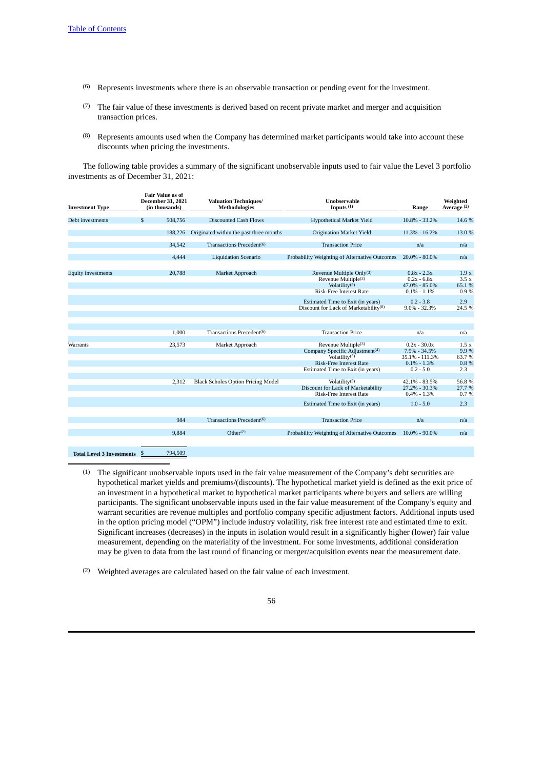- (6) Represents investments where there is an observable transaction or pending event for the investment.
- (7) The fair value of these investments is derived based on recent private market and merger and acquisition transaction prices.
- (8) Represents amounts used when the Company has determined market participants would take into account these discounts when pricing the investments.

The following table provides a summary of the significant unobservable inputs used to fair value the Level 3 portfolio investments as of December 31, 2021:

| <b>Investment Type</b>           | <b>Fair Value as of</b><br><b>December 31, 2021</b><br>(in thousands) | <b>Valuation Techniques/</b><br><b>Methodologies</b> | <b>Unobservable</b><br>Inputs $(1)$                                                                                                 | Range                                                                   | Weighted<br>Average (2)          |
|----------------------------------|-----------------------------------------------------------------------|------------------------------------------------------|-------------------------------------------------------------------------------------------------------------------------------------|-------------------------------------------------------------------------|----------------------------------|
| Debt investments                 | \$<br>508,756                                                         | <b>Discounted Cash Flows</b>                         | Hypothetical Market Yield                                                                                                           | $10.8\% - 33.2\%$                                                       | 14.6 %                           |
|                                  | 188,226                                                               | Originated within the past three months              | Origination Market Yield                                                                                                            | 11.3% - 16.2%                                                           | 13.0 %                           |
|                                  | 34,542                                                                | Transactions Precedent <sup>(6)</sup>                | <b>Transaction Price</b>                                                                                                            | n/a                                                                     | n/a                              |
|                                  | 4,444                                                                 | <b>Liquidation Scenario</b>                          | Probability Weighting of Alternative Outcomes                                                                                       | $20.0\% - 80.0\%$                                                       | n/a                              |
| <b>Equity investments</b>        | 20,788                                                                | Market Approach                                      | Revenue Multiple Only $(3)$<br>Revenue Multiple <sup>(3)</sup><br>Volatility $(5)$<br>Risk-Free Interest Rate                       | $0.8x - 2.3x$<br>$0.2x - 6.8x$<br>47.0% - 85.0%<br>$0.1\% - 1.1\%$      | 1.9x<br>3.5x<br>65.1 %<br>0.9%   |
|                                  |                                                                       |                                                      | Estimated Time to Exit (in years)<br>Discount for Lack of Marketability <sup>(8)</sup>                                              | $0.2 - 3.8$<br>$9.0\% - 32.3\%$                                         | 2.9<br>24.5 %                    |
|                                  | 1.000                                                                 | Transactions Precedent <sup>(6)</sup>                | <b>Transaction Price</b>                                                                                                            | n/a                                                                     | n/a                              |
| Warrants                         | 23,573                                                                | Market Approach                                      | Revenue Multiple <sup>(3)</sup><br>Company Specific Adjustment <sup>(4)</sup><br>Volatility $(5)$<br><b>Risk-Free Interest Rate</b> | $0.2x - 30.0x$<br>$7.9\% - 34.5\%$<br>35.1% - 111.3%<br>$0.1\% - 1.3\%$ | 1.5 x<br>9.9 %<br>63.7%<br>0.8 % |
|                                  | 2.312                                                                 | <b>Black Scholes Option Pricing Model</b>            | Estimated Time to Exit (in years)<br>Volatility $(5)$<br>Discount for Lack of Marketability<br>Risk-Free Interest Rate              | $0.2 - 5.0$<br>42.1% - 83.5%<br>27.2% - 30.3%<br>$0.4\% - 1.3\%$        | 2.3<br>56.8%<br>27.7 %<br>0.7%   |
|                                  |                                                                       |                                                      | Estimated Time to Exit (in years)                                                                                                   | $1.0 - 5.0$                                                             | 2.3                              |
|                                  | 984                                                                   | Transactions Precedent(6)                            | <b>Transaction Price</b>                                                                                                            | n/a                                                                     | n/a                              |
|                                  | 9.884                                                                 | Other <sup>(7)</sup>                                 | Probability Weighting of Alternative Outcomes                                                                                       | $10.0\% - 90.0\%$                                                       | n/a                              |
| <b>Total Level 3 Investments</b> | 794,509<br>- \$                                                       |                                                      |                                                                                                                                     |                                                                         |                                  |

- (1) The significant unobservable inputs used in the fair value measurement of the Company's debt securities are hypothetical market yields and premiums/(discounts). The hypothetical market yield is defined as the exit price of an investment in a hypothetical market to hypothetical market participants where buyers and sellers are willing participants. The significant unobservable inputs used in the fair value measurement of the Company's equity and warrant securities are revenue multiples and portfolio company specific adjustment factors. Additional inputs used in the option pricing model ("OPM") include industry volatility, risk free interest rate and estimated time to exit. Significant increases (decreases) in the inputs in isolation would result in a significantly higher (lower) fair value measurement, depending on the materiality of the investment. For some investments, additional consideration may be given to data from the last round of financing or merger/acquisition events near the measurement date.
- (2) Weighted averages are calculated based on the fair value of each investment.

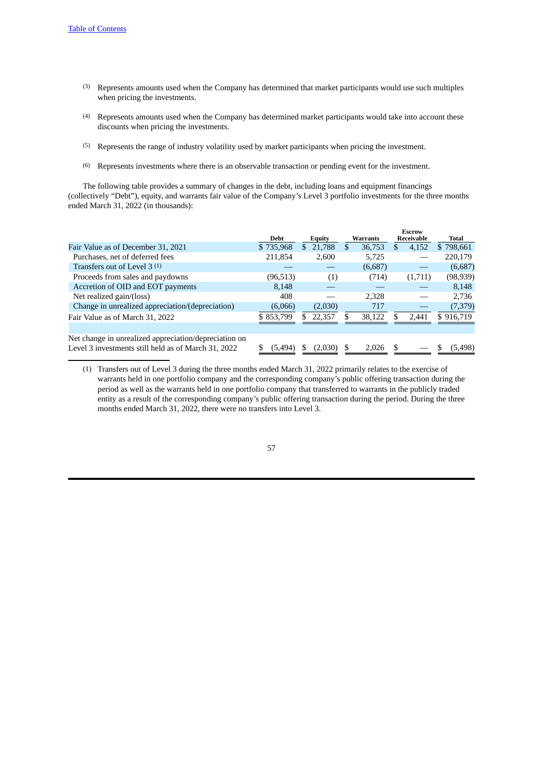- (3) Represents amounts used when the Company has determined that market participants would use such multiples when pricing the investments.
- (4) Represents amounts used when the Company has determined market participants would take into account these discounts when pricing the investments.
- (5) Represents the range of industry volatility used by market participants when pricing the investment.
- (6) Represents investments where there is an observable transaction or pending event for the investment.

The following table provides a summary of changes in the debt, including loans and equipment financings (collectively "Debt"), equity, and warrants fair value of the Company's Level 3 portfolio investments for the three months ended March 31, 2022 (in thousands):

|                                                       |           |                         |                 | <b>Escrow</b> |                |
|-------------------------------------------------------|-----------|-------------------------|-----------------|---------------|----------------|
|                                                       | Debt      | <b>Equity</b>           | <b>Warrants</b> | Receivable    | Total          |
| Fair Value as of December 31, 2021                    | \$735,968 | 21,788<br><sup>\$</sup> | 36,753<br>\$.   | \$<br>4,152   | \$798,661      |
| Purchases, net of deferred fees                       | 211,854   | 2,600                   | 5,725           |               | 220,179        |
| Transfers out of Level $3(1)$                         |           |                         | (6,687)         |               | (6,687)        |
| Proceeds from sales and paydowns                      | (96,513)  | (1)                     | (714)           | (1,711)       | (98,939)       |
| Accretion of OID and EOT payments                     | 8.148     |                         |                 |               | 8,148          |
| Net realized gain/(loss)                              | 408       |                         | 2,328           |               | 2,736          |
| Change in unrealized appreciation/(depreciation)      | (6,066)   | (2,030)                 | 717             |               | (7, 379)       |
| Fair Value as of March 31, 2022                       | \$853,799 | 22.357                  | 38,122          | 2.441         | \$916.719      |
|                                                       |           |                         |                 |               |                |
| Net change in unrealized appreciation/depreciation on |           |                         |                 |               |                |
| Level 3 investments still held as of March 31, 2022   | (5.494)   |                         | 2.026           |               | \$<br>(5, 498) |

(1) Transfers out of Level 3 during the three months ended March 31, 2022 primarily relates to the exercise of warrants held in one portfolio company and the corresponding company's public offering transaction during the period as well as the warrants held in one portfolio company that transferred to warrants in the publicly traded entity as a result of the corresponding company's public offering transaction during the period. During the three months ended March 31, 2022, there were no transfers into Level 3.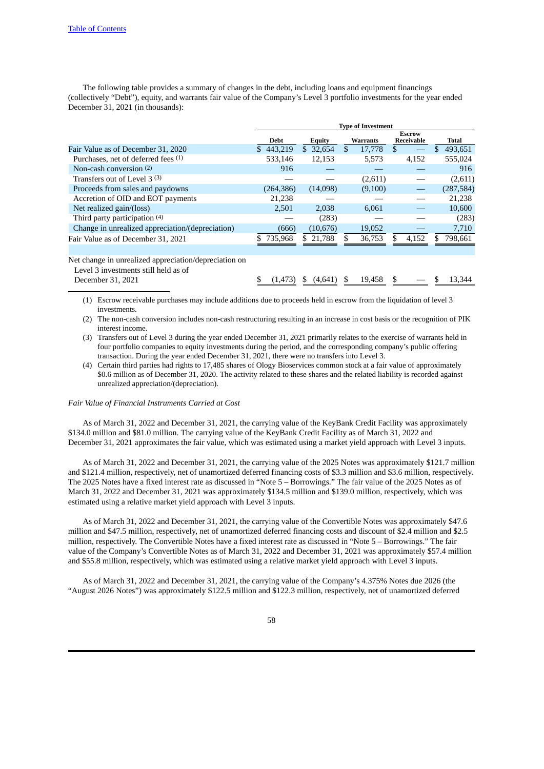The following table provides a summary of changes in the debt, including loans and equipment financings (collectively "Debt"), equity, and warrants fair value of the Company's Level 3 portfolio investments for the year ended December 31, 2021 (in thousands):

|                                                  | <b>Type of Investment</b> |               |                 |                             |            |  |
|--------------------------------------------------|---------------------------|---------------|-----------------|-----------------------------|------------|--|
|                                                  | <b>Debt</b>               | <b>Equity</b> | <b>Warrants</b> | <b>Escrow</b><br>Receivable | Total      |  |
| Fair Value as of December 31, 2020               | 443.219<br>\$.            | \$32.654      | 17,778<br>\$.   | \$                          | 493.651    |  |
| Purchases, net of deferred fees (1)              | 533,146                   | 12,153        | 5,573           | 4,152                       | 555,024    |  |
| Non-cash conversion $(2)$                        | 916                       |               |                 |                             | 916        |  |
| Transfers out of Level 3 (3)                     |                           |               | (2,611)         |                             | (2,611)    |  |
| Proceeds from sales and paydowns                 | (264,386)                 | (14,098)      | (9,100)         |                             | (287, 584) |  |
| Accretion of OID and EOT payments                | 21,238                    |               |                 |                             | 21,238     |  |
| Net realized gain/(loss)                         | 2.501                     | 2,038         | 6,061           |                             | 10,600     |  |
| Third party participation (4)                    |                           | (283)         |                 |                             | (283)      |  |
| Change in unrealized appreciation/(depreciation) | (666)                     | (10, 676)     | 19,052          |                             | 7,710      |  |
| Fair Value as of December 31, 2021               | 735,968                   | \$21,788      | 36,753          | 4,152                       | 798,661    |  |
|                                                  |                           |               |                 |                             |            |  |

Net change in unrealized appreciation/depreciation on

| Level 3 investments still held as of |  |  |                                                           |  |  |
|--------------------------------------|--|--|-----------------------------------------------------------|--|--|
| December 31, 2021                    |  |  | $\frac{1}{2}$ (1,473) \$ (4,641) \$ 19,458 \$ - \$ 13,344 |  |  |
|                                      |  |  |                                                           |  |  |

(1) Escrow receivable purchases may include additions due to proceeds held in escrow from the liquidation of level 3 investments.

(2) The non-cash conversion includes non-cash restructuring resulting in an increase in cost basis or the recognition of PIK interest income.

(3) Transfers out of Level 3 during the year ended December 31, 2021 primarily relates to the exercise of warrants held in four portfolio companies to equity investments during the period, and the corresponding company's public offering transaction. During the year ended December 31, 2021, there were no transfers into Level 3.

(4) Certain third parties had rights to 17,485 shares of Ology Bioservices common stock at a fair value of approximately \$0.6 million as of December 31, 2020. The activity related to these shares and the related liability is recorded against unrealized appreciation/(depreciation).

*Fair Value of Financial Instruments Carried at Cost*

As of March 31, 2022 and December 31, 2021, the carrying value of the KeyBank Credit Facility was approximately \$134.0 million and \$81.0 million. The carrying value of the KeyBank Credit Facility as of March 31, 2022 and December 31, 2021 approximates the fair value, which was estimated using a market yield approach with Level 3 inputs.

As of March 31, 2022 and December 31, 2021, the carrying value of the 2025 Notes was approximately \$121.7 million and \$121.4 million, respectively, net of unamortized deferred financing costs of \$3.3 million and \$3.6 million, respectively. The 2025 Notes have a fixed interest rate as discussed in "Note 5 – Borrowings." The fair value of the 2025 Notes as of March 31, 2022 and December 31, 2021 was approximately \$134.5 million and \$139.0 million, respectively, which was estimated using a relative market yield approach with Level 3 inputs.

As of March 31, 2022 and December 31, 2021, the carrying value of the Convertible Notes was approximately \$47.6 million and \$47.5 million, respectively, net of unamortized deferred financing costs and discount of \$2.4 million and \$2.5 million, respectively. The Convertible Notes have a fixed interest rate as discussed in "Note 5 – Borrowings." The fair value of the Company's Convertible Notes as of March 31, 2022 and December 31, 2021 was approximately \$57.4 million and \$55.8 million, respectively, which was estimated using a relative market yield approach with Level 3 inputs.

As of March 31, 2022 and December 31, 2021, the carrying value of the Company's 4.375% Notes due 2026 (the "August 2026 Notes") was approximately \$122.5 million and \$122.3 million, respectively, net of unamortized deferred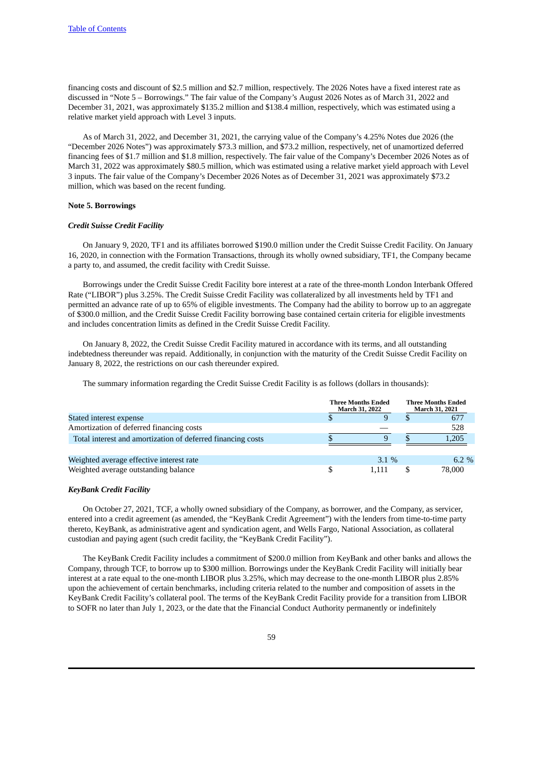financing costs and discount of \$2.5 million and \$2.7 million, respectively. The 2026 Notes have a fixed interest rate as discussed in "Note 5 – Borrowings." The fair value of the Company's August 2026 Notes as of March 31, 2022 and December 31, 2021, was approximately \$135.2 million and \$138.4 million, respectively, which was estimated using a relative market yield approach with Level 3 inputs.

As of March 31, 2022, and December 31, 2021, the carrying value of the Company's 4.25% Notes due 2026 (the "December 2026 Notes") was approximately \$73.3 million, and \$73.2 million, respectively, net of unamortized deferred financing fees of \$1.7 million and \$1.8 million, respectively. The fair value of the Company's December 2026 Notes as of March 31, 2022 was approximately \$80.5 million, which was estimated using a relative market yield approach with Level 3 inputs. The fair value of the Company's December 2026 Notes as of December 31, 2021 was approximately \$73.2 million, which was based on the recent funding.

### **Note 5. Borrowings**

### *Credit Suisse Credit Facility*

On January 9, 2020, TF1 and its affiliates borrowed \$190.0 million under the Credit Suisse Credit Facility. On January 16, 2020, in connection with the Formation Transactions, through its wholly owned subsidiary, TF1, the Company became a party to, and assumed, the credit facility with Credit Suisse.

Borrowings under the Credit Suisse Credit Facility bore interest at a rate of the three-month London Interbank Offered Rate ("LIBOR") plus 3.25%. The Credit Suisse Credit Facility was collateralized by all investments held by TF1 and permitted an advance rate of up to 65% of eligible investments. The Company had the ability to borrow up to an aggregate of \$300.0 million, and the Credit Suisse Credit Facility borrowing base contained certain criteria for eligible investments and includes concentration limits as defined in the Credit Suisse Credit Facility.

On January 8, 2022, the Credit Suisse Credit Facility matured in accordance with its terms, and all outstanding indebtedness thereunder was repaid. Additionally, in conjunction with the maturity of the Credit Suisse Credit Facility on January 8, 2022, the restrictions on our cash thereunder expired.

The summary information regarding the Credit Suisse Credit Facility is as follows (dollars in thousands):

|                                                             | <b>Three Months Ended</b><br><b>March 31, 2022</b> | <b>Three Months Ended</b><br>March 31, 2021 |  |          |
|-------------------------------------------------------------|----------------------------------------------------|---------------------------------------------|--|----------|
| Stated interest expense                                     |                                                    |                                             |  | 677      |
| Amortization of deferred financing costs                    |                                                    |                                             |  | 528      |
| Total interest and amortization of deferred financing costs |                                                    | 9                                           |  | 1,205    |
|                                                             |                                                    |                                             |  |          |
| Weighted average effective interest rate                    |                                                    | $3.1\%$                                     |  | $6.2 \%$ |
| Weighted average outstanding balance                        |                                                    | 1.111                                       |  | 78,000   |

#### *KeyBank Credit Facility*

On October 27, 2021, TCF, a wholly owned subsidiary of the Company, as borrower, and the Company, as servicer, entered into a credit agreement (as amended, the "KeyBank Credit Agreement") with the lenders from time-to-time party thereto, KeyBank, as administrative agent and syndication agent, and Wells Fargo, National Association, as collateral custodian and paying agent (such credit facility, the "KeyBank Credit Facility").

The KeyBank Credit Facility includes a commitment of \$200.0 million from KeyBank and other banks and allows the Company, through TCF, to borrow up to \$300 million. Borrowings under the KeyBank Credit Facility will initially bear interest at a rate equal to the one-month LIBOR plus 3.25%, which may decrease to the one-month LIBOR plus 2.85% upon the achievement of certain benchmarks, including criteria related to the number and composition of assets in the KeyBank Credit Facility's collateral pool. The terms of the KeyBank Credit Facility provide for a transition from LIBOR to SOFR no later than July 1, 2023, or the date that the Financial Conduct Authority permanently or indefinitely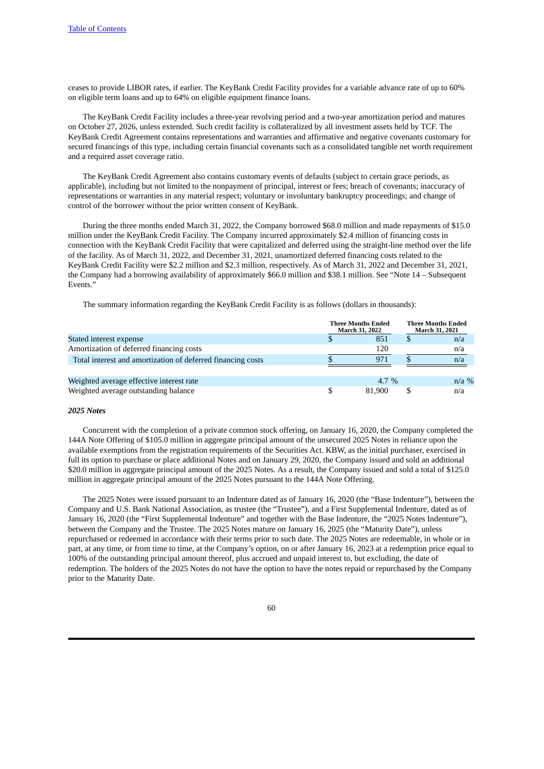ceases to provide LIBOR rates, if earlier. The KeyBank Credit Facility provides for a variable advance rate of up to 60% on eligible term loans and up to 64% on eligible equipment finance loans.

The KeyBank Credit Facility includes a three-year revolving period and a two-year amortization period and matures on October 27, 2026, unless extended. Such credit facility is collateralized by all investment assets held by TCF. The KeyBank Credit Agreement contains representations and warranties and affirmative and negative covenants customary for secured financings of this type, including certain financial covenants such as a consolidated tangible net worth requirement and a required asset coverage ratio.

The KeyBank Credit Agreement also contains customary events of defaults (subject to certain grace periods, as applicable), including but not limited to the nonpayment of principal, interest or fees; breach of covenants; inaccuracy of representations or warranties in any material respect; voluntary or involuntary bankruptcy proceedings; and change of control of the borrower without the prior written consent of KeyBank.

During the three months ended March 31, 2022, the Company borrowed \$68.0 million and made repayments of \$15.0 million under the KeyBank Credit Facility. The Company incurred approximately \$2.4 million of financing costs in connection with the KeyBank Credit Facility that were capitalized and deferred using the straight-line method over the life of the facility. As of March 31, 2022, and December 31, 2021, unamortized deferred financing costs related to the KeyBank Credit Facility were \$2.2 million and \$2.3 million, respectively. As of March 31, 2022 and December 31, 2021, the Company had a borrowing availability of approximately \$66.0 million and \$38.1 million. See "Note 14 – Subsequent Events."

The summary information regarding the KeyBank Credit Facility is as follows (dollars in thousands):

|                                                             | <b>Three Months Ended</b><br>March 31, 2022 | <b>Three Months Ended</b><br>March 31, 2021 |  |         |
|-------------------------------------------------------------|---------------------------------------------|---------------------------------------------|--|---------|
| Stated interest expense                                     |                                             | 851                                         |  | n/a     |
| Amortization of deferred financing costs                    |                                             | 120                                         |  | n/a     |
| Total interest and amortization of deferred financing costs |                                             | 971                                         |  | n/a     |
|                                                             |                                             |                                             |  |         |
| Weighted average effective interest rate                    |                                             | 4.7 $%$                                     |  | $n/a$ % |
| Weighted average outstanding balance                        |                                             | 81.900                                      |  | n/a     |

### *2025 Notes*

Concurrent with the completion of a private common stock offering, on January 16, 2020, the Company completed the 144A Note Offering of \$105.0 million in aggregate principal amount of the unsecured 2025 Notes in reliance upon the available exemptions from the registration requirements of the Securities Act. KBW, as the initial purchaser, exercised in full its option to purchase or place additional Notes and on January 29, 2020, the Company issued and sold an additional \$20.0 million in aggregate principal amount of the 2025 Notes. As a result, the Company issued and sold a total of \$125.0 million in aggregate principal amount of the 2025 Notes pursuant to the 144A Note Offering.

The 2025 Notes were issued pursuant to an Indenture dated as of January 16, 2020 (the "Base Indenture"), between the Company and U.S. Bank National Association, as trustee (the "Trustee"), and a First Supplemental Indenture, dated as of January 16, 2020 (the "First Supplemental Indenture" and together with the Base Indenture, the "2025 Notes Indenture"), between the Company and the Trustee. The 2025 Notes mature on January 16, 2025 (the "Maturity Date"), unless repurchased or redeemed in accordance with their terms prior to such date. The 2025 Notes are redeemable, in whole or in part, at any time, or from time to time, at the Company's option, on or after January 16, 2023 at a redemption price equal to 100% of the outstanding principal amount thereof, plus accrued and unpaid interest to, but excluding, the date of redemption. The holders of the 2025 Notes do not have the option to have the notes repaid or repurchased by the Company prior to the Maturity Date.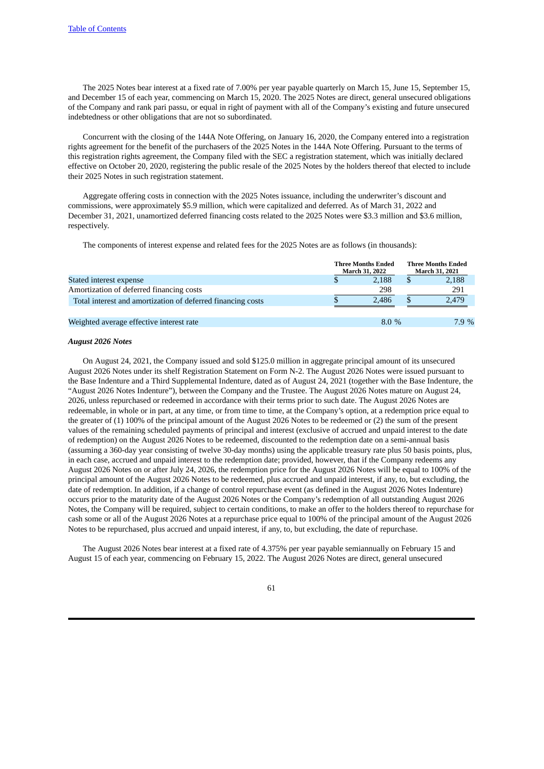The 2025 Notes bear interest at a fixed rate of 7.00% per year payable quarterly on March 15, June 15, September 15, and December 15 of each year, commencing on March 15, 2020. The 2025 Notes are direct, general unsecured obligations of the Company and rank pari passu, or equal in right of payment with all of the Company's existing and future unsecured indebtedness or other obligations that are not so subordinated.

Concurrent with the closing of the 144A Note Offering, on January 16, 2020, the Company entered into a registration rights agreement for the benefit of the purchasers of the 2025 Notes in the 144A Note Offering. Pursuant to the terms of this registration rights agreement, the Company filed with the SEC a registration statement, which was initially declared effective on October 20, 2020, registering the public resale of the 2025 Notes by the holders thereof that elected to include their 2025 Notes in such registration statement.

Aggregate offering costs in connection with the 2025 Notes issuance, including the underwriter's discount and commissions, were approximately \$5.9 million, which were capitalized and deferred. As of March 31, 2022 and December 31, 2021, unamortized deferred financing costs related to the 2025 Notes were \$3.3 million and \$3.6 million, respectively.

The components of interest expense and related fees for the 2025 Notes are as follows (in thousands):

|                                                             | <b>Three Months Ended</b><br>March 31, 2022 |    | <b>Three Months Ended</b><br><b>March 31, 2021</b> |
|-------------------------------------------------------------|---------------------------------------------|----|----------------------------------------------------|
| Stated interest expense                                     | 2.188                                       | \$ | 2,188                                              |
| Amortization of deferred financing costs                    | 298                                         |    | 291                                                |
| Total interest and amortization of deferred financing costs | 2.486                                       | S  | 2,479                                              |
| Weighted average effective interest rate                    | $8.0\%$                                     |    | 7.9%                                               |

# *August 2026 Notes*

On August 24, 2021, the Company issued and sold \$125.0 million in aggregate principal amount of its unsecured August 2026 Notes under its shelf Registration Statement on Form N-2. The August 2026 Notes were issued pursuant to the Base Indenture and a Third Supplemental Indenture, dated as of August 24, 2021 (together with the Base Indenture, the "August 2026 Notes Indenture"), between the Company and the Trustee. The August 2026 Notes mature on August 24, 2026, unless repurchased or redeemed in accordance with their terms prior to such date. The August 2026 Notes are redeemable, in whole or in part, at any time, or from time to time, at the Company's option, at a redemption price equal to the greater of (1) 100% of the principal amount of the August 2026 Notes to be redeemed or (2) the sum of the present values of the remaining scheduled payments of principal and interest (exclusive of accrued and unpaid interest to the date of redemption) on the August 2026 Notes to be redeemed, discounted to the redemption date on a semi-annual basis (assuming a 360-day year consisting of twelve 30-day months) using the applicable treasury rate plus 50 basis points, plus, in each case, accrued and unpaid interest to the redemption date; provided, however, that if the Company redeems any August 2026 Notes on or after July 24, 2026, the redemption price for the August 2026 Notes will be equal to 100% of the principal amount of the August 2026 Notes to be redeemed, plus accrued and unpaid interest, if any, to, but excluding, the date of redemption. In addition, if a change of control repurchase event (as defined in the August 2026 Notes Indenture) occurs prior to the maturity date of the August 2026 Notes or the Company's redemption of all outstanding August 2026 Notes, the Company will be required, subject to certain conditions, to make an offer to the holders thereof to repurchase for cash some or all of the August 2026 Notes at a repurchase price equal to 100% of the principal amount of the August 2026 Notes to be repurchased, plus accrued and unpaid interest, if any, to, but excluding, the date of repurchase.

The August 2026 Notes bear interest at a fixed rate of 4.375% per year payable semiannually on February 15 and August 15 of each year, commencing on February 15, 2022. The August 2026 Notes are direct, general unsecured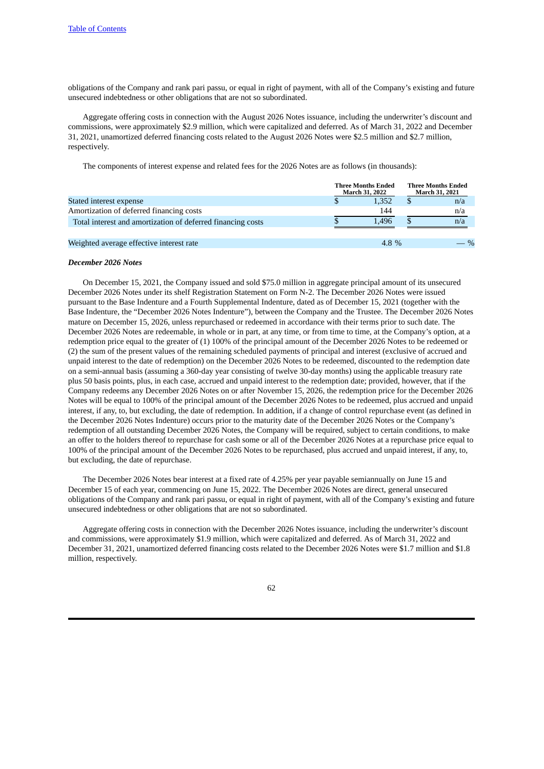obligations of the Company and rank pari passu, or equal in right of payment, with all of the Company's existing and future unsecured indebtedness or other obligations that are not so subordinated.

Aggregate offering costs in connection with the August 2026 Notes issuance, including the underwriter's discount and commissions, were approximately \$2.9 million, which were capitalized and deferred. As of March 31, 2022 and December 31, 2021, unamortized deferred financing costs related to the August 2026 Notes were \$2.5 million and \$2.7 million, respectively.

The components of interest expense and related fees for the 2026 Notes are as follows (in thousands):

|                                                             | <b>Three Months Ended</b><br><b>March 31, 2022</b> |       | <b>Three Months Ended</b><br>March 31, 2021 |                 |
|-------------------------------------------------------------|----------------------------------------------------|-------|---------------------------------------------|-----------------|
| Stated interest expense                                     |                                                    | 1.352 |                                             | n/a             |
| Amortization of deferred financing costs                    |                                                    | 144   |                                             | n/a             |
| Total interest and amortization of deferred financing costs |                                                    | 1.496 |                                             | n/a             |
|                                                             |                                                    |       |                                             |                 |
| Weighted average effective interest rate                    |                                                    | 4.8 % |                                             | $- \frac{9}{6}$ |

### *December 2026 Notes*

On December 15, 2021, the Company issued and sold \$75.0 million in aggregate principal amount of its unsecured December 2026 Notes under its shelf Registration Statement on Form N-2. The December 2026 Notes were issued pursuant to the Base Indenture and a Fourth Supplemental Indenture, dated as of December 15, 2021 (together with the Base Indenture, the "December 2026 Notes Indenture"), between the Company and the Trustee. The December 2026 Notes mature on December 15, 2026, unless repurchased or redeemed in accordance with their terms prior to such date. The December 2026 Notes are redeemable, in whole or in part, at any time, or from time to time, at the Company's option, at a redemption price equal to the greater of (1) 100% of the principal amount of the December 2026 Notes to be redeemed or (2) the sum of the present values of the remaining scheduled payments of principal and interest (exclusive of accrued and unpaid interest to the date of redemption) on the December 2026 Notes to be redeemed, discounted to the redemption date on a semi-annual basis (assuming a 360-day year consisting of twelve 30-day months) using the applicable treasury rate plus 50 basis points, plus, in each case, accrued and unpaid interest to the redemption date; provided, however, that if the Company redeems any December 2026 Notes on or after November 15, 2026, the redemption price for the December 2026 Notes will be equal to 100% of the principal amount of the December 2026 Notes to be redeemed, plus accrued and unpaid interest, if any, to, but excluding, the date of redemption. In addition, if a change of control repurchase event (as defined in the December 2026 Notes Indenture) occurs prior to the maturity date of the December 2026 Notes or the Company's redemption of all outstanding December 2026 Notes, the Company will be required, subject to certain conditions, to make an offer to the holders thereof to repurchase for cash some or all of the December 2026 Notes at a repurchase price equal to 100% of the principal amount of the December 2026 Notes to be repurchased, plus accrued and unpaid interest, if any, to, but excluding, the date of repurchase.

The December 2026 Notes bear interest at a fixed rate of 4.25% per year payable semiannually on June 15 and December 15 of each year, commencing on June 15, 2022. The December 2026 Notes are direct, general unsecured obligations of the Company and rank pari passu, or equal in right of payment, with all of the Company's existing and future unsecured indebtedness or other obligations that are not so subordinated.

Aggregate offering costs in connection with the December 2026 Notes issuance, including the underwriter's discount and commissions, were approximately \$1.9 million, which were capitalized and deferred. As of March 31, 2022 and December 31, 2021, unamortized deferred financing costs related to the December 2026 Notes were \$1.7 million and \$1.8 million, respectively.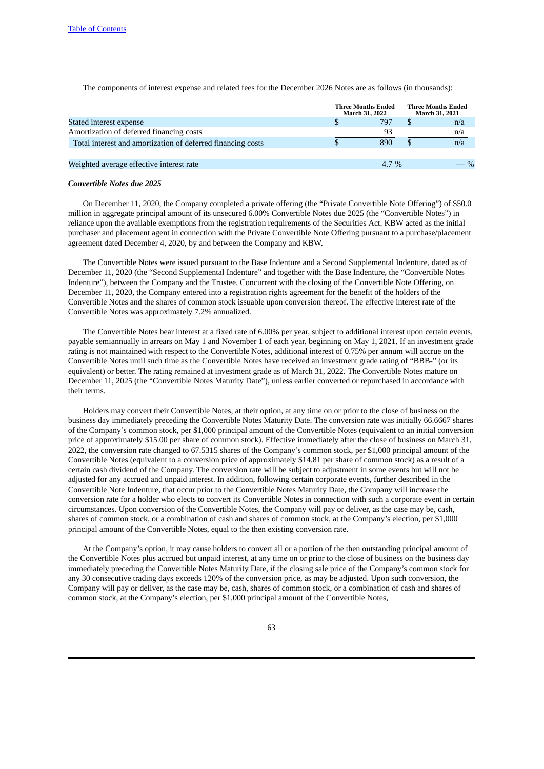The components of interest expense and related fees for the December 2026 Notes are as follows (in thousands):

|                                                             | <b>Three Months Ended</b><br><b>March 31, 2022</b> |  | <b>Three Months Ended</b><br>March 31, 2021 |
|-------------------------------------------------------------|----------------------------------------------------|--|---------------------------------------------|
| Stated interest expense                                     | 797                                                |  | n/a                                         |
| Amortization of deferred financing costs                    | 93                                                 |  | n/a                                         |
| Total interest and amortization of deferred financing costs | 890                                                |  | n/a                                         |
| Weighted average effective interest rate                    | 4.7 %                                              |  | $\%$                                        |

#### *Convertible Notes due 2025*

On December 11, 2020, the Company completed a private offering (the "Private Convertible Note Offering") of \$50.0 million in aggregate principal amount of its unsecured 6.00% Convertible Notes due 2025 (the "Convertible Notes") in reliance upon the available exemptions from the registration requirements of the Securities Act. KBW acted as the initial purchaser and placement agent in connection with the Private Convertible Note Offering pursuant to a purchase/placement agreement dated December 4, 2020, by and between the Company and KBW.

The Convertible Notes were issued pursuant to the Base Indenture and a Second Supplemental Indenture, dated as of December 11, 2020 (the "Second Supplemental Indenture" and together with the Base Indenture, the "Convertible Notes Indenture"), between the Company and the Trustee. Concurrent with the closing of the Convertible Note Offering, on December 11, 2020, the Company entered into a registration rights agreement for the benefit of the holders of the Convertible Notes and the shares of common stock issuable upon conversion thereof. The effective interest rate of the Convertible Notes was approximately 7.2% annualized.

The Convertible Notes bear interest at a fixed rate of 6.00% per year, subject to additional interest upon certain events, payable semiannually in arrears on May 1 and November 1 of each year, beginning on May 1, 2021. If an investment grade rating is not maintained with respect to the Convertible Notes, additional interest of 0.75% per annum will accrue on the Convertible Notes until such time as the Convertible Notes have received an investment grade rating of "BBB-" (or its equivalent) or better. The rating remained at investment grade as of March 31, 2022. The Convertible Notes mature on December 11, 2025 (the "Convertible Notes Maturity Date"), unless earlier converted or repurchased in accordance with their terms.

Holders may convert their Convertible Notes, at their option, at any time on or prior to the close of business on the business day immediately preceding the Convertible Notes Maturity Date. The conversion rate was initially 66.6667 shares of the Company's common stock, per \$1,000 principal amount of the Convertible Notes (equivalent to an initial conversion price of approximately \$15.00 per share of common stock). Effective immediately after the close of business on March 31, 2022, the conversion rate changed to 67.5315 shares of the Company's common stock, per \$1,000 principal amount of the Convertible Notes (equivalent to a conversion price of approximately \$14.81 per share of common stock) as a result of a certain cash dividend of the Company. The conversion rate will be subject to adjustment in some events but will not be adjusted for any accrued and unpaid interest. In addition, following certain corporate events, further described in the Convertible Note Indenture, that occur prior to the Convertible Notes Maturity Date, the Company will increase the conversion rate for a holder who elects to convert its Convertible Notes in connection with such a corporate event in certain circumstances. Upon conversion of the Convertible Notes, the Company will pay or deliver, as the case may be, cash, shares of common stock, or a combination of cash and shares of common stock, at the Company's election, per \$1,000 principal amount of the Convertible Notes, equal to the then existing conversion rate.

At the Company's option, it may cause holders to convert all or a portion of the then outstanding principal amount of the Convertible Notes plus accrued but unpaid interest, at any time on or prior to the close of business on the business day immediately preceding the Convertible Notes Maturity Date, if the closing sale price of the Company's common stock for any 30 consecutive trading days exceeds 120% of the conversion price, as may be adjusted. Upon such conversion, the Company will pay or deliver, as the case may be, cash, shares of common stock, or a combination of cash and shares of common stock, at the Company's election, per \$1,000 principal amount of the Convertible Notes,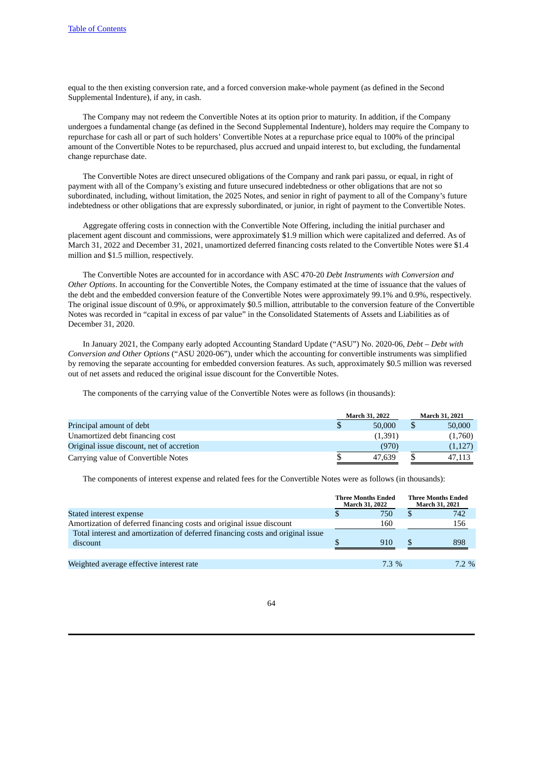equal to the then existing conversion rate, and a forced conversion make-whole payment (as defined in the Second Supplemental Indenture), if any, in cash.

The Company may not redeem the Convertible Notes at its option prior to maturity. In addition, if the Company undergoes a fundamental change (as defined in the Second Supplemental Indenture), holders may require the Company to repurchase for cash all or part of such holders' Convertible Notes at a repurchase price equal to 100% of the principal amount of the Convertible Notes to be repurchased, plus accrued and unpaid interest to, but excluding, the fundamental change repurchase date.

The Convertible Notes are direct unsecured obligations of the Company and rank pari passu, or equal, in right of payment with all of the Company's existing and future unsecured indebtedness or other obligations that are not so subordinated, including, without limitation, the 2025 Notes, and senior in right of payment to all of the Company's future indebtedness or other obligations that are expressly subordinated, or junior, in right of payment to the Convertible Notes.

Aggregate offering costs in connection with the Convertible Note Offering, including the initial purchaser and placement agent discount and commissions, were approximately \$1.9 million which were capitalized and deferred. As of March 31, 2022 and December 31, 2021, unamortized deferred financing costs related to the Convertible Notes were \$1.4 million and \$1.5 million, respectively.

The Convertible Notes are accounted for in accordance with ASC 470-20 *Debt Instruments with Conversion and Other Options*. In accounting for the Convertible Notes, the Company estimated at the time of issuance that the values of the debt and the embedded conversion feature of the Convertible Notes were approximately 99.1% and 0.9%, respectively. The original issue discount of 0.9%, or approximately \$0.5 million, attributable to the conversion feature of the Convertible Notes was recorded in "capital in excess of par value" in the Consolidated Statements of Assets and Liabilities as of December 31, 2020.

In January 2021, the Company early adopted Accounting Standard Update ("ASU") No. 2020-06, *Debt – Debt with Conversion and Other Options* ("ASU 2020-06"), under which the accounting for convertible instruments was simplified by removing the separate accounting for embedded conversion features. As such, approximately \$0.5 million was reversed out of net assets and reduced the original issue discount for the Convertible Notes.

The components of the carrying value of the Convertible Notes were as follows (in thousands):

|                                           | <b>March 31, 2022</b> | <b>March 31, 2021</b> |         |  |
|-------------------------------------------|-----------------------|-----------------------|---------|--|
| Principal amount of debt                  | 50,000                |                       | 50,000  |  |
| Unamortized debt financing cost           | (1,391)               |                       | (1,760) |  |
| Original issue discount, net of accretion | (970)                 |                       | (1,127) |  |
| Carrying value of Convertible Notes       | 47.639                |                       | 47.113  |  |

The components of interest expense and related fees for the Convertible Notes were as follows (in thousands):

|                                                                                            | <b>Three Months Ended</b><br><b>March 31, 2022</b> |         |    | <b>Three Months Ended</b><br>March 31, 2021 |
|--------------------------------------------------------------------------------------------|----------------------------------------------------|---------|----|---------------------------------------------|
| Stated interest expense                                                                    |                                                    | 750     | S. | 742                                         |
| Amortization of deferred financing costs and original issue discount                       |                                                    | 160     |    | 156                                         |
| Total interest and amortization of deferred financing costs and original issue<br>discount |                                                    | 910     |    | 898                                         |
|                                                                                            |                                                    |         |    |                                             |
| Weighted average effective interest rate                                                   |                                                    | $7.3\%$ |    | $7.2\%$                                     |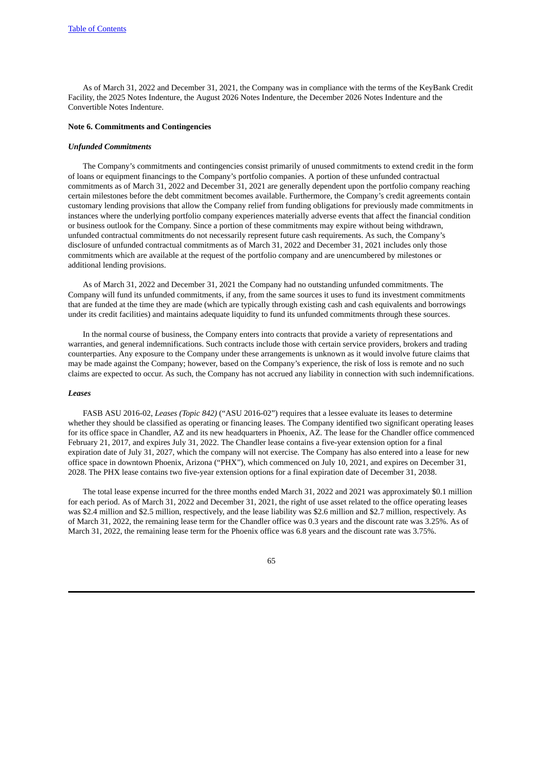As of March 31, 2022 and December 31, 2021, the Company was in compliance with the terms of the KeyBank Credit Facility, the 2025 Notes Indenture, the August 2026 Notes Indenture, the December 2026 Notes Indenture and the Convertible Notes Indenture.

# **Note 6. Commitments and Contingencies**

### *Unfunded Commitments*

The Company's commitments and contingencies consist primarily of unused commitments to extend credit in the form of loans or equipment financings to the Company's portfolio companies. A portion of these unfunded contractual commitments as of March 31, 2022 and December 31, 2021 are generally dependent upon the portfolio company reaching certain milestones before the debt commitment becomes available. Furthermore, the Company's credit agreements contain customary lending provisions that allow the Company relief from funding obligations for previously made commitments in instances where the underlying portfolio company experiences materially adverse events that affect the financial condition or business outlook for the Company. Since a portion of these commitments may expire without being withdrawn, unfunded contractual commitments do not necessarily represent future cash requirements. As such, the Company's disclosure of unfunded contractual commitments as of March 31, 2022 and December 31, 2021 includes only those commitments which are available at the request of the portfolio company and are unencumbered by milestones or additional lending provisions.

As of March 31, 2022 and December 31, 2021 the Company had no outstanding unfunded commitments. The Company will fund its unfunded commitments, if any, from the same sources it uses to fund its investment commitments that are funded at the time they are made (which are typically through existing cash and cash equivalents and borrowings under its credit facilities) and maintains adequate liquidity to fund its unfunded commitments through these sources.

In the normal course of business, the Company enters into contracts that provide a variety of representations and warranties, and general indemnifications. Such contracts include those with certain service providers, brokers and trading counterparties. Any exposure to the Company under these arrangements is unknown as it would involve future claims that may be made against the Company; however, based on the Company's experience, the risk of loss is remote and no such claims are expected to occur. As such, the Company has not accrued any liability in connection with such indemnifications.

### *Leases*

FASB ASU 2016-02, *Leases (Topic 842)* ("ASU 2016-02") requires that a lessee evaluate its leases to determine whether they should be classified as operating or financing leases. The Company identified two significant operating leases for its office space in Chandler, AZ and its new headquarters in Phoenix, AZ. The lease for the Chandler office commenced February 21, 2017, and expires July 31, 2022. The Chandler lease contains a five-year extension option for a final expiration date of July 31, 2027, which the company will not exercise. The Company has also entered into a lease for new office space in downtown Phoenix, Arizona ("PHX"), which commenced on July 10, 2021, and expires on December 31, 2028. The PHX lease contains two five-year extension options for a final expiration date of December 31, 2038.

The total lease expense incurred for the three months ended March 31, 2022 and 2021 was approximately \$0.1 million for each period. As of March 31, 2022 and December 31, 2021, the right of use asset related to the office operating leases was \$2.4 million and \$2.5 million, respectively, and the lease liability was \$2.6 million and \$2.7 million, respectively. As of March 31, 2022, the remaining lease term for the Chandler office was 0.3 years and the discount rate was 3.25%. As of March 31, 2022, the remaining lease term for the Phoenix office was 6.8 years and the discount rate was 3.75%.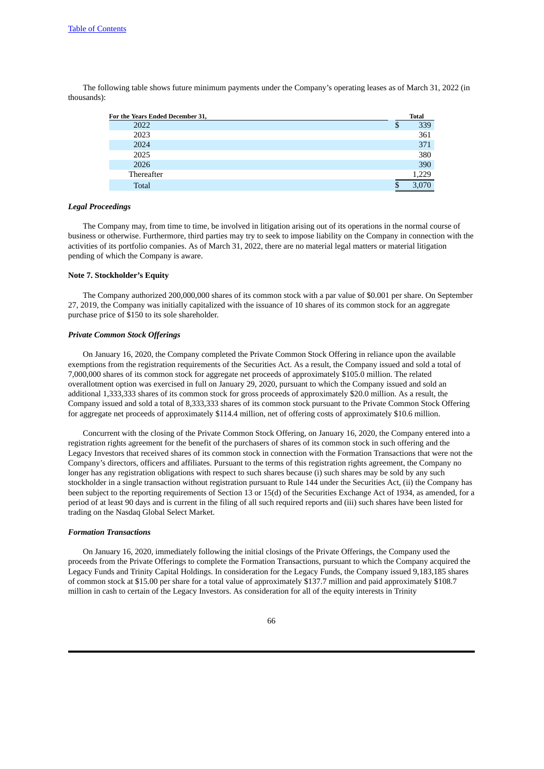The following table shows future minimum payments under the Company's operating leases as of March 31, 2022 (in thousands):

| For the Years Ended December 31, |   | <b>Total</b> |
|----------------------------------|---|--------------|
| 2022                             | ۰ | 339          |
| 2023                             |   | 361          |
| 2024                             |   | 371          |
| 2025                             |   | 380          |
| 2026                             |   | 390          |
| Thereafter                       |   | 1.229        |
| <b>Total</b>                     |   |              |

#### *Legal Proceedings*

The Company may, from time to time, be involved in litigation arising out of its operations in the normal course of business or otherwise. Furthermore, third parties may try to seek to impose liability on the Company in connection with the activities of its portfolio companies. As of March 31, 2022, there are no material legal matters or material litigation pending of which the Company is aware.

### **Note 7. Stockholder's Equity**

The Company authorized 200,000,000 shares of its common stock with a par value of \$0.001 per share. On September 27, 2019, the Company was initially capitalized with the issuance of 10 shares of its common stock for an aggregate purchase price of \$150 to its sole shareholder.

### *Private Common Stock Offerings*

On January 16, 2020, the Company completed the Private Common Stock Offering in reliance upon the available exemptions from the registration requirements of the Securities Act. As a result, the Company issued and sold a total of 7,000,000 shares of its common stock for aggregate net proceeds of approximately \$105.0 million. The related overallotment option was exercised in full on January 29, 2020, pursuant to which the Company issued and sold an additional 1,333,333 shares of its common stock for gross proceeds of approximately \$20.0 million. As a result, the Company issued and sold a total of 8,333,333 shares of its common stock pursuant to the Private Common Stock Offering for aggregate net proceeds of approximately \$114.4 million, net of offering costs of approximately \$10.6 million.

Concurrent with the closing of the Private Common Stock Offering, on January 16, 2020, the Company entered into a registration rights agreement for the benefit of the purchasers of shares of its common stock in such offering and the Legacy Investors that received shares of its common stock in connection with the Formation Transactions that were not the Company's directors, officers and affiliates. Pursuant to the terms of this registration rights agreement, the Company no longer has any registration obligations with respect to such shares because (i) such shares may be sold by any such stockholder in a single transaction without registration pursuant to Rule 144 under the Securities Act, (ii) the Company has been subject to the reporting requirements of Section 13 or 15(d) of the Securities Exchange Act of 1934, as amended, for a period of at least 90 days and is current in the filing of all such required reports and (iii) such shares have been listed for trading on the Nasdaq Global Select Market.

#### *Formation Transactions*

On January 16, 2020, immediately following the initial closings of the Private Offerings, the Company used the proceeds from the Private Offerings to complete the Formation Transactions, pursuant to which the Company acquired the Legacy Funds and Trinity Capital Holdings. In consideration for the Legacy Funds, the Company issued 9,183,185 shares of common stock at \$15.00 per share for a total value of approximately \$137.7 million and paid approximately \$108.7 million in cash to certain of the Legacy Investors. As consideration for all of the equity interests in Trinity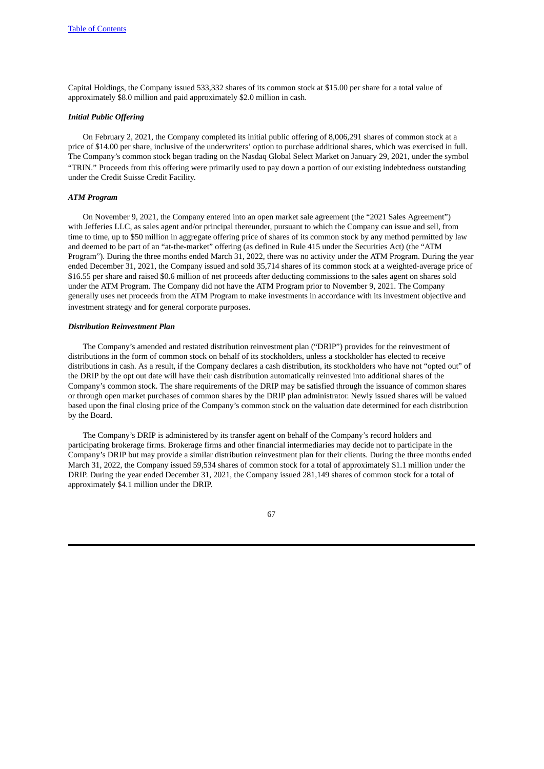Capital Holdings, the Company issued 533,332 shares of its common stock at \$15.00 per share for a total value of approximately \$8.0 million and paid approximately \$2.0 million in cash.

### *Initial Public Offering*

On February 2, 2021, the Company completed its initial public offering of 8,006,291 shares of common stock at a price of \$14.00 per share, inclusive of the underwriters' option to purchase additional shares, which was exercised in full. The Company's common stock began trading on the Nasdaq Global Select Market on January 29, 2021, under the symbol "TRIN." Proceeds from this offering were primarily used to pay down a portion of our existing indebtedness outstanding under the Credit Suisse Credit Facility.

## *ATM Program*

On November 9, 2021, the Company entered into an open market sale agreement (the "2021 Sales Agreement") with Jefferies LLC, as sales agent and/or principal thereunder, pursuant to which the Company can issue and sell, from time to time, up to \$50 million in aggregate offering price of shares of its common stock by any method permitted by law and deemed to be part of an "at-the-market" offering (as defined in Rule 415 under the Securities Act) (the "ATM Program"). During the three months ended March 31, 2022, there was no activity under the ATM Program. During the year ended December 31, 2021, the Company issued and sold 35,714 shares of its common stock at a weighted-average price of \$16.55 per share and raised \$0.6 million of net proceeds after deducting commissions to the sales agent on shares sold under the ATM Program. The Company did not have the ATM Program prior to November 9, 2021. The Company generally uses net proceeds from the ATM Program to make investments in accordance with its investment objective and investment strategy and for general corporate purposes.

### *Distribution Reinvestment Plan*

The Company's amended and restated distribution reinvestment plan ("DRIP") provides for the reinvestment of distributions in the form of common stock on behalf of its stockholders, unless a stockholder has elected to receive distributions in cash. As a result, if the Company declares a cash distribution, its stockholders who have not "opted out" of the DRIP by the opt out date will have their cash distribution automatically reinvested into additional shares of the Company's common stock. The share requirements of the DRIP may be satisfied through the issuance of common shares or through open market purchases of common shares by the DRIP plan administrator. Newly issued shares will be valued based upon the final closing price of the Company's common stock on the valuation date determined for each distribution by the Board.

The Company's DRIP is administered by its transfer agent on behalf of the Company's record holders and participating brokerage firms. Brokerage firms and other financial intermediaries may decide not to participate in the Company's DRIP but may provide a similar distribution reinvestment plan for their clients. During the three months ended March 31, 2022, the Company issued 59,534 shares of common stock for a total of approximately \$1.1 million under the DRIP. During the year ended December 31, 2021, the Company issued 281,149 shares of common stock for a total of approximately \$4.1 million under the DRIP.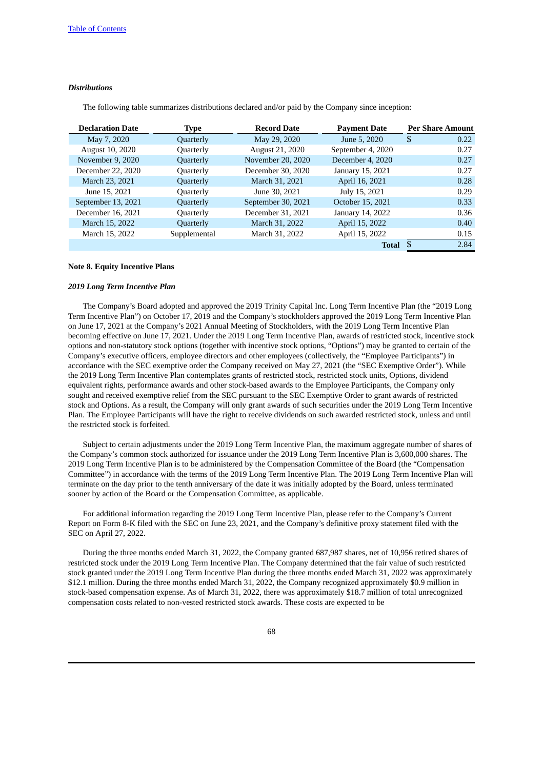### *Distributions*

The following table summarizes distributions declared and/or paid by the Company since inception:

| <b>Declaration Date</b> | Type         | <b>Record Date</b> | <b>Payment Date</b> |    | <b>Per Share Amount</b> |
|-------------------------|--------------|--------------------|---------------------|----|-------------------------|
| May 7, 2020             | Quarterly    | May 29, 2020       | June 5, 2020        | -S | 0.22                    |
| August 10, 2020         | Quarterly    | August 21, 2020    | September 4, 2020   |    | 0.27                    |
| November 9, 2020        | Quarterly    | November 20, 2020  | December 4, 2020    |    | 0.27                    |
| December 22, 2020       | Quarterly    | December 30, 2020  | January 15, 2021    |    | 0.27                    |
| March 23, 2021          | Quarterly    | March 31, 2021     | April 16, 2021      |    | 0.28                    |
| June 15, 2021           | Quarterly    | June 30, 2021      | July 15, 2021       |    | 0.29                    |
| September 13, 2021      | Quarterly    | September 30, 2021 | October 15, 2021    |    | 0.33                    |
| December 16, 2021       | Quarterly    | December 31, 2021  | January 14, 2022    |    | 0.36                    |
| March 15, 2022          | Quarterly    | March 31, 2022     | April 15, 2022      |    | 0.40                    |
| March 15, 2022          | Supplemental | March 31, 2022     | April 15, 2022      |    | 0.15                    |
|                         |              |                    | <b>Total</b>        |    | 2.84                    |

### **Note 8. Equity Incentive Plans**

## *2019 Long Term Incentive Plan*

The Company's Board adopted and approved the 2019 Trinity Capital Inc. Long Term Incentive Plan (the "2019 Long Term Incentive Plan") on October 17, 2019 and the Company's stockholders approved the 2019 Long Term Incentive Plan on June 17, 2021 at the Company's 2021 Annual Meeting of Stockholders, with the 2019 Long Term Incentive Plan becoming effective on June 17, 2021. Under the 2019 Long Term Incentive Plan, awards of restricted stock, incentive stock options and non-statutory stock options (together with incentive stock options, "Options") may be granted to certain of the Company's executive officers, employee directors and other employees (collectively, the "Employee Participants") in accordance with the SEC exemptive order the Company received on May 27, 2021 (the "SEC Exemptive Order"). While the 2019 Long Term Incentive Plan contemplates grants of restricted stock, restricted stock units, Options, dividend equivalent rights, performance awards and other stock-based awards to the Employee Participants, the Company only sought and received exemptive relief from the SEC pursuant to the SEC Exemptive Order to grant awards of restricted stock and Options. As a result, the Company will only grant awards of such securities under the 2019 Long Term Incentive Plan. The Employee Participants will have the right to receive dividends on such awarded restricted stock, unless and until the restricted stock is forfeited.

Subject to certain adjustments under the 2019 Long Term Incentive Plan, the maximum aggregate number of shares of the Company's common stock authorized for issuance under the 2019 Long Term Incentive Plan is 3,600,000 shares. The 2019 Long Term Incentive Plan is to be administered by the Compensation Committee of the Board (the "Compensation Committee") in accordance with the terms of the 2019 Long Term Incentive Plan. The 2019 Long Term Incentive Plan will terminate on the day prior to the tenth anniversary of the date it was initially adopted by the Board, unless terminated sooner by action of the Board or the Compensation Committee, as applicable.

For additional information regarding the 2019 Long Term Incentive Plan, please refer to the Company's Current Report on Form 8-K filed with the SEC on June 23, 2021, and the Company's definitive proxy statement filed with the SEC on April 27, 2022.

During the three months ended March 31, 2022, the Company granted 687,987 shares, net of 10,956 retired shares of restricted stock under the 2019 Long Term Incentive Plan. The Company determined that the fair value of such restricted stock granted under the 2019 Long Term Incentive Plan during the three months ended March 31, 2022 was approximately \$12.1 million. During the three months ended March 31, 2022, the Company recognized approximately \$0.9 million in stock-based compensation expense. As of March 31, 2022, there was approximately \$18.7 million of total unrecognized compensation costs related to non-vested restricted stock awards. These costs are expected to be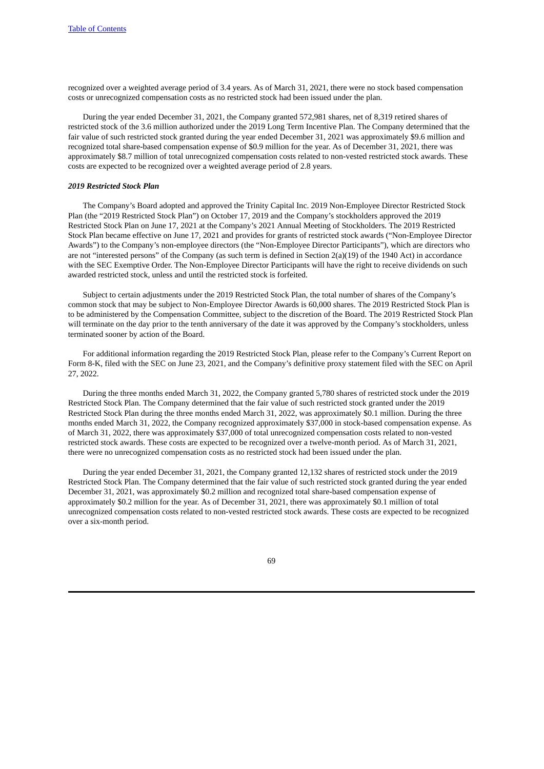recognized over a weighted average period of 3.4 years. As of March 31, 2021, there were no stock based compensation costs or unrecognized compensation costs as no restricted stock had been issued under the plan.

During the year ended December 31, 2021, the Company granted 572,981 shares, net of 8,319 retired shares of restricted stock of the 3.6 million authorized under the 2019 Long Term Incentive Plan. The Company determined that the fair value of such restricted stock granted during the year ended December 31, 2021 was approximately \$9.6 million and recognized total share-based compensation expense of \$0.9 million for the year. As of December 31, 2021, there was approximately \$8.7 million of total unrecognized compensation costs related to non-vested restricted stock awards. These costs are expected to be recognized over a weighted average period of 2.8 years.

#### *2019 Restricted Stock Plan*

The Company's Board adopted and approved the Trinity Capital Inc. 2019 Non-Employee Director Restricted Stock Plan (the "2019 Restricted Stock Plan") on October 17, 2019 and the Company's stockholders approved the 2019 Restricted Stock Plan on June 17, 2021 at the Company's 2021 Annual Meeting of Stockholders. The 2019 Restricted Stock Plan became effective on June 17, 2021 and provides for grants of restricted stock awards ("Non-Employee Director Awards") to the Company's non-employee directors (the "Non-Employee Director Participants"), which are directors who are not "interested persons" of the Company (as such term is defined in Section 2(a)(19) of the 1940 Act) in accordance with the SEC Exemptive Order. The Non-Employee Director Participants will have the right to receive dividends on such awarded restricted stock, unless and until the restricted stock is forfeited.

Subject to certain adjustments under the 2019 Restricted Stock Plan, the total number of shares of the Company's common stock that may be subject to Non-Employee Director Awards is 60,000 shares. The 2019 Restricted Stock Plan is to be administered by the Compensation Committee, subject to the discretion of the Board. The 2019 Restricted Stock Plan will terminate on the day prior to the tenth anniversary of the date it was approved by the Company's stockholders, unless terminated sooner by action of the Board.

For additional information regarding the 2019 Restricted Stock Plan, please refer to the Company's Current Report on Form 8-K, filed with the SEC on June 23, 2021, and the Company's definitive proxy statement filed with the SEC on April 27, 2022.

During the three months ended March 31, 2022, the Company granted 5,780 shares of restricted stock under the 2019 Restricted Stock Plan. The Company determined that the fair value of such restricted stock granted under the 2019 Restricted Stock Plan during the three months ended March 31, 2022, was approximately \$0.1 million. During the three months ended March 31, 2022, the Company recognized approximately \$37,000 in stock-based compensation expense. As of March 31, 2022, there was approximately \$37,000 of total unrecognized compensation costs related to non-vested restricted stock awards. These costs are expected to be recognized over a twelve-month period. As of March 31, 2021, there were no unrecognized compensation costs as no restricted stock had been issued under the plan.

During the year ended December 31, 2021, the Company granted 12,132 shares of restricted stock under the 2019 Restricted Stock Plan. The Company determined that the fair value of such restricted stock granted during the year ended December 31, 2021, was approximately \$0.2 million and recognized total share-based compensation expense of approximately \$0.2 million for the year. As of December 31, 2021, there was approximately \$0.1 million of total unrecognized compensation costs related to non-vested restricted stock awards. These costs are expected to be recognized over a six-month period.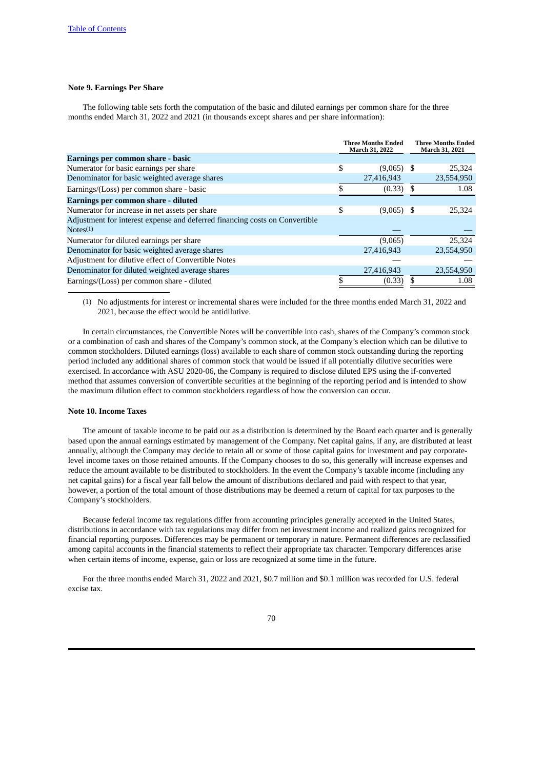# **Note 9. Earnings Per Share**

The following table sets forth the computation of the basic and diluted earnings per common share for the three months ended March 31, 2022 and 2021 (in thousands except shares and per share information):

|                                                                             | <b>Three Months Ended</b><br>March 31, 2022 |              |  | Three Months Ended<br>March 31, 2021 |  |  |
|-----------------------------------------------------------------------------|---------------------------------------------|--------------|--|--------------------------------------|--|--|
| Earnings per common share - basic                                           |                                             |              |  |                                      |  |  |
| Numerator for basic earnings per share                                      | \$                                          | $(9,065)$ \$ |  | 25,324                               |  |  |
| Denominator for basic weighted average shares                               |                                             | 27,416,943   |  | 23,554,950                           |  |  |
| Earnings/(Loss) per common share - basic                                    |                                             | (0.33)       |  | 1.08                                 |  |  |
| Earnings per common share - diluted                                         |                                             |              |  |                                      |  |  |
| Numerator for increase in net assets per share                              | \$                                          | $(9,065)$ \$ |  | 25,324                               |  |  |
| Adjustment for interest expense and deferred financing costs on Convertible |                                             |              |  |                                      |  |  |
| Note <sub>S</sub> (1)                                                       |                                             |              |  |                                      |  |  |
| Numerator for diluted earnings per share                                    |                                             | (9,065)      |  | 25,324                               |  |  |
| Denominator for basic weighted average shares                               |                                             | 27,416,943   |  | 23,554,950                           |  |  |
| Adjustment for dilutive effect of Convertible Notes                         |                                             |              |  |                                      |  |  |
| Denominator for diluted weighted average shares                             |                                             | 27,416,943   |  | 23,554,950                           |  |  |
| Earnings/(Loss) per common share - diluted                                  |                                             | (0.33)       |  | 1.08                                 |  |  |

(1) No adjustments for interest or incremental shares were included for the three months ended March 31, 2022 and 2021, because the effect would be antidilutive.

In certain circumstances, the Convertible Notes will be convertible into cash, shares of the Company's common stock or a combination of cash and shares of the Company's common stock, at the Company's election which can be dilutive to common stockholders. Diluted earnings (loss) available to each share of common stock outstanding during the reporting period included any additional shares of common stock that would be issued if all potentially dilutive securities were exercised. In accordance with ASU 2020-06, the Company is required to disclose diluted EPS using the if-converted method that assumes conversion of convertible securities at the beginning of the reporting period and is intended to show the maximum dilution effect to common stockholders regardless of how the conversion can occur.

### **Note 10. Income Taxes**

The amount of taxable income to be paid out as a distribution is determined by the Board each quarter and is generally based upon the annual earnings estimated by management of the Company. Net capital gains, if any, are distributed at least annually, although the Company may decide to retain all or some of those capital gains for investment and pay corporatelevel income taxes on those retained amounts. If the Company chooses to do so, this generally will increase expenses and reduce the amount available to be distributed to stockholders. In the event the Company's taxable income (including any net capital gains) for a fiscal year fall below the amount of distributions declared and paid with respect to that year, however, a portion of the total amount of those distributions may be deemed a return of capital for tax purposes to the Company's stockholders.

Because federal income tax regulations differ from accounting principles generally accepted in the United States, distributions in accordance with tax regulations may differ from net investment income and realized gains recognized for financial reporting purposes. Differences may be permanent or temporary in nature. Permanent differences are reclassified among capital accounts in the financial statements to reflect their appropriate tax character. Temporary differences arise when certain items of income, expense, gain or loss are recognized at some time in the future.

For the three months ended March 31, 2022 and 2021, \$0.7 million and \$0.1 million was recorded for U.S. federal excise tax.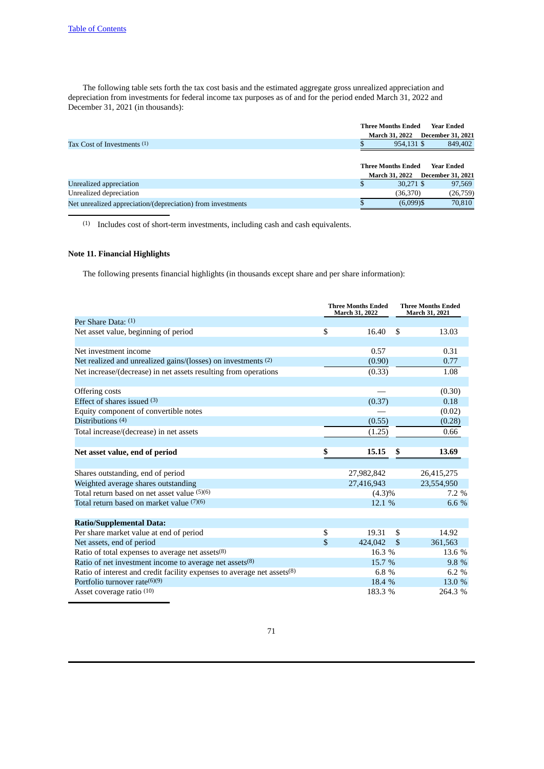The following table sets forth the tax cost basis and the estimated aggregate gross unrealized appreciation and depreciation from investments for federal income tax purposes as of and for the period ended March 31, 2022 and December 31, 2021 (in thousands):

|                                                             | <b>Three Months Ended</b> | Year Ended               |  |
|-------------------------------------------------------------|---------------------------|--------------------------|--|
|                                                             | <b>March 31, 2022</b>     | <b>December 31, 2021</b> |  |
| Tax Cost of Investments (1)                                 | 954,131 \$                | 849,402                  |  |
|                                                             |                           |                          |  |
|                                                             | <b>Three Months Ended</b> | Year Ended               |  |
|                                                             | <b>March 31, 2022</b>     | <b>December 31, 2021</b> |  |
| Unrealized appreciation                                     | 30,271 \$                 | 97,569                   |  |
| Unrealized depreciation                                     | (36,370)                  | (26, 759)                |  |
| Net unrealized appreciation/(depreciation) from investments | $(6,099)$ \$              | 70,810                   |  |
|                                                             |                           |                          |  |

(1) Includes cost of short-term investments, including cash and cash equivalents.

# **Note 11. Financial Highlights**

The following presents financial highlights (in thousands except share and per share information):

|                                                                         |                         | <b>Three Months Ended</b><br>March 31, 2022 | <b>Three Months Ended</b><br>March 31, 2021 |            |
|-------------------------------------------------------------------------|-------------------------|---------------------------------------------|---------------------------------------------|------------|
| Per Share Data: $(1)$                                                   |                         |                                             |                                             |            |
| Net asset value, beginning of period                                    | \$                      | 16.40                                       | \$                                          | 13.03      |
|                                                                         |                         |                                             |                                             |            |
| Net investment income                                                   |                         | 0.57                                        |                                             | 0.31       |
| Net realized and unrealized gains/(losses) on investments (2)           |                         | (0.90)                                      |                                             | 0.77       |
| Net increase/(decrease) in net assets resulting from operations         |                         | (0.33)                                      |                                             | 1.08       |
|                                                                         |                         |                                             |                                             |            |
| Offering costs                                                          |                         |                                             |                                             | (0.30)     |
| Effect of shares issued $(3)$                                           |                         | (0.37)                                      |                                             | 0.18       |
| Equity component of convertible notes                                   |                         |                                             |                                             | (0.02)     |
| Distributions (4)                                                       |                         | (0.55)                                      |                                             | (0.28)     |
| Total increase/(decrease) in net assets                                 |                         | (1.25)                                      |                                             | 0.66       |
|                                                                         |                         |                                             |                                             |            |
| Net asset value, end of period                                          | \$                      | 15.15                                       | \$                                          | 13.69      |
|                                                                         |                         |                                             |                                             |            |
| Shares outstanding, end of period                                       |                         | 27,982,842                                  |                                             | 26,415,275 |
| Weighted average shares outstanding                                     |                         | 27,416,943                                  |                                             | 23,554,950 |
| Total return based on net asset value (5)(6)                            |                         | $(4.3)\%$                                   |                                             | $7.2\%$    |
| Total return based on market value (7)(6)                               |                         | 12.1%                                       |                                             | 6.6 %      |
|                                                                         |                         |                                             |                                             |            |
| <b>Ratio/Supplemental Data:</b>                                         |                         |                                             |                                             |            |
| Per share market value at end of period                                 | \$                      | 19.31                                       | \$                                          | 14.92      |
| Net assets, end of period                                               | $\overline{\mathbf{S}}$ | 424,042                                     | \$                                          | 361,563    |
| Ratio of total expenses to average net assets(8)                        |                         | 16.3 %                                      |                                             | 13.6 %     |
| Ratio of net investment income to average net assets(8)                 |                         | 15.7 %                                      |                                             | 9.8 %      |
| Ratio of interest and credit facility expenses to average net assets(8) |                         | 6.8 $%$                                     |                                             | 6.2 %      |
| Portfolio turnover rate $(6)(9)$                                        |                         | 18.4 %                                      |                                             | 13.0 %     |
| Asset coverage ratio (10)                                               |                         | 183.3 %                                     |                                             | 264.3 %    |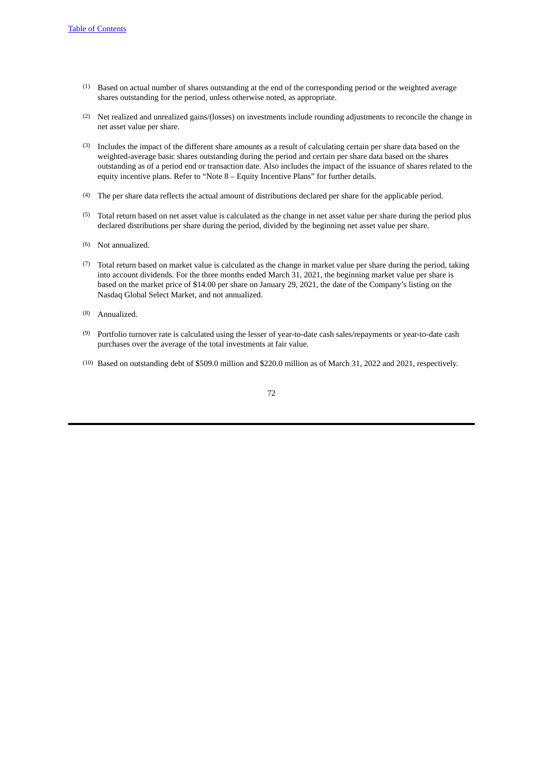- (1) Based on actual number of shares outstanding at the end of the corresponding period or the weighted average shares outstanding for the period, unless otherwise noted, as appropriate.
- (2) Net realized and unrealized gains/(losses) on investments include rounding adjustments to reconcile the change in net asset value per share.
- (3) Includes the impact of the different share amounts as a result of calculating certain per share data based on the weighted-average basic shares outstanding during the period and certain per share data based on the shares outstanding as of a period end or transaction date. Also includes the impact of the issuance of shares related to the equity incentive plans. Refer to "Note 8 – Equity Incentive Plans" for further details.
- (4) The per share data reflects the actual amount of distributions declared per share for the applicable period.
- (5) Total return based on net asset value is calculated as the change in net asset value per share during the period plus declared distributions per share during the period, divided by the beginning net asset value per share.
- (6) Not annualized.
- (7) Total return based on market value is calculated as the change in market value per share during the period, taking into account dividends. For the three months ended March 31, 2021, the beginning market value per share is based on the market price of \$14.00 per share on January 29, 2021, the date of the Company's listing on the Nasdaq Global Select Market, and not annualized.
- (8) Annualized.
- (9) Portfolio turnover rate is calculated using the lesser of year-to-date cash sales/repayments or year-to-date cash purchases over the average of the total investments at fair value.
- (10) Based on outstanding debt of \$509.0 million and \$220.0 million as of March 31, 2022 and 2021, respectively.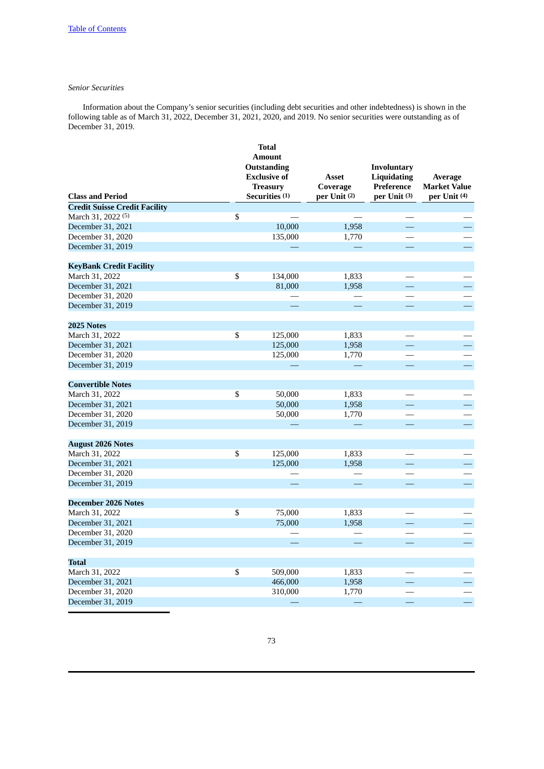# *Senior Securities*

Information about the Company's senior securities (including debt securities and other indebtedness) is shown in the following table as of March 31, 2022, December 31, 2021, 2020, and 2019. No senior securities were outstanding as of December 31, 2019.

|                                      |                          | <b>Total</b>        |              |                    |                          |
|--------------------------------------|--------------------------|---------------------|--------------|--------------------|--------------------------|
|                                      |                          | <b>Amount</b>       |              |                    |                          |
|                                      |                          | Outstanding         |              | <b>Involuntary</b> |                          |
|                                      |                          | <b>Exclusive of</b> | <b>Asset</b> | <b>Liquidating</b> | Average                  |
|                                      |                          | <b>Treasury</b>     | Coverage     | Preference         | <b>Market Value</b>      |
| <b>Class and Period</b>              |                          | Securities (1)      | per Unit (2) | $per$ Unit $(3)$   | per Unit (4)             |
| <b>Credit Suisse Credit Facility</b> |                          |                     |              |                    |                          |
| March 31, 2022 <sup>(5)</sup>        | \$                       |                     |              |                    |                          |
| December 31, 2021                    |                          | 10,000              | 1,958        | $\equiv$           |                          |
| December 31, 2020                    |                          | 135,000             | 1,770        |                    |                          |
| December 31, 2019                    |                          |                     |              | $\equiv$           |                          |
|                                      |                          |                     |              |                    |                          |
| <b>KeyBank Credit Facility</b>       |                          |                     |              |                    |                          |
| March 31, 2022                       | $\overline{\mathbb{S}}$  | 134,000             | 1,833        |                    |                          |
| December 31, 2021                    |                          | 81,000              | 1,958        |                    |                          |
| December 31, 2020                    |                          |                     |              |                    |                          |
| December 31, 2019                    |                          |                     |              |                    | Ξ,                       |
|                                      |                          |                     |              |                    |                          |
| 2025 Notes                           |                          |                     |              |                    |                          |
| March 31, 2022                       | $\overline{\mathcal{S}}$ | 125,000             | 1,833        |                    |                          |
| December 31, 2021                    |                          | 125,000             | 1,958        |                    |                          |
| December 31, 2020                    |                          | 125,000             | 1,770        |                    |                          |
| December 31, 2019                    |                          |                     |              |                    | $\equiv$                 |
|                                      |                          |                     |              |                    |                          |
| <b>Convertible Notes</b>             |                          |                     |              |                    |                          |
| March 31, 2022                       | \$                       | 50,000              | 1,833        |                    |                          |
| December 31, 2021                    |                          | 50,000              | 1,958        | $\equiv$           | $\equiv$                 |
| December 31, 2020                    |                          | 50,000              | 1,770        |                    |                          |
| December 31, 2019                    |                          |                     |              |                    | $\equiv$                 |
|                                      |                          |                     |              |                    |                          |
| <b>August 2026 Notes</b>             |                          |                     |              |                    |                          |
| March 31, 2022                       | $\overline{\mathcal{S}}$ | 125,000             | 1,833        |                    |                          |
| December 31, 2021                    |                          | 125,000             | 1,958        |                    |                          |
| December 31, 2020                    |                          |                     |              |                    |                          |
| December 31, 2019                    |                          |                     |              |                    | L,                       |
|                                      |                          |                     |              |                    |                          |
| <b>December 2026 Notes</b>           |                          |                     |              |                    |                          |
| March 31, 2022                       | \$                       | 75,000              | 1,833        |                    |                          |
| December 31, 2021                    |                          | 75,000              | 1,958        | 二                  |                          |
| December 31, 2020                    |                          |                     |              |                    |                          |
| December 31, 2019                    |                          |                     |              |                    | $\overline{\phantom{0}}$ |
|                                      |                          |                     |              |                    |                          |
| <b>Total</b>                         |                          |                     |              |                    |                          |
| March 31, 2022                       | \$                       | 509,000             | 1,833        |                    |                          |
| December 31, 2021                    |                          | 466,000             | 1,958        |                    |                          |
| December 31, 2020                    |                          | 310,000             | 1,770        |                    |                          |
| December 31, 2019                    |                          |                     |              | ÷,                 | ÷,                       |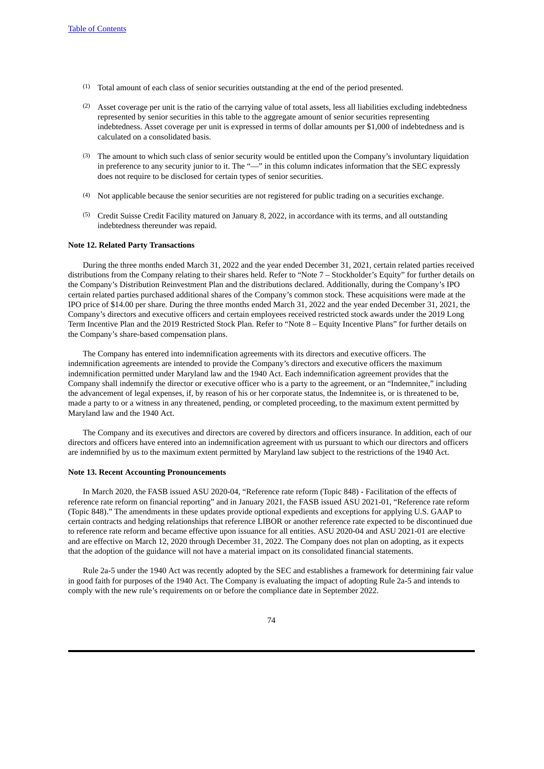- (1) Total amount of each class of senior securities outstanding at the end of the period presented.
- (2) Asset coverage per unit is the ratio of the carrying value of total assets, less all liabilities excluding indebtedness represented by senior securities in this table to the aggregate amount of senior securities representing indebtedness. Asset coverage per unit is expressed in terms of dollar amounts per \$1,000 of indebtedness and is calculated on a consolidated basis.
- (3) The amount to which such class of senior security would be entitled upon the Company's involuntary liquidation in preference to any security junior to it. The "—" in this column indicates information that the SEC expressly does not require to be disclosed for certain types of senior securities.
- (4) Not applicable because the senior securities are not registered for public trading on a securities exchange.
- (5) Credit Suisse Credit Facility matured on January 8, 2022, in accordance with its terms, and all outstanding indebtedness thereunder was repaid.

#### **Note 12. Related Party Transactions**

During the three months ended March 31, 2022 and the year ended December 31, 2021, certain related parties received distributions from the Company relating to their shares held. Refer to "Note 7 – Stockholder's Equity" for further details on the Company's Distribution Reinvestment Plan and the distributions declared. Additionally, during the Company's IPO certain related parties purchased additional shares of the Company's common stock. These acquisitions were made at the IPO price of \$14.00 per share. During the three months ended March 31, 2022 and the year ended December 31, 2021, the Company's directors and executive officers and certain employees received restricted stock awards under the 2019 Long Term Incentive Plan and the 2019 Restricted Stock Plan. Refer to "Note 8 – Equity Incentive Plans" for further details on the Company's share-based compensation plans.

The Company has entered into indemnification agreements with its directors and executive officers. The indemnification agreements are intended to provide the Company's directors and executive officers the maximum indemnification permitted under Maryland law and the 1940 Act. Each indemnification agreement provides that the Company shall indemnify the director or executive officer who is a party to the agreement, or an "Indemnitee," including the advancement of legal expenses, if, by reason of his or her corporate status, the Indemnitee is, or is threatened to be, made a party to or a witness in any threatened, pending, or completed proceeding, to the maximum extent permitted by Maryland law and the 1940 Act.

The Company and its executives and directors are covered by directors and officers insurance. In addition, each of our directors and officers have entered into an indemnification agreement with us pursuant to which our directors and officers are indemnified by us to the maximum extent permitted by Maryland law subject to the restrictions of the 1940 Act.

#### **Note 13. Recent Accounting Pronouncements**

In March 2020, the FASB issued ASU 2020-04, "Reference rate reform (Topic 848) - Facilitation of the effects of reference rate reform on financial reporting" and in January 2021, the FASB issued ASU 2021-01, "Reference rate reform (Topic 848)." The amendments in these updates provide optional expedients and exceptions for applying U.S. GAAP to certain contracts and hedging relationships that reference LIBOR or another reference rate expected to be discontinued due to reference rate reform and became effective upon issuance for all entities. ASU 2020-04 and ASU 2021-01 are elective and are effective on March 12, 2020 through December 31, 2022. The Company does not plan on adopting, as it expects that the adoption of the guidance will not have a material impact on its consolidated financial statements.

Rule 2a-5 under the 1940 Act was recently adopted by the SEC and establishes a framework for determining fair value in good faith for purposes of the 1940 Act. The Company is evaluating the impact of adopting Rule 2a-5 and intends to comply with the new rule's requirements on or before the compliance date in September 2022.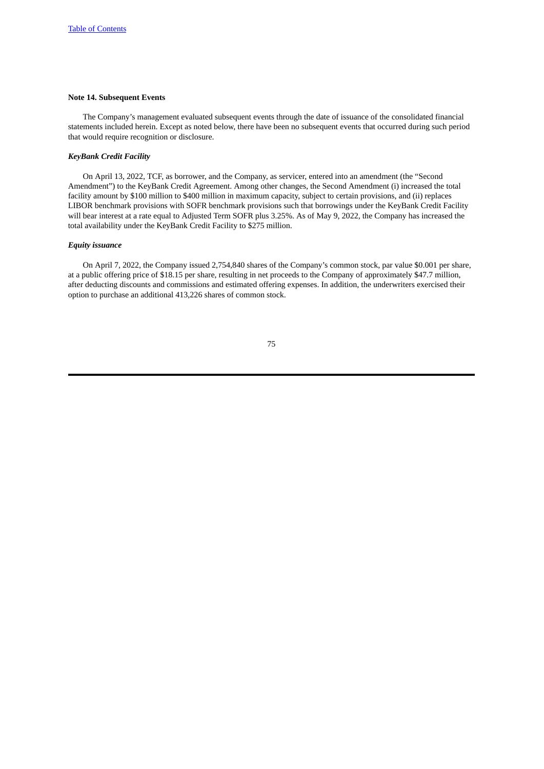# **Note 14. Subsequent Events**

The Company's management evaluated subsequent events through the date of issuance of the consolidated financial statements included herein. Except as noted below, there have been no subsequent events that occurred during such period that would require recognition or disclosure.

# *KeyBank Credit Facility*

On April 13, 2022, TCF, as borrower, and the Company, as servicer, entered into an amendment (the "Second Amendment") to the KeyBank Credit Agreement. Among other changes, the Second Amendment (i) increased the total facility amount by \$100 million to \$400 million in maximum capacity, subject to certain provisions, and (ii) replaces LIBOR benchmark provisions with SOFR benchmark provisions such that borrowings under the KeyBank Credit Facility will bear interest at a rate equal to Adjusted Term SOFR plus 3.25%. As of May 9, 2022, the Company has increased the total availability under the KeyBank Credit Facility to \$275 million.

# *Equity issuance*

On April 7, 2022, the Company issued 2,754,840 shares of the Company's common stock, par value \$0.001 per share, at a public offering price of \$18.15 per share, resulting in net proceeds to the Company of approximately \$47.7 million, after deducting discounts and commissions and estimated offering expenses. In addition, the underwriters exercised their option to purchase an additional 413,226 shares of common stock.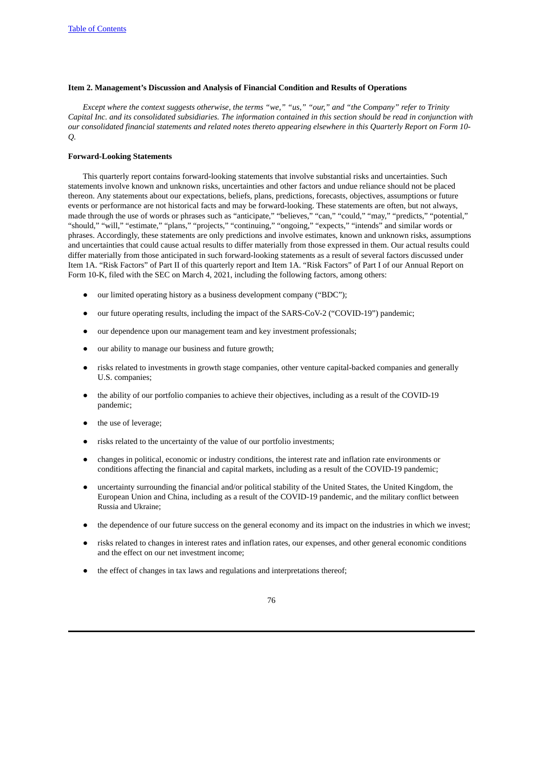# **Item 2. Management's Discussion and Analysis of Financial Condition and Results of Operations**

Except where the context suggests otherwise, the terms "we," "us," "our," and "the Company" refer to Trinity Capital Inc. and its consolidated subsidiaries. The information contained in this section should be read in conjunction with our consolidated financial statements and related notes thereto appearing elsewhere in this Quarterly Report on Form 10-*Q.*

# **Forward-Looking Statements**

This quarterly report contains forward-looking statements that involve substantial risks and uncertainties. Such statements involve known and unknown risks, uncertainties and other factors and undue reliance should not be placed thereon. Any statements about our expectations, beliefs, plans, predictions, forecasts, objectives, assumptions or future events or performance are not historical facts and may be forward-looking. These statements are often, but not always, made through the use of words or phrases such as "anticipate," "believes," "can," "could," "may," "predicts," "potential," "should," "will," "estimate," "plans," "projects," "continuing," "ongoing," "expects," "intends" and similar words or phrases. Accordingly, these statements are only predictions and involve estimates, known and unknown risks, assumptions and uncertainties that could cause actual results to differ materially from those expressed in them. Our actual results could differ materially from those anticipated in such forward-looking statements as a result of several factors discussed under Item 1A. "Risk Factors" of Part II of this quarterly report and Item 1A. "Risk Factors" of Part I of our Annual Report on Form 10-K, filed with the SEC on March 4, 2021, including the following factors, among others:

- our limited operating history as a business development company ("BDC");
- our future operating results, including the impact of the SARS-CoV-2 ("COVID-19") pandemic;
- our dependence upon our management team and key investment professionals;
- our ability to manage our business and future growth;
- risks related to investments in growth stage companies, other venture capital-backed companies and generally U.S. companies;
- the ability of our portfolio companies to achieve their objectives, including as a result of the COVID-19 pandemic;
- the use of leverage;
- risks related to the uncertainty of the value of our portfolio investments;
- changes in political, economic or industry conditions, the interest rate and inflation rate environments or conditions affecting the financial and capital markets, including as a result of the COVID-19 pandemic;
- uncertainty surrounding the financial and/or political stability of the United States, the United Kingdom, the European Union and China, including as a result of the COVID-19 pandemic, and the military conflict between Russia and Ukraine;
- the dependence of our future success on the general economy and its impact on the industries in which we invest;
- risks related to changes in interest rates and inflation rates, our expenses, and other general economic conditions and the effect on our net investment income;
- the effect of changes in tax laws and regulations and interpretations thereof;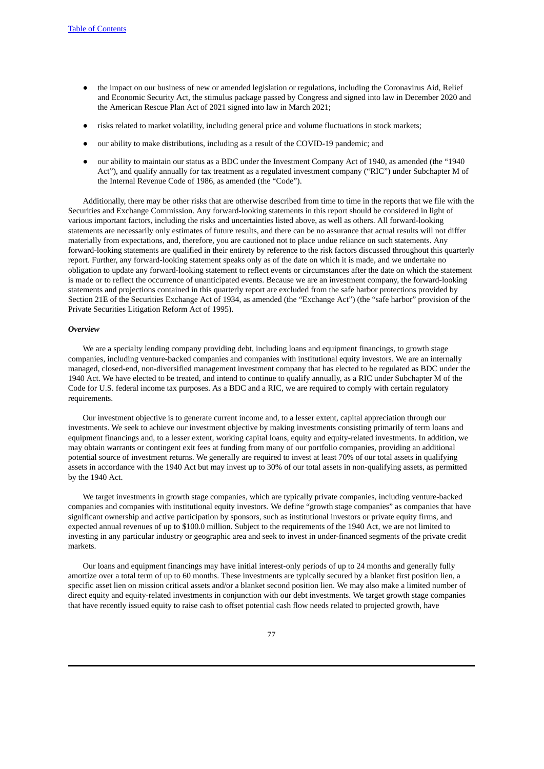- the impact on our business of new or amended legislation or regulations, including the Coronavirus Aid, Relief and Economic Security Act, the stimulus package passed by Congress and signed into law in December 2020 and the American Rescue Plan Act of 2021 signed into law in March 2021;
- risks related to market volatility, including general price and volume fluctuations in stock markets;
- our ability to make distributions, including as a result of the COVID-19 pandemic; and
- our ability to maintain our status as a BDC under the Investment Company Act of 1940, as amended (the "1940 Act"), and qualify annually for tax treatment as a regulated investment company ("RIC") under Subchapter M of the Internal Revenue Code of 1986, as amended (the "Code").

Additionally, there may be other risks that are otherwise described from time to time in the reports that we file with the Securities and Exchange Commission. Any forward-looking statements in this report should be considered in light of various important factors, including the risks and uncertainties listed above, as well as others. All forward-looking statements are necessarily only estimates of future results, and there can be no assurance that actual results will not differ materially from expectations, and, therefore, you are cautioned not to place undue reliance on such statements. Any forward-looking statements are qualified in their entirety by reference to the risk factors discussed throughout this quarterly report. Further, any forward-looking statement speaks only as of the date on which it is made, and we undertake no obligation to update any forward-looking statement to reflect events or circumstances after the date on which the statement is made or to reflect the occurrence of unanticipated events. Because we are an investment company, the forward-looking statements and projections contained in this quarterly report are excluded from the safe harbor protections provided by Section 21E of the Securities Exchange Act of 1934, as amended (the "Exchange Act") (the "safe harbor" provision of the Private Securities Litigation Reform Act of 1995).

#### *Overview*

We are a specialty lending company providing debt, including loans and equipment financings, to growth stage companies, including venture-backed companies and companies with institutional equity investors. We are an internally managed, closed-end, non-diversified management investment company that has elected to be regulated as BDC under the 1940 Act. We have elected to be treated, and intend to continue to qualify annually, as a RIC under Subchapter M of the Code for U.S. federal income tax purposes. As a BDC and a RIC, we are required to comply with certain regulatory requirements.

Our investment objective is to generate current income and, to a lesser extent, capital appreciation through our investments. We seek to achieve our investment objective by making investments consisting primarily of term loans and equipment financings and, to a lesser extent, working capital loans, equity and equity-related investments. In addition, we may obtain warrants or contingent exit fees at funding from many of our portfolio companies, providing an additional potential source of investment returns. We generally are required to invest at least 70% of our total assets in qualifying assets in accordance with the 1940 Act but may invest up to 30% of our total assets in non-qualifying assets, as permitted by the 1940 Act.

We target investments in growth stage companies, which are typically private companies, including venture-backed companies and companies with institutional equity investors. We define "growth stage companies" as companies that have significant ownership and active participation by sponsors, such as institutional investors or private equity firms, and expected annual revenues of up to \$100.0 million. Subject to the requirements of the 1940 Act, we are not limited to investing in any particular industry or geographic area and seek to invest in under-financed segments of the private credit markets.

Our loans and equipment financings may have initial interest-only periods of up to 24 months and generally fully amortize over a total term of up to 60 months. These investments are typically secured by a blanket first position lien, a specific asset lien on mission critical assets and/or a blanket second position lien. We may also make a limited number of direct equity and equity-related investments in conjunction with our debt investments. We target growth stage companies that have recently issued equity to raise cash to offset potential cash flow needs related to projected growth, have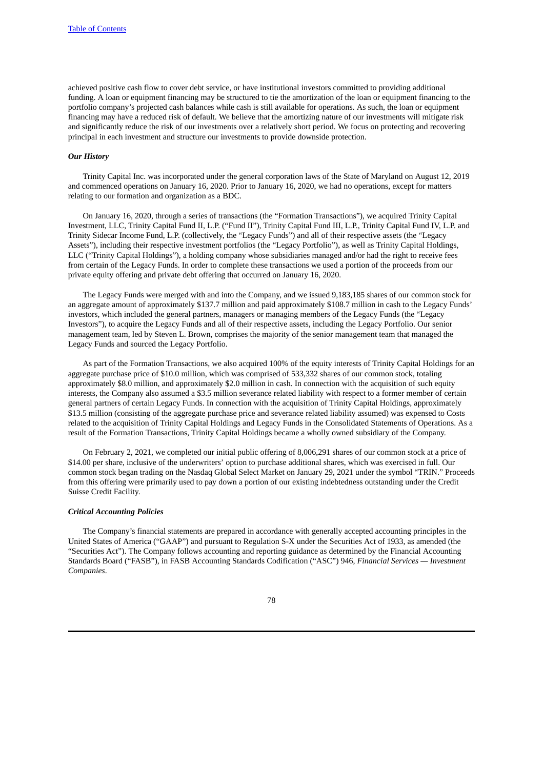achieved positive cash flow to cover debt service, or have institutional investors committed to providing additional funding. A loan or equipment financing may be structured to tie the amortization of the loan or equipment financing to the portfolio company's projected cash balances while cash is still available for operations. As such, the loan or equipment financing may have a reduced risk of default. We believe that the amortizing nature of our investments will mitigate risk and significantly reduce the risk of our investments over a relatively short period. We focus on protecting and recovering principal in each investment and structure our investments to provide downside protection.

# *Our History*

Trinity Capital Inc. was incorporated under the general corporation laws of the State of Maryland on August 12, 2019 and commenced operations on January 16, 2020. Prior to January 16, 2020, we had no operations, except for matters relating to our formation and organization as a BDC.

On January 16, 2020, through a series of transactions (the "Formation Transactions"), we acquired Trinity Capital Investment, LLC, Trinity Capital Fund II, L.P. ("Fund II"), Trinity Capital Fund III, L.P., Trinity Capital Fund IV, L.P. and Trinity Sidecar Income Fund, L.P. (collectively, the "Legacy Funds") and all of their respective assets (the "Legacy Assets"), including their respective investment portfolios (the "Legacy Portfolio"), as well as Trinity Capital Holdings, LLC ("Trinity Capital Holdings"), a holding company whose subsidiaries managed and/or had the right to receive fees from certain of the Legacy Funds. In order to complete these transactions we used a portion of the proceeds from our private equity offering and private debt offering that occurred on January 16, 2020.

The Legacy Funds were merged with and into the Company, and we issued 9,183,185 shares of our common stock for an aggregate amount of approximately \$137.7 million and paid approximately \$108.7 million in cash to the Legacy Funds' investors, which included the general partners, managers or managing members of the Legacy Funds (the "Legacy Investors"), to acquire the Legacy Funds and all of their respective assets, including the Legacy Portfolio. Our senior management team, led by Steven L. Brown, comprises the majority of the senior management team that managed the Legacy Funds and sourced the Legacy Portfolio.

As part of the Formation Transactions, we also acquired 100% of the equity interests of Trinity Capital Holdings for an aggregate purchase price of \$10.0 million, which was comprised of 533,332 shares of our common stock, totaling approximately \$8.0 million, and approximately \$2.0 million in cash. In connection with the acquisition of such equity interests, the Company also assumed a \$3.5 million severance related liability with respect to a former member of certain general partners of certain Legacy Funds. In connection with the acquisition of Trinity Capital Holdings, approximately \$13.5 million (consisting of the aggregate purchase price and severance related liability assumed) was expensed to Costs related to the acquisition of Trinity Capital Holdings and Legacy Funds in the Consolidated Statements of Operations. As a result of the Formation Transactions, Trinity Capital Holdings became a wholly owned subsidiary of the Company.

On February 2, 2021, we completed our initial public offering of 8,006,291 shares of our common stock at a price of \$14.00 per share, inclusive of the underwriters' option to purchase additional shares, which was exercised in full. Our common stock began trading on the Nasdaq Global Select Market on January 29, 2021 under the symbol "TRIN." Proceeds from this offering were primarily used to pay down a portion of our existing indebtedness outstanding under the Credit Suisse Credit Facility.

## *Critical Accounting Policies*

The Company's financial statements are prepared in accordance with generally accepted accounting principles in the United States of America ("GAAP") and pursuant to Regulation S-X under the Securities Act of 1933, as amended (the "Securities Act"). The Company follows accounting and reporting guidance as determined by the Financial Accounting Standards Board ("FASB"), in FASB Accounting Standards Codification ("ASC") 946, *Financial Services — Investment Companies*.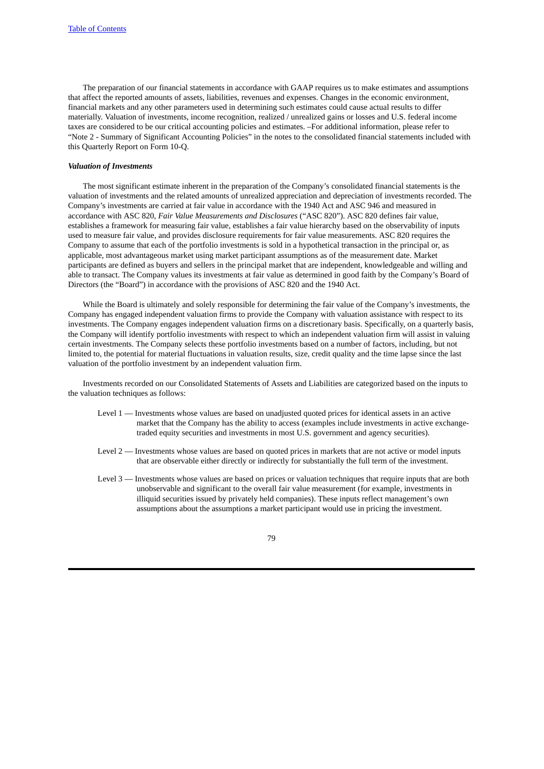The preparation of our financial statements in accordance with GAAP requires us to make estimates and assumptions that affect the reported amounts of assets, liabilities, revenues and expenses. Changes in the economic environment, financial markets and any other parameters used in determining such estimates could cause actual results to differ materially. Valuation of investments, income recognition, realized / unrealized gains or losses and U.S. federal income taxes are considered to be our critical accounting policies and estimates. –For additional information, please refer to "Note 2 - Summary of Significant Accounting Policies" in the notes to the consolidated financial statements included with this Quarterly Report on Form 10-Q.

# *Valuation of Investments*

The most significant estimate inherent in the preparation of the Company's consolidated financial statements is the valuation of investments and the related amounts of unrealized appreciation and depreciation of investments recorded. The Company's investments are carried at fair value in accordance with the 1940 Act and ASC 946 and measured in accordance with ASC 820, *Fair Value Measurements and Disclosures* ("ASC 820"). ASC 820 defines fair value, establishes a framework for measuring fair value, establishes a fair value hierarchy based on the observability of inputs used to measure fair value, and provides disclosure requirements for fair value measurements. ASC 820 requires the Company to assume that each of the portfolio investments is sold in a hypothetical transaction in the principal or, as applicable, most advantageous market using market participant assumptions as of the measurement date. Market participants are defined as buyers and sellers in the principal market that are independent, knowledgeable and willing and able to transact. The Company values its investments at fair value as determined in good faith by the Company's Board of Directors (the "Board") in accordance with the provisions of ASC 820 and the 1940 Act.

While the Board is ultimately and solely responsible for determining the fair value of the Company's investments, the Company has engaged independent valuation firms to provide the Company with valuation assistance with respect to its investments. The Company engages independent valuation firms on a discretionary basis. Specifically, on a quarterly basis, the Company will identify portfolio investments with respect to which an independent valuation firm will assist in valuing certain investments. The Company selects these portfolio investments based on a number of factors, including, but not limited to, the potential for material fluctuations in valuation results, size, credit quality and the time lapse since the last valuation of the portfolio investment by an independent valuation firm.

Investments recorded on our Consolidated Statements of Assets and Liabilities are categorized based on the inputs to the valuation techniques as follows:

- Level 1 Investments whose values are based on unadjusted quoted prices for identical assets in an active market that the Company has the ability to access (examples include investments in active exchangetraded equity securities and investments in most U.S. government and agency securities).
- Level 2 Investments whose values are based on quoted prices in markets that are not active or model inputs that are observable either directly or indirectly for substantially the full term of the investment.
- Level 3 Investments whose values are based on prices or valuation techniques that require inputs that are both unobservable and significant to the overall fair value measurement (for example, investments in illiquid securities issued by privately held companies). These inputs reflect management's own assumptions about the assumptions a market participant would use in pricing the investment.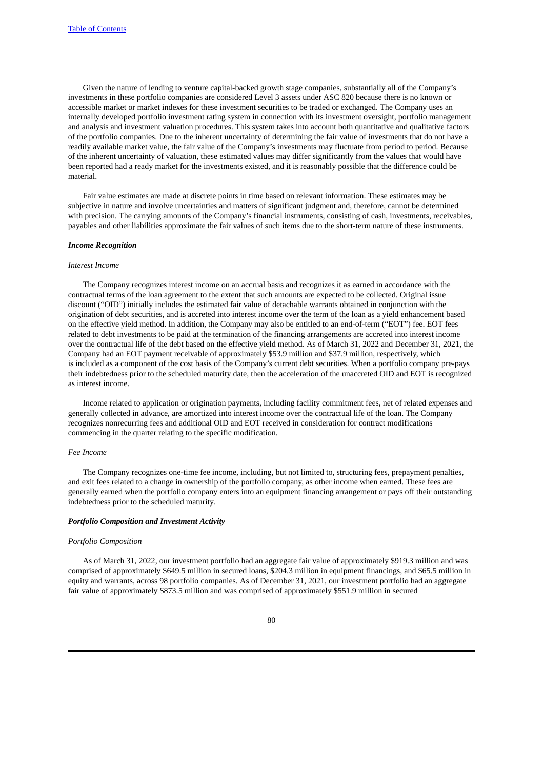Given the nature of lending to venture capital-backed growth stage companies, substantially all of the Company's investments in these portfolio companies are considered Level 3 assets under ASC 820 because there is no known or accessible market or market indexes for these investment securities to be traded or exchanged. The Company uses an internally developed portfolio investment rating system in connection with its investment oversight, portfolio management and analysis and investment valuation procedures. This system takes into account both quantitative and qualitative factors of the portfolio companies. Due to the inherent uncertainty of determining the fair value of investments that do not have a readily available market value, the fair value of the Company's investments may fluctuate from period to period. Because of the inherent uncertainty of valuation, these estimated values may differ significantly from the values that would have been reported had a ready market for the investments existed, and it is reasonably possible that the difference could be material.

Fair value estimates are made at discrete points in time based on relevant information. These estimates may be subjective in nature and involve uncertainties and matters of significant judgment and, therefore, cannot be determined with precision. The carrying amounts of the Company's financial instruments, consisting of cash, investments, receivables, payables and other liabilities approximate the fair values of such items due to the short-term nature of these instruments.

#### *Income Recognition*

### *Interest Income*

The Company recognizes interest income on an accrual basis and recognizes it as earned in accordance with the contractual terms of the loan agreement to the extent that such amounts are expected to be collected. Original issue discount ("OID") initially includes the estimated fair value of detachable warrants obtained in conjunction with the origination of debt securities, and is accreted into interest income over the term of the loan as a yield enhancement based on the effective yield method. In addition, the Company may also be entitled to an end-of-term ("EOT") fee. EOT fees related to debt investments to be paid at the termination of the financing arrangements are accreted into interest income over the contractual life of the debt based on the effective yield method. As of March 31, 2022 and December 31, 2021, the Company had an EOT payment receivable of approximately \$53.9 million and \$37.9 million, respectively, which is included as a component of the cost basis of the Company's current debt securities. When a portfolio company pre-pays their indebtedness prior to the scheduled maturity date, then the acceleration of the unaccreted OID and EOT is recognized as interest income.

Income related to application or origination payments, including facility commitment fees, net of related expenses and generally collected in advance, are amortized into interest income over the contractual life of the loan. The Company recognizes nonrecurring fees and additional OID and EOT received in consideration for contract modifications commencing in the quarter relating to the specific modification.

#### *Fee Income*

The Company recognizes one-time fee income, including, but not limited to, structuring fees, prepayment penalties, and exit fees related to a change in ownership of the portfolio company, as other income when earned. These fees are generally earned when the portfolio company enters into an equipment financing arrangement or pays off their outstanding indebtedness prior to the scheduled maturity.

#### *Portfolio Composition and Investment Activity*

#### *Portfolio Composition*

As of March 31, 2022, our investment portfolio had an aggregate fair value of approximately \$919.3 million and was comprised of approximately \$649.5 million in secured loans, \$204.3 million in equipment financings, and \$65.5 million in equity and warrants, across 98 portfolio companies. As of December 31, 2021, our investment portfolio had an aggregate fair value of approximately \$873.5 million and was comprised of approximately \$551.9 million in secured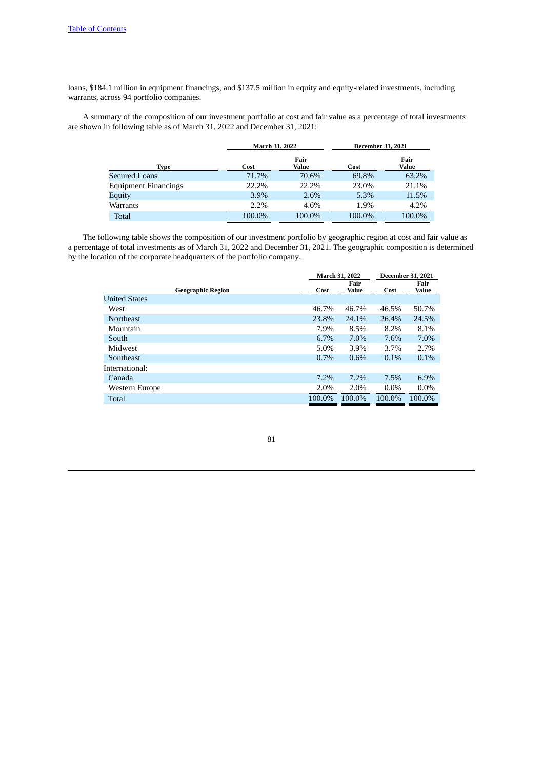loans, \$184.1 million in equipment financings, and \$137.5 million in equity and equity-related investments, including warrants, across 94 portfolio companies.

A summary of the composition of our investment portfolio at cost and fair value as a percentage of total investments are shown in following table as of March 31, 2022 and December 31, 2021:

|                             | March 31, 2022 |               | <b>December 31, 2021</b> |               |  |  |
|-----------------------------|----------------|---------------|--------------------------|---------------|--|--|
| Type                        | Cost           | Fair<br>Value | Cost                     | Fair<br>Value |  |  |
| Secured Loans               | 71.7%          | 70.6%         | 69.8%                    | 63.2%         |  |  |
| <b>Equipment Financings</b> | 22.2%          | 22.2%         | 23.0%                    | 21.1%         |  |  |
| Equity                      | 3.9%           | 2.6%          | 5.3%                     | 11.5%         |  |  |
| Warrants                    | 2.2%           | 4.6%          | 1.9%                     | 4.2%          |  |  |
| Total                       | 100.0%         | 100.0%        | 100.0%                   | 100.0%        |  |  |

The following table shows the composition of our investment portfolio by geographic region at cost and fair value as a percentage of total investments as of March 31, 2022 and December 31, 2021. The geographic composition is determined by the location of the corporate headquarters of the portfolio company.

|                          |         | <b>March 31, 2022</b> |         | <b>December 31, 2021</b> |
|--------------------------|---------|-----------------------|---------|--------------------------|
| <b>Geographic Region</b> | Cost    | Fair<br>Value         | Cost    | Fair<br><b>Value</b>     |
| <b>United States</b>     |         |                       |         |                          |
| West                     | 46.7%   | 46.7%                 | 46.5%   | 50.7%                    |
| <b>Northeast</b>         | 23.8%   | 24.1%                 | 26.4%   | 24.5%                    |
| Mountain                 | 7.9%    | 8.5%                  | 8.2%    | 8.1%                     |
| South                    | $6.7\%$ | 7.0%                  | 7.6%    | 7.0%                     |
| Midwest                  | $5.0\%$ | 3.9%                  | 3.7%    | 2.7%                     |
| Southeast                | 0.7%    | 0.6%                  | 0.1%    | 0.1%                     |
| International:           |         |                       |         |                          |
| Canada                   | 7.2%    | $7.2\%$               | 7.5%    | 6.9%                     |
| Western Europe           | 2.0%    | 2.0%                  | $0.0\%$ | $0.0\%$                  |
| Total                    | 100.0%  | 100.0%                | 100.0%  | 100.0%                   |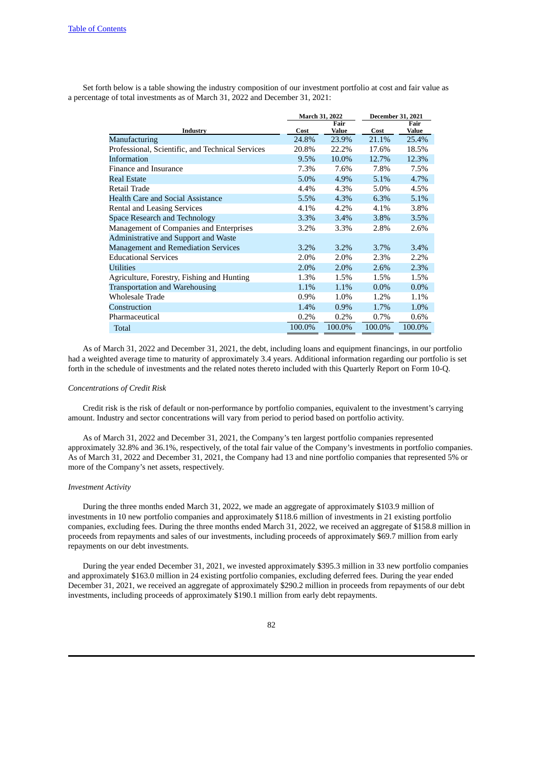Set forth below is a table showing the industry composition of our investment portfolio at cost and fair value as a percentage of total investments as of March 31, 2022 and December 31, 2021:

|                                                  | March 31, 2022 |         | December 31, 2021 |         |  |
|--------------------------------------------------|----------------|---------|-------------------|---------|--|
|                                                  |                | Fair    |                   | Fair    |  |
| Industry                                         | Cost           | Value   | Cost              | Value   |  |
| Manufacturing                                    | 24.8%          | 23.9%   | 21.1%             | 25.4%   |  |
| Professional, Scientific, and Technical Services | 20.8%          | 22.2%   | 17.6%             | 18.5%   |  |
| Information                                      | 9.5%           | 10.0%   | 12.7%             | 12.3%   |  |
| Finance and Insurance                            | 7.3%           | 7.6%    | 7.8%              | 7.5%    |  |
| <b>Real Estate</b>                               | $5.0\%$        | 4.9%    | 5.1%              | 4.7%    |  |
| Retail Trade                                     | 4.4%           | 4.3%    | 5.0%              | 4.5%    |  |
| <b>Health Care and Social Assistance</b>         | 5.5%           | 4.3%    | 6.3%              | 5.1%    |  |
| <b>Rental and Leasing Services</b>               | 4.1%           | 4.2%    | 4.1%              | 3.8%    |  |
| Space Research and Technology                    | 3.3%           | 3.4%    | 3.8%              | 3.5%    |  |
| Management of Companies and Enterprises          | 3.2%           | 3.3%    | 2.8%              | 2.6%    |  |
| Administrative and Support and Waste             |                |         |                   |         |  |
| <b>Management and Remediation Services</b>       | $3.2\%$        | $3.2\%$ | 3.7%              | 3.4%    |  |
| <b>Educational Services</b>                      | 2.0%           | 2.0%    | 2.3%              | 2.2%    |  |
| Utilities                                        | 2.0%           | 2.0%    | 2.6%              | 2.3%    |  |
| Agriculture, Forestry, Fishing and Hunting       | 1.3%           | 1.5%    | 1.5%              | 1.5%    |  |
| <b>Transportation and Warehousing</b>            | 1.1%           | 1.1%    | $0.0\%$           | $0.0\%$ |  |
| <b>Wholesale Trade</b>                           | $0.9\%$        | 1.0%    | 1.2%              | 1.1%    |  |
| Construction                                     | 1.4%           | $0.9\%$ | 1.7%              | 1.0%    |  |
| Pharmaceutical                                   | 0.2%           | 0.2%    | 0.7%              | 0.6%    |  |
| Total                                            | 100.0%         | 100.0%  | 100.0%            | 100.0%  |  |

As of March 31, 2022 and December 31, 2021, the debt, including loans and equipment financings, in our portfolio had a weighted average time to maturity of approximately 3.4 years. Additional information regarding our portfolio is set forth in the schedule of investments and the related notes thereto included with this Quarterly Report on Form 10-Q.

#### *Concentrations of Credit Risk*

Credit risk is the risk of default or non-performance by portfolio companies, equivalent to the investment's carrying amount. Industry and sector concentrations will vary from period to period based on portfolio activity.

As of March 31, 2022 and December 31, 2021, the Company's ten largest portfolio companies represented approximately 32.8% and 36.1%, respectively, of the total fair value of the Company's investments in portfolio companies. As of March 31, 2022 and December 31, 2021, the Company had 13 and nine portfolio companies that represented 5% or more of the Company's net assets, respectively.

# *Investment Activity*

During the three months ended March 31, 2022, we made an aggregate of approximately \$103.9 million of investments in 10 new portfolio companies and approximately \$118.6 million of investments in 21 existing portfolio companies, excluding fees. During the three months ended March 31, 2022, we received an aggregate of \$158.8 million in proceeds from repayments and sales of our investments, including proceeds of approximately \$69.7 million from early repayments on our debt investments.

During the year ended December 31, 2021, we invested approximately \$395.3 million in 33 new portfolio companies and approximately \$163.0 million in 24 existing portfolio companies, excluding deferred fees. During the year ended December 31, 2021, we received an aggregate of approximately \$290.2 million in proceeds from repayments of our debt investments, including proceeds of approximately \$190.1 million from early debt repayments.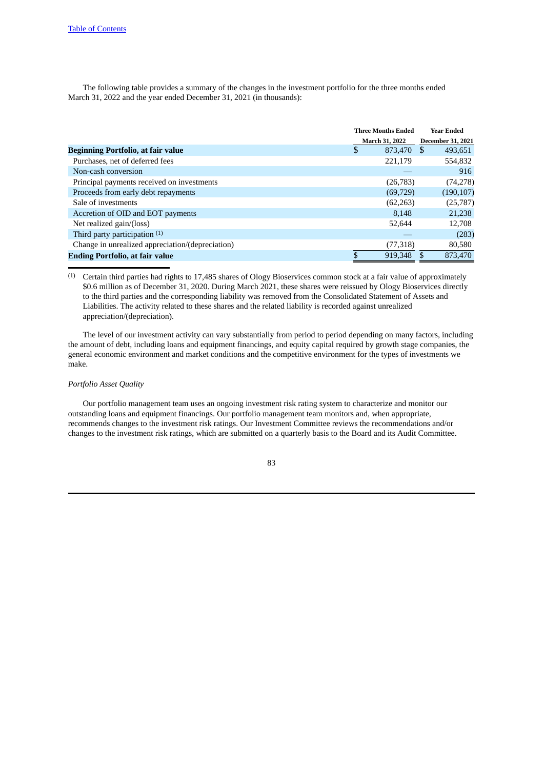The following table provides a summary of the changes in the investment portfolio for the three months ended March 31, 2022 and the year ended December 31, 2021 (in thousands):

|                                                  | <b>Three Months Ended</b> |                          | <b>Year Ended</b> |
|--------------------------------------------------|---------------------------|--------------------------|-------------------|
|                                                  | <b>March 31, 2022</b>     | <b>December 31, 2021</b> |                   |
| <b>Beginning Portfolio, at fair value</b>        | \$<br>873.470             | - \$                     | 493,651           |
| Purchases, net of deferred fees                  | 221,179                   |                          | 554,832           |
| Non-cash conversion                              |                           |                          | 916               |
| Principal payments received on investments       | (26, 783)                 |                          | (74, 278)         |
| Proceeds from early debt repayments              | (69, 729)                 |                          | (190, 107)        |
| Sale of investments                              | (62, 263)                 |                          | (25, 787)         |
| Accretion of OID and EOT payments                | 8,148                     |                          | 21,238            |
| Net realized gain/(loss)                         | 52.644                    |                          | 12,708            |
| Third party participation $(1)$                  |                           |                          | (283)             |
| Change in unrealized appreciation/(depreciation) | (77,318)                  |                          | 80,580            |
| <b>Ending Portfolio, at fair value</b>           | 919,348                   |                          | 873,470           |

(1) Certain third parties had rights to 17,485 shares of Ology Bioservices common stock at a fair value of approximately \$0.6 million as of December 31, 2020. During March 2021, these shares were reissued by Ology Bioservices directly to the third parties and the corresponding liability was removed from the Consolidated Statement of Assets and Liabilities. The activity related to these shares and the related liability is recorded against unrealized appreciation/(depreciation).

The level of our investment activity can vary substantially from period to period depending on many factors, including the amount of debt, including loans and equipment financings, and equity capital required by growth stage companies, the general economic environment and market conditions and the competitive environment for the types of investments we make.

# *Portfolio Asset Quality*

Our portfolio management team uses an ongoing investment risk rating system to characterize and monitor our outstanding loans and equipment financings. Our portfolio management team monitors and, when appropriate, recommends changes to the investment risk ratings. Our Investment Committee reviews the recommendations and/or changes to the investment risk ratings, which are submitted on a quarterly basis to the Board and its Audit Committee.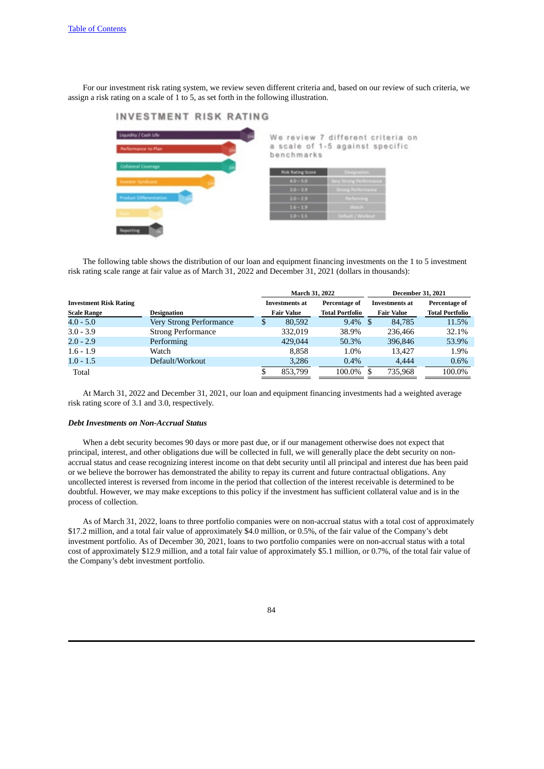For our investment risk rating system, we review seven different criteria and, based on our review of such criteria, we assign a risk rating on a scale of 1 to 5, as set forth in the following illustration.



|            |  |  | We review 7 different criteria on |  |
|------------|--|--|-----------------------------------|--|
|            |  |  | a scale of 1-5 against specific   |  |
| benchmarks |  |  |                                   |  |

| <b>Risk Rating Score</b> | Designation                  |
|--------------------------|------------------------------|
| $4.0 - 5.0$              | <b>Very Strong Performan</b> |
| $3.0 - 3.9$              | <b>Strong Performance</b>    |
| $20 - 29$                | <b>Readerman</b>             |
| $16 - 19$                | Watch:                       |
| $1.0 - 1.5$              | <b>Default / Workov</b>      |

The following table shows the distribution of our loan and equipment financing investments on the 1 to 5 investment risk rating scale range at fair value as of March 31, 2022 and December 31, 2021 (dollars in thousands):

|                               |                           |   | <b>March 31, 2022</b> |                        |  | <b>December 31, 2021</b> |                        |  |  |
|-------------------------------|---------------------------|---|-----------------------|------------------------|--|--------------------------|------------------------|--|--|
| <b>Investment Risk Rating</b> |                           |   | <b>Investments at</b> | Percentage of          |  | <b>Investments at</b>    | Percentage of          |  |  |
| <b>Scale Range</b>            | Designation               |   | <b>Fair Value</b>     | <b>Total Portfolio</b> |  | <b>Fair Value</b>        | <b>Total Portfolio</b> |  |  |
| $4.0 - 5.0$                   | Very Strong Performance   | S | 80,592                | $9.4\%$ \$             |  | 84.785                   | 11.5%                  |  |  |
| $3.0 - 3.9$                   | <b>Strong Performance</b> |   | 332,019               | 38.9%                  |  | 236,466                  | 32.1%                  |  |  |
| $2.0 - 2.9$                   | Performing                |   | 429,044               | 50.3%                  |  | 396,846                  | 53.9%                  |  |  |
| $1.6 - 1.9$                   | Watch                     |   | 8.858                 | 1.0%                   |  | 13.427                   | 1.9%                   |  |  |
| $1.0 - 1.5$                   | Default/Workout           |   | 3.286                 | $0.4\%$                |  | 4.444                    | 0.6%                   |  |  |
| Total                         |                           | S | 853.799               | 100.0%                 |  | 735.968                  | 100.0%                 |  |  |

At March 31, 2022 and December 31, 2021, our loan and equipment financing investments had a weighted average risk rating score of 3.1 and 3.0, respectively.

## *Debt Investments on Non-Accrual Status*

When a debt security becomes 90 days or more past due, or if our management otherwise does not expect that principal, interest, and other obligations due will be collected in full, we will generally place the debt security on nonaccrual status and cease recognizing interest income on that debt security until all principal and interest due has been paid or we believe the borrower has demonstrated the ability to repay its current and future contractual obligations. Any uncollected interest is reversed from income in the period that collection of the interest receivable is determined to be doubtful. However, we may make exceptions to this policy if the investment has sufficient collateral value and is in the process of collection.

As of March 31, 2022, loans to three portfolio companies were on non-accrual status with a total cost of approximately \$17.2 million, and a total fair value of approximately \$4.0 million, or 0.5%, of the fair value of the Company's debt investment portfolio. As of December 30, 2021, loans to two portfolio companies were on non-accrual status with a total cost of approximately \$12.9 million, and a total fair value of approximately \$5.1 million, or 0.7%, of the total fair value of the Company's debt investment portfolio.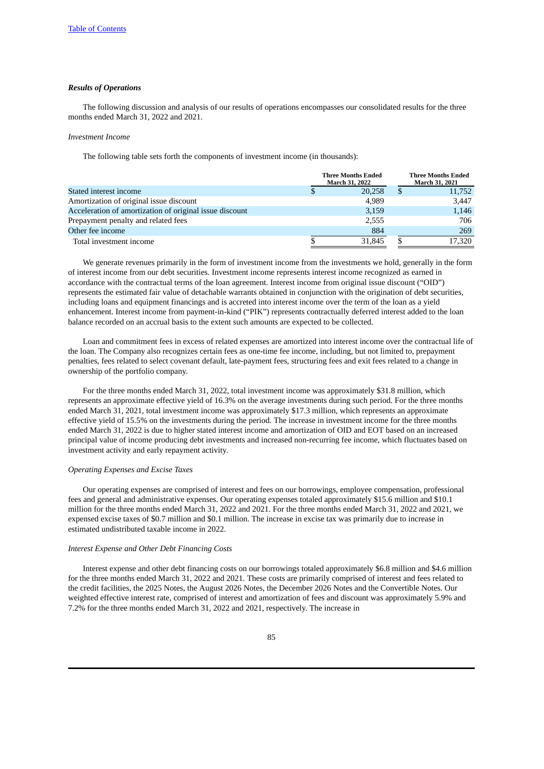## *Results of Operations*

The following discussion and analysis of our results of operations encompasses our consolidated results for the three months ended March 31, 2022 and 2021.

## *Investment Income*

The following table sets forth the components of investment income (in thousands):

|                                                         | <b>Three Months Ended</b><br>March 31, 2022 |        |  | <b>Three Months Ended</b><br>March 31, 2021 |
|---------------------------------------------------------|---------------------------------------------|--------|--|---------------------------------------------|
| Stated interest income                                  |                                             | 20,258 |  | 11,752                                      |
| Amortization of original issue discount                 |                                             | 4.989  |  | 3,447                                       |
| Acceleration of amortization of original issue discount |                                             | 3,159  |  | 1,146                                       |
| Prepayment penalty and related fees                     |                                             | 2,555  |  | 706                                         |
| Other fee income                                        |                                             | 884    |  | 269                                         |
| Total investment income                                 |                                             | 31.845 |  | 17,320                                      |

We generate revenues primarily in the form of investment income from the investments we hold, generally in the form of interest income from our debt securities. Investment income represents interest income recognized as earned in accordance with the contractual terms of the loan agreement. Interest income from original issue discount ("OID") represents the estimated fair value of detachable warrants obtained in conjunction with the origination of debt securities, including loans and equipment financings and is accreted into interest income over the term of the loan as a yield enhancement. Interest income from payment-in-kind ("PIK") represents contractually deferred interest added to the loan balance recorded on an accrual basis to the extent such amounts are expected to be collected.

Loan and commitment fees in excess of related expenses are amortized into interest income over the contractual life of the loan. The Company also recognizes certain fees as one-time fee income, including, but not limited to, prepayment penalties, fees related to select covenant default, late-payment fees, structuring fees and exit fees related to a change in ownership of the portfolio company.

For the three months ended March 31, 2022, total investment income was approximately \$31.8 million, which represents an approximate effective yield of 16.3% on the average investments during such period. For the three months ended March 31, 2021, total investment income was approximately \$17.3 million, which represents an approximate effective yield of 15.5% on the investments during the period. The increase in investment income for the three months ended March 31, 2022 is due to higher stated interest income and amortization of OID and EOT based on an increased principal value of income producing debt investments and increased non-recurring fee income, which fluctuates based on investment activity and early repayment activity.

#### *Operating Expenses and Excise Taxes*

Our operating expenses are comprised of interest and fees on our borrowings, employee compensation, professional fees and general and administrative expenses. Our operating expenses totaled approximately \$15.6 million and \$10.1 million for the three months ended March 31, 2022 and 2021. For the three months ended March 31, 2022 and 2021, we expensed excise taxes of \$0.7 million and \$0.1 million. The increase in excise tax was primarily due to increase in estimated undistributed taxable income in 2022.

### *Interest Expense and Other Debt Financing Costs*

Interest expense and other debt financing costs on our borrowings totaled approximately \$6.8 million and \$4.6 million for the three months ended March 31, 2022 and 2021. These costs are primarily comprised of interest and fees related to the credit facilities, the 2025 Notes, the August 2026 Notes, the December 2026 Notes and the Convertible Notes. Our weighted effective interest rate, comprised of interest and amortization of fees and discount was approximately 5.9% and 7.2% for the three months ended March 31, 2022 and 2021, respectively. The increase in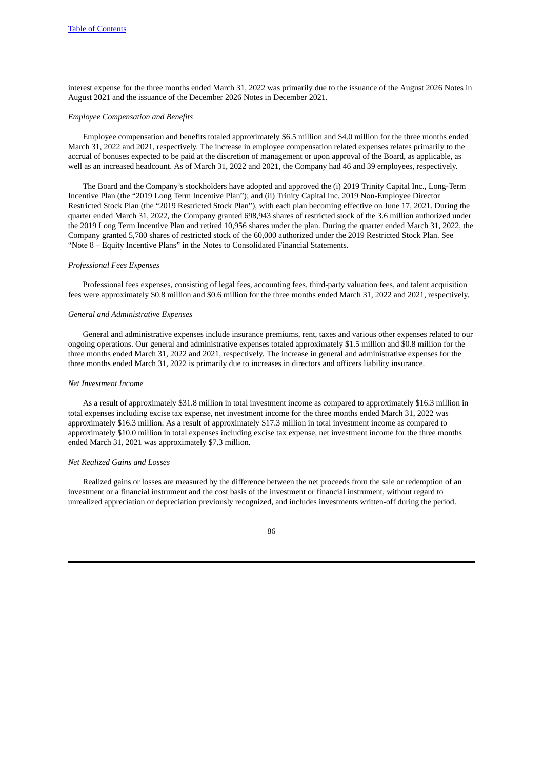interest expense for the three months ended March 31, 2022 was primarily due to the issuance of the August 2026 Notes in August 2021 and the issuance of the December 2026 Notes in December 2021.

#### *Employee Compensation and Benefits*

Employee compensation and benefits totaled approximately \$6.5 million and \$4.0 million for the three months ended March 31, 2022 and 2021, respectively. The increase in employee compensation related expenses relates primarily to the accrual of bonuses expected to be paid at the discretion of management or upon approval of the Board, as applicable, as well as an increased headcount. As of March 31, 2022 and 2021, the Company had 46 and 39 employees, respectively.

The Board and the Company's stockholders have adopted and approved the (i) 2019 Trinity Capital Inc., Long-Term Incentive Plan (the "2019 Long Term Incentive Plan"); and (ii) Trinity Capital Inc. 2019 Non-Employee Director Restricted Stock Plan (the "2019 Restricted Stock Plan"), with each plan becoming effective on June 17, 2021. During the quarter ended March 31, 2022, the Company granted 698,943 shares of restricted stock of the 3.6 million authorized under the 2019 Long Term Incentive Plan and retired 10,956 shares under the plan. During the quarter ended March 31, 2022, the Company granted 5,780 shares of restricted stock of the 60,000 authorized under the 2019 Restricted Stock Plan. See "Note 8 – Equity Incentive Plans" in the Notes to Consolidated Financial Statements.

#### *Professional Fees Expenses*

Professional fees expenses, consisting of legal fees, accounting fees, third-party valuation fees, and talent acquisition fees were approximately \$0.8 million and \$0.6 million for the three months ended March 31, 2022 and 2021, respectively.

#### *General and Administrative Expenses*

General and administrative expenses include insurance premiums, rent, taxes and various other expenses related to our ongoing operations. Our general and administrative expenses totaled approximately \$1.5 million and \$0.8 million for the three months ended March 31, 2022 and 2021, respectively. The increase in general and administrative expenses for the three months ended March 31, 2022 is primarily due to increases in directors and officers liability insurance.

#### *Net Investment Income*

As a result of approximately \$31.8 million in total investment income as compared to approximately \$16.3 million in total expenses including excise tax expense, net investment income for the three months ended March 31, 2022 was approximately \$16.3 million. As a result of approximately \$17.3 million in total investment income as compared to approximately \$10.0 million in total expenses including excise tax expense, net investment income for the three months ended March 31, 2021 was approximately \$7.3 million.

# *Net Realized Gains and Losses*

Realized gains or losses are measured by the difference between the net proceeds from the sale or redemption of an investment or a financial instrument and the cost basis of the investment or financial instrument, without regard to unrealized appreciation or depreciation previously recognized, and includes investments written-off during the period.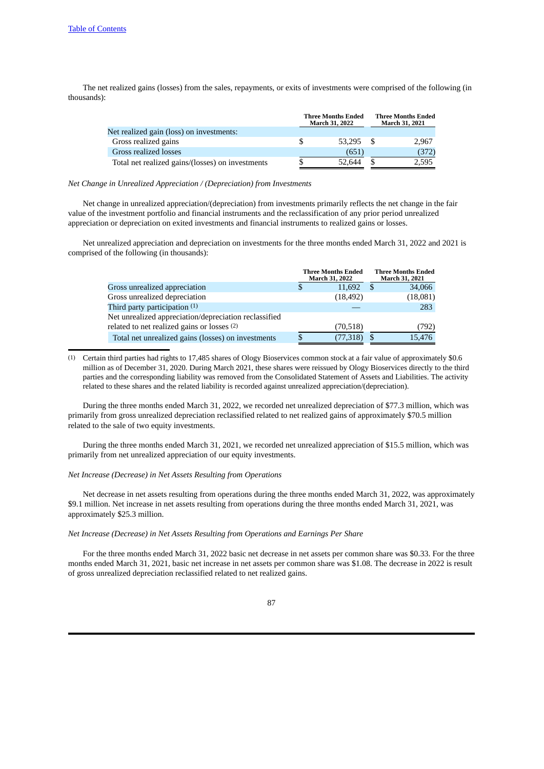The net realized gains (losses) from the sales, repayments, or exits of investments were comprised of the following (in thousands):

|                                                  |    | <b>Three Months Ended</b><br>March 31, 2022 |      | <b>Three Months Ended</b><br>March 31, 2021 |
|--------------------------------------------------|----|---------------------------------------------|------|---------------------------------------------|
| Net realized gain (loss) on investments:         |    |                                             |      |                                             |
| Gross realized gains                             | S  | 53.295                                      | - \$ | 2.967                                       |
| Gross realized losses                            |    | (651)                                       |      | (372)                                       |
| Total net realized gains/(losses) on investments | \$ | 52.644                                      |      | 2,595                                       |

### *Net Change in Unrealized Appreciation / (Depreciation) from Investments*

Net change in unrealized appreciation/(depreciation) from investments primarily reflects the net change in the fair value of the investment portfolio and financial instruments and the reclassification of any prior period unrealized appreciation or depreciation on exited investments and financial instruments to realized gains or losses.

Net unrealized appreciation and depreciation on investments for the three months ended March 31, 2022 and 2021 is comprised of the following (in thousands):

|                                                       | <b>Three Months Ended</b><br>March 31, 2022 |     | <b>Three Months Ended</b><br>March 31, 2021 |
|-------------------------------------------------------|---------------------------------------------|-----|---------------------------------------------|
| Gross unrealized appreciation                         | 11,692                                      | -\$ | 34,066                                      |
| Gross unrealized depreciation                         | (18, 492)                                   |     | (18,081)                                    |
| Third party participation $(1)$                       |                                             |     | 283                                         |
| Net unrealized appreciation/depreciation reclassified |                                             |     |                                             |
| related to net realized gains or losses (2)           | (70, 518)                                   |     | (792)                                       |
| Total net unrealized gains (losses) on investments    | (77,318)                                    |     | 15.476                                      |

(1) Certain third parties had rights to 17,485 shares of Ology Bioservices common stock at a fair value of approximately \$0.6 million as of December 31, 2020. During March 2021, these shares were reissued by Ology Bioservices directly to the third parties and the corresponding liability was removed from the Consolidated Statement of Assets and Liabilities. The activity related to these shares and the related liability is recorded against unrealized appreciation/(depreciation).

During the three months ended March 31, 2022, we recorded net unrealized depreciation of \$77.3 million, which was primarily from gross unrealized depreciation reclassified related to net realized gains of approximately \$70.5 million related to the sale of two equity investments.

During the three months ended March 31, 2021, we recorded net unrealized appreciation of \$15.5 million, which was primarily from net unrealized appreciation of our equity investments.

# *Net Increase (Decrease) in Net Assets Resulting from Operations*

Net decrease in net assets resulting from operations during the three months ended March 31, 2022, was approximately \$9.1 million. Net increase in net assets resulting from operations during the three months ended March 31, 2021, was approximately \$25.3 million.

*Net Increase (Decrease) in Net Assets Resulting from Operations and Earnings Per Share*

For the three months ended March 31, 2022 basic net decrease in net assets per common share was \$0.33. For the three months ended March 31, 2021, basic net increase in net assets per common share was \$1.08. The decrease in 2022 is result of gross unrealized depreciation reclassified related to net realized gains.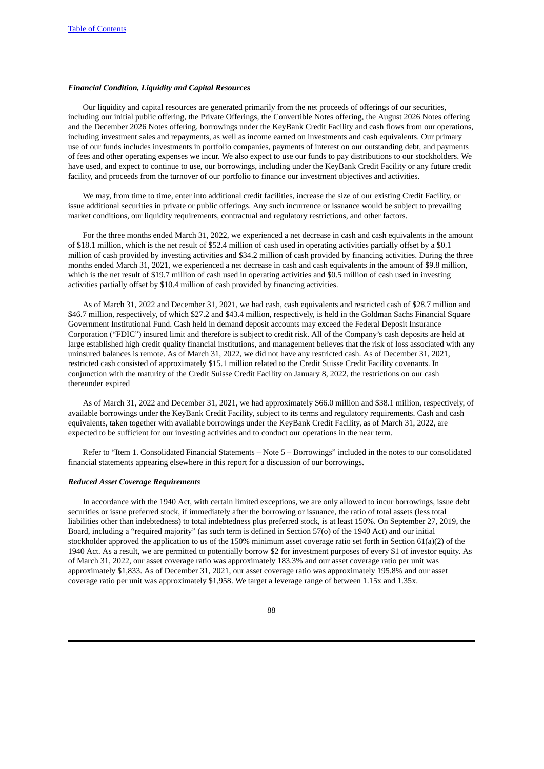## *Financial Condition, Liquidity and Capital Resources*

Our liquidity and capital resources are generated primarily from the net proceeds of offerings of our securities, including our initial public offering, the Private Offerings, the Convertible Notes offering, the August 2026 Notes offering and the December 2026 Notes offering, borrowings under the KeyBank Credit Facility and cash flows from our operations, including investment sales and repayments, as well as income earned on investments and cash equivalents. Our primary use of our funds includes investments in portfolio companies, payments of interest on our outstanding debt, and payments of fees and other operating expenses we incur. We also expect to use our funds to pay distributions to our stockholders. We have used, and expect to continue to use, our borrowings, including under the KeyBank Credit Facility or any future credit facility, and proceeds from the turnover of our portfolio to finance our investment objectives and activities.

We may, from time to time, enter into additional credit facilities, increase the size of our existing Credit Facility, or issue additional securities in private or public offerings. Any such incurrence or issuance would be subject to prevailing market conditions, our liquidity requirements, contractual and regulatory restrictions, and other factors.

For the three months ended March 31, 2022, we experienced a net decrease in cash and cash equivalents in the amount of \$18.1 million, which is the net result of \$52.4 million of cash used in operating activities partially offset by a \$0.1 million of cash provided by investing activities and \$34.2 million of cash provided by financing activities. During the three months ended March 31, 2021, we experienced a net decrease in cash and cash equivalents in the amount of \$9.8 million, which is the net result of \$19.7 million of cash used in operating activities and \$0.5 million of cash used in investing activities partially offset by \$10.4 million of cash provided by financing activities.

As of March 31, 2022 and December 31, 2021, we had cash, cash equivalents and restricted cash of \$28.7 million and \$46.7 million, respectively, of which \$27.2 and \$43.4 million, respectively, is held in the Goldman Sachs Financial Square Government Institutional Fund. Cash held in demand deposit accounts may exceed the Federal Deposit Insurance Corporation ("FDIC") insured limit and therefore is subject to credit risk. All of the Company's cash deposits are held at large established high credit quality financial institutions, and management believes that the risk of loss associated with any uninsured balances is remote. As of March 31, 2022, we did not have any restricted cash. As of December 31, 2021, restricted cash consisted of approximately \$15.1 million related to the Credit Suisse Credit Facility covenants. In conjunction with the maturity of the Credit Suisse Credit Facility on January 8, 2022, the restrictions on our cash thereunder expired

As of March 31, 2022 and December 31, 2021, we had approximately \$66.0 million and \$38.1 million, respectively, of available borrowings under the KeyBank Credit Facility, subject to its terms and regulatory requirements. Cash and cash equivalents, taken together with available borrowings under the KeyBank Credit Facility, as of March 31, 2022, are expected to be sufficient for our investing activities and to conduct our operations in the near term.

Refer to "Item 1. Consolidated Financial Statements – Note 5 – Borrowings" included in the notes to our consolidated financial statements appearing elsewhere in this report for a discussion of our borrowings.

## *Reduced Asset Coverage Requirements*

In accordance with the 1940 Act, with certain limited exceptions, we are only allowed to incur borrowings, issue debt securities or issue preferred stock, if immediately after the borrowing or issuance, the ratio of total assets (less total liabilities other than indebtedness) to total indebtedness plus preferred stock, is at least 150%. On September 27, 2019, the Board, including a "required majority" (as such term is defined in Section 57(o) of the 1940 Act) and our initial stockholder approved the application to us of the 150% minimum asset coverage ratio set forth in Section 61(a)(2) of the 1940 Act. As a result, we are permitted to potentially borrow \$2 for investment purposes of every \$1 of investor equity. As of March 31, 2022, our asset coverage ratio was approximately 183.3% and our asset coverage ratio per unit was approximately \$1,833. As of December 31, 2021, our asset coverage ratio was approximately 195.8% and our asset coverage ratio per unit was approximately \$1,958. We target a leverage range of between 1.15x and 1.35x.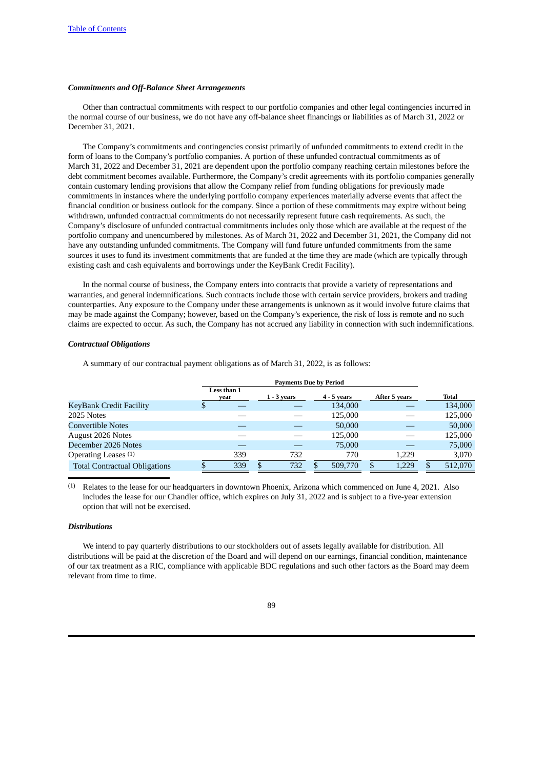## *Commitments and Off-Balance Sheet Arrangements*

Other than contractual commitments with respect to our portfolio companies and other legal contingencies incurred in the normal course of our business, we do not have any off-balance sheet financings or liabilities as of March 31, 2022 or December 31, 2021.

The Company's commitments and contingencies consist primarily of unfunded commitments to extend credit in the form of loans to the Company's portfolio companies. A portion of these unfunded contractual commitments as of March 31, 2022 and December 31, 2021 are dependent upon the portfolio company reaching certain milestones before the debt commitment becomes available. Furthermore, the Company's credit agreements with its portfolio companies generally contain customary lending provisions that allow the Company relief from funding obligations for previously made commitments in instances where the underlying portfolio company experiences materially adverse events that affect the financial condition or business outlook for the company. Since a portion of these commitments may expire without being withdrawn, unfunded contractual commitments do not necessarily represent future cash requirements. As such, the Company's disclosure of unfunded contractual commitments includes only those which are available at the request of the portfolio company and unencumbered by milestones. As of March 31, 2022 and December 31, 2021, the Company did not have any outstanding unfunded commitments. The Company will fund future unfunded commitments from the same sources it uses to fund its investment commitments that are funded at the time they are made (which are typically through existing cash and cash equivalents and borrowings under the KeyBank Credit Facility).

In the normal course of business, the Company enters into contracts that provide a variety of representations and warranties, and general indemnifications. Such contracts include those with certain service providers, brokers and trading counterparties. Any exposure to the Company under these arrangements is unknown as it would involve future claims that may be made against the Company; however, based on the Company's experience, the risk of loss is remote and no such claims are expected to occur. As such, the Company has not accrued any liability in connection with such indemnifications.

## *Contractual Obligations*

A summary of our contractual payment obligations as of March 31, 2022, is as follows:

|                                      |    | Favillellis Due by Feriou |   |               |  |               |    |               |    |              |
|--------------------------------------|----|---------------------------|---|---------------|--|---------------|----|---------------|----|--------------|
|                                      |    | Less than 1<br>vear       |   | $1 - 3$ years |  | $4 - 5$ years |    | After 5 years |    | <b>Total</b> |
| KeyBank Credit Facility              | \$ |                           |   |               |  | 134,000       |    |               |    | 134,000      |
| 2025 Notes                           |    |                           |   |               |  | 125,000       |    |               |    | 125,000      |
| <b>Convertible Notes</b>             |    |                           |   |               |  | 50,000        |    |               |    | 50,000       |
| <b>August 2026 Notes</b>             |    |                           |   |               |  | 125,000       |    |               |    | 125,000      |
| December 2026 Notes                  |    |                           |   |               |  | 75,000        |    |               |    | 75,000       |
| Operating Leases (1)                 |    | 339                       |   | 732           |  | 770           |    | 1,229         |    | 3,070        |
| <b>Total Contractual Obligations</b> | D  | 339                       | S | 732           |  | 509,770       | \$ | 1.229         | \$ | 512,070      |

**Payments Due by Period**

(1) Relates to the lease for our headquarters in downtown Phoenix, Arizona which commenced on June 4, 2021. Also includes the lease for our Chandler office, which expires on July 31, 2022 and is subject to a five-year extension option that will not be exercised.

## *Distributions*

We intend to pay quarterly distributions to our stockholders out of assets legally available for distribution. All distributions will be paid at the discretion of the Board and will depend on our earnings, financial condition, maintenance of our tax treatment as a RIC, compliance with applicable BDC regulations and such other factors as the Board may deem relevant from time to time.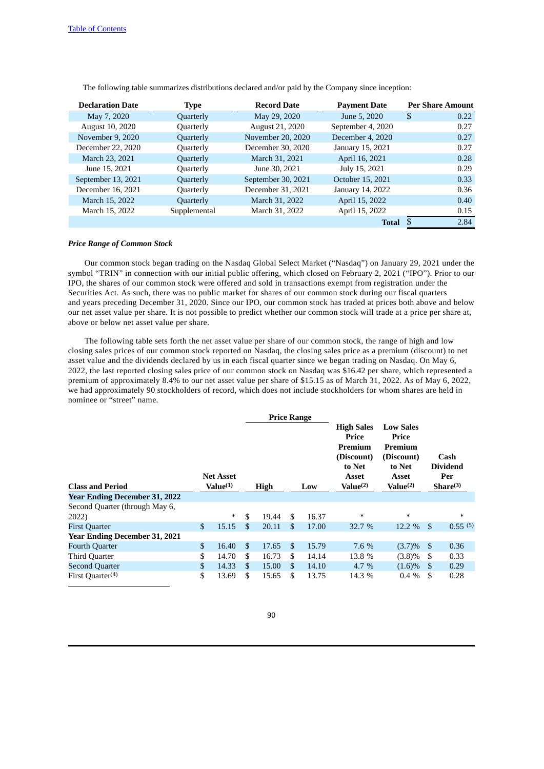| <b>Declaration Date</b> | Type         | <b>Record Date</b> | <b>Payment Date</b> | <b>Per Share Amount</b> |
|-------------------------|--------------|--------------------|---------------------|-------------------------|
| May 7, 2020             | Quarterly    | May 29, 2020       | June 5, 2020        | S<br>0.22               |
| August 10, 2020         | Quarterly    | August 21, 2020    | September 4, 2020   | 0.27                    |
| November 9, 2020        | Quarterly    | November 20, 2020  | December 4, 2020    | 0.27                    |
| December 22, 2020       | Quarterly    | December 30, 2020  | January 15, 2021    | 0.27                    |
| March 23, 2021          | Quarterly    | March 31, 2021     | April 16, 2021      | 0.28                    |
| June 15, 2021           | Quarterly    | June 30, 2021      | July 15, 2021       | 0.29                    |
| September 13, 2021      | Quarterly    | September 30, 2021 | October 15, 2021    | 0.33                    |
| December 16, 2021       | Quarterly    | December 31, 2021  | January 14, 2022    | 0.36                    |
| March 15, 2022          | Quarterly    | March 31, 2022     | April 15, 2022      | 0.40                    |
| March 15, 2022          | Supplemental | March 31, 2022     | April 15, 2022      | 0.15                    |
|                         |              |                    | <b>Total</b>        | 2.84                    |

The following table summarizes distributions declared and/or paid by the Company since inception:

# *Price Range of Common Stock*

Our common stock began trading on the Nasdaq Global Select Market ("Nasdaq") on January 29, 2021 under the symbol "TRIN" in connection with our initial public offering, which closed on February 2, 2021 ("IPO"). Prior to our IPO, the shares of our common stock were offered and sold in transactions exempt from registration under the Securities Act. As such, there was no public market for shares of our common stock during our fiscal quarters and years preceding December 31, 2020. Since our IPO, our common stock has traded at prices both above and below our net asset value per share. It is not possible to predict whether our common stock will trade at a price per share at, above or below net asset value per share.

The following table sets forth the net asset value per share of our common stock, the range of high and low closing sales prices of our common stock reported on Nasdaq, the closing sales price as a premium (discount) to net asset value and the dividends declared by us in each fiscal quarter since we began trading on Nasdaq. On May 6, 2022, the last reported closing sales price of our common stock on Nasdaq was \$16.42 per share, which represented a premium of approximately 8.4% to our net asset value per share of \$15.15 as of March 31, 2022. As of May 6, 2022, we had approximately 90 stockholders of record, which does not include stockholders for whom shares are held in nominee or "street" name.

|                                      |                                          |        |             | <b>Price Range</b> |     |       |                                                                                                       |                                                                                                      |                                                        |         |
|--------------------------------------|------------------------------------------|--------|-------------|--------------------|-----|-------|-------------------------------------------------------------------------------------------------------|------------------------------------------------------------------------------------------------------|--------------------------------------------------------|---------|
| <b>Class and Period</b>              | <b>Net Asset</b><br>Value <sup>(1)</sup> |        | <b>High</b> |                    | Low |       | <b>High Sales</b><br>Price<br>Premium<br>(Discount)<br>to Net<br><b>Asset</b><br>Value <sup>(2)</sup> | <b>Low Sales</b><br>Price<br>Premium<br>(Discount)<br>to Net<br><b>Asset</b><br>Value <sup>(2)</sup> | Cash<br><b>Dividend</b><br>Per<br>Share <sup>(3)</sup> |         |
| <b>Year Ending December 31, 2022</b> |                                          |        |             |                    |     |       |                                                                                                       |                                                                                                      |                                                        |         |
| Second Quarter (through May 6,       |                                          |        |             |                    |     |       |                                                                                                       |                                                                                                      |                                                        |         |
| 2022)                                |                                          | $\ast$ | \$          | 19.44              | \$. | 16.37 | $\ast$                                                                                                | $\ast$                                                                                               |                                                        | $\ast$  |
| <b>First Quarter</b>                 | $\mathbf{s}$                             | 15.15  | \$          | 20.11              | \$  | 17.00 | 32.7 %                                                                                                | 12.2 %                                                                                               | -\$                                                    | 0.55(5) |
| <b>Year Ending December 31, 2021</b> |                                          |        |             |                    |     |       |                                                                                                       |                                                                                                      |                                                        |         |
| <b>Fourth Quarter</b>                | $\mathbf{s}$                             | 16.40  | \$          | 17.65              | \$  | 15.79 | 7.6 %                                                                                                 | $(3.7)\%$                                                                                            | - \$                                                   | 0.36    |
| <b>Third Quarter</b>                 | \$                                       | 14.70  | \$          | 16.73              | \$  | 14.14 | 13.8 %                                                                                                | (3.8)%                                                                                               | S                                                      | 0.33    |
| <b>Second Quarter</b>                | \$                                       | 14.33  | \$          | 15.00              | \$  | 14.10 | $4.7\%$                                                                                               | $(1.6)\%$                                                                                            | S                                                      | 0.29    |
| First Quarter $(4)$                  | \$                                       | 13.69  | S           | 15.65              | S   | 13.75 | 14.3 %                                                                                                | $0.4\%$                                                                                              | - \$                                                   | 0.28    |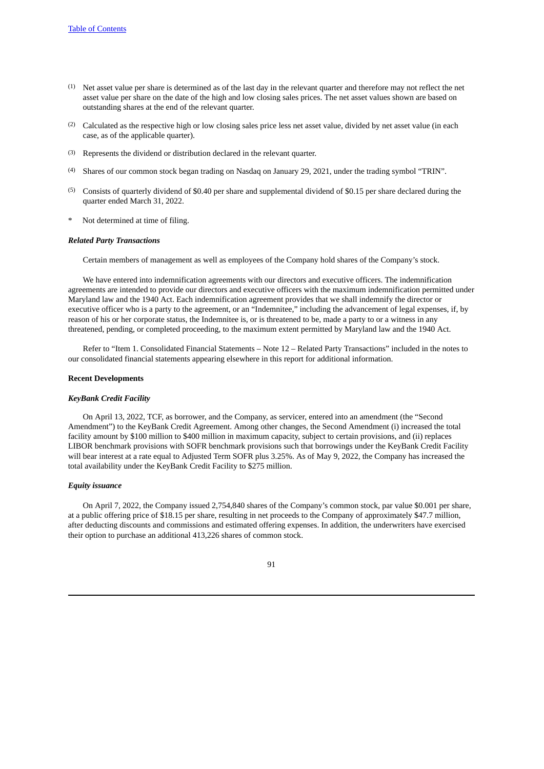- $(1)$  Net asset value per share is determined as of the last day in the relevant quarter and therefore may not reflect the net asset value per share on the date of the high and low closing sales prices. The net asset values shown are based on outstanding shares at the end of the relevant quarter.
- (2) Calculated as the respective high or low closing sales price less net asset value, divided by net asset value (in each case, as of the applicable quarter).
- (3) Represents the dividend or distribution declared in the relevant quarter.
- (4) Shares of our common stock began trading on Nasdaq on January 29, 2021, under the trading symbol "TRIN".
- (5) Consists of quarterly dividend of \$0.40 per share and supplemental dividend of \$0.15 per share declared during the quarter ended March 31, 2022.
- Not determined at time of filing.

### *Related Party Transactions*

Certain members of management as well as employees of the Company hold shares of the Company's stock.

We have entered into indemnification agreements with our directors and executive officers. The indemnification agreements are intended to provide our directors and executive officers with the maximum indemnification permitted under Maryland law and the 1940 Act. Each indemnification agreement provides that we shall indemnify the director or executive officer who is a party to the agreement, or an "Indemnitee," including the advancement of legal expenses, if, by reason of his or her corporate status, the Indemnitee is, or is threatened to be, made a party to or a witness in any threatened, pending, or completed proceeding, to the maximum extent permitted by Maryland law and the 1940 Act.

Refer to "Item 1. Consolidated Financial Statements – Note 12 – Related Party Transactions" included in the notes to our consolidated financial statements appearing elsewhere in this report for additional information.

#### **Recent Developments**

#### *KeyBank Credit Facility*

On April 13, 2022, TCF, as borrower, and the Company, as servicer, entered into an amendment (the "Second Amendment") to the KeyBank Credit Agreement. Among other changes, the Second Amendment (i) increased the total facility amount by \$100 million to \$400 million in maximum capacity, subject to certain provisions, and (ii) replaces LIBOR benchmark provisions with SOFR benchmark provisions such that borrowings under the KeyBank Credit Facility will bear interest at a rate equal to Adjusted Term SOFR plus 3.25%. As of May 9, 2022, the Company has increased the total availability under the KeyBank Credit Facility to \$275 million.

### *Equity issuance*

On April 7, 2022, the Company issued 2,754,840 shares of the Company's common stock, par value \$0.001 per share, at a public offering price of \$18.15 per share, resulting in net proceeds to the Company of approximately \$47.7 million, after deducting discounts and commissions and estimated offering expenses. In addition, the underwriters have exercised their option to purchase an additional 413,226 shares of common stock.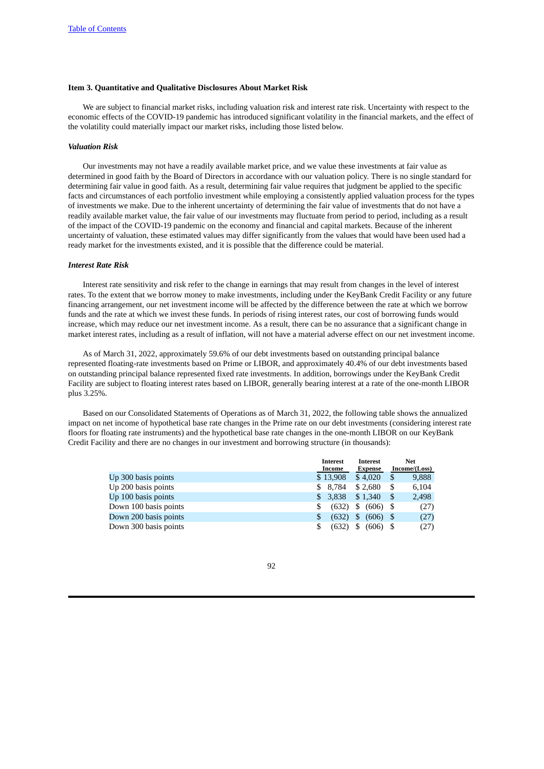## **Item 3. Quantitative and Qualitative Disclosures About Market Risk**

We are subject to financial market risks, including valuation risk and interest rate risk. Uncertainty with respect to the economic effects of the COVID-19 pandemic has introduced significant volatility in the financial markets, and the effect of the volatility could materially impact our market risks, including those listed below.

## *Valuation Risk*

Our investments may not have a readily available market price, and we value these investments at fair value as determined in good faith by the Board of Directors in accordance with our valuation policy. There is no single standard for determining fair value in good faith. As a result, determining fair value requires that judgment be applied to the specific facts and circumstances of each portfolio investment while employing a consistently applied valuation process for the types of investments we make. Due to the inherent uncertainty of determining the fair value of investments that do not have a readily available market value, the fair value of our investments may fluctuate from period to period, including as a result of the impact of the COVID-19 pandemic on the economy and financial and capital markets. Because of the inherent uncertainty of valuation, these estimated values may differ significantly from the values that would have been used had a ready market for the investments existed, and it is possible that the difference could be material.

## *Interest Rate Risk*

Interest rate sensitivity and risk refer to the change in earnings that may result from changes in the level of interest rates. To the extent that we borrow money to make investments, including under the KeyBank Credit Facility or any future financing arrangement, our net investment income will be affected by the difference between the rate at which we borrow funds and the rate at which we invest these funds. In periods of rising interest rates, our cost of borrowing funds would increase, which may reduce our net investment income. As a result, there can be no assurance that a significant change in market interest rates, including as a result of inflation, will not have a material adverse effect on our net investment income.

As of March 31, 2022, approximately 59.6% of our debt investments based on outstanding principal balance represented floating-rate investments based on Prime or LIBOR, and approximately 40.4% of our debt investments based on outstanding principal balance represented fixed rate investments. In addition, borrowings under the KeyBank Credit Facility are subject to floating interest rates based on LIBOR, generally bearing interest at a rate of the one-month LIBOR plus 3.25%.

Based on our Consolidated Statements of Operations as of March 31, 2022, the following table shows the annualized impact on net income of hypothetical base rate changes in the Prime rate on our debt investments (considering interest rate floors for floating rate instruments) and the hypothetical base rate changes in the one-month LIBOR on our KeyBank Credit Facility and there are no changes in our investment and borrowing structure (in thousands):

|                       | <b>Interest</b> | <b>Interest</b>  |              | <b>Net</b> |
|-----------------------|-----------------|------------------|--------------|------------|
|                       | Income          |                  | Income/Loss) |            |
| Up 300 basis points   | \$13,908        | \$4.020          | S            | 9,888      |
| Up 200 basis points   | 8.784<br>SS.    | \$2.680          | S            | 6,104      |
| Up 100 basis points   | 3.838<br>S.     | \$1,340          | S            | 2,498      |
| Down 100 basis points | (632)<br>S      | \$<br>$(606)$ \$ |              | (27)       |
| Down 200 basis points | (632)<br>\$     | \$<br>$(606)$ \$ |              | (27)       |
| Down 300 basis points | (632)<br>\$     | \$<br>(606)      |              | (27)       |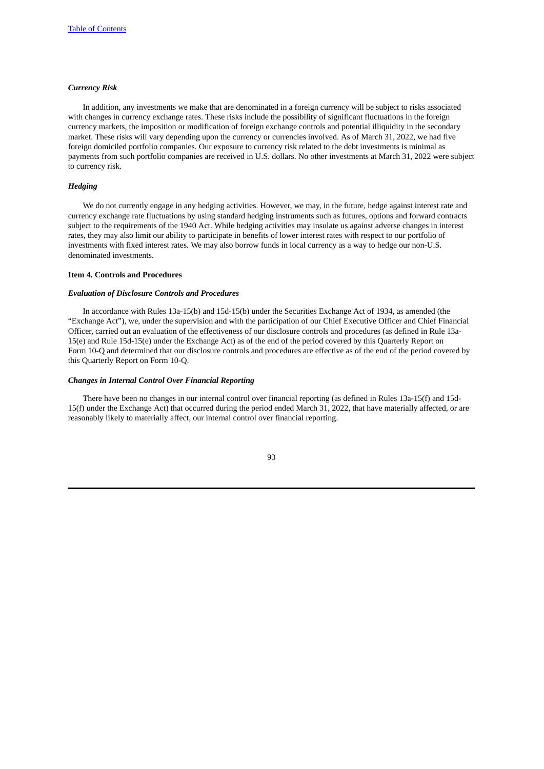# *Currency Risk*

In addition, any investments we make that are denominated in a foreign currency will be subject to risks associated with changes in currency exchange rates. These risks include the possibility of significant fluctuations in the foreign currency markets, the imposition or modification of foreign exchange controls and potential illiquidity in the secondary market. These risks will vary depending upon the currency or currencies involved. As of March 31, 2022, we had five foreign domiciled portfolio companies. Our exposure to currency risk related to the debt investments is minimal as payments from such portfolio companies are received in U.S. dollars. No other investments at March 31, 2022 were subject to currency risk.

### *Hedging*

We do not currently engage in any hedging activities. However, we may, in the future, hedge against interest rate and currency exchange rate fluctuations by using standard hedging instruments such as futures, options and forward contracts subject to the requirements of the 1940 Act. While hedging activities may insulate us against adverse changes in interest rates, they may also limit our ability to participate in benefits of lower interest rates with respect to our portfolio of investments with fixed interest rates. We may also borrow funds in local currency as a way to hedge our non-U.S. denominated investments.

## **Item 4. Controls and Procedures**

### *Evaluation of Disclosure Controls and Procedures*

In accordance with Rules 13a-15(b) and 15d-15(b) under the Securities Exchange Act of 1934, as amended (the "Exchange Act"), we, under the supervision and with the participation of our Chief Executive Officer and Chief Financial Officer, carried out an evaluation of the effectiveness of our disclosure controls and procedures (as defined in Rule 13a-15(e) and Rule 15d-15(e) under the Exchange Act) as of the end of the period covered by this Quarterly Report on Form 10-Q and determined that our disclosure controls and procedures are effective as of the end of the period covered by this Quarterly Report on Form 10-Q.

#### *Changes in Internal Control Over Financial Reporting*

There have been no changes in our internal control over financial reporting (as defined in Rules 13a-15(f) and 15d-15(f) under the Exchange Act) that occurred during the period ended March 31, 2022, that have materially affected, or are reasonably likely to materially affect, our internal control over financial reporting.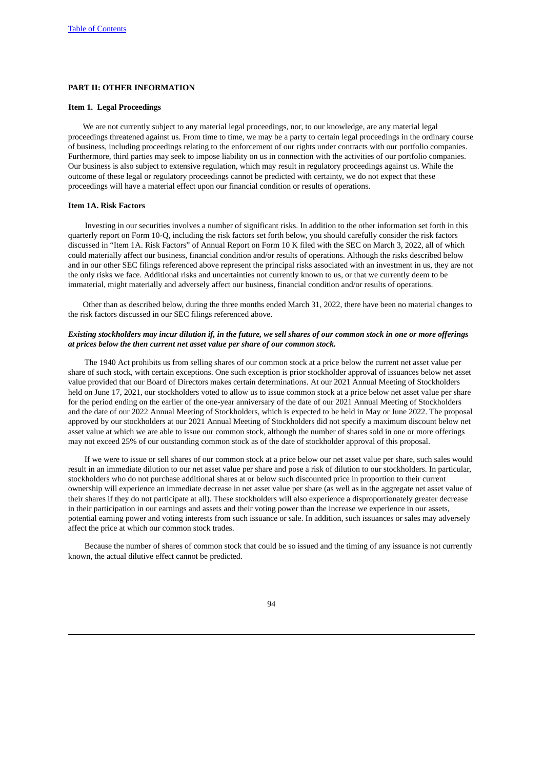# **PART II: OTHER INFORMATION**

## **Item 1. Legal Proceedings**

We are not currently subject to any material legal proceedings, nor, to our knowledge, are any material legal proceedings threatened against us. From time to time, we may be a party to certain legal proceedings in the ordinary course of business, including proceedings relating to the enforcement of our rights under contracts with our portfolio companies. Furthermore, third parties may seek to impose liability on us in connection with the activities of our portfolio companies. Our business is also subject to extensive regulation, which may result in regulatory proceedings against us. While the outcome of these legal or regulatory proceedings cannot be predicted with certainty, we do not expect that these proceedings will have a material effect upon our financial condition or results of operations.

## **Item 1A. Risk Factors**

Investing in our securities involves a number of significant risks. In addition to the other information set forth in this quarterly report on Form 10-Q, including the risk factors set forth below, you should carefully consider the risk factors discussed in "Item 1A. Risk Factors" of Annual Report on Form 10 K filed with the SEC on March 3, 2022, all of which could materially affect our business, financial condition and/or results of operations. Although the risks described below and in our other SEC filings referenced above represent the principal risks associated with an investment in us, they are not the only risks we face. Additional risks and uncertainties not currently known to us, or that we currently deem to be immaterial, might materially and adversely affect our business, financial condition and/or results of operations.

Other than as described below, during the three months ended March 31, 2022, there have been no material changes to the risk factors discussed in our SEC filings referenced above.

# Existing stockholders may incur dilution if, in the future, we sell shares of our common stock in one or more offerings *at prices below the then current net asset value per share of our common stock.*

The 1940 Act prohibits us from selling shares of our common stock at a price below the current net asset value per share of such stock, with certain exceptions. One such exception is prior stockholder approval of issuances below net asset value provided that our Board of Directors makes certain determinations. At our 2021 Annual Meeting of Stockholders held on June 17, 2021, our stockholders voted to allow us to issue common stock at a price below net asset value per share for the period ending on the earlier of the one-year anniversary of the date of our 2021 Annual Meeting of Stockholders and the date of our 2022 Annual Meeting of Stockholders, which is expected to be held in May or June 2022. The proposal approved by our stockholders at our 2021 Annual Meeting of Stockholders did not specify a maximum discount below net asset value at which we are able to issue our common stock, although the number of shares sold in one or more offerings may not exceed 25% of our outstanding common stock as of the date of stockholder approval of this proposal.

If we were to issue or sell shares of our common stock at a price below our net asset value per share, such sales would result in an immediate dilution to our net asset value per share and pose a risk of dilution to our stockholders. In particular, stockholders who do not purchase additional shares at or below such discounted price in proportion to their current ownership will experience an immediate decrease in net asset value per share (as well as in the aggregate net asset value of their shares if they do not participate at all). These stockholders will also experience a disproportionately greater decrease in their participation in our earnings and assets and their voting power than the increase we experience in our assets, potential earning power and voting interests from such issuance or sale. In addition, such issuances or sales may adversely affect the price at which our common stock trades.

Because the number of shares of common stock that could be so issued and the timing of any issuance is not currently known, the actual dilutive effect cannot be predicted.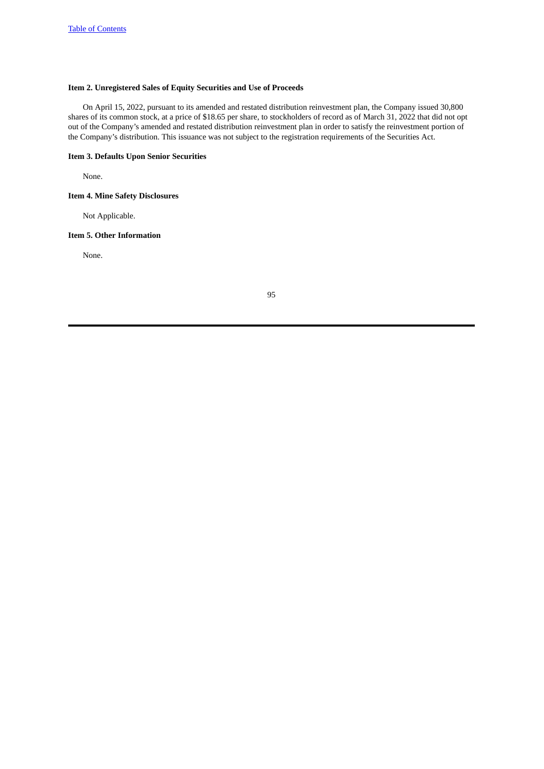# **Item 2. Unregistered Sales of Equity Securities and Use of Proceeds**

On April 15, 2022, pursuant to its amended and restated distribution reinvestment plan, the Company issued 30,800 shares of its common stock, at a price of \$18.65 per share, to stockholders of record as of March 31, 2022 that did not opt out of the Company's amended and restated distribution reinvestment plan in order to satisfy the reinvestment portion of the Company's distribution. This issuance was not subject to the registration requirements of the Securities Act.

# **Item 3. Defaults Upon Senior Securities**

None.

# **Item 4. Mine Safety Disclosures**

Not Applicable.

# **Item 5. Other Information**

None.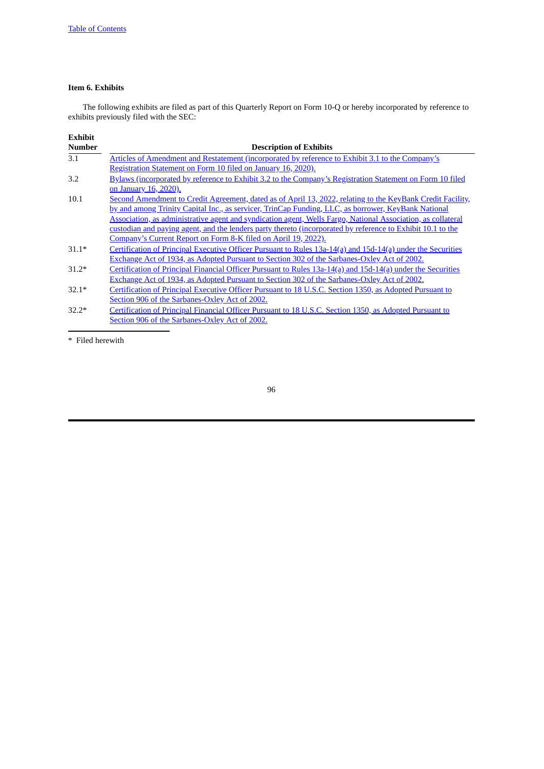# **Item 6. Exhibits**

The following exhibits are filed as part of this Quarterly Report on Form 10-Q or hereby incorporated by reference to exhibits previously filed with the SEC:

| <b>Exhibit</b> |                                                                                                              |
|----------------|--------------------------------------------------------------------------------------------------------------|
| <b>Number</b>  | <b>Description of Exhibits</b>                                                                               |
| 3.1            | Articles of Amendment and Restatement (incorporated by reference to Exhibit 3.1 to the Company's             |
|                | Registration Statement on Form 10 filed on January 16, 2020).                                                |
| 3.2            | Bylaws (incorporated by reference to Exhibit 3.2 to the Company's Registration Statement on Form 10 filed    |
|                | on January 16, 2020).                                                                                        |
| 10.1           | Second Amendment to Credit Agreement, dated as of April 13, 2022, relating to the KeyBank Credit Facility,   |
|                | by and among Trinity Capital Inc., as servicer, TrinCap Funding, LLC, as borrower, KeyBank National          |
|                | Association, as administrative agent and syndication agent, Wells Fargo, National Association, as collateral |
|                | custodian and paying agent, and the lenders party thereto (incorporated by reference to Exhibit 10.1 to the  |
|                | Company's Current Report on Form 8-K filed on April 19, 2022).                                               |
| $31.1*$        | Certification of Principal Executive Officer Pursuant to Rules 13a-14(a) and 15d-14(a) under the Securities  |
|                | Exchange Act of 1934, as Adopted Pursuant to Section 302 of the Sarbanes-Oxley Act of 2002.                  |
| $31.2*$        | Certification of Principal Financial Officer Pursuant to Rules 13a-14(a) and 15d-14(a) under the Securities  |
|                | Exchange Act of 1934, as Adopted Pursuant to Section 302 of the Sarbanes-Oxley Act of 2002.                  |
| $32.1*$        | Certification of Principal Executive Officer Pursuant to 18 U.S.C. Section 1350, as Adopted Pursuant to      |
|                | Section 906 of the Sarbanes-Oxley Act of 2002.                                                               |
| $32.2*$        | Certification of Principal Financial Officer Pursuant to 18 U.S.C. Section 1350, as Adopted Pursuant to      |
|                | Section 906 of the Sarbanes-Oxley Act of 2002.                                                               |

\* Filed herewith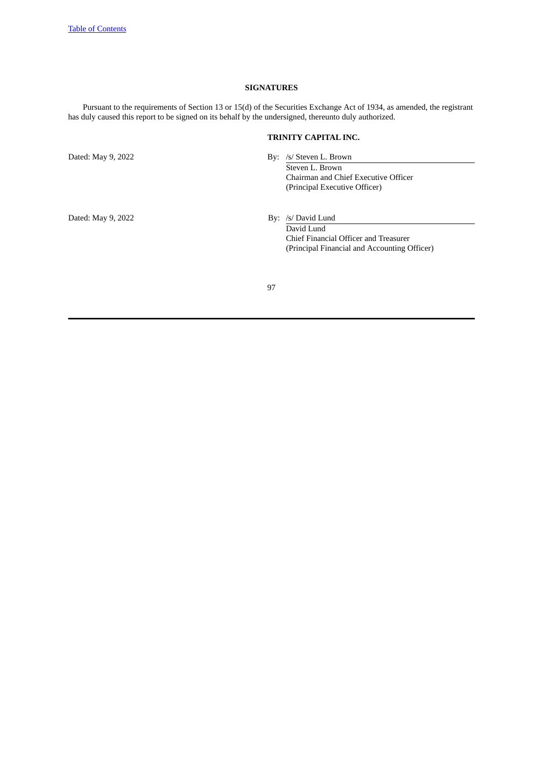# **SIGNATURES**

Pursuant to the requirements of Section 13 or 15(d) of the Securities Exchange Act of 1934, as amended, the registrant has duly caused this report to be signed on its behalf by the undersigned, thereunto duly authorized.

# **TRINITY CAPITAL INC.**

Dated: May 9, 2022 By: /s/ Steven L. Brown Steven L. Brown

Chairman and Chief Executive Officer (Principal Executive Officer)

Dated: May 9, 2022 By: /s/ David Lund

David Lund Chief Financial Officer and Treasurer (Principal Financial and Accounting Officer)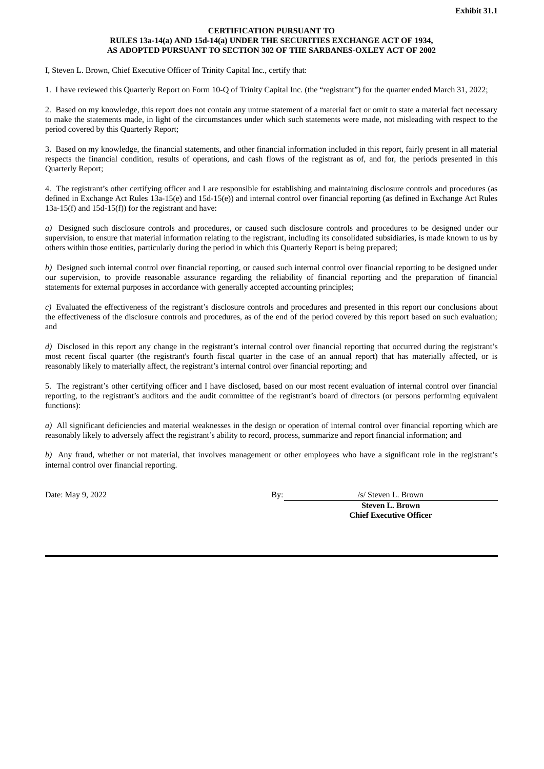# **CERTIFICATION PURSUANT TO RULES 13a-14(a) AND 15d-14(a) UNDER THE SECURITIES EXCHANGE ACT OF 1934, AS ADOPTED PURSUANT TO SECTION 302 OF THE SARBANES-OXLEY ACT OF 2002**

<span id="page-97-0"></span>I, Steven L. Brown, Chief Executive Officer of Trinity Capital Inc., certify that:

1. I have reviewed this Quarterly Report on Form 10-Q of Trinity Capital Inc. (the "registrant") for the quarter ended March 31, 2022;

2. Based on my knowledge, this report does not contain any untrue statement of a material fact or omit to state a material fact necessary to make the statements made, in light of the circumstances under which such statements were made, not misleading with respect to the period covered by this Quarterly Report;

3. Based on my knowledge, the financial statements, and other financial information included in this report, fairly present in all material respects the financial condition, results of operations, and cash flows of the registrant as of, and for, the periods presented in this Quarterly Report;

4. The registrant's other certifying officer and I are responsible for establishing and maintaining disclosure controls and procedures (as defined in Exchange Act Rules 13a-15(e) and 15d-15(e)) and internal control over financial reporting (as defined in Exchange Act Rules 13a-15(f) and 15d-15(f)) for the registrant and have:

*a)* Designed such disclosure controls and procedures, or caused such disclosure controls and procedures to be designed under our supervision, to ensure that material information relating to the registrant, including its consolidated subsidiaries, is made known to us by others within those entities, particularly during the period in which this Quarterly Report is being prepared;

*b)* Designed such internal control over financial reporting, or caused such internal control over financial reporting to be designed under our supervision, to provide reasonable assurance regarding the reliability of financial reporting and the preparation of financial statements for external purposes in accordance with generally accepted accounting principles;

*c)* Evaluated the effectiveness of the registrant's disclosure controls and procedures and presented in this report our conclusions about the effectiveness of the disclosure controls and procedures, as of the end of the period covered by this report based on such evaluation; and

*d*) Disclosed in this report any change in the registrant's internal control over financial reporting that occurred during the registrant's most recent fiscal quarter (the registrant's fourth fiscal quarter in the case of an annual report) that has materially affected, or is reasonably likely to materially affect, the registrant's internal control over financial reporting; and

5. The registrant's other certifying officer and I have disclosed, based on our most recent evaluation of internal control over financial reporting, to the registrant's auditors and the audit committee of the registrant's board of directors (or persons performing equivalent functions):

*a)* All significant deficiencies and material weaknesses in the design or operation of internal control over financial reporting which are reasonably likely to adversely affect the registrant's ability to record, process, summarize and report financial information; and

*b)* Any fraud, whether or not material, that involves management or other employees who have a significant role in the registrant's internal control over financial reporting.

Date: May 9, 2022 By: *By: Steven L. Brown* 

**Steven L. Brown Chief Executive Officer**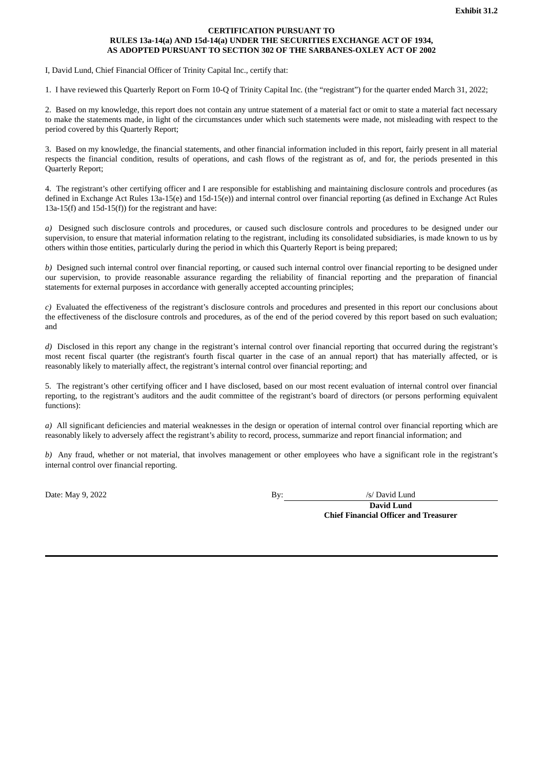# **CERTIFICATION PURSUANT TO RULES 13a-14(a) AND 15d-14(a) UNDER THE SECURITIES EXCHANGE ACT OF 1934, AS ADOPTED PURSUANT TO SECTION 302 OF THE SARBANES-OXLEY ACT OF 2002**

<span id="page-98-0"></span>I, David Lund, Chief Financial Officer of Trinity Capital Inc., certify that:

1. I have reviewed this Quarterly Report on Form 10-Q of Trinity Capital Inc. (the "registrant") for the quarter ended March 31, 2022;

2. Based on my knowledge, this report does not contain any untrue statement of a material fact or omit to state a material fact necessary to make the statements made, in light of the circumstances under which such statements were made, not misleading with respect to the period covered by this Quarterly Report;

3. Based on my knowledge, the financial statements, and other financial information included in this report, fairly present in all material respects the financial condition, results of operations, and cash flows of the registrant as of, and for, the periods presented in this Quarterly Report;

4. The registrant's other certifying officer and I are responsible for establishing and maintaining disclosure controls and procedures (as defined in Exchange Act Rules 13a-15(e) and 15d-15(e)) and internal control over financial reporting (as defined in Exchange Act Rules 13a-15(f) and 15d-15(f)) for the registrant and have:

*a)* Designed such disclosure controls and procedures, or caused such disclosure controls and procedures to be designed under our supervision, to ensure that material information relating to the registrant, including its consolidated subsidiaries, is made known to us by others within those entities, particularly during the period in which this Quarterly Report is being prepared;

*b)* Designed such internal control over financial reporting, or caused such internal control over financial reporting to be designed under our supervision, to provide reasonable assurance regarding the reliability of financial reporting and the preparation of financial statements for external purposes in accordance with generally accepted accounting principles;

*c)* Evaluated the effectiveness of the registrant's disclosure controls and procedures and presented in this report our conclusions about the effectiveness of the disclosure controls and procedures, as of the end of the period covered by this report based on such evaluation; and

*d*) Disclosed in this report any change in the registrant's internal control over financial reporting that occurred during the registrant's most recent fiscal quarter (the registrant's fourth fiscal quarter in the case of an annual report) that has materially affected, or is reasonably likely to materially affect, the registrant's internal control over financial reporting; and

5. The registrant's other certifying officer and I have disclosed, based on our most recent evaluation of internal control over financial reporting, to the registrant's auditors and the audit committee of the registrant's board of directors (or persons performing equivalent functions):

*a)* All significant deficiencies and material weaknesses in the design or operation of internal control over financial reporting which are reasonably likely to adversely affect the registrant's ability to record, process, summarize and report financial information; and

*b)* Any fraud, whether or not material, that involves management or other employees who have a significant role in the registrant's internal control over financial reporting.

Date: May 9, 2022 By: /s/ David Lund

**David Lund Chief Financial Officer and Treasurer**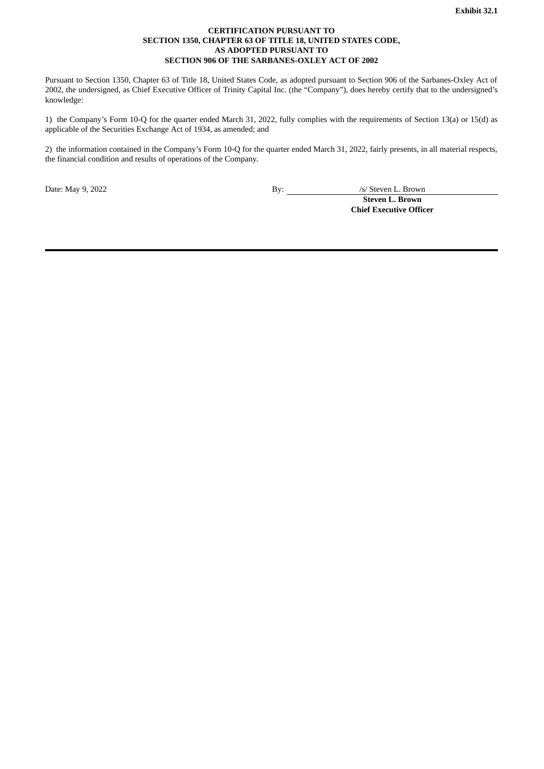# **CERTIFICATION PURSUANT TO SECTION 1350, CHAPTER 63 OF TITLE 18, UNITED STATES CODE, AS ADOPTED PURSUANT TO SECTION 906 OF THE SARBANES-OXLEY ACT OF 2002**

<span id="page-99-0"></span>Pursuant to Section 1350, Chapter 63 of Title 18, United States Code, as adopted pursuant to Section 906 of the Sarbanes-Oxley Act of 2002, the undersigned, as Chief Executive Officer of Trinity Capital Inc. (the "Company"), does hereby certify that to the undersigned's knowledge:

1) the Company's Form 10-Q for the quarter ended March 31, 2022, fully complies with the requirements of Section 13(a) or 15(d) as applicable of the Securities Exchange Act of 1934, as amended; and

2) the information contained in the Company's Form 10-Q for the quarter ended March 31, 2022, fairly presents, in all material respects, the financial condition and results of operations of the Company.

Date: May 9, 2022 By: <u>By:</u> /s/ Steven L. Brown **Steven L. Brown Chief Executive Officer**